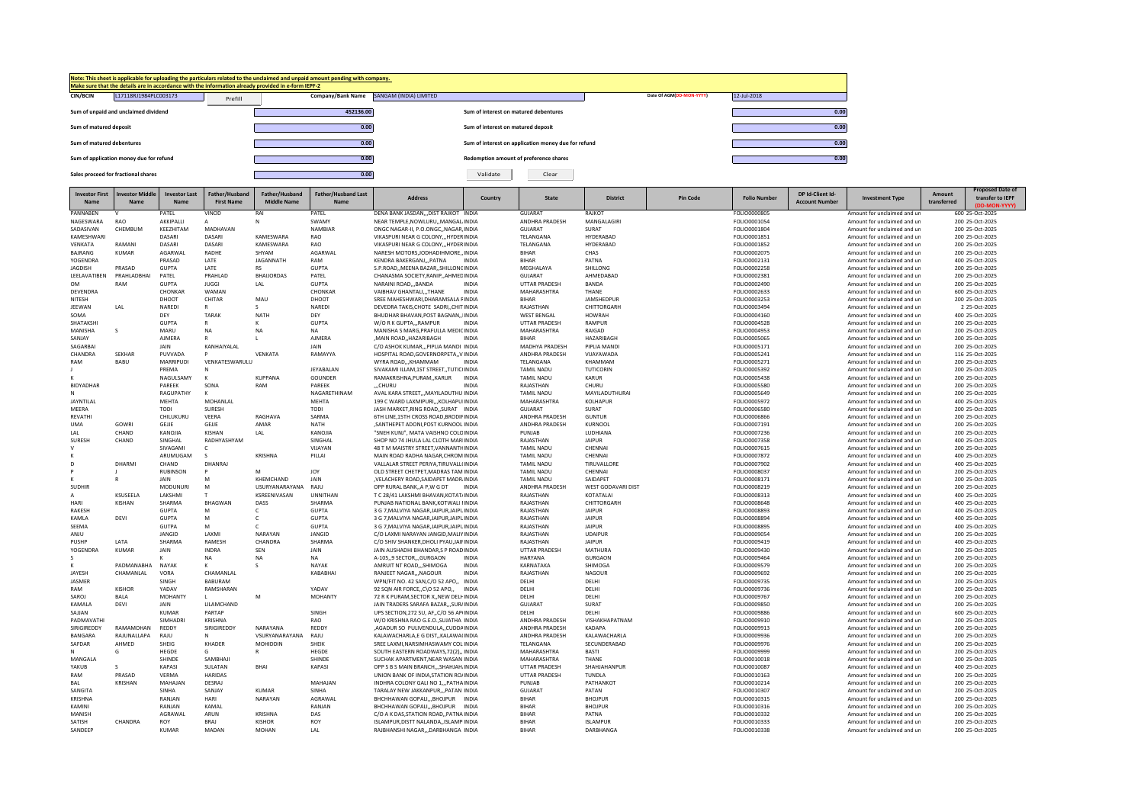|                                          | Make sure that the details are in accordance with the information already provided in e-form IEPF-2 | Note: This sheet is applicable for uploading the particulars related to the unclaimed and unpaid amount pending with company.                                                                                                      |                                          |                                                     |                          |             |
|------------------------------------------|-----------------------------------------------------------------------------------------------------|------------------------------------------------------------------------------------------------------------------------------------------------------------------------------------------------------------------------------------|------------------------------------------|-----------------------------------------------------|--------------------------|-------------|
| L17118RJ1984PLC003173<br><b>CIN/BCIN</b> | Prefill                                                                                             |                                                                                                                                                                                                                                    | Company/Bank Name SANGAM (INDIA) LIMITED |                                                     | Date Of AGM(DD-MON-YYYY) | 12-Jul-2018 |
| Sum of unpaid and unclaimed dividend     |                                                                                                     | 452136.00                                                                                                                                                                                                                          | Sum of interest on matured debentures    |                                                     |                          | 0.00        |
| Sum of matured deposit                   |                                                                                                     | 0.00                                                                                                                                                                                                                               | Sum of interest on matured deposit       |                                                     |                          | 0.00        |
| Sum of matured debentures                |                                                                                                     | 0.00                                                                                                                                                                                                                               |                                          | Sum of interest on application money due for refund |                          | 0.00        |
| Sum of application money due for refund  |                                                                                                     | 0.00                                                                                                                                                                                                                               | Redemption amount of preference shares   |                                                     |                          | 0.00        |
| Sales proceed for fractional shares      |                                                                                                     | 0.00                                                                                                                                                                                                                               | Validate                                 | Clear                                               |                          |             |
|                                          | the contract of the contract of the                                                                 | the contract of the contract of the contract of the contract of the contract of the contract of the contract of<br>the contract of the contract of the contract of the contract of the contract of the contract of the contract of |                                          |                                                     |                          |             |

| <b>Investor First</b><br>Name | restor Midd<br>Name  | <b>Investor Last</b><br>Name | Father/Husband<br><b>First Name</b> | Father/Husband<br><b>Middle Name</b> | <b>Father/Husband Last</b><br>Name | <b>Address</b>                                                                | Country      | <b>State</b>                     | <b>District</b>          | <b>Pin Code</b> | <b>Folio Number</b>          | DP Id-Client Id<br><b>Account Number</b> | <b>Investment Type</b>                                     | <b>Amount</b><br>transferred | transfer to IEPF                   |
|-------------------------------|----------------------|------------------------------|-------------------------------------|--------------------------------------|------------------------------------|-------------------------------------------------------------------------------|--------------|----------------------------------|--------------------------|-----------------|------------------------------|------------------------------------------|------------------------------------------------------------|------------------------------|------------------------------------|
|                               |                      |                              |                                     |                                      |                                    |                                                                               |              |                                  |                          |                 |                              |                                          |                                                            |                              |                                    |
| PANNABEN                      |                      | PATEL                        | VINOD                               | RAI                                  | PATEL                              | DENA BANK JASDAN DIST RAJKOT INDIA                                            |              | <b>GUJARAT</b>                   | RAJKOT                   |                 | FOLIO0000805                 |                                          | Amount for unclaimed and ur                                |                              | 600 25-Oct-2025                    |
| NAGESWARA<br>SADASIVAN        | RAO<br>CHEMBUM       | AKKIPALLI<br>KEEZHITAM       | MADHAVAN                            | $\mathsf{N}$                         | <b>SWAM</b><br>NAMBIAR             | NEAR TEMPLE, NOWLURU,, MANGAL INDIA<br>ONGC NAGAR-II, P.O.ONGC., NAGAR, INDIA |              | ANDHRA PRADESH<br><b>GUJARAT</b> | MANGALAGIRI<br>SURAT     |                 | FOLIO0001054<br>FOLIO0001804 |                                          | Amount for unclaimed and un<br>Amount for unclaimed and un |                              | 200 25-Oct-2025<br>200 25-Oct-2025 |
| KAMESHWARI                    |                      | DASARI                       | DASARI                              | KAMESWARA                            | RAO                                | VIKASPURI NEAR G COLONY,,,HYDER INDIA                                         |              | TELANGANA                        | HYDERABAD                |                 | FOLIO0001851                 |                                          | Amount for unclaimed and un                                |                              | 200 25-Oct-2025                    |
| VENKATA                       | RAMANI               | DASARI                       | DASARI                              | KAMESWARA                            | RAO                                | VIKASPURI NEAR G COLONY,,,HYDER INDIA                                         |              | TELANGANA                        | HYDERABAD                |                 | FOLIO0001852                 |                                          | Amount for unclaimed and un                                |                              | 200 25-Oct-2025                    |
| BAJRANG                       | KUMAR                | AGARWAL                      | RADHE                               | SHYAM                                | AGARWAL                            | NARESH MOTORS, JODHADIHMORE,, INDIA                                           |              | <b>BIHAR</b>                     | CHAS                     |                 | FOLIO0002075                 |                                          | Amount for unclaimed and un                                |                              | 200 25-Oct-2025                    |
| YOGENDRA                      |                      | PRASAD                       | LATE                                | JAGANNATH                            | RAM                                | KENDRA BAKERGANJ,,,PATNA                                                      | <b>INDIA</b> | <b>BIHAR</b>                     | PATNA                    |                 | FOLIO0002131                 |                                          | Amount for unclaimed and un                                |                              | 400 25-Oct-2025                    |
| JAGDISH                       | PRASAD               | <b>GUPTA</b>                 | LATE                                | <b>RS</b>                            | <b>GUPTA</b>                       | S.P.ROAD,, MEENA BAZAR,, SHILLONCINDIA                                        |              | MEGHALAYA                        | SHILLONG                 |                 | FOLIO0002258                 |                                          | Amount for unclaimed and un                                |                              | 200 25-Oct-2025                    |
| LEELAVATIBEN                  | PRAHLADBHAI          | PATEL                        | PRAHLAD                             | <b>BHAIJORDAS</b>                    | PATEL                              | CHANASMA SOCIETY, RANIP, , AHMED INDIA                                        |              | GUJARAT                          | AHMEDABAD                |                 | FOLIO0002381                 |                                          | Amount for unclaimed and un                                |                              | 200 25-Oct-2025                    |
| <b>OM</b>                     | RAM                  | <b>GUPTA</b>                 | <b>JUGGI</b>                        | LAL                                  | <b>GUPTA</b>                       | NARAINI ROADBANDA                                                             | <b>INDIA</b> | <b>UTTAR PRADESH</b>             | BANDA                    |                 | FOLIO0002490                 |                                          | Amount for unclaimed and un                                |                              | 200 25-Oct-2025                    |
| DEVENDRA                      |                      | CHONKAR                      | WAMAN                               |                                      | CHONKAR                            | VAIBHAV GHANTALI,,,THANE                                                      | <b>INDIA</b> | MAHARASHTRA                      | THANF                    |                 | FOLIO0002633                 |                                          | Amount for unclaimed and un                                |                              | 600 25-Oct-2025                    |
| NITESH                        |                      | DHOOT                        | CHITAR                              | MAU                                  | DHOOT                              | SREE MAHESHWARI, DHARAMSALA FINDIA                                            |              | <b>BIHAR</b>                     | JAMSHEDPUR               |                 | FOLIO0003253                 |                                          | Amount for unclaimed and un                                |                              | 200 25-Oct-2025                    |
| JEEWAN                        | LAL                  | NAREDI                       | R                                   | $\mathsf{s}$                         | NAREDI                             | DEVEDRA TAKIS.CHOTE SADRICHIT INDIA                                           |              | RAJASTHAN                        | CHITTORGARH              |                 | FOLIO0003494                 |                                          | Amount for unclaimed and un                                |                              | 2 25-Oct-2025                      |
| SOMA                          |                      | DEY<br>GUPTA                 | TARAK                               | <b>NATH</b>                          | DEY<br>GUPTA                       | BHUDHAR BHAVAN, POST BAGNAN, , IINDIA                                         | <b>INDIA</b> | <b>WEST BENGAL</b>               | <b>HOWRAH</b>            |                 | FOLIO0004160                 |                                          | Amount for unclaimed and un                                |                              | 400 25-Oct-2025                    |
| SHATAKSHI<br>MANISHA          | $\mathbf{s}$         | MARU                         | <b>NA</b>                           | <b>NA</b>                            | <b>NA</b>                          | W/O R K GUPTA,,,RAMPUR<br>MANISHA S MARG.PRAFULLA MEDICINDIA                  |              | UTTAR PRADESH<br>MAHARASHTRA     | RAMPUR<br>RAIGAD         |                 | FOLIO0004528<br>FOLIO0004953 |                                          | Amount for unclaimed and un<br>Amount for unclaimed and un |                              | 200 25-Oct-2025<br>200 25-Oct-2025 |
| SANJAY                        |                      | <b>AJMERA</b>                |                                     |                                      | AJMERA                             | ,MAIN ROAD,,HAZARIBAGH                                                        | <b>INDIA</b> | <b>BIHAR</b>                     | HAZARIBAGH               |                 | FOLIO0005065                 |                                          | Amount for unclaimed and un                                |                              | 200 25-Oct-2025                    |
| SAGARBAI                      |                      | <b>JAIN</b>                  | KANHAIYALAL                         |                                      | <b>JAIN</b>                        | C/O ASHOK KUMAR,,,PIPLIA MANDI INDIA                                          |              | MADHYA PRADESH                   | PIPLIA MANDI             |                 | FOLIO0005171                 |                                          | Amount for unclaimed and un                                |                              | 200 25-Oct-2025                    |
| CHANDRA                       | <b>SEKHAR</b>        | PUVVADA                      |                                     | VENKATA                              | RAMAYYA                            | HOSPITAL ROAD.GOVERNORPETAV INDIA                                             |              | ANDHRA PRADESH                   | VIJAYAWADA               |                 | FOLIO0005241                 |                                          | Amount for unclaimed and un                                |                              | 116 25-Oct-2025                    |
| RAM                           | <b>BABU</b>          | MARRIPUDI                    | VENKATESWARULU                      |                                      |                                    | WYRA ROAD,,, KHAMMAM                                                          | <b>INDIA</b> | TELANGANA                        | KHAMMAM                  |                 | FOLIO0005271                 |                                          | Amount for unclaimed and un                                |                              | 200 25-Oct-2025                    |
|                               |                      | PREMA                        | N                                   |                                      | JEYABALAN                          | SIVAKAMI ILLAM,1ST STREET,,TUTIC(INDIA                                        |              | <b>TAMIL NADU</b>                | TUTICORIN                |                 | FOLIO0005392                 |                                          | Amount for unclaimed and un                                |                              | 200 25-Oct-2025                    |
| к                             |                      | NAGULSAMY                    | к                                   | <b>KUPPANA</b>                       | GOUNDER                            | RAMAKRISHNA.PURAMKARUR                                                        | INDIA        | <b>TAMIL NADU</b>                | KARUR                    |                 | FOLIO0005438                 |                                          | Amount for unclaimed and un                                |                              | 200 25-Oct-2025                    |
| BIDYADHAR                     |                      | PAREEK                       | SONA                                | RAM                                  | PAREEK                             | "CHURU                                                                        | <b>INDIA</b> | RAJASTHAN                        | CHURU                    |                 | FOLIO0005580                 |                                          | Amount for unclaimed and un                                |                              | 200 25-Oct-2025                    |
| N                             |                      | RAGUPATHY                    | K                                   |                                      | NAGARETHINAM                       | AVAL KARA STREET,,, MAYILADUTHU INDIA                                         |              | <b>TAMIL NADU</b>                | MAYILADUTHURAI           |                 | FOLIO0005649                 |                                          | Amount for unclaimed and un                                |                              | 200 25-Oct-2025                    |
| JAYNTILAL                     |                      | MEHTA                        | MOHANLAL                            |                                      | MEHTA                              | 199 C WARD LAXMIPURI,,,KOLHAPUIINDIA                                          |              | MAHARASHTRA                      | KOLHAPUR                 |                 | FOLIO0005972                 |                                          | Amount for unclaimed and un                                |                              | 400 25-Oct-2025                    |
| MFFRA                         |                      | <b>TODI</b>                  | SURESH                              |                                      | TODI                               | JASH MARKET, RING ROAD, , SURAT INDIA                                         |              | GUJARAT                          | SURAT                    |                 | FOLIO0006580                 |                                          | Amount for unclaimed and un                                |                              | 200 25-Oct-2025                    |
| REVATHI                       |                      | CHILUKURU                    | VEERA                               | RAGHAVA                              | SARMA                              | 6TH LINE, 15TH CROSS ROAD, BRODIF INDIA                                       |              | ANDHRA PRADESH                   | <b>GUNTUR</b>            |                 | FOLIO0006866                 |                                          | Amount for unclaimed and un                                |                              | 200 25-Oct-2025                    |
| <b>UMA</b>                    | GOWRI                | GEJJE                        | GEJJE                               | AMAR                                 | NATH                               | ,SANTHEPET ADONI,POST KURNOOL INDIA                                           |              | ANDHRA PRADESH                   | KURNOOL                  |                 | FOLIO0007191                 |                                          | Amount for unclaimed and un                                |                              | 200 25-Oct-2025                    |
| LAL                           | CHAND                | KANOJIA                      | KISHAN                              | LAL                                  | KANOJIA                            | "SNEH KUNJ", MATA VAISHNO COLO INDIA                                          |              | PUNJAB                           | LUDHIANA                 |                 | FOLIO0007236                 |                                          | Amount for unclaimed and un                                |                              | 200 25-Oct-2025                    |
| SURESH<br>$\vee$              | CHAND                | SINGHAL<br>SIVAGAMI          | RADHYASHYAM<br>$\mathsf{C}$         |                                      | SINGHAL<br>VIJAYAN                 | SHOP NO 74 JHULA LAL CLOTH MARIINDIA<br>48 T M MAISTRY STREET, VANNANTHINDIA  |              | RAJASTHAN<br><b>TAMIL NADU</b>   | <b>JAIPUR</b><br>CHENNAI |                 | FOLIO0007358<br>FOLIO0007615 |                                          | Amount for unclaimed and un<br>Amount for unclaimed and un |                              | 400 25-Oct-2025<br>200 25-Oct-2025 |
|                               |                      | ARUMUGAM                     | -S                                  | KRISHNA                              | PILLAI                             | MAIN ROAD RADHA NAGAR, CHROM INDIA                                            |              | <b>TAMIL NADU</b>                | CHENNAI                  |                 | FOLIO0007872                 |                                          | Amount for unclaimed and un                                |                              | 400 25-Oct-2025                    |
| D                             | DHARMI               | CHAND                        | DHANRAJ                             |                                      |                                    | VALLALAR STREET PERIYA, TIRUVALL(INDIA                                        |              | <b>TAMIL NADU</b>                | TIRUVALLORE              |                 | FOLIO0007902                 |                                          | Amount for unclaimed and un                                |                              | 400 25-Oct-2025                    |
| P                             |                      | <b>RUBINSON</b>              | P                                   | M                                    | JOY                                | OLD STREET CHETPET, MADRAS TAM INDIA                                          |              | <b>TAMIL NADU</b>                | CHENNAI                  |                 | FOLIO0008037                 |                                          | Amount for unclaimed and un                                |                              | 200 25-Oct-2025                    |
| к                             | R                    | JAIN                         | M                                   | KHEMCHAND                            | JAIN                               | , VELACHERY ROAD, SAIDAPET MADR. INDIA                                        |              | <b>TAMIL NADU</b>                | SAIDAPET                 |                 | FOLIO0008171                 |                                          | Amount for unclaimed and un                                |                              | 200 25-Oct-2025                    |
| SUDHIR                        |                      | MODUNURI                     | M                                   | <b>USURYANARAYANA</b>                | RAJU                               | OPP RURAL BANK, A P, W G DT                                                   | <b>INDIA</b> | ANDHRA PRADESH                   | WEST GODAVARI DIST       |                 | FOLIO0008219                 |                                          | Amount for unclaimed and un                                |                              | 200 25-Oct-2025                    |
| $\mathsf{A}$                  | KSUSEELA             | <b>LAKSHMI</b>               |                                     | KSREENIVASAN                         | <b>UNNITHAN</b>                    | T C 28/41 LAKSHMI BHAVAN, KOTAT/INDIA                                         |              | RAJASTHAN                        | KOTATALAI                |                 | FOLIO0008313                 |                                          | Amount for unclaimed and un                                |                              | 400 25-Oct-2025                    |
| HARI                          | KISHAN               | SHARMA                       | <b>BHAGWAN</b>                      | DASS                                 | SHARMA                             | PUNJAB NATIONAL BANK, KOTWALI FINDIA                                          |              | RAJASTHAN                        | CHITTORGARH              |                 | FOLIO0008648                 |                                          | Amount for unclaimed and un                                |                              | 400 25-Oct-2025                    |
| RAKESH                        |                      | <b>GUPTA</b>                 | M                                   | c                                    | <b>GUPTA</b>                       | 3 G 7, MALVIYA NAGAR, JAIPUR, JAIPUINDIA                                      |              | RAJASTHAN                        | <b>JAIPUR</b>            |                 | FOLIO0008893                 |                                          | Amount for unclaimed and un                                |                              | 400 25-Oct-2025                    |
| KAMLA                         | <b>DEVI</b>          | <b>GUPTA</b>                 | M                                   | $\epsilon$                           | <b>GUPTA</b>                       | 3 G 7. MALVIYA NAGAR. JAIPUR, JAIPU INDIA                                     |              | RAJASTHAN                        | <b>JAIPUR</b>            |                 | FOLIO0008894                 |                                          | Amount for unclaimed and un                                |                              | 400 25-Oct-2025                    |
| SEEMA                         |                      | <b>GUTPA</b>                 | M                                   | $\epsilon$                           | <b>GUPTA</b>                       | 3 G 7. MALVIYA NAGAR. JAIPUR, JAIPU INDIA                                     |              | RAJASTHAN                        | <b>JAIPUR</b>            |                 | FOLIO0008895                 |                                          | Amount for unclaimed and un                                |                              | 400 25-Oct-2025                    |
| ANJU                          |                      | JANGID                       | LAXMI                               | NARAYAN                              | JANGID                             | C/O LAXMI NARAYAN JANGID, MALIY INDIA                                         |              | RAJASTHAN                        | <b>UDAIPUR</b>           |                 | FOLIO0009054                 |                                          | Amount for unclaimed and un                                |                              | 200 25-Oct-2025                    |
| PUSHP                         | LATA<br><b>KUMAR</b> | SHARMA                       | RAMESH<br>INDRA                     | CHANDRA<br>SEN                       | SHARMA<br><b>JAIN</b>              | C/O SHIV SHANKER, DHOLI PYAU, JAIF INDIA                                      |              | RAJASTHAN                        | <b>JAIPUR</b><br>MATHURA |                 | FOLIO0009419                 |                                          | Amount for unclaimed and un                                |                              | 400 25-Oct-2025<br>200 25-Oct-2025 |
| YOGENDRA<br>s.                |                      | JAIN                         | NA                                  | NA                                   | <b>NA</b>                          | JAIN AUSHADHI BHANDAR, S P ROAD INDIA<br>A-105,,9 SECTOR,,,GURGAON            | INDIA        | <b>UTTAR PRADESH</b><br>HARYANA  | GURGAON                  |                 | FOLIO0009430<br>FOLIO0009464 |                                          | Amount for unclaimed and un<br>Amount for unclaimed and un |                              | 200 25-Oct-2025                    |
| к                             | PADMANABHA           | NAYAK                        | ĸ                                   | $\mathsf{S}$                         | NAYAK                              | AMRUIT NT ROAD,,,SHIMOGA                                                      | <b>INDIA</b> | KARNATAKA                        | SHIMOGA                  |                 | FOLIO0009579                 |                                          | Amount for unclaimed and un                                |                              | 200 25-Oct-2025                    |
| JAYESH                        | CHAMANLAL            | VORA                         | CHAMANLAL                           |                                      | KABABHAI                           | RANJEET NAGAR,,,NAGOUR                                                        | <b>INDIA</b> | RAJASTHAN                        | NAGOUR                   |                 | FOLIO0009692                 |                                          | Amount for unclaimed and un                                |                              | 200 25-Oct-2025                    |
| JASMER                        |                      | SINGH                        | BABURAM                             |                                      |                                    | WPN/FIT NO. 42 SAN, C/O 52 APO,,                                              | INDIA        | DELHI                            | DELHI                    |                 | FOLIO0009735                 |                                          | Amount for unclaimed and un                                |                              | 200 25-Oct-2025                    |
| RAM                           | KISHOR               | YADAV                        | RAMSHARAN                           |                                      | YADAV                              | 92 SQN AIR FORCE, C\O 52 APO,,                                                | <b>INDIA</b> | DELHI                            | DELHI                    |                 | FOLIO0009736                 |                                          | Amount for unclaimed and un                                |                              | 200 25-Oct-2025                    |
| SAROJ                         | <b>BAI A</b>         | <b>MOHANTY</b>               |                                     | M                                    | MOHANTY                            | 72 R K PURAM, SECTOR X, NEW DELFINDIA                                         |              | DELHI                            | DELHI                    |                 | FOLIO0009767                 |                                          | Amount for unclaimed and un                                |                              | 200 25-Oct-2025                    |
| KAMALA                        | DEVI                 | JAIN                         | LILAMCHAND                          |                                      |                                    | JAIN TRADERS SARAFA BAZAR, "SUR/INDIA                                         |              | GUIARAT                          | SURAT                    |                 | FOLIO0009850                 |                                          | Amount for unclaimed and un                                |                              | 200 25-Oct-2025                    |
| SAIIAN                        |                      | KUMAR                        | PARTAP                              |                                      | SINGH                              | UPS SECTION, 272 SU, AF, C/O 56 APIINDIA                                      |              | DELHI                            | DFI HI                   |                 | FOLIO0009886                 |                                          | Amount for unclaimed and un                                |                              | 600 25-Oct-2025                    |
| PADMAVATHI                    |                      | SIMHADRI                     | <b>KRISHNA</b>                      |                                      | RAO                                | W/O KRISHNA RAO G.E.O., SUJATHA INDIA                                         |              | ANDHRA PRADESH                   | VISHAKHAPATNAM           |                 | FOLIO0009910                 |                                          | Amount for unclaimed and un                                |                              | 200 25-Oct-2025                    |
| SIRIGIREDDY                   | RAMAMOHAN            | REDDY                        | SIRIGIREDDY                         | NARAYANA                             | REDDY                              | ,AGADUR SO PULIVENDULA,,CUDDAINDIA                                            |              | ANDHRA PRADESH                   | KADAPA                   |                 | FOLIO0009913                 |                                          | Amount for unclaimed and un                                |                              | 200 25-Oct-2025                    |
| BANGARA                       | RAJUNALLAPA          | RAILI                        | N                                   | VSURYANARAYANA                       | RAJU                               | KALAWACHARLA,E G DIST,, KALAWA(INDIA                                          |              | ANDHRA PRADESH                   | KALAWACHARLA             |                 | FOLIO0009936                 |                                          | Amount for unclaimed and un                                |                              | 200 25-Oct-2025                    |
| SAFDAR                        | AHMED                | SHEIG                        | <b>KHADER</b>                       | <b>MOHIDDIN</b>                      | SHEIK                              | SREE LAXMI, NARSIMHASWAMY COL INDIA                                           |              | TELANGANA                        | SECUNDERABAD             |                 | FOLIO0009976                 |                                          | Amount for unclaimed and un                                |                              | 200 25-Oct-2025                    |
| N<br>MANGALA                  | G                    | HEGDE<br>SHINDE              | G<br>SAMBHAJI                       |                                      | HEGDE<br>SHINDE                    | SOUTH EASTERN ROADWAYS, 72(2),, INDIA<br>SUCHAK APARTMENT, NEAR WASAN INDIA   |              | MAHARASHTRA<br>MAHARASHTRA       | BASTI<br>THANE           |                 | FOLIO0009999<br>FOLIO0010018 |                                          | Amount for unclaimed and un<br>Amount for unclaimed and un |                              | 200 25-Oct-2025<br>200 25-Oct-2025 |
| YAKUB                         | s.                   | KAPASI                       | SULATAN                             | BHAI                                 | KAPASI                             | OPP S B S MAIN BRANCH SHAHJAH INDIA                                           |              | <b>UTTAR PRADESH</b>             | SHAHJAHANPUR             |                 | FOLIO0010087                 |                                          | Amount for unclaimed and un                                |                              | 400 25-Oct-2025                    |
| RAM                           | PRASAD               | VERMA                        | <b>HARIDAS</b>                      |                                      |                                    | UNION BANK OF INDIA, STATION RO/INDIA                                         |              | <b>UTTAR PRADESH</b>             | TUNDLA                   |                 | FOLIO0010163                 |                                          | Amount for unclaimed and un                                |                              | 200 25-Oct-2025                    |
| BAL                           | KRISHAN              | MAHAJAN                      | DESRAJ                              |                                      | MAHAJAN                            | INDHRA COLONY GALI NO 1,,, PATHA INDIA                                        |              | PUNJAB                           | PATHANKOT                |                 | FOLIO0010214                 |                                          | Amount for unclaimed and ur                                |                              | 200 25-Oct-2025                    |
| SANGITA                       |                      | SINHA                        | SANJAY                              | KUMAR                                | <b>SINHA</b>                       | TARALAY NEW JAKKANPUR,,,PATAN INDIA                                           |              | <b>GUJARAT</b>                   | PATAN                    |                 | FOLIO0010307                 |                                          | Amount for unclaimed and un                                |                              | 200 25-Oct-2025                    |
| <b>KRISHNA</b>                |                      | RANJAN                       | HARI                                | NARAYAN                              | AGRAWAL                            | BHCHHAWAN GOPALI,,, BHOJPUR                                                   | INDIA        | BIHAR                            | <b>BHOJPUR</b>           |                 | FOLIO0010315                 |                                          | Amount for unclaimed and un                                |                              | 200 25-Oct-2025                    |
| KAMINI                        |                      | RANJAN                       | KAMAL                               |                                      | RANJAN                             | BHCHHAWAN GOPALI,,,BHOJPUR                                                    | INDIA        | <b>BIHAR</b>                     | <b>BHOJPUR</b>           |                 | FOLIO0010316                 |                                          | Amount for unclaimed and un                                |                              | 200 25-Oct-2025                    |
| MANISH                        |                      | AGRAWAL                      | ARUN                                | <b>KRISHNA</b>                       | DAS                                | C/O A K DAS, STATION ROAD, , PATNA INDIA                                      |              | <b>BIHAR</b>                     | PATNA                    |                 | FOLIO0010332                 |                                          | Amount for unclaimed and un                                |                              | 200 25-Oct-2025                    |
| SATISH                        | CHANDRA              | ROY                          | RRA1                                | KISHOR                               | ROY                                | ISLAMPUR, DISTT NALANDA,, ISLAMP INDIA                                        |              | <b>BIHAR</b>                     | <b>ISLAMPUR</b>          |                 | FOLIO0010333                 |                                          | Amount for unclaimed and un                                |                              | 200 25-Oct-2025                    |
| SANDEEP                       |                      | <b>KUMAR</b>                 | MADAN                               | MOHAN                                | A                                  | RAJBHANSHI NAGAR,,,DARBHANGA INDIA                                            |              | <b>BIHAR</b>                     | DARBHANGA                |                 | FOLIO0010338                 |                                          | Amount for unclaimed and un                                |                              | 200 25-Oct-2025                    |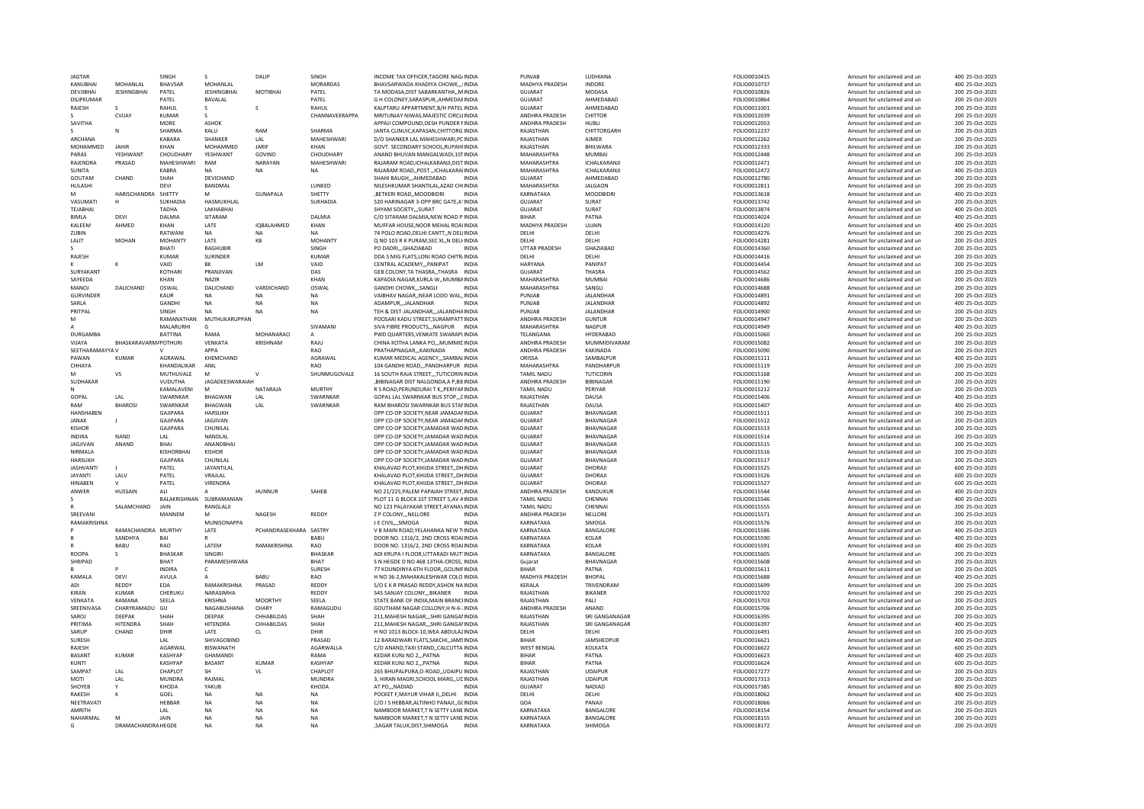| <b>IAGTAR</b>           |                         | SINGH                    |                          | DALIP                  | SINGH                  | INCOME TAX OFFICER TAGORE NAGJINDIA                                             | PUNIAR                      | <b>IUDHIANA</b>      | FOLIO0010415                 | Amount for unclaimed and ur                                | 400 25-Oct-2025                    |
|-------------------------|-------------------------|--------------------------|--------------------------|------------------------|------------------------|---------------------------------------------------------------------------------|-----------------------------|----------------------|------------------------------|------------------------------------------------------------|------------------------------------|
| KANUBHAI                | MOHANI AI               | BHAVSAR                  | MOHANLAL                 |                        | <b>MORARDAS</b>        | BHAVSARWADA KHADIYA CHOWK,,,IINDIA                                              | MADHYA PRADESH              | INDORE               | FOLIO0010737                 | Amount for unclaimed and un                                | 400 25-Oct-2025                    |
| DEVJIBHAI               | <b>JESHINGBHAI</b>      | PATEL                    | <b>JESHINGBHAI</b>       | MOTIBHAI               | PATEL                  | TA MODASA, DIST SABARKANTHA., MINDIA                                            | GUIARAT                     | MODASA               | FOLIO0010826                 | Amount for unclaimed and un                                | 200 25-Oct-2025                    |
|                         |                         |                          | <b>BAVALAL</b>           |                        | PATFI                  | G H COLONEY SARASPUR. AHMEDAFINDIA                                              | GUIARAT                     | AHMFDARAD            | <b>EOLIO0010864</b>          |                                                            |                                    |
| DILIPKUMAR              |                         | PATFI                    |                          |                        |                        |                                                                                 |                             |                      |                              | Amount for unclaimed and un                                | 200 25-Oct-2025                    |
| RAJESH                  |                         | RAHUI                    |                          | s                      | RAHUI                  | KALPTARU APPARTMENT, B/H PATEL INDIA                                            | GUIARAT                     | AHMEDABAD            | FOLIO0011001                 | Amount for unclaimed and un                                | 200 25-Oct-2025                    |
|                         | CVIJAY                  | <b>KUMAR</b>             | -S                       |                        | CHANNAVEERAPPA         | MRITUNJAY NIWAS.MAJESTIC CIRCLI INDIA                                           | ANDHRA PRADESH              | CHITTOR              | FOLIO0012039                 | Amount for unclaimed and un                                | 200 25-Oct-2025                    |
| SAVITHA                 |                         | MORE                     | <b>ASHOK</b>             |                        |                        | APPAJI COMPOUND, DESH PUNDER NINDIA                                             | ANDHRA PRADESH              | <b>HUBLI</b>         | FOLIO0012053                 | Amount for unclaimed and un                                | 200 25-Oct-2025                    |
|                         | N                       | SHARMA                   | KALU                     | RAM                    | SHARMA                 | JANTA CLINUIC.KAPASAN.CHITTORG.INDIA                                            | RAJASTHAN                   | CHITTORGARH          | FOLIO0012237                 | Amount for unclaimed and un                                | 200 25-Oct-2025                    |
|                         |                         |                          |                          |                        |                        |                                                                                 |                             |                      |                              |                                                            |                                    |
| ARCHANA                 |                         | KABARA                   | SHANKER                  | LAL                    | MAHESHWARI             | D/O SHANKER LAL MAHESHWARI.PCINDIA                                              | RAJASTHAN                   | <b>AJMER</b>         | FOLIO0012262                 | Amount for unclaimed and un                                | 200 25-Oct-2025                    |
| MOHAMMED                | <b>JAHIR</b>            | KHAN                     | MOHAMMED                 | <b>JARIF</b>           | KHAN                   | GOVT, SECONDARY SCHOOL, RUPAHI INDIA                                            | RAJASTHAN                   | BHILWARA             | FOLIO0012333                 | Amount for unclaimed and un                                | 200 25-Oct-2025                    |
| PARAS                   | YESHWANT                | CHOUDHARY                | YESHWANT                 | GOVIND                 | CHOUDHARY              | ANAND BHUVAN MANGALWADI.1STINDIA                                                | MAHARASHTRA                 | <b>MUMBAI</b>        | FOLIO0012448                 | Amount for unclaimed and un                                | 200 25-Oct-2025                    |
| RAJENDRA                | PRASAD                  | MAHESHWARI               | RAM                      | NARAYAN                | MAHESHWARI             | RAJARAM ROAD, ICHALKARANJI, DIST INDIA                                          | MAHARASHTRA                 | ICHALKARANJI         | FOLIO0012471                 | Amount for unclaimed and un                                | 200 25-Oct-2025                    |
|                         |                         |                          |                          |                        |                        |                                                                                 |                             |                      |                              |                                                            |                                    |
| SUNITA                  |                         | KARRA                    | NΔ                       | <b>NA</b>              | <b>NA</b>              | RAJARAM ROAD., POST ICHALKARAIINDIA                                             | MAHARASHTRA                 | <b>ICHAI KARANII</b> | FOLIO0012472                 | Amount for unclaimed and un                                | 400 25-Oct-2025                    |
| GOUTAM                  | CHAND                   | SHAH                     | DEVICHAND                |                        |                        | SHAHI BAUGHAHMEDABAD                                                            | <b>GUJARAT</b>              | AHMEDABAD            | FOLIO0012780                 | Amount for unclaimed and un                                | 200 25-Oct-2025                    |
| HULASHI                 |                         | DEVI                     | BANDMAL                  |                        | LUNKED                 | NILESHKUMAR SHANTILAL.AZAD CH(INDIA                                             | MAHARASHTRA                 | <b>JALGAON</b>       | FOLIO0012811                 | Amount for unclaimed and un                                | 200 25-Oct-2025                    |
|                         | HARISCHANDRA SHETTY     |                          |                          | <b>GUNAPALA</b>        | SHETTY                 | .BETKERI ROADMOODBIDRI<br><b>INDIA</b>                                          | KARNATAKA                   | <b>MOODBIDRI</b>     | FOLIO0013618                 | Amount for unclaimed and un                                | 400 25-Oct-2025                    |
| VASUMATI                | H                       | <b>SUKHADIA</b>          | HASMUKHLAL               |                        | SUKHADIA               | 520 HARINAGAR 3-OPP BRC GATE ATINDIA                                            | GUIARAT                     | SURAT                | FOLIO0013742                 | Amount for unclaimed and un                                | 200 25-Oct-2025                    |
|                         |                         |                          |                          |                        |                        |                                                                                 |                             |                      |                              |                                                            |                                    |
| <b>TFIARHAI</b>         |                         | TADHA                    | <b>I AKHARHAI</b>        |                        |                        | SHYAM SOCIETY SURAT<br>INDIA                                                    | GUIARAT                     | SURAT                | FOLIO0013874                 | Amount for unclaimed and un                                | 400 25-Oct-2025                    |
| <b>BIMLA</b>            | DFVI                    | DALMIA                   | SITARAM                  |                        | DALMIA                 | C/O SITARAM DALMIA.NEW ROAD P INDIA                                             | <b>BIHAR</b>                | PATNA                | FOLIO0014024                 | Amount for unclaimed and un                                | 400 25-Oct-2025                    |
| <b>KAIFFM</b>           | AHMED                   | KHAN                     | <b>LATE</b>              | <b>IOBAI AHMED</b>     | KHAN                   | MUFFAR HOUSE NOOR MEHAL ROALINDIA                                               | <b>MADHYA PRADESH</b>       | UIIAIN               | <b>EOLIO0014120</b>          | Amount for unclaimed and un                                | 400 25-Oct-2025                    |
| <b>ZUBIN</b>            |                         | RATWANI                  | <b>NA</b>                | <b>NA</b>              | NA                     | 74 POLO ROAD, DELHI CANTT,, N DELIINDIA                                         | <b>DELHI</b>                | <b>DELHI</b>         | FOLIO0014276                 | Amount for unclaimed and un                                | 200 25-Oct-2025                    |
| LALIT                   | MOHAN                   | <b>MOHANTY</b>           | LATE                     | KR                     | MOHANTY                | Q NO 103 R K PURAM, SEC XI, N DELI INDIA                                        | <b>DELHI</b>                | <b>DELHI</b>         | FOLIO0014281                 | Amount for unclaimed and un                                | 200 25-Oct-2025                    |
|                         |                         |                          |                          |                        |                        |                                                                                 |                             |                      |                              |                                                            |                                    |
|                         |                         | <b>BHATI</b>             | <b>RAGHUBIF</b>          |                        | SINGH                  | PO DADRI,,,GHAZIABAD                                                            | UTTAR PRADESH               | GHAZIABAD            | FOLIO0014360                 | Amount for unclaimed and un                                | 200 25-Oct-2025                    |
| RAJESH                  |                         | KUMAR                    | SURINDER                 |                        | KUMAR                  | DDA S MIG FLATS, LONI ROAD CHITR INDIA                                          | DELHI                       | DELHI                | FOLIO0014416                 | Amount for unclaimed and un                                | 200 25-Oct-2025                    |
|                         |                         | VAID                     | <b>BK</b>                | <b>LM</b>              | VAID                   | CENTRAL ACADEMYPANIPAT<br><b>INDIA</b>                                          | HARYANA                     | PANIPAT              | FOLIO0014454                 | Amount for unclaimed and un                                | 200 25-Oct-2025                    |
| SURYAKANT               |                         | <b>KOTHARI</b>           | PRANJIVAN                |                        | DAS                    | GEB COLONY, TA THASRA,, THASRA INDIA                                            | <b>GUJARAT</b>              | THASRA               | FOLIO0014562                 | Amount for unclaimed and un                                | 200 25-Oct-2025                    |
| SAYFFDA                 |                         | KHAN                     | NA7IR                    |                        | KHAN                   |                                                                                 | MAHARASHTRA                 | MUMBAI               |                              |                                                            |                                    |
|                         |                         |                          |                          |                        |                        | KAPADIA NAGAR.KURLA W., MUMBAINDIA                                              |                             |                      | FOLIO0014686                 | Amount for unclaimed and un                                | 200 25-Oct-2025                    |
| MANOJ                   | DALICHAND               | OSWAL                    | DALICHAND                | VARDICHAND             | OSWAL                  | <b>GANDHI CHOWKSANGL</b>                                                        | MAHARASHTRA                 | SANGLI               | FOLIO0014688                 | Amount for unclaimed and un                                | 200 25-Oct-2025                    |
| <b>GURVINDER</b>        |                         | KAUR                     | <b>NA</b>                | <b>NA</b>              | <b>NA</b>              | VAIBHAV NAGARNEAR LODO WALINDIA                                                 | PUNJAB                      | JALANDHAF            | FOLIO0014891                 | Amount for unclaimed and un                                | 200 25-Oct-2025                    |
| SARLA                   |                         | GANDHI                   | <b>NA</b>                | <b>NA</b>              | <b>NA</b>              | ADAMPUR,,,JALANDHAR<br><b>INDIA</b>                                             | PUNJAB                      | JALANDHAR            | FOLIO0014892                 | Amount for unclaimed and un                                | 400 25-Oct-2025                    |
| PRITPAL                 |                         | SINGH                    | <b>NA</b>                | <b>NA</b>              | <b>NA</b>              | TEH & DIST-JALANDHAR,,,JALANDHAINDIA                                            | PUNJAB                      | <b>JALANDHAR</b>     | FOLIO0014900                 | Amount for unclaimed and un                                | 200 25-Oct-2025                    |
|                         |                         |                          |                          |                        |                        |                                                                                 |                             |                      |                              |                                                            |                                    |
| M                       |                         |                          | RAMANATHAN MUTHUKARUPPAN |                        |                        | POOSARI KADU STREET SURAMPATTINDIA                                              | <b>ANDHRA PRADESH</b>       | <b>GUNTUR</b>        | FOLIO0014947                 | Amount for unclaimed and un                                | 200 25-Oct-2025                    |
| $\mathsf{A}$            |                         | MALARURH                 |                          |                        | SIVAMANI               | SIVA FIBRE PRODUCTSNAGPUR<br><b>INDIA</b>                                       | MAHARASHTRA                 | NAGPUR               | FOLIO0014949                 | Amount for unclaimed and un                                | 400 25-Oct-2025                    |
| <b>DURGAMBA</b>         |                         | <b>BATTINA</b>           | RAMA                     | MOHANARAO              |                        | PWD QUARTERS.VENKATE SWARAPLINDIA                                               | <b>TFI ANGANA</b>           | HYDERARAD            | FOLIO0015060                 | Amount for unclaimed and un                                | 200 25-Oct-2025                    |
| VIIAYA                  | BHASKARAVARM/POTHURI    |                          | VENKATA                  | KRISHNAM               | RAJU                   | CHINA KOTHA LANKA PO,,,MUMMICINDIA                                              | ANDHRA PRADESH              | MUMMIDIVARAM         | FOLIO0015082                 | Amount for unclaimed and un                                | 200 25-Oct-2025                    |
| SFFTHARAMAYYA V         |                         |                          | ΔΡΡΔ                     |                        | RAO                    | PRATHAPNAGARKAKINADA<br>INDIA                                                   | ANDHRA PRADESH              | KAKINADA             |                              |                                                            | 200 25-Oct-2025                    |
|                         |                         |                          |                          |                        |                        |                                                                                 |                             |                      | FOLIO0015090                 | Amount for unclaimed and un                                |                                    |
| PAWAN                   | KUMAR                   | AGRAWAI                  | KHFMCHAND                |                        | AGRAWAI                | KUMAR MEDICAL AGENCY SAMBALINDIA                                                | ORISSA                      | <b>SAMBALPUF</b>     | FOLIO0015111                 | Amount for unclaimed and un                                | 400 25-Oct-2025                    |
| CHHAYA                  |                         | KHANDALIKAR              | ANIL                     |                        | RAO                    | 104 GANDHI ROAD,,,PANDHARPUR INDIA                                              | MAHARASHTRA                 | PANDHARPUR           | FOLIO0015119                 | Amount for unclaimed and un                                | 200 25-Oct-2025                    |
| M                       | <b>VS</b>               | MUTHUVALE                | M                        |                        | SHUNMUGOVALE           | 16 SOUTH RAJA STREETTUTICORIN INDIA                                             | <b>TAMIL NADU</b>           | <b>TUTICORIN</b>     | FOLIO0015168                 | Amount for unclaimed and un                                | 200 25-Oct-2025                    |
| SUDHAKAR                |                         | <b>VUDUTHA</b>           | JAGADEESWARAIAH          |                        |                        | ,BIBINAGAR DIST NALGONDA,A P,BIEINDIA                                           | ANDHRA PRADESH              | <b>BIBINAGAR</b>     | FOLIO0015190                 | Amount for unclaimed and un                                | 200 25-Oct-2025                    |
|                         |                         |                          |                          |                        | MURTHY                 |                                                                                 |                             |                      |                              |                                                            |                                    |
| N                       |                         | KAMALAVENI               | M                        | NATARAJA               |                        | R S ROAD.PERUNDURAI T K., PERIYAFINDIA                                          | <b>TAMIL NADU</b>           | PERIYAR              | FOLIO0015212                 | Amount for unclaimed and un                                | 200 25-Oct-2025                    |
|                         |                         | SWARNKAR                 | <b>BHAGWAN</b>           | LAL                    | SWARNKAR               | GOPAL LAL SWARNKAR BUS STOP[INDIA                                               | RAJASTHAN                   |                      |                              |                                                            |                                    |
| GOPAL                   | LAL                     |                          |                          |                        |                        |                                                                                 |                             | <b>DAUSA</b>         | FOLIO0015406                 | Amount for unclaimed and un                                | 400 25-Oct-2025                    |
| RAM                     |                         | SWARNKAR                 | BHAGWAN                  |                        |                        |                                                                                 | RAJASTHAN                   |                      |                              | Amount for unclaimed and un                                | 400 25-Oct-2025                    |
|                         | <b>BHAROSI</b>          |                          |                          | LAL                    | SWARNKAR               | RAM BHAROSI SWARNKAR BUS STANINDIA                                              |                             | DAUSA                | FOLIO0015407                 |                                                            |                                    |
| HANSHABEN               |                         | GAJIPARA                 | HARSUKH                  |                        |                        | OPP CO-OP SOCIETY.NEAR JAMADAFINDIA                                             | GUJARAT                     | BHAVNAGAR            | FOLIO0015511                 | Amount for unclaimed and un                                | 200 25-Oct-2025                    |
| JANAK                   |                         | GAJIPARA                 | JAGJIVAN                 |                        |                        | OPP CO-OP SOCIETY, NEAR JAMADAF INDIA                                           | GUJARAT                     | BHAVNAGAR            | FOLIO0015512                 | Amount for unclaimed and un                                | 200 25-Oct-2025                    |
| KISHOR                  |                         | GAIIPARA                 | CHUNILAI                 |                        |                        | OPP CO-OP SOCIETY JAMADAR WAD INDIA                                             | GUIARAT                     | <b>RHAVNAGAR</b>     | FOLIO0015513                 | Amount for unclaimed and un                                | 200 25-Oct-2025                    |
| <b>INDIRA</b>           | <b>NAND</b>             | LAL                      | NANDLAL                  |                        |                        | OPP CO-OP SOCIETY JAMADAR WAD INDIA                                             | <b>GUJARAT</b>              | BHAVNAGAR            | FOLIO0015514                 | Amount for unclaimed and un                                | 200 25-Oct-2025                    |
|                         |                         | <b>BHAI</b>              |                          |                        |                        |                                                                                 | GUIARAT                     |                      |                              |                                                            |                                    |
| <b>JAGJIVAN</b>         | ANAND                   |                          | ANANDBHAI                |                        |                        | OPP CO-OP SOCIETY.JAMADAR WAD INDIA                                             |                             | BHAVNAGAR            | FOLIO0015515                 | Amount for unclaimed and un                                | 200 25-Oct-2025                    |
| NIRMALA                 |                         | KISHORBHAI               | KISHOR                   |                        |                        | OPP CO-OP SOCIETY, JAMADAR WAD INDIA                                            | GUJARAT                     | BHAVNAGAR            | FOLIO0015516                 | Amount for unclaimed and un                                | 200 25-Oct-2025                    |
| <b>HARSUKH</b>          |                         | <b>GAJIPARA</b>          | CHUNILAL                 |                        |                        | OPP CO-OP SOCIETY, JAMADAR WAD INDIA                                            | <b>GUJARAT</b>              | <b>BHAVNAGAR</b>     | FOLIO0015517                 | Amount for unclaimed and un                                | 200 25-Oct-2025                    |
| <b>IASHVANTI</b>        | -11                     | PATFI                    | <b>JAYANTILAI</b>        |                        |                        | KHAI AVAD PLOT KHIIDA STREET. DHINDIA                                           | GUIARAT                     | DHORAIL              | FOLIO0015525                 | Amount for unclaimed and un                                | 600 25-Oct-2025                    |
| <b>JAYANTI</b>          | LALV                    | PATEL                    | VRAJLAL                  |                        |                        | KHALAVAD PLOT.KHIJDA STREETDHINDIA                                              | GUIARAT                     | DHORAJI              | FOLIO0015526                 | Amount for unclaimed and un                                | 600 25-Oct-2025                    |
| <b>HINAREN</b>          | $\mathbf{v}$            | PATFI                    | VIRENDRA                 |                        |                        | KHAI AVAD PLOT KHIIDA STREET. DHINDIA                                           | GUIARAT                     | DHORAIL              |                              | Amount for unclaimed and un                                | 600 25-Oct-2025                    |
|                         |                         |                          |                          |                        |                        |                                                                                 |                             |                      | FOLIO0015527                 |                                                            |                                    |
| ANWER                   | HUSSAIN                 | AI1                      |                          | HUNNUR                 | SAHEB                  | NO 21/225, PALEM PAPAIAH STREET, INDIA                                          | <b>ANDHRA PRADESH</b>       | KANDUKUR             | FOLIO0015544                 | Amount for unclaimed and un                                | 400 25-Oct-2025                    |
|                         |                         | BALAKRISHNAN SURRAMANIAN |                          |                        |                        | PLOT 11 G BLOCK 1ST STREET 5,AV AINDIA                                          | <b>TAMIL NADU</b>           | CHENNAL              | FOLIO0015546                 | Amount for unclaimed and un                                | 400 25-Oct-2025                    |
| $\mathbb{R}$            | SALAMCHAND              | JAIN                     | RANGLALJI                |                        |                        | NO 123 PALAYAKAR STREET, AYANA VINDIA                                           | <b>TAMIL NADU</b>           | CHENNAI              | FOLIO0015555                 | Amount for unclaimed and un                                | 200 25-Oct-2025                    |
|                         |                         | MANNEM                   | M                        | NAGESH                 |                        | <b>INDIA</b>                                                                    |                             |                      | FOLIO0015571                 | Amount for unclaimed and un                                | 200 25-Oct-2025                    |
| SREEVANI<br>RAMAKRISHNA |                         |                          | MUNISONAPPA              |                        | REDDY                  | Z P COLONY,,, NELLORE<br>J E CIVILSIMOGA<br><b>INDIA</b>                        | ANDHRA PRADESH<br>KARNATAKA | NELLORE<br>SIMOGA    | FOLIO0015576                 | Amount for unclaimed and un                                | 200 25-Oct-2025                    |
|                         |                         |                          |                          |                        |                        |                                                                                 |                             |                      |                              |                                                            |                                    |
|                         | RAMACHANDRA MURTHY      |                          | LATE                     | PCHANDRASEKHARA SASTRY |                        | V B MAIN ROAD, YELAHANKA NEW TINDIA                                             | KARNATAKA                   | <b>BANGALORI</b>     | FOLIO0015586                 | Amount for unclaimed and un                                | 400 25-Oct-2025                    |
|                         | SANDHYA                 | <b>BAI</b>               |                          |                        | <b>BABU</b>            | DOOR NO. 1316/2, 2ND CROSS ROALINDIA                                            | KARNATAKA                   | KOI AR               | FOLIO0015590                 | Amount for unclaimed and un                                | 400 25-Oct-2025                    |
|                         | <b>BABU</b>             | RAO                      | LATEM                    | RAMAKRISHNA            | RAO                    | DOOR NO. 1316/2, 2ND CROSS ROALINDIA                                            | KARNATAKA                   | KOLAR                | FOLIO0015591                 | Amount for unclaimed and un                                | 400 25-Oct-2025                    |
| ROOPA                   | s                       | <b>BHASKAR</b>           | SINGIRI                  |                        | <b>BHASKAF</b>         | ADI KRUPA I FLOOR.UTTARADI MUT'INDIA                                            | KARNATAKA                   | BANGALORE            |                              |                                                            | 200 25-Oct-2025                    |
|                         |                         | BHAT                     |                          |                        | <b>BHAT</b>            | S N HEGDE D NO 468 13THA-CROSS. INDIA                                           | Guiarat                     |                      | FOLIO0015605<br>FOLIO0015608 | Amount for unclaimed and un<br>Amount for unclaimed and un | 200 25-Oct-2025                    |
| SHRIPAD                 |                         |                          | PARAMESHWARA             |                        |                        |                                                                                 |                             | BHAVNAGAR            |                              |                                                            |                                    |
|                         |                         | <b>INDIRA</b>            | $\mathsf{C}$             |                        | SURESH                 | 77 KOUNDINYA 6TH FLOOR,, GOUNIFINDIA                                            | <b>BIHAR</b>                | PATNA                | FOLIO0015611                 | Amount for unclaimed and un                                | 200 25-Oct-2025                    |
| <b>KAMAIA</b>           | DFVI                    | AVULA                    | $\mathbf{A}$             | <b>BABU</b>            | <b>RAO</b>             | H NO 36-2 MAHAKAI ESHWAR COLO INDIA                                             | <b>MADHYA PRADESH</b>       | <b>BHOPAL</b>        | <b>EOLIO0015688</b>          | Amount for unclaimed and un                                | 400 25-Oct-2025                    |
| ADI                     | REDDY                   | EDA                      | RAMAKRISHNA              | PRASAD                 | <b>REDDY</b>           | S/O E K R PRASAD REDDY ASHOK NA INDIA                                           | KERALA                      | TRIVENDRAM           | FOLIO0015699                 | Amount for unclaimed and un                                | 200 25-Oct-2025                    |
| KIRAN                   | KUMAR                   | CHERUKU                  | NARASIMHA                |                        | REDDY                  | 545 SANJAY COLONYBIKANER INDIA                                                  | RAIASTHAN                   | <b>BIKANFR</b>       | FOLIO0015702                 | Amount for unclaimed and un                                | 200 25-Oct-2025                    |
|                         | RAMANA                  |                          |                          | <b>MOORTHY</b>         |                        |                                                                                 |                             | PALL                 |                              |                                                            |                                    |
| VENKATA                 |                         | SEELA                    | KRISHNA                  |                        | SEELA                  | STATE BANK OF INDIA, MAIN BRANCHNDIA                                            | RAJASTHAN                   |                      | FOLIO0015703                 | Amount for unclaimed and un                                | 200 25-Oct-2025                    |
| SREENIVASA              | CHARYRAMADU             | GU                       | NAGABUSHANA              | CHARY                  | RAMAGUDU               | GOUTHAM NAGAR COLLONY, H N-6-: INDIA                                            | ANDHRA PRADESH              | ANAND                | FOLIO0015706                 | Amount for unclaimed and un                                | 200 25-Oct-2025                    |
| SAROL                   | DEEPAK                  | SHAH                     | DEEPAK                   | CHHABILDAS             | SHAH                   | 211 MAHESH NAGAR SHRI GANGALINDIA                                               | RAIASTHAN                   | SRI GANGANAGAR       | EQLIQ0016395                 | Amount for unclaimed and un                                | 200 25-Oct-2025                    |
| PRITIMA                 | <b>HITENDRA</b>         | SHAH                     | HITENDRA                 | CHHABILDAS             | SHAH                   | 211, MAHESH NAGAR, ", SHRI GANGAI INDIA                                         | RAJASTHAN                   | SRI GANGANAGAR       | FOLIO0016397                 | Amount for unclaimed and un                                | 400 25-Oct-2025                    |
| SARUP                   | CHAND                   | DHIR                     | LATE                     | CL.                    | DHIR                   | H NO 1013 BLOCK-10.WEA ABDULAZINDIA                                             | DELHI                       | DELHI                | FOLIO0016491                 | Amount for unclaimed and un                                | 200 25-Oct-2025                    |
|                         |                         |                          |                          |                        |                        |                                                                                 |                             |                      |                              |                                                            |                                    |
| SURESH                  |                         | LAL                      | SHIVAGOBIND              |                        | PRASAD                 | 12 BARADWARI FLATS, SAKCHI, JAMSINDIA                                           | <b>BIHAR</b>                | JAMSHEDPUF           | FOLIO0016621                 | Amount for unclaimed and un                                | 400 25-Oct-2025                    |
| RAJESH                  |                         | AGARWAI                  | BISWANATH                |                        | AGARWALLA              | C/O ANAND.TAXI STANDCALCUTTA INDIA                                              | <b>WEST BENGAL</b>          | KOLKATA              | FOLIO0016622                 | Amount for unclaimed and un                                | 600 25-Oct-2025                    |
| BASANT                  | <b>KUMAR</b>            | KASHYAP                  | <b>GHAMAND</b>           |                        | RAMA                   | KEDAR KUNJ NO 2 PATNA                                                           | <b>BIHAR</b>                | PATNA                | FOLIO0016623                 | Amount for unclaimed and un                                | 400 25-Oct-2025                    |
| KUNTI                   |                         | KASHYAP                  | BASANT                   | <b>KUMAF</b>           | <b>KASHYAP</b>         | KEDAR KUNJ NO 2,,, PATNA<br><b>INDIA</b>                                        | <b>BIHAR</b>                | PATNA                | FOLIO0016624                 | Amount for unclaimed and un                                | 600 25-Oct-2025                    |
|                         |                         |                          | <b>SH</b>                |                        |                        |                                                                                 |                             |                      |                              |                                                            |                                    |
| SAMPAT                  | LAL                     | CHAPLOT                  |                          | VL                     | CHAPLOT                | 265 BHUPALPURA.O-ROAD., UDAIPU INDIA                                            | RAJASTHAN                   | <b>UDAIPUR</b>       | FOLIO0017277                 | Amount for unclaimed and un                                | 200 25-Oct-2025                    |
| MOTI                    | LAL                     | MUNDRA                   | RAJMAL                   |                        | <b>MUNDRA</b>          | 3, HIRAN MAGRI, SCHOOL MARG, , UDINDIA                                          | RAJASTHAN                   | <b>UDAIPUR</b>       | FOLIO0017313                 | Amount for unclaimed and un                                | 200 25-Oct-2025                    |
| SHOYER                  | $\mathsf{v}$            | KHODA                    | YAKUR                    |                        | KHODA                  | AT PONADIAD<br><b>INDIA</b>                                                     | GUIARAT                     | NADIAD               | FOLIO0017385                 | Amount for unclaimed and un                                | 800 25-Oct-2025                    |
| RAKESH                  |                         | GOEL                     | <b>NA</b>                | <b>NA</b>              | NA                     | POCKET F.MAYUR VIHAR IIDELHI<br><b>INDIA</b>                                    | DELHI                       | DELHI                | FOLIO0018062                 | Amount for unclaimed and un                                | 400 25-Oct-2025                    |
| NEETRAVATI              |                         | <b>HFBBAR</b>            | <b>NA</b>                | <b>NA</b>              | NA                     | C/O I S HEBBAR.ALTINHO PANAJIG(INDIA                                            | GOA                         | PANAIL               | FOLIO0018066                 | Amount for unclaimed and un                                | 200 25-Oct-2025                    |
|                         |                         |                          |                          |                        |                        |                                                                                 |                             |                      |                              |                                                            |                                    |
| AMRITH                  |                         | LAL                      | <b>NA</b>                | <b>NA</b>              | NA                     | NAMBOOR MARKET, TN SETTY LANE INDIA                                             | KARNATAKA                   | BANGALORE            | FOLIO0018154                 | Amount for unclaimed and un                                | 200 25-Oct-2025                    |
| NAHARMAI<br>G           | M<br>DRAMACHANDRA HEGDE | JAIN                     | <b>NA</b><br>NΔ          | <b>NA</b><br>NΔ        | <b>NA</b><br><b>NA</b> | NAMBOOR MARKET.T N SETTY LANE INDIA<br>SAGAR TALUK DIST SHIMOGA<br><b>INDIA</b> | KARNATAKA<br>KARNATAKA      | BANGALORE<br>SHIMOGA | FOLIO0018155<br>FOLIO0018172 | Amount for unclaimed and un<br>Amount for unclaimed and un | 200 25-Oct-2025<br>200 25-Oct-2025 |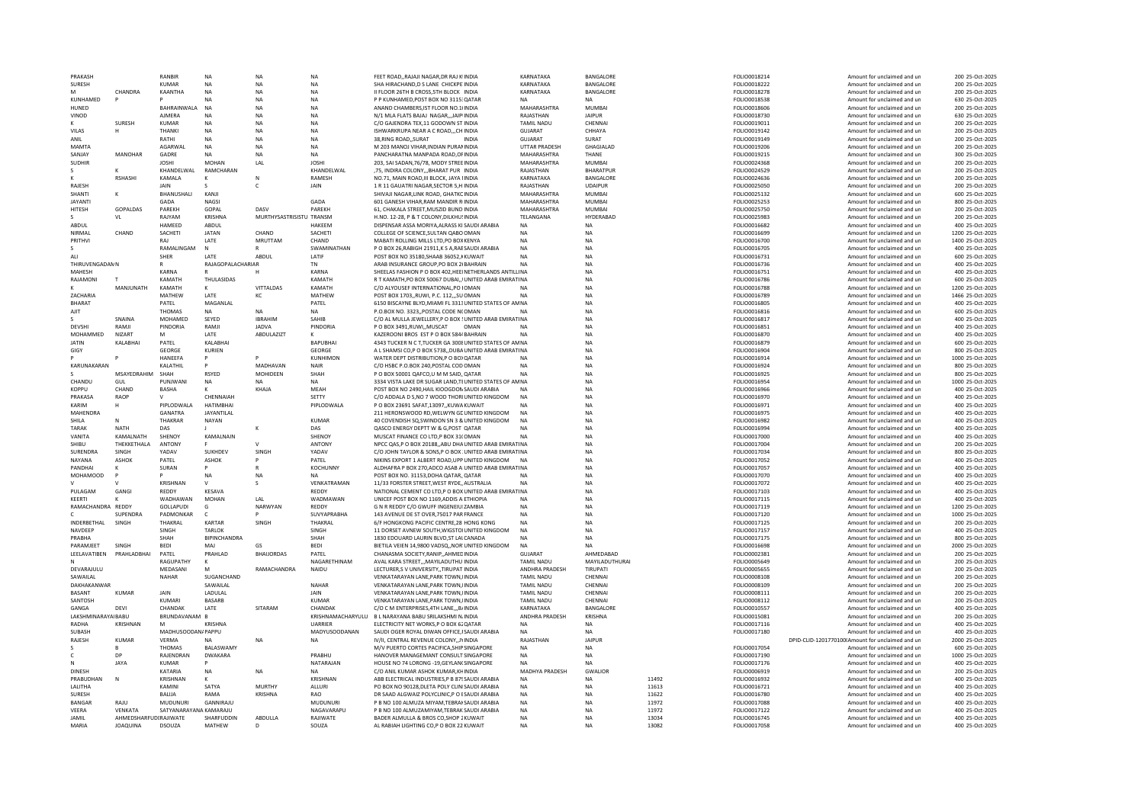| PRAKASH                    |                                          | RANBIR                   | <b>NA</b>            | NA                       | <b>NA</b>         | FEET ROADRAJAJI NAGAR.DR RAJ K INDIA                                             | KARNATAKA                           | BANGALORE              |                | FOLIO0018214                 | Amount for unclaimed and un                                | 200 25-Oct-2025                    |
|----------------------------|------------------------------------------|--------------------------|----------------------|--------------------------|-------------------|----------------------------------------------------------------------------------|-------------------------------------|------------------------|----------------|------------------------------|------------------------------------------------------------|------------------------------------|
| SURESH                     |                                          | KUMAR                    | <b>NA</b>            | NA                       | <b>NA</b>         | SHA HIRACHAND, D S LANE CHICKPE INDIA                                            | KARNATAKA                           | BANGALORE              |                | FOLIO0018222                 | Amount for unclaimed and un                                | 200 25-Oct-2025                    |
| <b>M</b>                   | CHANDRA                                  | KAANTHA                  | NΔ                   | $N\Delta$                | <b>NA</b>         | II FLOOR 26TH B CROSS, 5TH BLOCK INDIA                                           | KARNATAKA                           | BANGALORE              |                | FOLIO0018278                 | Amount for unclaimed and un                                | 200 25-Oct-2025                    |
| KUNHAMED                   |                                          |                          | <b>NA</b>            | <b>NA</b>                | <b>NA</b>         | P P KUNHAMED POST BOX NO 3115: OATAR                                             | <b>NA</b>                           | <b>NA</b>              |                | FOLIO0018538                 | Amount for unclaimed and un                                | 630 25-Oct-2025                    |
| HUNED                      |                                          | BAHRAINWALA              | <b>NA</b>            | NA                       | NA                | ANAND CHAMBERS, IST FLOOR NO.1/INDIA                                             | MAHARASHTRA                         | MUMBAI                 |                | FOLIO0018606                 | Amount for unclaimed and un                                | 200 25-Oct-2025                    |
| VINOD                      |                                          | <b>AJMERA</b>            | <b>NA</b>            | <b>NA</b>                | <b>NA</b>         | N/1 MLA FLATS BAJAJ NAGARJAIPIINDIA                                              | RAJASTHAN                           | <b>JAIPUR</b>          |                | FOLIO0018730                 | Amount for unclaimed and un                                | 630 25-Oct-2025                    |
|                            | <b>SURESH</b>                            | <b>KUMAR</b>             | <b>NA</b>            | <b>NA</b>                | <b>NA</b>         | C/O GAJENDRA TEX.11 GODOWN ST INDIA                                              | <b>TAMIL NADU</b>                   | CHENNA                 |                | FOLIO0019011                 | Amount for unclaimed and un                                | 200 25-Oct-2025                    |
| VII AS                     | н.                                       | THANKI                   | <b>NA</b>            | <b>NA</b>                | <b>NA</b>         | ISHWARKRUPA NEAR A C ROAD, ,, CH INDIA                                           | GUIARAT                             | CHHAYA                 |                | FOLIO0019142                 | Amount for unclaimed and un                                | 200 25-Oct-2025                    |
| ANIL                       |                                          | RATHI                    | <b>NA</b>            | <b>NA</b>                | NA                | 38.RING ROADSURAT                                                                | <b>GUJARAT</b>                      | SURAT                  |                | FOLIO0019149                 | Amount for unclaimed and un                                | 200 25-Oct-2025                    |
| MAMTA                      |                                          | AGARWAI                  | <b>NA</b>            | <b>NA</b>                | <b>NA</b>         | M 203 MANOJ VIHAR INDIAN PURANINDIA                                              | <b>UTTAR PRADESH</b>                | <b>GHAGIALAD</b>       |                | FOLIO0019206                 | Amount for unclaimed and un                                | 200 25-0ct-2025                    |
| SANJAY                     | MANOHAR                                  | GADRE                    |                      | <b>NA</b>                | <b>NA</b>         | PANCHARATNA MANPADA ROAD, OF INDIA                                               | MAHARASHTRA                         | THANF                  |                | FOLIO0019215                 | Amount for unclaimed and un                                | 300 25-Oct-2025                    |
| SUDHIR                     |                                          | <b>JOSHI</b>             | MOHAN                | LAL                      | <b>JOSHI</b>      | 203, SAI SADAN, 76/78, MODY STREE INDIA                                          | MAHARASHTRA                         | <b>MUMBAI</b>          |                | FOLIO0024368                 | Amount for unclaimed and un                                | 200 25-Oct-2025                    |
| $\mathcal{S}$              |                                          | KHANDELWAL               | RAMCHARAN            |                          | KHANDELWAL        | .75. INDIRA COLONYBHARAT PUR INDIA                                               | RAJASTHAN                           | <b>BHARATPUF</b>       |                | FOLIO0024529                 | Amount for unclaimed and un                                | 200 25-Oct-2025                    |
|                            | <b>RSHASHI</b>                           | KAMALA                   |                      | $\mathsf{N}$             | <b>RAMESH</b>     | NO.71, MAIN ROAD, III BLOCK, JAYA IINDIA                                         | KARNATAKA                           | BANGALORE              |                | FOLIO0024636                 | Amount for unclaimed and un                                | 200 25-Oct-2025                    |
| RAIFSH                     |                                          | <b>JAIN</b>              |                      | $\epsilon$               | JAIN              | 1 R 11 GAUATRI NAGAR SECTOR 5 HUNDIA                                             | RAIASTHAN                           | <b>UDAIPUR</b>         |                | FOLIO0025050                 | Amount for unclaimed and un                                | 200 25-Oct-2025                    |
| SHANTI                     |                                          | BHANUSHALI               | KANJI                |                          |                   | SHIVAJI NAGAR,LINK ROAD, GHATKCINDIA                                             | MAHARASHTRA                         | <b>MUMBAI</b>          |                | FOLIO0025132                 | Amount for unclaimed and un                                | 600 25-Oct-2025                    |
| <b>JAYANTI</b>             |                                          | GADA                     | <b>NAGSI</b>         |                          | GADA              | 601 GANESH VIHAR RAM MANDIR RINDIA                                               | MAHARASHTRA                         | MUMBAI                 |                | FOLIO0025253                 | Amount for unclaimed and un                                | 800 25-Oct-2025                    |
| HITESH                     | <b>GOPALDAS</b>                          | PARFKH                   | GOPAL                | DASV                     | PARFKH            | 61, CHAKALA STREET, MUSZID BUND INDIA                                            | MAHARASHTRA                         | MUMBAI                 |                | FOLIO0025750                 | Amount for unclaimed and un                                | 200 25-Oct-2025                    |
|                            | VL                                       | RAJYAM                   | <b>KRISHNA</b>       | MURTHYSASTRISISTU TRANSM |                   | H.NO. 12-28, P & T COLONY, DILKHU! INDIA                                         | TELANGANA                           | HYDERABAD              |                | FOLIO0025983                 | Amount for unclaimed and un                                | 200 25-Oct-2025                    |
| ABDUI                      |                                          | HAMEED                   | ABDUL                |                          | <b>HAKFFM</b>     | DISPENSAR ASSA MORIYA, ALRASS KI SAUDI ARABIA                                    | <b>NA</b>                           | <b>NA</b>              |                | FOLIO0016682                 | Amount for unclaimed and un                                | 400 25-Oct-2025                    |
| NIRMAL                     | CHAND                                    | SACHETI                  | <b>JATAN</b>         | CHAND                    | SACHETI           | COLLEGE OF SCIENCE, SULTAN QABO OMAN                                             | <b>NA</b>                           | NA                     |                | FOLIO0016699                 | Amount for unclaimed and un                                | 1200 25-Oct-2025                   |
| PRITHVI                    |                                          | RAJ                      | LATE                 | MRUTTAM                  | CHAND             | MABATI ROLLING MILLS LTD.PO BOXKENYA                                             | <b>NA</b>                           | <b>NA</b>              |                | FOLIO0016700                 | Amount for unclaimed and un                                | 1400 25-Oct-2025                   |
|                            |                                          | RAMALINGAM               | $\mathbf N$          |                          | SWAMINATHAN       | P O BOX 26, RABIGH 21911, K S A, RAESAUDI ARABIA                                 | NA                                  | <b>NA</b>              |                | FOLIO0016705                 | Amount for unclaimed and un                                | 400 25-Oct-2025                    |
| ALI                        |                                          | SHER                     | <b>IATF</b>          | ABDUL                    | <b>LATIF</b>      | POST BOX NO 35180 SHAAB 36052 KKUWAIT                                            | <b>NA</b>                           | <b>NA</b>              |                | FOLIO0016731                 | Amount for unclaimed and un                                | 600 25-Oct-2025                    |
| THIRUVENGADAMN             |                                          |                          | RAJAGOPALACHARIAR    |                          | <b>TN</b>         | ARAB INSURANCE GROUP.PO BOX 2(BAHRAIN                                            | <b>NA</b>                           | <b>NA</b>              |                | FOLIO0016736                 |                                                            | 400 25-Oct-2025                    |
|                            |                                          |                          |                      |                          |                   |                                                                                  |                                     |                        |                |                              | Amount for unclaimed and un                                |                                    |
| MAHESH                     |                                          | KARNA                    | $\mathbb{R}$         | H                        | <b>KARNA</b>      | SHEELAS FASHION P O BOX 402.HEEINETHERLANDS ANTILLINA                            |                                     | <b>NA</b>              |                | FOLIO0016751                 | Amount for unclaimed and un                                | 400 25-Oct-2025                    |
| RAJAMONI                   |                                          | KAMATH                   | THULASIDAS           |                          | KAMATH            | R T KAMATH, PO BOX 50067 DUBAI, JUNITED ARAB EMIRATINA                           |                                     | <b>NA</b>              |                | FOLIO0016786                 | Amount for unclaimed and un                                | 600 25-Oct-2025                    |
|                            | MANIUNATH                                | KAMATH                   | к                    | <b>VITTAI DAS</b>        | KAMATH            | C/O ALYOUSEF INTERNATIONAL.PO IOMAN                                              | <b>NA</b>                           | <b>NA</b>              |                | FOLIO0016788                 | Amount for unclaimed and un                                | 1200 25-Oct-2025                   |
| ZACHARIA                   |                                          | MATHEW                   | LATE                 | КC                       | MATHEW            | POST BOX 1703., RUWI, P.C. 112 SU OMAN                                           | <b>NA</b>                           | <b>NA</b>              |                | FOLIO0016789                 | Amount for unclaimed and un                                | 1466 25-Oct-2025                   |
| BHARAT                     |                                          | PATEL                    | MAGANLAL             |                          | PATEL             | 6150 BISCAYNE BLYD, MIAMI FL 3313UNITED STATES OF AM NA                          |                                     | NA                     |                | FOLIO0016805                 | Amount for unclaimed and un                                | 400 25-Oct-2025                    |
| AJIT                       |                                          | <b>THOMAS</b>            | <b>NA</b>            | <b>NA</b>                | <b>NA</b>         | P.O.BOX NO. 3323., POSTAL CODE N(OMAN                                            | <b>NA</b>                           | <b>NA</b>              |                | FOLIO0016816                 | Amount for unclaimed and un                                | 600 25-Oct-2025                    |
|                            | SNAINA                                   | MOHAMED                  | SEYED                | <b>IBRAHIM</b>           | SAHIB             | C/O AL MULLA JEWELLERY.P O BOX ! UNITED ARAB EMIRATINA                           |                                     | <b>NA</b>              |                | FOLIO0016817                 | Amount for unclaimed and un                                | 400 25-Oct-2025                    |
| DEVSHI                     | RAMII                                    | PINDORIA                 | RAMII                | <b>IADVA</b>             | PINDORIA          | POROX 3491 RUWL MUSCAT<br>OMAN                                                   | <b>NA</b>                           | <b>NA</b>              |                | FOLIO0016851                 | Amount for unclaimed and un                                | 400 25-Oct-2025                    |
| MOHAMMED                   | NIZART                                   |                          | LATE                 | ABDULAZIZT               |                   | KAZEROONI BROS EST P O BOX 5844 BAHRAIN                                          | <b>NA</b>                           | <b>NA</b>              |                | FOLIO0016870                 | Amount for unclaimed and un                                | 400 25-Oct-2025                    |
| <b>JATIN</b>               | KALABHAI                                 | PATEL                    | KAI ARHAI            |                          | <b>BAPUBHAI</b>   | 4343 TUCKER N C T, TUCKER GA 3008 UNITED STATES OF AM NA                         |                                     | <b>NA</b>              |                | FOLIO0016879                 | Amount for unclaimed and un                                | 600 25-Oct-2025                    |
| GIGY                       |                                          | GEORGE                   | KURIEN               |                          | GEORGE            | A L SHAMSI CO,P O BOX 5738, DUBA UNITED ARAB EMIRATINA                           |                                     | <b>NA</b>              |                | FOLIO0016904                 | Amount for unclaimed and un                                | 800 25-Oct-2025                    |
|                            |                                          | HANEEFA                  | P                    |                          | KUNHIMON          | WATER DEPT DISTRIBUTION,P O BO) QATAR                                            | <b>NA</b>                           | <b>NA</b>              |                | FOLIO0016914                 | Amount for unclaimed and un                                | 1000 25-Oct-2025                   |
| KARUNAKARAN                |                                          | KALATHIL                 |                      | MADHAVAN                 | <b>NAIR</b>       | C/O HSBC P.O.BOX 240.POSTAL COD OMAN                                             | <b>NA</b>                           | <b>NA</b>              |                | FOLIO0016924                 | Amount for unclaimed and un                                | 800 25-Oct-2025                    |
|                            | MSAYEDRAHIM                              | SHAH                     | RSYED                | MOHIDEEN                 | SHAH              | P O BOX 50001 QAFCO,U M M SAID, QATAR                                            | <b>NA</b>                           | NA                     |                | FOLIO0016925                 | Amount for unclaimed and un                                | 800 25-Oct-2025                    |
| CHANDU                     | GUL                                      | PUNJWANI                 | <b>NA</b>            | <b>NA</b>                | <b>NA</b>         | 3334 VISTA LAKE DR SUGAR LAND. TEUNITED STATES OF AM NA                          |                                     | <b>NA</b>              |                | FOLIO0016954                 | Amount for unclaimed and un                                | 1000 25-Oct-2025                   |
| <b>KOPPU</b>               | CHAND                                    | BASHA                    |                      | KHAJA                    | MEAH              | POST BOX NO 2490.HAIL KIOOGDON SAUDI ARABIA                                      | <b>NA</b>                           | <b>NA</b>              |                | FOLIO0016966                 | Amount for unclaimed and un                                | 400 25-Oct-2025                    |
| PRAKASA                    | RAOP                                     |                          | CHENNAIAH            |                          | SETTY             | C/O ADDALA D S.NO 7 WOOD THORIUNITED KINGDOM                                     | <b>NA</b>                           | <b>NA</b>              |                | FOLIO0016970                 | Amount for unclaimed and un                                | 400 25-Oct-2025                    |
| KARIM                      | н                                        | PIPLODWALA               | HATIMBHAI            |                          | PIPLODWALA        | P O BOX 23691 SAFAT,13097,,KUWA KUWAIT                                           | <b>NA</b>                           | <b>NA</b>              |                | FOLIO0016971                 | Amount for unclaimed and un                                | 400 25-Oct-2025                    |
| MAHENDRA                   |                                          | GANATRA                  | JAYANTILAL           |                          |                   | 211 HERONSWOOD RD. WELWYN GE UNITED KINGDOM                                      | <b>NA</b>                           | <b>NA</b>              |                | FOLIO0016975                 | Amount for unclaimed and un                                | 400 25-Oct-2025                    |
|                            |                                          |                          |                      |                          |                   |                                                                                  |                                     |                        |                |                              |                                                            |                                    |
|                            |                                          |                          |                      |                          |                   |                                                                                  |                                     |                        |                |                              |                                                            |                                    |
| SHILA                      |                                          | <b>THAKRAR</b>           | NAYAN                |                          | KUMAR             | 40 COVENDISH SQ, SWINDON SN 3 & UNITED KINGDOM                                   | <b>NA</b>                           | <b>NA</b>              |                | FOLIO0016982                 | Amount for unclaimed and un                                | 400 25-Oct-2025                    |
| <b>TARAK</b>               | <b>NATH</b>                              | DAS                      |                      | к                        | DAS               | QASCO ENERGY DEPTT W & G, POST QATAR                                             | <b>NA</b>                           | <b>NA</b>              |                | FOLIO0016994                 | Amount for unclaimed and un                                | 400 25-Oct-2025                    |
| VANITA                     | KAMALNATH                                | SHENOY                   | KAMALNAIN            |                          | SHENOY            | MUSCAT FINANCE CO LTD.P BOX 31(OMAN                                              | <b>NA</b>                           | <b>NA</b>              |                | FOLIO0017000                 | Amount for unclaimed and un                                | 400 25-Oct-2025                    |
| SHIBU                      | THEKKETHALA                              | <b>ANTONY</b>            |                      |                          | <b>ANTONY</b>     | NPCC QAS,P O BOX 20188,,ABU DHA UNITED ARAB EMIRATINA                            |                                     | <b>NA</b>              |                | FOLIO0017004                 | Amount for unclaimed and un                                | 200 25-Oct-2025                    |
| SURENDRA                   | SINGH                                    | YADAV                    | SUKHDEV              | SINGH                    | YADAV             | C/O JOHN TAYLOR & SONS.P O BOX : UNITED ARAB EMIRATINA                           |                                     | <b>NA</b>              |                | FOLIO0017034                 | Amount for unclaimed and un                                | 800 25-Oct-2025                    |
| NAYANA                     | <b>ASHOK</b>                             | PATEL                    | <b>ASHOK</b>         | P                        | PATEL             | NIKINS EXPORT 1 ALBERT ROAD.UPP UNITED KINGDOM                                   |                                     | <b>NA</b>              |                | FOLIO0017052                 | Amount for unclaimed and un                                | 400 25-Oct-2025                    |
| PANDHAI                    |                                          | SURAN                    |                      | $\mathbb{R}$             | KOCHUNNY          | ALDHAFRA P BOX 270, ADCO ASAB AI UNITED ARAB EMIRATINA                           |                                     | <b>NA</b>              |                | FOLIO0017057                 | Amount for unclaimed and un                                | 400 25-Oct-2025                    |
| <b>MOHAMOOD</b>            | P                                        |                          | <b>NA</b>            | <b>NA</b>                | <b>NA</b>         | POST BOX NO. 31153, DOHA QATAR, QATAR                                            | <b>NA</b>                           | <b>NA</b>              |                | FOLIO0017070                 | Amount for unclaimed and un                                | 400 25-Oct-2025                    |
| $\mathsf{v}$               |                                          | KRISHNAN                 | $\mathsf{v}$         | s                        | VENKATRAMAN       | 11/33 FORSTER STREET, WEST RYDE,, AUSTRALIA                                      | NΔ                                  | <b>NA</b>              |                | FOLIO0017072                 | Amount for unclaimed and un                                | 400 25-Oct-2025                    |
| <b>PULAGAM</b>             | GANGI                                    | REDDY                    | KFSAVA               |                          | <b>REDDY</b>      | NATIONAL CEMENT CO LTD P O BOX UNITED ARAB EMIRATINA                             |                                     | <b>NA</b>              |                | FOLIO0017103                 | Amount for unclaimed and un                                | 400 25-Oct-2025                    |
| KEERTI                     |                                          | <b>WADHAWAM</b>          | <b>MOHAN</b>         | LAL                      | WADMAWAN          | UNICEF POST BOX NO 1169, ADDIS A ETHIOPIA                                        | <b>NA</b>                           | <b>NA</b>              |                | FOLIO0017115                 | Amount for unclaimed and un                                | 400 25-Oct-2025                    |
| RAMACHANDRA REDDY          |                                          | <b>GOLLAPUDI</b>         | G                    | NARWYAN                  | REDDY             | G N R REDDY C/O GWUFF INGENEIUIZAMBIA                                            | <b>NA</b>                           | <b>NA</b>              |                | FOLIO0017119                 | Amount for unclaimed and un                                | 1200 25-Oct-2025                   |
|                            | SUPENDRA                                 | PADMONKAR                | c                    |                          | SUVYAPRABHA       | 143 AVENUE DE ST OVER, 75017 PAR FRANCE                                          | <b>NA</b>                           | <b>NA</b>              |                | FOLIO0017120                 | Amount for unclaimed and un                                | 1000 25-Oct-2025                   |
| <b>INDERBETHAL</b>         | SINGH                                    | THAKRAL                  | KARTAR               | SINGH                    | THAKRAI           | 6/F HONGKONG PACIFIC CENTRE,28 HONG KONG                                         | <b>NA</b>                           | <b>NA</b>              |                | FOLIO0017125                 | Amount for unclaimed and un                                | 200 25-Oct-2025                    |
| NAVDEEP                    |                                          | SINGH                    | <b>TARLOK</b>        |                          | SINGH             | 11 DORSET AVNEW SOUTH.WIGSTOIUNITED KINGDOM                                      | NA                                  | <b>NA</b>              |                | FOLIO0017157                 | Amount for unclaimed and un                                | 400 25-Oct-2025                    |
| PRARHA                     |                                          | SHAH                     | BIPINCHANDRA         |                          | SHAH              | 1830 EDOUARD LAURIN BLVD.ST LALCANADA                                            | NΔ                                  | <b>NA</b>              |                | FOLIO0017175                 | Amount for unclaimed and un                                | 800 25-Oct-2025                    |
| PARAMJEET                  | SINGH                                    | <b>BEDI</b>              | MAI                  | GS                       | <b>BEDI</b>       | BIETILA VEIEN 14.9800 VADSQNOR'UNITED KINGDOM                                    | <b>NA</b>                           | <b>NA</b>              |                | FOLIO0016698                 | Amount for unclaimed and un                                | 2000 25-Oct-2025                   |
| LEELAVATIBEN               | PRAHLADBHAI                              | PATEL                    | PRAHLAD              | <b>BHAIJORDAS</b>        | PATEL             | CHANASMA SOCIETY, RANIP,, AHMED INDIA                                            | GUJARAT                             | AHMEDABAD              |                | FOLIO0002381                 | Amount for unclaimed and un                                | 200 25-Oct-2025                    |
| $\mathbf N$                |                                          | RAGUPATHY                | к                    |                          | NAGARETHINAM      | AVAI KARA STREET MAYII ADUTHU INDIA                                              | <b>TAMIL NADU</b>                   | MAYII ADUTHURAI        |                | <b>FOLIO0005649</b>          | Amount for unclaimed and un                                | 200 25-Oct-2025                    |
|                            |                                          |                          | M                    |                          |                   |                                                                                  |                                     | TIRUPATI               |                |                              |                                                            |                                    |
| DEVARAJULU<br>SAWAILAL     |                                          | MEDASANI                 | SUGANCHAND           | RAMACHANDRA              | NAIDU             | LECTURER,S V UNIVERSITY,,TIRUPAT INDIA<br>VENKATARAYAN LANE, PARK TOWN, IINDIA   | ANDHRA PRADESH<br><b>TAMIL NADU</b> | CHENNAI                |                | FOLIO0005655<br>FOLIO0008108 | Amount for unclaimed and un<br>Amount for unclaimed and un | 200 25-Oct-2025<br>200 25-Oct-2025 |
|                            |                                          | NAHAR                    |                      |                          |                   |                                                                                  |                                     |                        |                |                              |                                                            |                                    |
| DAKHAKANWAR                |                                          |                          | SAWAILAL             |                          | NAHAF             | VENKATARAYAN LANE, PARK TOWN, IINDIA                                             | <b>TAMIL NADU</b>                   | CHENNAI                |                | FOLIO0008109                 | Amount for unclaimed and un                                | 200 25-Oct-2025                    |
| BASANT                     | <b>KUMAR</b>                             | JAIN                     | LADULAL              |                          | <b>JAIN</b>       | VENKATARAYAN LANE.PARK TOWN.IINDIA                                               | <b>TAMIL NADU</b>                   | CHENNAI                |                | FOLIO0008111                 | Amount for unclaimed and un                                | 200 25-Oct-2025                    |
| SANTOSH                    |                                          | KUMARI                   | BASARE               |                          | KUMAR             | VENKATARAYAN LANE.PARK TOWN.IINDIA                                               | <b>TAMIL NADU</b>                   | CHENNAI                |                | FOLIO0008112                 | Amount for unclaimed and un                                | 200 25-Oct-2025                    |
| GANGA                      | DFVI                                     | CHANDAK                  | LATE                 | SITARAM                  | CHANDAK           | C/O C M ENTERPRISES.4TH LANEB/INDIA                                              | KARNATAKA                           | <b>BANGALORE</b>       |                | FOLIO0010557                 | Amount for unclaimed and un                                | 400 25-Oct-2025                    |
| <b>LAKSHMINARAYAIRARLI</b> |                                          | BRUNDAVANAM B            |                      |                          |                   | KRISHNAMACHARYULU BI NARAYANA BABU SRILAKSHMI NJNDIA                             | ANDHRA PRADESH                      | KRISHNA                |                | FOLIO0015081                 | Amount for unclaimed and un                                | 200 25-Oct-2025                    |
| RADHA                      | KRISHNAN                                 | M                        | <b>KRISHNA</b>       |                          | UARRIFR           | ELECTRICITY NET WORKS,P O BOX 62QATAR                                            |                                     | <b>NA</b>              |                | FOLIO0017116                 | Amount for unclaimed and un                                | 400 25-Oct-2025                    |
| <b>SUBASE</b>              |                                          | <b>MADHUSOODAN/PAPPU</b> |                      |                          | MADYUSOODANAN     | SAUDI OGER ROYAL DIWAN OFFICE ISAUDI ARABIA                                      | NΔ                                  | <b>NA</b>              |                | FOLIO0017180                 | Amount for unclaimed and un                                | 400 25-Oct-2025                    |
| RAJESH                     | <b>KUMAR</b>                             | VERMA                    | <b>NA</b>            | <b>NA</b>                | NA                | IV/II. CENTRAL REVENUE COLONY.JYINDIA                                            | RAJASTHAN                           | JAIPUR                 |                |                              | DPID-CLID-1201770100IAmount for unclaimed and un           | 2000 25-Oct-2025                   |
|                            | $\overline{B}$                           | <b>THOMAS</b>            | BALASWAMY            |                          |                   | M/V PUERTO CORTES PACIFICA.SHIP SINGAPORE                                        | <b>NA</b>                           | <b>NA</b>              |                | FOLIO0017054                 | Amount for unclaimed and un                                | 600 25-Oct-2025                    |
| $\mathsf{C}$               |                                          | RAJENDRAN                | <b>DWAKARA</b>       |                          | PRABHU            | HANOVER MANAGEMANT CONSULT SINGAPORE                                             | <b>NA</b>                           | <b>NA</b>              |                | FOLIO0017190                 | Amount for unclaimed and un                                | 1000 25-Oct-2025                   |
| $\mathsf{N}$               | JAYA                                     | <b>KUMAR</b>             |                      |                          | NATARAJAN         | HOUSE NO 74 LORONG -19, GEYLAN (SINGAPORE                                        | <b>NA</b>                           | <b>NA</b>              |                | FOLIO0017176                 | Amount for unclaimed and un                                | 400 25-Oct-2025                    |
| DINESH                     |                                          | KATARIA                  | <b>NA</b>            | <b>NA</b>                | <b>NA</b>         | C/O ANIL KUMAR ASHOK KUMAR.KHINDIA                                               | MADHYA PRADESH                      | <b>GWALIOR</b>         |                | FOLIO0006919                 | Amount for unclaimed and un                                | 200 25-Oct-2025                    |
| PRABUDHAN                  | N                                        | <b>KRISHNAN</b>          |                      |                          | KRISHNAN          | ABB ELECTRICAL INDUSTRIES.P B 875 SAUDI ARABIA                                   | <b>NA</b>                           | <b>NA</b>              | 11492          | FOLIO0016932                 | Amount for unclaimed and un                                | 400 25-Oct-2025                    |
| <b>JALITHA</b>             |                                          | KAMINI                   | SATYA                | MURTHY                   | ALLURI            | PO BOX NO 90128 DI FTA POLY CLINISAUDI ARABIA                                    | <b>NA</b>                           | <b>NA</b>              | 11613          | FOLIO0016721                 | Amount for unclaimed and un                                | 400 25-Oct-2025                    |
| SURESH                     |                                          | BALIJA                   | RAMA                 | <b>KRISHNA</b>           | <b>RAO</b>        | DR SAAD ALGWAIZ POLYCLINIC.P O ESAUDI ARABIA                                     | <b>NA</b>                           | <b>NA</b>              | 11622          | FOLIO0016780                 | Amount for unclaimed and un                                | 400 25-Oct-2025                    |
| BANGAR                     | RAILI                                    | <b>MUDUNUR</b>           | GANNIRAJU            |                          | <b>MUDUNURI</b>   | P B NO 100 ALMUZA MIYAM.TEBRAI SAUDI ARABIA                                      | <b>NA</b>                           | <b>NA</b>              | 11972          | FOLIO0017088                 | Amount for unclaimed and un                                | 400 25-Oct-2025                    |
| VEERA                      | VENKATA                                  | SATYANARAYANA KAMARAJU   |                      |                          | NAGAVARAPU        | P B NO 100 ALMUZAMIYAM.TEBRAK SAUDI ARABIA                                       | <b>NA</b>                           | <b>NA</b>              | 11972          | FOLIO0017122                 | Amount for unclaimed and un                                | 400 25-Oct-2025                    |
| <b>JAMIL</b><br>MARIA      | AHMEDSHARFUDIRAJIWATE<br><b>JOAQUINA</b> | DSOUZA                   | SHARFUDDIN<br>MATHEW | ABDULLA<br>$\mathbf{D}$  | RAIIWATE<br>SOUZA | BADER ALMULLA & BROS CO.SHOP 2 KUWAIT<br>AL RABIAH LIGHTING CO.P O BOX 22 KUWAIT | <b>NA</b><br><b>NA</b>              | <b>NA</b><br><b>NA</b> | 13034<br>13082 | FOLIO0016745<br>FOLIO0017058 | Amount for unclaimed and un<br>Amount for unclaimed and un | 400 25-Oct-2025<br>400 25-Oct-2025 |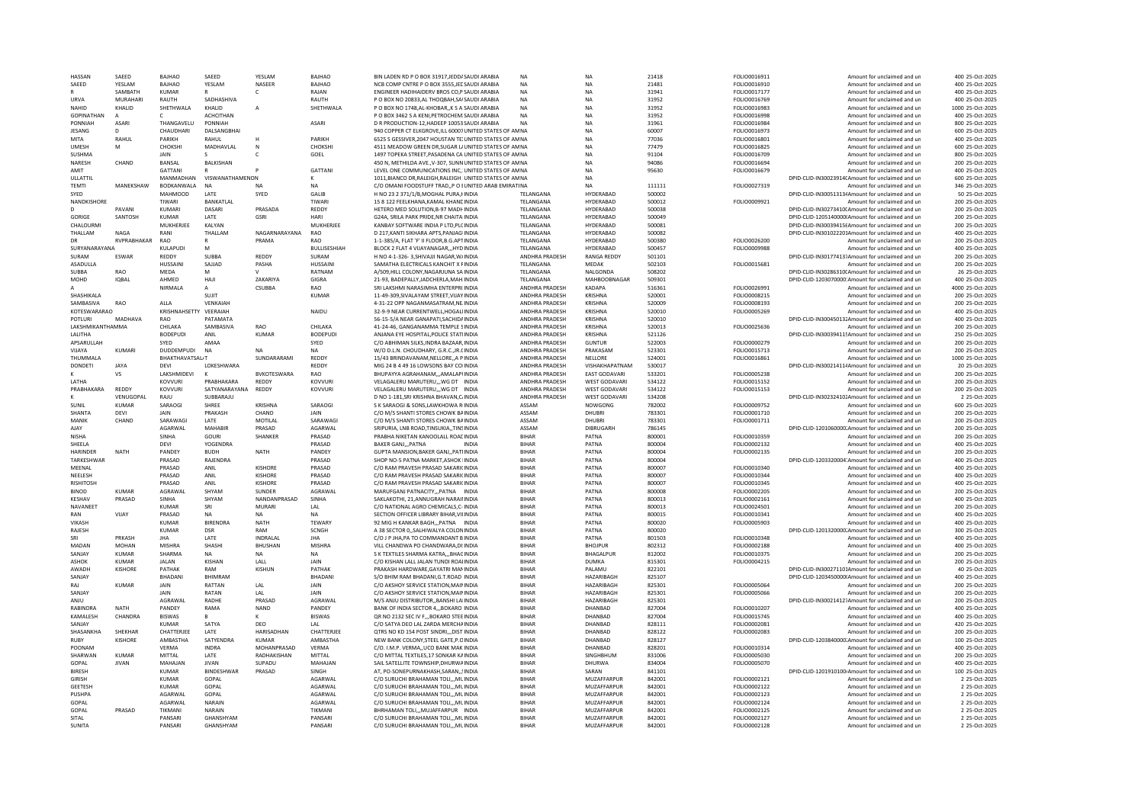| HASSAN            | SAEED        | <b>BAJHAO</b>       | SAEED                  | YESLAM         | <b>BAJHAO</b>       | BIN LADEN RD P O BOX 31917, JEDDA SAUDI ARABIA                               | <b>NA</b>                    | <b>NA</b>                         | 21418            | FOLIO0016911                 | Amount for unclaimed and un                                   | 400 25-Oct-2025                    |
|-------------------|--------------|---------------------|------------------------|----------------|---------------------|------------------------------------------------------------------------------|------------------------------|-----------------------------------|------------------|------------------------------|---------------------------------------------------------------|------------------------------------|
| SAEED             | YESLAM       | BAJHAO              | YESLAM                 | NASEER         | <b>BAJHAO</b>       | NCB COMP CNTRE P O BOX 3555 JEE SAUDI ARABIA                                 | <b>NA</b>                    | <b>NA</b>                         | 21481            | FOLIO0016910                 | Amount for unclaimed and un                                   | 400 25-Oct-2025                    |
|                   | SAMBATH      | <b>KUMAR</b>        |                        | с              | RAJAN               | ENGINEER HADIHAIDERV BROS CO,P SAUDI ARABIA                                  | <b>NA</b>                    | <b>NA</b>                         | 31941            | FOLIO0017177                 | Amount for unclaimed and un                                   | 400 25-Oct-2025                    |
| LIRVA             | MURAHARI     | RAUTH               | SADHASHIVA             |                | RAUTH               | P O BOX NO 20833 AL THOOBAH SAISAUDI ARABIA                                  | <b>NA</b>                    | <b>NA</b>                         | 31952            | FOLIO0016769                 | Amount for unclaimed and un                                   | 400 25-Oct-2025                    |
| NAHID             | KHALID       | SHETHWALA           | KHALID                 |                | SHETHWALA           | P O BOX NO 1748.AL-KHOBARK S A SAUDI ARABIA                                  | <b>NA</b>                    | <b>NA</b>                         | 31952            | FOLIO0016983                 | Amount for unclaimed and un                                   | 1000 25-Oct-2025                   |
| <b>GOPINATHAN</b> |              |                     | <b>ACHCITHAN</b>       |                |                     | P O BOX 3462 S A KENLPETROCHEM: SAUDI ARABIA                                 | <b>NA</b>                    | <b>NA</b>                         | 31952            | <b>EOLIO0016998</b>          | Amount for unclaimed and un                                   | 400 25-Oct-2025                    |
| PONNIAH           | ASARI        | THANGAVELU          | PONNIAH                |                | <b>ASARI</b>        | D R PRODUCTION-12 HADEEP 10053 SAUDI ARABIA                                  | <b>NA</b>                    | <b>NA</b>                         | 31961            | <b>FOLIO0016984</b>          | Amount for unclaimed and un                                   | 800 25-Oct-2025                    |
| JESANG            | <sup>n</sup> | CHAUDHARI           | DALSANGBHAI            |                |                     | 940 COPPER CT ELKGROVE, ILL 60007 UNITED STATES OF AM NA                     |                              | <b>NA</b>                         | 60007            | FOLIO0016973                 | Amount for unclaimed and un                                   | 600 25-Oct-2025                    |
| <b>MITA</b>       | RAHUL        | PARIKH              | RAHUL                  |                | PARIKH              | 6525 S GESSIVER, 2047 HOUSTAN TE: UNITED STATES OF AM NA                     |                              | <b>NA</b>                         | 77036            | FOLIO0016801                 | Amount for unclaimed and un                                   | 400 25-Oct-2025                    |
| <b>UMESH</b>      | м            | CHOKSHI             | MADHAVLAL              | N              | CHOKSH              | 4511 MEADOW GREEN DR, SUGAR L/ UNITED STATES OF AM NA                        |                              | <b>NA</b>                         | 77479            | FOLIO0016825                 | Amount for unclaimed and un                                   | 600 25-Oct-2025                    |
| <b>SUSHMA</b>     |              | JAIN                | $\mathsf{s}$           | c              | GOEL                | 1497 TOPEKA STREET, PASADENA CA UNITED STATES OF AM NA                       |                              | <b>NA</b>                         | 91104            | FOLIO0016709                 | Amount for unclaimed and un                                   | 800 25-Oct-2025                    |
| NARESH            | CHAND        | BANSAL              | <b>BALKISHAN</b>       |                |                     | 450 N, METHILDA AVE., V-307, SUNN UNITED STATES OF AM NA                     |                              | <b>NA</b>                         | 94086            | FOLIO0016694                 | Amount for unclaimed and un                                   | 200 25-Oct-2025                    |
| AMIT              |              | <b>GATTANI</b>      |                        |                | <b>GATTANI</b>      | LEVEL ONE COMMUNICATIONS INC. UNITED STATES OF AM NA                         |                              | <b>NA</b>                         | 95630            | FOLIO0016679                 | Amount for unclaimed and un                                   | 400 25-Oct-2025                    |
| ULLATTIL          |              | MANMADHAN           | VISWANATHAMENON        |                |                     | 1011.BIANCO DR.RALEIGH.RALEIGH I UNITED STATES OF AM NA                      |                              | <b>NA</b>                         |                  |                              | DPID-CLID-IN30023914(Amount for unclaimed and un              | 600 25-Oct-2025                    |
| <b>TFMTI</b>      | MANFKSHAW    | <b>BODKANWALA</b>   | <b>NA</b>              |                | NΔ                  | C/O OMANI FOODSTUFF TRAD, P O LUNITED ARAB EMIRATINA                         |                              | NΔ                                | 111111           | FOLIO0027319                 | Amount for unclaimed and un                                   | 346 25-Oct-2025                    |
| SYED              |              | MAHMOOD             | LATE                   | SYED           | GALIB               | H NO 23 2 371/1/B, MOGHAL PURA, HNDIA                                        | TELANGANA                    | HYDERABAD                         | 500002           |                              | DPID-CLID-IN300513134Amount for unclaimed and un              | 50 25-Oct-2025                     |
| NANDKISHORE       |              | TIWARI              | BANKATLAL              |                | TIWARI              | 15 8 122 FEELKHANA.KAMAL KHANDINDIA                                          | <b>TFI ANGANA</b>            | HYDERABAD                         | 500012           | FOLIO0009921                 | Amount for unclaimed and un                                   | 200 25-Oct-2025                    |
| D.                | PAVANI       | KUMARI              | DASARI                 | PRASADA        | REDDY               | HETERO MED SOLUTION, B-97 MADH INDIA                                         | TELANGANA                    | HYDERABAD                         | 500038           |                              | DPID-CLID-IN30273410(Amount for unclaimed and un              | 200 25-Oct-2025                    |
|                   |              |                     |                        |                |                     |                                                                              |                              |                                   |                  |                              |                                                               |                                    |
| GORIGE            | SANTOSH      | <b>KUMAR</b>        | LATE                   | GSRI           | <b>HAR</b>          | G24A, SRILA PARK PRIDE, NR CHAITA INDIA                                      | TELANGANA                    | <b>HYDERABAD</b>                  | 500049           |                              | DPID-CLID-1205140000IAmount for unclaimed and un              | 200 25-Oct-2025                    |
| CHALOURMI         |              | MUKHERJEE           | KALYAN                 |                | MUKHERJEE           | KANBAY SOFTWARE INDIA P LTD.PLC INDIA                                        | TELANGANA                    | HYDERABAD                         | 500081           |                              | DPID-CLID-IN30039415(Amount for unclaimed and un              | 200 25-Oct-2025                    |
| THALLAM           | <b>NAGA</b>  | RANI                | THALLAM                | NAGARNARAYANA  | RAO                 | D 217, KANTI SIKHARA APTS, PANJAG INDIA                                      | TELANGANA                    | HYDERABAD                         | 500082           |                              | DPID-CLID-IN301022201Amount for unclaimed and un              | 400 25-Oct-2025                    |
| <b>DR</b>         | RVPRABHAKAR  | <b>RAO</b>          | R                      | PRAMA          | <b>RAO</b>          | 1-1-385/A. ELAT 'F' II ELOOR B.G.APTINDIA                                    | <b>TFI ANGANA</b>            | HYDERABAD                         | 500380           | FOLIO0026200                 | Amount for unclaimed and un                                   | 200 25-Oct-2025                    |
| SURYANARAYANA     |              | KULAPUDI            | M                      |                | <b>BULLISESHIAH</b> | BLOCK 2 FLAT 4 VIJAYANAGARHYD INDIA                                          | TELANGANA                    | HYDERABAD                         | 500457           | FOLIO0009988                 | Amount for unclaimed and un                                   | 400 25-Oct-2025                    |
| SURAM             | ESWAR        | <b>REDDY</b>        | SURRA                  | REDDY          | SURAM               | H NO 4-1-326-3, SHIVAJJI NAGAR, W/INDIA                                      | ANDHRA PRADESH               | <b>RANGA REDDY</b>                | 501101           |                              | DPID-CLID-IN30177413. Amount for unclaimed and un             | 200 25-Oct-2025                    |
| ASADULLA          |              | <b>HUSSAIN</b>      | SAJJAD                 | PASHA          | <b>HUSSAIN</b>      | SAMATHA ELECTRICALS KANCHIT X FINDIA                                         | TELANGANA                    | MEDAK                             | 502103           | FOLIO0015681                 | Amount for unclaimed and un                                   | 200 25-Oct-2025                    |
| <b>SUBBA</b>      | <b>RAO</b>   | MEDA                | M                      |                | RATNAM              | A/509.HILL COLONY.NAGARJUNA SA INDIA                                         | TELANGANA                    | NALGONDA                          | 508202           |                              | DPID-CLID-IN30286310(Amount for unclaimed and un              | 26 25-Oct-2025                     |
| MOHD              | <b>IOBAL</b> | AHMED               | <b>HAJI</b>            | ZAKARIYA       | GIGRA               | 21-93. BADEPALLY.JADCHERLA.MAH.INDIA                                         | TELANGANA                    | MAHBOOBNAGAR                      | 509301           |                              | DPID-CLID-1203070000:Amount for unclaimed and un              | 400 25-Oct-2025                    |
|                   |              | NIRMALA             | A                      | CSUBBA         | <b>RAO</b>          | SRI LAKSHMI NARASIMHA ENTERPRI INDIA                                         | ANDHRA PRADESH               | KADAPA                            | 516361           | FOLIO0026991                 | Amount for unclaimed and un                                   | 4000 25-Oct-2025                   |
| <b>SHASHIKALA</b> |              |                     | SUIT                   |                | KUMAR               | 11-49-309 SIVALAYAM STREET VIIAYINDIA                                        | <b>ANDHRA PRADESH</b>        | KRISHNA                           | 520001           | FOI IO0008215                | Amount for unclaimed and un                                   | 200 25-Oct-2025                    |
| SAMBASIVA         | RAO          | ALLA                | VENKAIAH               |                |                     | 4-31-22 OPP NAGANMASATRAM.NE.INDIA                                           | <b>ANDHRA PRADESH</b>        | <b>KRISHNA</b>                    | 520009           | FOLIO0008193                 | Amount for unclaimed and un                                   | 200 25-Oct-2025                    |
| KOTFSWARARAO      |              | KRISHNAHSFTT        | VFFRAIAH               |                | NAIDU               | 32-9-9 NEAR CURRENTWELL HOGALIINDIA                                          | <b>ANDHRA PRADESH</b>        | KRISHNA                           | 520010           | FOLIO0005269                 | Amount for unclaimed and un                                   | 400 25-Oct-2025                    |
| POTLURI           | MADHAVA      | RAO                 | <b>PATAMATA</b>        |                |                     | 56-15-5/A NEAR GANAPATI, SACHIDA INDIA                                       | ANDHRA PRADESH               | KRISHNA                           | 520010           |                              | DPID-CLID-IN300450131Amount for unclaimed and un              | 400 25-Oct-2025                    |
| LAKSHMIKANTHAMMA  |              | CHILAKA             | SAMBASIVA              | RAO            | CHILAKA             | 41-24-46. GANGANAMMA TEMPLE SINDIA                                           | ANDHRA PRADESH               | KRISHNA                           | 520013           | FOLIO0025636                 | Amount for unclaimed and un                                   | 200 25-Oct-2025                    |
| LALITHA           |              | <b>BODEPUDI</b>     | ANIL                   | <b>KUMAR</b>   | <b>BODEPUD</b>      | ANJANA EYE HOSPITAL, POLICE STATIINDIA                                       | <b>ANDHRA PRADESH</b>        | <b>KRISHNA</b>                    | 521126           |                              | DPID-CLID-IN300394115Amount for unclaimed and un              | 250 25-Oct-2025                    |
| APSARULLAH        |              | SYED                | AMAA                   |                | SYED                | C/O ABHIMAN SILKS.INDRA BAZAAR.INDIA                                         | ANDHRA PRADESH               | <b>GUNTUR</b>                     | 522003           | FOLIO0000279                 | Amount for unclaimed and un                                   | 200 25-Oct-2025                    |
| VIJAYA            | <b>KUMAR</b> | DUDDEMPUDI          | <b>NA</b>              | <b>NA</b>      | <b>NA</b>           | W/O D.L.N. CHOUDHARY, G.R.C. JR. (INDIA                                      | ANDHRA PRADESH               | PRAKASAM                          | 523301           | FOLIO0015713                 | Amount for unclaimed and un                                   | 200 25-Oct-2025                    |
| THUMMALA          |              | BHAKTHAVATSAL/T     |                        | SUNDARARAMI    | <b>REDDY</b>        | 15/43 BRINDAVANAM.NELLOREA PINDIA                                            | <b>ANDHRA PRADESH</b>        | NELLORE                           | 524001           | FOLIO0016861                 | Amount for unclaimed and un                                   | 1000 25-Oct-2025                   |
| <b>DONDETI</b>    | <b>JAYA</b>  | <b>DFVI</b>         | <b>I OKESHWARA</b>     |                | <b>REDDY</b>        | MIG 24 B 4 49 16 LOWSONS BAY COUNDIA                                         | <b>ANDHRA PRADESH</b>        | VISHAKHAPATNAM                    | 530017           |                              | DPID-CUD-IN30021411/Amount for unclaimed and un               | 20 25-0ct-2025                     |
|                   | VS           | LAKSHMIDEVI         |                        | BVKOTESWARA    | RAO                 | BHUPAYYA AGRAHANAM,,,AMALAPUNDIA                                             | ANDHRA PRADESH               | <b>EAST GODAVARI</b>              | 533201           | FOLIO0005238                 | Amount for unclaimed and un                                   | 200 25-Oct-2025                    |
| <b>I ATHA</b>     |              | KOVVURI             | PRABHAKARA             | REDDY          | KOVVURI             | VELAGALERU MARUTERU WG DT INDIA                                              |                              | <b>WEST GODAVARI</b>              |                  |                              | Amount for unclaimed and un                                   | 200 25-Oct-2025                    |
| PRABHAKARA        | REDDY        | KOVVURI             |                        |                |                     |                                                                              | ANDHRA PRADESH               | <b>WEST GODAVARI</b>              | 534122           | FOLIO0015152                 |                                                               | 200 25-Oct-2025                    |
|                   |              |                     | SATYANARAYANA          | REDDY          | KOVVURI             | VELAGALERU MARUTERU,,, WG DT INDIA                                           | ANDHRA PRADESH               |                                   | 534122           | FOLIO0015153                 | Amount for unclaimed and un                                   |                                    |
|                   |              |                     |                        |                |                     |                                                                              |                              |                                   |                  |                              |                                                               |                                    |
|                   | VENUGOPAL    | RAJU                | SUBBARAJU              |                |                     | D NO 1-181.SRI KRISHNA BHAVAN.C/INDIA                                        | ANDHRA PRADESH               | WEST GODAVARI                     | 534208           |                              | DPID-CLID-IN30232410;Amount for unclaimed and un              | 2 25-Oct-2025                      |
| SUNIL             | <b>KUMAR</b> | SARAOGI             | SHREE                  | KRISHNA        | SARAOGI             | S K SARAOGI & SONS.LAWKHOWA RINDIA                                           | ASSAM                        | NOWGONG                           | 782002           | FOLIO0009752                 | Amount for unclaimed and un                                   | 600 25-Oct-2025                    |
| SHANTA            | DEVI         | <b>JAIN</b>         | PRAKASH                | CHAND          | <b>JAIN</b>         | C/O M/S SHANTI STORES CHOWK BAINDIA                                          | ASSAM                        | DHUBRI                            | 783301           | FOLIO0001710                 | Amount for unclaimed and un                                   | 200 25-Oct-2025                    |
| MANIK             | CHAND        | SARAWAGI            | LATE                   | MOTILAL        | SARAWAGI            | C/O M/S SHANTI STORES CHOWK BAINDIA                                          | ASSAM                        | DHUBRI                            | 783301           | FOLIO0001711                 | Amount for unclaimed and un                                   | 200 25-Oct-2025                    |
| AJAY              |              | AGARWAL             | MAHABIR                | PRASAD         | AGARWAI             | SRIPURIA, LNB ROAD, TINSUKIA,, TINSINDIA                                     | ASSAM                        | DIBRUGARH                         | 786145           |                              | DPID-CLID-1201060000.Amount for unclaimed and un              | 200 25-Oct-2025                    |
| <b>NISHA</b>      |              | SINHA               | GOURI                  | <b>SHANKER</b> | PRASAD              | PRABHA NIKETAN KANOOLALL ROADINDIA                                           | <b>BIHAR</b>                 | PATNA                             | 800001           | FOLIO0010359                 | Amount for unclaimed and un                                   | 200 25-Oct-2025                    |
| SHEELA            |              | DEVI                | YOGENDRA               |                | PRASAD              | <b>BAKER GANJPATNA</b><br><b>INDIA</b>                                       | <b>BIHAR</b>                 | PATNA                             | 800004           | FOLIO0002132                 | Amount for unclaimed and un                                   | 400 25-Oct-2025                    |
| <b>HARINDER</b>   | <b>NATH</b>  | <b>PANDEY</b>       | <b>BUDH</b>            | <b>NATH</b>    | PANDEY              | GUPTA MANSION.BAKER GANJ., PATHNDIA                                          | BIHAR                        | PATNA                             | 800004           | FOLIO0002135                 | Amount for unclaimed and un                                   | 200 25-Oct-2025                    |
| TARKESHWAR        |              | PRASAD              | RAJENDRA               |                | PRASAD              | SHOP NO-5 PATNA MARKET, ASHOK IINDIA                                         | <b>BIHAR</b>                 | PATNA                             | 800004           |                              | DPID-CLID-1203320004'Amount for unclaimed and un              | 400 25-Oct-2025                    |
| MFFNAI            |              | PRASAD              | ANIL                   | <b>KISHORE</b> | PRASAD              | C/O RAM PRAVESH PRASAD SAKARICINDIA                                          | <b>BIHAR</b>                 | PATNA                             | 800007           | FOLIO0010340                 | Amount for unclaimed and un                                   | 400 25-Oct-2025                    |
| NEELESH           |              | PRASAD              | ANIL                   | KISHORF        | PRASAD              | C/O RAM PRAVESH PRASAD SAKARICINDIA                                          | <b>BIHAR</b>                 | PATNA                             | 800007           | FOLIO0010344                 | Amount for unclaimed and un                                   | 400 25-Oct-2025                    |
| <b>RISHITOSH</b>  |              | PRASAD              | ANIL                   | KISHORE        | PRASAD              | C/O RAM PRAVESH PRASAD SAKARICINDIA                                          | <b>BIHAR</b>                 | PATNA                             | 800007           | FOLIO0010345                 | Amount for unclaimed and un                                   | 400 25-Oct-2025                    |
| <b>BINOD</b>      | KUMAR        | AGRAWAI             | SHYAM                  | <b>SUNDER</b>  | AGRAWAI             | MARUEGANI PATNACITY PATNA INDIA                                              | <b>BIHAR</b>                 | PATNA                             | 800008           | <b>FOLIO0002205</b>          | Amount for unclaimed and un                                   | 200 25-Oct-2025                    |
| KESHAV            | PRASAD       | SINHA               | SHYAM                  | NANDANPRASAD   | SINHA               | SAKLAKOTHI, 21, ANNUGRAH NARAII INDIA                                        | BIHAR                        |                                   |                  | FOLIO0002161                 | Amount for unclaimed and un                                   | 400 25-Oct-2025                    |
| <b>NAVANEET</b>   |              | <b>KUMAR</b>        | SRI                    | MURAR          | LAL                 | C/O NATIONAL AGRO CHEMICALS.C- INDIA                                         | <b>BIHAR</b>                 | PATNA<br>PATNA                    | 800013<br>800013 | FOLIO0024501                 | Amount for unclaimed and un                                   | 200 25-Oct-2025                    |
| RAN               | VIJAY        | PRASAD              | <b>NA</b>              | <b>NA</b>      | <b>NA</b>           | SECTION OFFICER LIBRARY BIHAR VILINDIA                                       | <b>BIHAR</b>                 | PATNA                             | 800015           | FOLIO0010341                 |                                                               | 400 25-Oct-2025                    |
| VIKASH            |              | <b>KUMAR</b>        | <b>BIRENDRA</b>        | <b>NATH</b>    | <b>TEWARY</b>       | 92 MIG H KANKAR BAGHPATNA INDIA                                              | BIHAR                        | PATNA                             | 800020           | FOLIO0005903                 | Amount for unclaimed and un<br>Amount for unclaimed and un    | 400 25-Oct-2025                    |
| RAJESH            |              |                     | DSR                    | RAM            | SCNGH               |                                                                              | <b>BIHAR</b>                 |                                   |                  |                              |                                                               |                                    |
| SRI               | PRKASH       | KUMAR<br><b>JHA</b> | LATE                   | INDRAI AL      | <b>JHA</b>          | A 38 SECTOR 0, SALHIWALYA COLONINDIA                                         | <b>BIHAR</b>                 | PATNA<br>PATNA                    | 800020<br>801503 |                              | DPID-CLID-1201320000.Amount for unclaimed and un              | 300 25-Oct-2025<br>400 25-Oct-2025 |
| MADAN             | MOHAN        | MISHRA              | SHASHI                 | <b>BHUSHAN</b> | MISHRA              | C/O J P JHA, PA TO COMMANDANT B INDIA<br>VILL CHANDWA PO CHANDWARA.DI: INDIA | BIHAR                        | <b>BHOJPUR</b>                    | 802312           | FOLIO0010348<br>FOLIO0002188 | Amount for unclaimed and un<br>Amount for unclaimed and un    | 400 25-Oct-2025                    |
|                   |              |                     |                        |                |                     |                                                                              |                              |                                   |                  |                              |                                                               |                                    |
| SANIAY            | KUMAR        | SHARMA              | <b>NA</b>              | <b>NA</b>      | <b>NA</b>           | S K TEXTILES SHARMA KATRABHAC INDIA                                          | BIHAR                        | BHAGALPUR                         | 812002           | FOLIO0010375                 | Amount for unclaimed and un                                   | 200 25-Oct-2025                    |
| <b>ASHOK</b>      | <b>KUMAR</b> | <b>JALAN</b>        | KISHAN                 | LALL           | JAIN                | C/O KISHAN LALL JALAN TUNDI ROAI INDIA                                       | BIHAR                        | <b>DUMKA</b>                      | 815301           | FOLIO0004215                 | Amount for unclaimed and un                                   | 200 25-Oct-2025                    |
| AWADH             | KISHORE      | PATHAK              | RAM                    | <b>KISHUN</b>  | PATHAK              | PRAKASH HARDWARE, GAYATRI MANINDIA                                           | BIHAR                        | PALAMU                            | 822101           |                              | DPID-CLID-IN300271101Amount for unclaimed and un              | 40 25-Oct-2025                     |
| SANJAY            |              | BHADANI             | <b>BHIMRAM</b>         |                | <b>BHADAN</b>       | S/O BHIM RAM BHADANI.G.T.ROAD INDIA                                          | <b>BIHAR</b>                 | <b>HAZARIBAGE</b>                 | 825107           |                              | DPID-CLID-1203450000(Amount for unclaimed and un              | 400 25-Oct-2025                    |
| RAJ               | <b>KUMAR</b> | <b>JAIN</b>         | RATTAN                 | LAL            | JAIN                | C/O AKSHOY SERVICE STATION.MAININDIA                                         | <b>BIHAR</b>                 | HAZARIBAGH                        | 825301           | FOLIO0005064                 | Amount for unclaimed and un                                   | 200 25-Oct-2025                    |
| SANJAY            |              | <b>JAIN</b>         | RATAN                  | LAL            | JAIN                | C/O AKSHOY SERVICE STATION.MAININDIA                                         | <b>BIHAR</b>                 | HAZARIBAGH                        | 825301           | FOLIO0005066                 | Amount for unclaimed and un                                   | 200 25-Oct-2025                    |
| ANJU              |              | AGRAWAL             | RADHE                  | PRASAD         | AGRAWAL             | M/S ANJU DISTRIBUTORBANSHI LAHNDIA                                           | BIHAR                        | HAZARIBAGH                        | 825301           |                              | DPID-CLID-IN30021412 <sup>1</sup> Amount for unclaimed and un | 200 25-Oct-2025                    |
| RABINDRA          | <b>NATH</b>  | PANDEY              | RAMA                   | <b>NAND</b>    | PANDEY              | BANK OF INDIA SECTOR 4,,,BOKARO INDIA                                        | BIHAR                        | DHANBAD                           | 827004           | FOLIO0010207                 | Amount for unclaimed and un                                   | 400 25-Oct-2025                    |
| <b>KAMAI FSH</b>  | CHANDRA      | <b>BISWAS</b>       | R                      | ĸ              | <b>BISWAS</b>       | OR NO 2132 SEC IV E. BOKARO STEE INDIA                                       | <b>BIHAR</b>                 | DHANRAD                           | 827004           | FOLIO0015745                 | Amount for unclaimed and un                                   | 400 25-Oct-2025                    |
| SANJAY            |              | <b>KUMAR</b>        | SATYA                  | DEO            | LAL                 | C/O SATYA DEO LAL ZARDA MERCHAINDIA                                          | BIHAR                        | DHANBAD                           | 828111           | FOLIO0002081                 | Amount for unclaimed and ur                                   | 420 25-Oct-2025                    |
| SHASANKHA         | SHEKHAR      | CHATTERJEE          | LATE                   | HARISADHAN     | CHATTERJEE          | OTRS NO KD 154 POST SINDRI DIST INDIA                                        | BIHAR                        | DHANBAD                           | 828122           | FOLIO0002083                 | Amount for unclaimed and un                                   | 200 25-Oct-2025                    |
| RUBY              | KISHORI      | AMBASTHA            | SATYENDRA              | <b>KUMAR</b>   | AMBASTHA            | NEW BANK COLONY, STEEL GATE, P.O INDIA                                       | <b>BIHAR</b>                 | DHANBAD                           | 828127           |                              | DPID-CLID-1203840000. Amount for unclaimed and un             | 100 25-Oct-2025                    |
| POONAM            |              | <b>VFRMA</b>        | <b>INDRA</b>           | MOHANPRASAD    | VFRMA               | C/O. I.M.P. VERMA. LICO BANK MAK INDIA                                       | <b>BIHAR</b>                 | DHANRAD                           | 828201           | FOLIO0010314                 | Amount for unclaimed and un                                   | 400 25-Oct-2025                    |
| SHARWAN           | <b>KUMAR</b> | MITTAL              | LATE                   | RADHAKISHAN    | MITTA               | C/O MITTAL TEXTILES.17 SONKAR KAINDIA                                        | <b>BIHAR</b>                 | SINGHBHUM                         | 831006           | FOLIO0005030                 | Amount for unclaimed and un                                   | 200 25-Oct-2025                    |
| GOPAL             | <b>JIVAN</b> | MAHAJAN             | <b>JIVAN</b>           | SUPADU         | MAHAJAN             | SAIL SATELLITE TOWNSHIP.DHURWAINDIA                                          | BIHAR                        | DHURWA                            | 834004           | FOLIO0005070                 | Amount for unclaimed and un                                   | 400 25-Oct-2025                    |
| <b>BIRESH</b>     |              | <b>KUMAR</b>        | BINDESHWAR             | PRASAD         | SINGH               | AT, PO-SONEPURNAKHASH, SARAN,  INDIA                                         | BIHAR                        | SARAN                             | 841101           |                              | DPID-CLID-1201910100-Amount for unclaimed and un              | 100 25-Oct-2025                    |
| GIRISH            |              | <b>KUMAR</b>        | GOPAL                  |                | AGARWAL             | C/O SURUCHI BRAHAMAN TOLI,,,MLINDIA                                          | BIHAR                        | MUZAFFARPUR                       | 842001           | FOLIO0002121                 | Amount for unclaimed and un                                   | 2 25-Oct-2025                      |
| GEETESH           |              | <b>KUMAR</b>        | GOPAL                  |                | AGARWAI             | C/O SURUCHI BRAHAMAN TOLIMLINDIA                                             | BIHAR                        | MUZAFFARPUR                       | 842001           | FOLIO0002122                 | Amount for unclaimed and un                                   | 2 25-Oct-2025                      |
| PUSHPA            |              | AGARWAI             | GOPAL                  |                | AGARWAL             | C/O SURUCHI BRAHAMAN TOLI,,,MLINDIA                                          | BIHAR                        | MUZAFFARPUR                       | 842001           | FOLIO0002123                 | Amount for unclaimed and ur                                   | 2 25-Oct-2025                      |
| GOPAL             |              | AGARWAI             | NARAIN                 |                | AGARWAI             | C/O SURUCHI BRAHAMAN TOLL ML INDIA                                           | <b>BIHAR</b>                 | <b>MUZAFFARPUR</b>                | 842001           | FOLIO0002124                 | Amount for unclaimed and un                                   | 2 25-Oct-2025                      |
| GOPAL             | PRASAD       | TIKMANI             | NARAIN                 |                | TIKMAN              | BHRHAMAN TOLI,,,MUJAFFARPUR INDIA                                            | <b>BIHAR</b>                 | MUZAFFARPUR                       | 842001           | FOLIO0002125                 | Amount for unclaimed and un                                   | 2 25-Oct-2025                      |
| SITAL<br>SUNITA   |              | PANSARI<br>PANSARI  | GHANSHYAM<br>GHANSHYAM |                | PANSARI<br>PANSARI  | C/O SURUCHI BRAHAMAN TOLIMLINDIA<br>C/O SURUCHI BRAHAMAN TOLI,,,MLINDIA      | <b>BIHAR</b><br><b>BIHAR</b> | <b>MUZAFFARPUR</b><br>MUZAFFARPUR | 842001<br>842001 | FOLIO0002127<br>FOLIO0002128 | Amount for unclaimed and un<br>Amount for unclaimed and un    | 2 25-Oct-2025<br>2 25-Oct-2025     |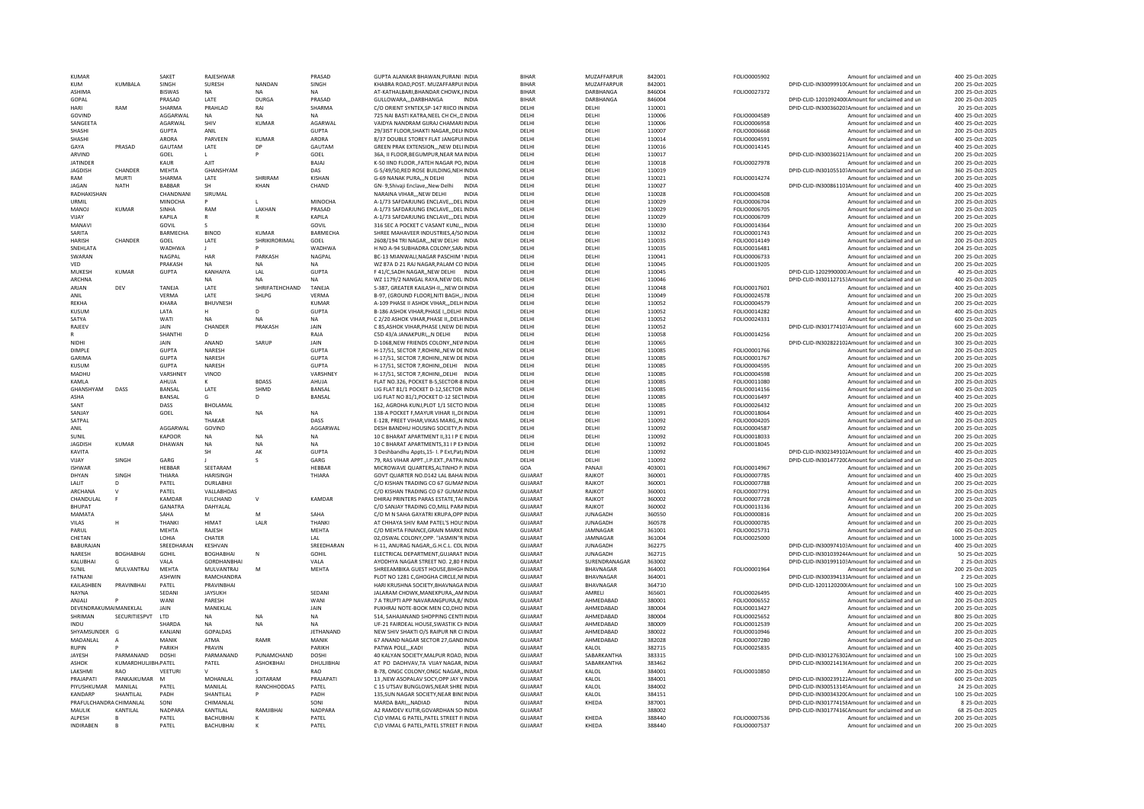|                            |                      | SAKET          | RAJESHWAF                          |                 | PRASAD           | GUPTA ALANKAR BHAWAN.PURANI IINDI                                                | <b>BIHAR</b>                     | MUZAFFARPUR      | 842001           | FOLIO0005902                 | Amount for unclaimed and ur                                | 400 25-Oct-2025                    |
|----------------------------|----------------------|----------------|------------------------------------|-----------------|------------------|----------------------------------------------------------------------------------|----------------------------------|------------------|------------------|------------------------------|------------------------------------------------------------|------------------------------------|
| <b>KUM</b>                 | KUMBALA              | SINGH          | SURESH                             | NANDAN          | SINGH            | KHABRA ROAD, POST, MUZAFFARPUIINDIA                                              | <b>BIHAR</b>                     | MUZAFFARPUR      | 842001           |                              | DPID-CLID-IN30099910(Amount for unclaimed and un           | 200 25-Oct-2025                    |
| <b>ASHIMA</b>              |                      | <b>BISWAS</b>  | <b>NA</b>                          | <b>NA</b>       | <b>NA</b>        | AT-KATHALBARI, BHANDAR CHOWK, IINDIA                                             | <b>BIHAR</b>                     | DARBHANGA        | 846004           | FOLIO0027372                 | Amount for unclaimed and un                                | 200 25-Oct-2025                    |
| GOPAL                      |                      | PRASAD         | LATE                               | <b>DURGA</b>    | PRASAD           | GULLOWARA,,,DARBHANGA<br><b>INDIA</b>                                            | <b>BIHAR</b>                     | DARBHANGA        | 846004           |                              | DPID-CLID-1201092400IAmount for unclaimed and un           | 200 25-Oct-2025                    |
| HARI                       | RAM                  | SHARMA         | PRAHLAD                            | RAI             | SHARMA           | C/O ORIENT SYNTEX.SP-147 RIICO IN INDIA                                          | DELHI                            | DELHI            | 110001           |                              | DPID-CLID-IN30036020:Amount for unclaimed and un           | 20 25-Oct-2025                     |
| GOVIND                     |                      | AGGARWAL       | <b>NA</b>                          | <b>NA</b>       | <b>NA</b>        | 725 NAI BASTI KATRA, NEEL CH CH,, DINDIA                                         | DELHI                            | DELHI            | 110006           | FOLIO0004589                 | Amount for unclaimed and un                                | 400 25-Oct-2025                    |
| SANGEETA                   |                      | AGARWAI        | SHIV                               | KUMAR           | AGARWAI          | VAIDYA NANDRAM GIIRAI CHAMARI INDIA                                              | <b>DELHI</b>                     | <b>DELHI</b>     | 110006           | FOLIO0006958                 | Amount for unclaimed and un                                | 400 25-Oct-2025                    |
| SHASHI                     |                      | <b>GUPTA</b>   | ANIL                               |                 | <b>GUPTA</b>     | 29/3IST FLOOR, SHAKTI NAGAR, , DELI INDIA                                        | DELHI                            | DELHI            | 110007           | FOLIO0006668                 | Amount for unclaimed and un                                | 200 25-Oct-2025                    |
|                            |                      |                |                                    | <b>KUMAR</b>    |                  |                                                                                  |                                  |                  |                  |                              |                                                            |                                    |
| SHASHI                     |                      | ARORA          | PARVEEN                            |                 | ARORA            | 8/37 DOUBLE STOREY FLAT JANGPUHNDIA                                              | DELHI                            | DELHI            | 110014           | FOLIO0004591                 | Amount for unclaimed and un                                | 400 25-Oct-2025                    |
| GAYA                       | PRASAD               | GAUTAM         | LATE                               | DP              | GAUTAN           | <b>GREEN PRAK EXTENSIONNEW DELIINDIA</b>                                         | DELHI                            | DELH             | 110016           | FOLIO0014145                 | Amount for unclaimed and un                                | 400 25-Oct-2025                    |
| ARVIND                     |                      | GOEL           |                                    |                 | GOEL             | 36A, II FLOOR, BEGUMPUR, NEAR MAINDIA                                            | DELHI                            | <b>DELHI</b>     | 110017           |                              | DPID-CLID-IN30036021:Amount for unclaimed and un           | 200 25-Oct-2025                    |
| <b>JATINDER</b>            |                      | KAUR           | AJIT                               |                 | BAJAJ            | K-50 IIND FLOOR., FATEH NAGAR PO, INDIA                                          | DELHI                            | DELHI            | 110018           | FOLIO0027978                 | Amount for unclaimed and un                                | 200 25-Oct-2025                    |
| <b>JAGDISH</b>             | CHANDER              | <b>MEHTA</b>   | GHANSHYAM                          |                 | DAS              | G-5/49/50,RED ROSE BUILDING, NEH INDIA                                           | DELHI                            | DELHI            | 110019           |                              | DPID-CLID-IN301055107Amount for unclaimed and un           | 360 25-Oct-2025                    |
| RAM                        | MURTI                | SHARMA         | LATE                               | SHRIRAM         | <b>KISHAN</b>    | G-69 NANAK PURAN DELHI<br><b>INDIA</b>                                           | DELHI                            | <b>DELHI</b>     | 110021           | FOLIO0014274                 | Amount for unclaimed and un                                | 200 25-Oct-2025                    |
| JAGAN                      | NATH                 | <b>BABBAR</b>  | <b>SH</b>                          | KHAN            | CHAND            | GN-9.Shivaii EnclaveNew Delhi<br><b>INDIA</b>                                    | DELHI                            | <b>DELHI</b>     | 110027           |                              | DPID-CLID-IN300861101Amount for unclaimed and un           | 400 25-Oct-2025                    |
| RADHAKISHAN                |                      | CHANDNANI      | SIRUMAL                            |                 |                  | NARAINA VIHARNEW DELHI<br><b>INDIA</b>                                           | DELHI                            | DELHI            | 110028           | FOLIO0004508                 | Amount for unclaimed and un                                | 200 25-Oct-2025                    |
| URMIL                      |                      | MINOCHA        |                                    |                 | MINOCHA          | A-1/73 SAFDARJUNG ENCLAVE, ,, DEL INDIA                                          | DELHI                            | DELHI            | 110029           | FOLIO0006704                 | Amount for unclaimed and un                                | 200 25-Oct-2025                    |
| MANOI                      |                      | SINHA          |                                    |                 |                  |                                                                                  |                                  |                  |                  | FOLIO0006705                 |                                                            |                                    |
|                            | <b>KUMAR</b>         |                | RAM                                | LAKHAN          | PRASAD           | A-1/73 SAFDARJUNG ENCLAVE, , DEL INDIA                                           | DELHI                            | DELHI            | 110029           |                              | Amount for unclaimed and un                                | 200 25-Oct-2025                    |
| VIJAY                      |                      | KAPILA         | R                                  | R               | KAPILA           | A-1/73 SAFDARJUNG ENCLAVE DEL INDIA                                              | DELHI                            | DELHI            | 110029           | FOLIO0006709                 | Amount for unclaimed and un                                | 200 25-Oct-2025                    |
| MANAV                      |                      | GOVIL          |                                    |                 | GOVIL            | 316 SEC A POCKET C VASANT KUNJ INDIA                                             | DELHI                            | <b>DELHI</b>     | 110030           | FOLIO0014364                 | Amount for unclaimed and un                                | 200 25-0ct-2025                    |
| SARITA                     |                      | BARMECHA       | <b>BINOD</b>                       | KUMAR           | BARMECHA         | SHREE MAHAVEER INDUSTRIES, 4/50 INDIA                                            | DELHI                            | DELHI            | 110032           | FOLIO0001743                 | Amount for unclaimed and un                                | 200 25-Oct-2025                    |
| HARISH                     | CHANDER              | GOEL           | LATE                               | SHRIKIRORIMAL   | GOEL             | 2608/194 TRI NAGAR,,,NEW DELHI INDIA                                             | DELHI                            | DELHI            | 110035           | FOLIO0014149                 | Amount for unclaimed and un                                | 200 25-Oct-2025                    |
| <b>SNEHI ATA</b>           |                      | <b>WADHWA</b>  |                                    |                 | <b>WADHWA</b>    | H NO A-94 SUBHADRA COLONY, SAR/INDIA                                             | <b>DELHI</b>                     | <b>DELHI</b>     | 110035           | FOLIO0016481                 | Amount for unclaimed and un                                | 204 25-Oct-2025                    |
| SWARAN                     |                      | NAGPAL         | HAR                                | PARKASH         | NAGPAL           | BC-13 MIANWALI, NAGAR PASCHIM VINDIA                                             | DELHI                            | DELHI            | 110041           | FOLIO0006733                 | Amount for unclaimed and ur                                | 200 25-Oct-2025                    |
| VED                        |                      | PRAKASH        | <b>NA</b>                          | <b>NA</b>       | <b>NA</b>        | WZ 87A D 21 RAJ NAGAR.PALAM CO INDIA                                             | DELHI                            | DELHI            | 110045           | FOLIO0019205                 | Amount for unclaimed and un                                | 200 25-Oct-2025                    |
| MUKESH                     | KUMAR                | <b>GUPTA</b>   | KANHAIYA                           | LAL             | <b>GUPTA</b>     | F 41/C.SADH NAGARNEW DELHI INDIA                                                 | DELHI                            | DELHI            | 110045           |                              | DPID-CLID-1202990000:Amount for unclaimed and un           | 40 25-Oct-2025                     |
| ARCHNA                     |                      |                | <b>NA</b>                          | <b>NA</b>       |                  | W7 1179/2 NANGAI RAYA NEW DELINDIA                                               | <b>DELHI</b>                     | <b>DELHI</b>     | 110046           |                              |                                                            | 400 25-Oct-2025                    |
|                            |                      |                |                                    |                 | NA.              |                                                                                  |                                  |                  |                  |                              | DPID-CLID-IN30112715:Amount for unclaimed and un           |                                    |
| ARJAN                      | DEV                  | TANEJA         | LATE                               | SHRIFATEHCHAND  | <b>TANEJA</b>    | S-387, GREATER KAILASH-IINEW DIINDIA                                             | DELHI                            | DELH             | 110048           | FOLIO0017601                 | Amount for unclaimed and un                                | 400 25-Oct-2025                    |
| ANII                       |                      | <b>VFRMA</b>   | LATE                               | SHLPG           | VFRMA            | B-97, (GROUND FLOOR), NITI BAGH., INDIA                                          | DELHI                            | <b>DELHI</b>     | 110049           | <b>FOLIO0024578</b>          | Amount for unclaimed and un                                | 200 25-Oct-2025                    |
| RFKHA                      |                      | KHARA          | BHUVNESH                           |                 | KUMAR            | A-109 PHASE II ASHOK VIHAR,,, DELH INDIA                                         | <b>DELHI</b>                     | <b>DELHI</b>     | 110052           | FOLIO0004579                 | Amount for unclaimed and un                                | 200 25-Oct-2025                    |
| KUSUM                      |                      | LATA           | н                                  | D               | <b>GUPTA</b>     | B-186 ASHOK VIHAR, PHASE I, , DELHI INDIA                                        | DELHI                            | DELHI            | 110052           | FOLIO0014282                 | Amount for unclaimed and un                                | 400 25-Oct-2025                    |
| SATYA                      |                      | WATI           | <b>NA</b>                          | <b>NA</b>       | <b>NA</b>        | C 2/20 ASHOK VIHAR.PHASE II., DELH INDIA                                         | DELHI                            | DELHI            | 110052           | FOLIO0024331                 | Amount for unclaimed and un                                | 600 25-Oct-2025                    |
| RAJEEV                     |                      | <b>JAIN</b>    | CHANDER                            | PRAKASH         | JAIN             | C 85.ASHOK VIHAR, PHASE I, NEW DEIINDIA                                          | DELHI                            | DELHI            | 110052           |                              | DPID-CLID-IN30177410 Amount for unclaimed and un           | 600 25-Oct-2025                    |
|                            |                      | SHANTHI        | D.                                 |                 | RAJA             | C5D 43/A JANAKPURIN DELHI INDIA                                                  | DELHI                            | DELHI            | 110058           | FOLIO0014256                 | Amount for unclaimed and un                                | 200 25-Oct-2025                    |
| NIDHI                      |                      | JAIN           | ANAND                              | SARUP           | JAIN             | D-1068.NEW FRIENDS COLONYNEWINDIA                                                | DELHI                            | DELHI            | 110065           |                              | DPID-CLID-IN302822102Amount for unclaimed and un           | 300 25-Oct-2025                    |
| <b>DIMPLE</b>              |                      | GUPTA          | <b>NARFSH</b>                      |                 | GUPTA            | H-17/51. SECTOR 7 ROHINL NEW DEINDIA                                             | DFI HI                           | <b>DELHI</b>     | 110085           | FOLIO0001766                 |                                                            | 200 25-Oct-2025                    |
|                            |                      |                |                                    |                 |                  |                                                                                  |                                  |                  |                  |                              | Amount for unclaimed and un                                |                                    |
| <b>GARIMA</b>              |                      | GUPTA          | NARFSH                             |                 | GUPTA            | H-17/51, SECTOR 7, ROHINI, NEW DE INDIA                                          | <b>DELHI</b>                     | <b>DELHI</b>     | 110085           | EQLIQ0001767                 | Amount for unclaimed and un                                | 200 25-Oct-2025                    |
| KUSUM                      |                      | <b>GUPTA</b>   | NARESH                             |                 | <b>GLIPTA</b>    | H-17/51, SECTOR 7, ROHINI, DELHI INDIA                                           | DELHI                            | <b>DELHI</b>     | 110085           | FOLIO0004595                 | Amount for unclaimed and un                                | 200 25-Oct-2025                    |
| MADHU                      |                      | VARSHNEY       | VINOD                              |                 | <b>VARSHNE</b>   | H-17/51, SECTOR 7, ROHINI, DELHI INDIA                                           | DELHI                            | DELHI            | 110085           | FOLIO0004598                 | Amount for unclaimed and un                                | 200 25-Oct-2025                    |
| KAMLA                      |                      | AHUJA          |                                    | <b>BDASS</b>    | AHUJA            | FLAT NO.326, POCKET B-5, SECTOR-8 INDIA                                          | DELHI                            | DELHI            | 110085           | FOLIO0011080                 | Amount for unclaimed and un                                | 200 25-Oct-2025                    |
| GHANSHYAM                  | DASS                 | <b>BANSAL</b>  | LATE                               | SHMD            | <b>BANSAL</b>    | LIG FLAT 81/1 POCKET D-12.SECTOR INDIA                                           | DELHI                            | DELHI            | 110085           | FOLIO0014156                 | Amount for unclaimed and un                                | 400 25-Oct-2025                    |
| ASHA                       |                      | <b>BANSAL</b>  |                                    | D               | BANSAL           | LIG FLAT NO 81/1, POCKET D-12 SECTINDIA                                          | DELHI                            | DELHI            | 110085           | FOLIO0016497                 | Amount for unclaimed and ur                                | 400 25-Oct-2025                    |
| SANT                       |                      | DASS           | BHOLAMAL                           |                 |                  | 162. AGROHA KUNLPLOT 1/1 SECTO INDIA                                             | DFI HI                           | <b>DELHI</b>     | 110085           | FOLIO0026432                 | Amount for unclaimed and un                                | 200 25-Oct-2025                    |
|                            |                      |                |                                    |                 |                  |                                                                                  |                                  |                  |                  |                              |                                                            |                                    |
| SANJA'                     |                      | GOEL           | <b>NA</b>                          | <b>NA</b>       | <b>NA</b>        | 138-A POCKET F.MAYUR VIHAR IIDEINDIA                                             | DELHI                            | DELHI            | 110091           | FOLIO0018064                 | Amount for unclaimed and un                                | 400 25-Oct-2025                    |
| SATPAI                     |                      |                | THAKAR                             |                 | DASS             | F-128. PREET VIHAR VIKAS MARG. N INDIA                                           | DFI HI                           | <b>DELHI</b>     | 110092           | <b>EOLIO0004205</b>          | Amount for unclaimed and un                                | 200 25-Oct-2025                    |
|                            |                      |                |                                    |                 |                  |                                                                                  |                                  |                  |                  |                              |                                                            |                                    |
| ANIL                       |                      | AGGARWAL       | GOVIND                             |                 | AGGARWAL         | DESH BANDHU HOUSING SOCIETY.P/INDIA                                              | DELHI                            | DELHI            | 110092           | FOLIO0004587                 | Amount for unclaimed and un                                | 200 25-Oct-2025                    |
| SUNIL                      |                      | <b>KAPOOR</b>  | <b>NA</b>                          | <b>NA</b>       | <b>NA</b>        | 10 C BHARAT APARTMENT II, 31 I P E INDIA                                         | DELHI                            | <b>DELHI</b>     | 110092           | FOLIO0018033                 | Amount for unclaimed and un                                | 200 25-Oct-2025                    |
|                            |                      |                |                                    |                 |                  |                                                                                  |                                  |                  |                  |                              |                                                            |                                    |
| <b>JAGDISH</b>             | <b>KUMAR</b>         | DHAWAN         | <b>NA</b>                          | <b>NA</b>       | <b>NA</b>        | 10 C BHARAT APARTMENTS, 31 I P EXINDIA                                           | DELHI                            | DELHI            | 110092           | FOLIO0018045                 | Amount for unclaimed and un                                | 200 25-Oct-2025                    |
| KAVITA                     |                      |                | SH                                 | AK              | <b>GUPTA</b>     | 3 Deshbandhu Appts, 15- I. P Ext, Pat; INDIA                                     | DELHI                            | DELHI            | 110092           |                              | DPID-CLID-IN302349102Amount for unclaimed and un           | 400 25-Oct-2025                    |
| VIIAY                      | SINGH                | GARG           |                                    | s               | GARG             | 79. RAS VIHAR APPTI.P.EXTPATPAIINDIA                                             | DELHI                            | <b>DELHI</b>     | 110092           |                              | DPID-CLID-IN30147720(Amount for unclaimed and un           | 200 25-Oct-2025                    |
| <b>ISHWAR</b>              |                      | <b>HFBBAR</b>  | SEETARAM                           |                 | HEBBAR           | MICROWAVE QUARTERS ALTINHO P. INDIA                                              | GOA                              | PANAJ            | 403001           | FOLIO0014967                 | Amount for unclaimed and ur                                | 200 25-Oct-2025                    |
| DHYAN                      | SINGH                | THIARA         | <b>HARISINGH</b>                   |                 | THIARA           | GOVT OUARTER NO.D142 LAL BAHAUNDIA                                               | GUIARAT                          | RAIKOT           | 360001           | <b>FOLIO0007785</b>          | Amount for unclaimed and un                                | 400 25-Oct-2025                    |
| LALIT                      | D                    | PATEL          | DURLABHJI                          |                 |                  | C/O KISHAN TRADING CO 67 GUMAN INDIA                                             | <b>GUJARAT</b>                   | RAJKOT           | 360001           | FOLIO0007788                 | Amount for unclaimed and un                                | 200 25-Oct-2025                    |
| <b>ARCHANA</b>             | $\vee$               | PATEL          | VALLABHDAS                         |                 |                  | C/O KISHAN TRADING CO 67 GUMAN INDIA                                             | <b>GUJARAT</b>                   | RAIKOT           | 360001           | FOLIO0007791                 | Amount for unclaimed and un                                | 200 25-Oct-2025                    |
| CHANDULAL                  |                      | KAMDAF         | <b>FULCHAND</b>                    |                 | KAMDAR           | DHIRAJ PRINTERS PARAS ESTATE.TA(INDIA                                            | <b>GUJARAT</b>                   | <b>RAJKOT</b>    | 360002           | FOLIO0007728                 | Amount for unclaimed and un                                | 200 25-Oct-2025                    |
|                            |                      |                |                                    |                 |                  |                                                                                  |                                  |                  |                  |                              |                                                            |                                    |
| <b>BHUPAT</b>              |                      | <b>GANATRA</b> | DAHYALAL                           |                 |                  | C/O SANJAY TRADING CO.MILL PARAINDIA                                             | <b>GUJARAT</b>                   | RAJKOT           | 360002           | FOLIO0013136                 | Amount for unclaimed and un                                | 200 25-Oct-2025                    |
| MAMATA                     |                      | SAHA           | M                                  |                 | SAHA             | C/O M N SAHA GAYATRI KRUPA, OPP INDIA                                            | GUJARAT                          | <b>JUNAGADH</b>  | 360550           | FOLIO0000816                 | Amount for unclaimed and un                                | 200 25-Oct-2025                    |
| VILAS                      |                      | <b>THANKI</b>  | HIMAT                              | LALR            | THANKI           | AT CHHAYA SHIV RAM PATEL'S HOU! INDIA                                            | <b>GUJARAT</b>                   | <b>JUNAGADH</b>  | 360578           | FOLIO0000785                 | Amount for unclaimed and un                                | 200 25-Oct-2025                    |
| PARUL                      |                      | <b>MFHTA</b>   | <b>RAIFSH</b>                      |                 | <b>MFHTA</b>     | C/O MEHTA FINANCE GRAIN MARKE INDIA                                              | GUIARAT                          | <b>JAMNAGAR</b>  | 361001           | FOLIO0025731                 | Amount for unclaimed and un                                | 600 25-Oct-2025                    |
| CHETAN                     |                      | LOHIA          | CHATER                             |                 | LAL              | 02, OSWAL COLONY, OPP. "JASMIN" RINDIA                                           | GUJARAT                          | JAMNAGAR         | 361004           | FOLIO0025000                 | Amount for unclaimed and ur                                | 1000 25-Oct-2025                   |
| BABURAJAN                  |                      | SREEDHARAN     | KESHVAN                            |                 | SREEDHARAN       | H-11, ANURAG NAGAR., G.H.C.L. COLINDIA                                           | <b>GUJARAT</b>                   | JUNAGADH         | 362275           |                              | DPID-CLID-IN30097410:Amount for unclaimed and un           | 400 25-Oct-2025                    |
| NARESH                     | <b>BOGHABHAI</b>     | GOHIL          | <b>BOGHABHAI</b>                   |                 | GOHIL            | ELECTRICAL DEPARTMENT.GUJARAT INDIA                                              | <b>GUJARAT</b>                   | <b>JUNAGADE</b>  | 362715           |                              | DPID-CLID-IN30103924/Amount for unclaimed and un           | 50 25-Oct-2025                     |
| KAI URHAI                  | G                    | VAI A          | GORDHANRHAI                        |                 | VAI A            | AYODHYA NAGAR STREET NO. 2.80 FINDIA                                             | GUIARAT                          | SURENDRANAGAR    | 363002           |                              | DPID-CLID-IN30199110-Amount for unclaimed and un           | 2 25-Oct-2025                      |
| SUNIL                      | MULVANTRAL           | MEHTA          | MULVANTRAJ                         | M               | <b>MEHTA</b>     | SHREEAMBIKA GUEST HOUSE.BIHGHINDIA                                               | <b>GUJARAT</b>                   | <b>BHAVNAGAF</b> | 364001           | FOLIO0001964                 | Amount for unclaimed and un                                | 200 25-Oct-2025                    |
|                            |                      |                |                                    |                 |                  |                                                                                  |                                  |                  |                  |                              |                                                            |                                    |
| FATNANI                    |                      | <b>ASHWIN</b>  | RAMCHANDRA                         |                 |                  | PLOT NO 1281 C.GHOGHA CIRCLE.NI INDIA                                            | <b>GUJARAT</b>                   | <b>BHAVNAGAR</b> | 364001           |                              | DPID-CLID-IN300394131Amount for unclaimed and un           | 2 25-Oct-2025                      |
| KAILASHBEN                 | PRAVINBHAI           | PATEL          | PRAVINBHAI                         |                 |                  | HARI KRUSHNA SOCIETY, BHAVNAGA INDIA                                             | GUJARAT                          | BHAVNAGAR        | 364710           |                              | DPID-CLID-1201120200IAmount for unclaimed and un           | 100 25-Oct-2025                    |
| NAYNA                      |                      | SEDANI         | <b>JAYSUKH</b>                     |                 | SEDANI           | JALARAM CHOWK, MANEKPURA, , AMINDIA                                              | GUJARAT                          | AMRELI           | 365601           | FOLIO0026495                 | Amount for unclaimed and un                                | 400 25-Oct-2025                    |
| ANJALI                     |                      | WANI           | PARESH                             |                 | WANI             | 7 A TRUPTI APP NAVARANGPURA.B/ INDIA                                             | <b>GUJARAT</b>                   | AHMEDABAD        | 380001           | FOLIO0006552                 | Amount for unclaimed and un                                | 200 25-Oct-2025                    |
| DEVENDRAKUMAIMANEKLAL      |                      | <b>JAIN</b>    | MANEKLAI                           |                 | JAIN             | PUKHRAJ NOTE-BOOK MEN CO, DHO INDIA                                              | <b>GUJARAT</b>                   | AHMEDABAD        | 380004           | FOLIO0013427                 | Amount for unclaimed and ur                                | 200 25-Oct-2025                    |
| SHRIMAN                    | SECURITIESPVT        | <b>ITD</b>     | <b>NA</b>                          | <b>NA</b>       | <b>NA</b>        | 514. SAHAJANAND SHOPPING CENTHNDIA                                               | GUIARAT                          | AHMEDARAD        | 380004           | FOLIO0025652                 | Amount for unclaimed and un                                | 800 25-Oct-2025                    |
| <b>INDU</b>                |                      | SHARDA         | <b>NA</b>                          | <b>NA</b>       | <b>NA</b>        | UF-21 FAIRDEAL HOUSE.SWASTIK CHINDIA                                             | <b>GUJARAT</b>                   | AHMEDABAD        | 380009           | FOLIO0012539                 | Amount for unclaimed and un                                | 200 25-Oct-2025                    |
| SHYAMSUNDER G              |                      | <b>KANIAN</b>  | GOPALDAS                           |                 | <b>IFTHANAND</b> | NEW SHIV SHAKTI O/S RAIPUR NR CI INDIA                                           | GUIARAT                          | AHMFDARAD        | 380022           | FOLIO0010946                 | Amount for unclaimed and un                                | 200 25-Oct-2025                    |
|                            |                      |                |                                    |                 |                  |                                                                                  |                                  |                  |                  |                              |                                                            |                                    |
| MADANLAL                   |                      | MANIK          | <b>ATMA</b>                        | RAMR            | MANIK            | 67 ANAND NAGAR SECTOR 27, GAND INDIA                                             | GUIARAT                          | AHMFDARAD        | 382028           | <b>EOLIO0007280</b>          | Amount for unclaimed and un                                | 400 25-Oct-2025                    |
| RIIPIN                     |                      | PARIKH         | PRAVIN                             |                 | PARIKH           | PATWA POLE KADI<br><b>INDIA</b>                                                  | <b>GUJARAT</b>                   | KALOL            | 382715           | FOLIO0025835                 | Amount for unclaimed and un                                | 400 25-Oct-2025                    |
| JAYESH                     | PARMANAND            | <b>DOSHI</b>   | PARMANAND                          | PUNAMCHAND      | <b>DOSH</b>      | 40 KALYAN SOCIETY, MALPUR ROAD, INDIA                                            | GUJARAT                          | SABARKANTHA      | 383315           |                              | DPID-CLID-IN301276302Amount for unclaimed and un           | 100 25-Oct-2025                    |
| ASHOK                      | KUMARDHULJIBH, PATEL |                | PATEL                              | ASHOKBHAI       | DHULJIBHAI       | AT PO DADHVAV, TA VIJAY NAGAR, INDIA                                             | GUJARAT                          | SABARKANTHA      | 383462           |                              | DPID-CLID-IN30021413(Amount for unclaimed and un           | 200 25-Oct-2025                    |
| LAKSHMI                    | RAO                  | <b>VEETUR</b>  |                                    |                 | RAO              | B-78, ONGC COLONY, ONGC NAGAR, INDIA                                             | <b>GUJARAT</b>                   | KALOL            | 384001           | FOLIO0010850                 | Amount for unclaimed and un                                | 200 25-Oct-2025                    |
| PRAJAPATI                  | PANKAJKUMAR          | M              | MOHANLAL                           | <b>JOITARAM</b> | PRAJAPATI        | 13 .NEW ASOPALAV SOCY.OPP JAY VINDIA                                             | <b>GUJARAT</b>                   | KALOL            | 384001           |                              | DPID-CLID-IN30023912;Amount for unclaimed and ur           | 600 25-Oct-2025                    |
| PIYUSHKUMAR                | MANII AI             | PATFI          | MANII AI                           | RANCHHODDAS     | PATFI            | C 15 LITSAV BUNGLOWS NEAR SHRE INDIA                                             | GUIARAT                          | KAI OI           | 384002           |                              | DPID-CLID-IN300513145Amount for unclaimed and un           | 24 25-0ct-2025                     |
|                            |                      |                |                                    |                 |                  |                                                                                  |                                  |                  |                  |                              |                                                            |                                    |
| KANDARP                    | SHANTILAL            | PADH           | SHANTILAL                          |                 | PADH             | 135.SUN NAGAR SOCIETY.NEAR BINLINDIA                                             | <b>GUJARAT</b>                   | KALOL            | 384151           |                              | DPID-CLID-IN30034320(Amount for unclaimed and un           | 100 25-Oct-2025                    |
| PRAFULCHANDRA CHIMANLAL    |                      | SONI           | CHIMANLAL                          |                 | SONI             | MARDA BARI NADIAD<br><b>INDIA</b>                                                | <b>GUJARAT</b>                   | KHEDA            | 387001           |                              | DPID-CLID-IN30177415{Amount for unclaimed and un           | 8 25-Oct-2025                      |
| MAULIK                     | KANTILAL             | <b>NADPARA</b> | KANTILAL                           | RAMJIBHAI       | NADPARA          | A2 RAMDEV KUTIR, GOVARDHAN SO INDIA                                              | <b>GUJARAT</b>                   |                  | 388002           |                              | DPID-CLID-IN30177416(Amount for unclaimed and un           | 68 25-Oct-2025                     |
| ALPESH<br><b>INDIRABEN</b> |                      | PATEL<br>PATEL | <b>BACHUBHA</b><br><b>BACHUBHA</b> | к               | PATEL<br>PATEL   | C\O VIMAL G PATEL, PATEL STREET FINDIA<br>C\O VIMAL G PATEL, PATEL STREET FINDIA | <b>GUJARAT</b><br><b>GUJARAT</b> | KHEDA<br>KHEDA   | 388440<br>388440 | FOLIO0007536<br>FOLIO0007537 | Amount for unclaimed and un<br>Amount for unclaimed and un | 200 25-Oct-2025<br>200 25-Oct-2025 |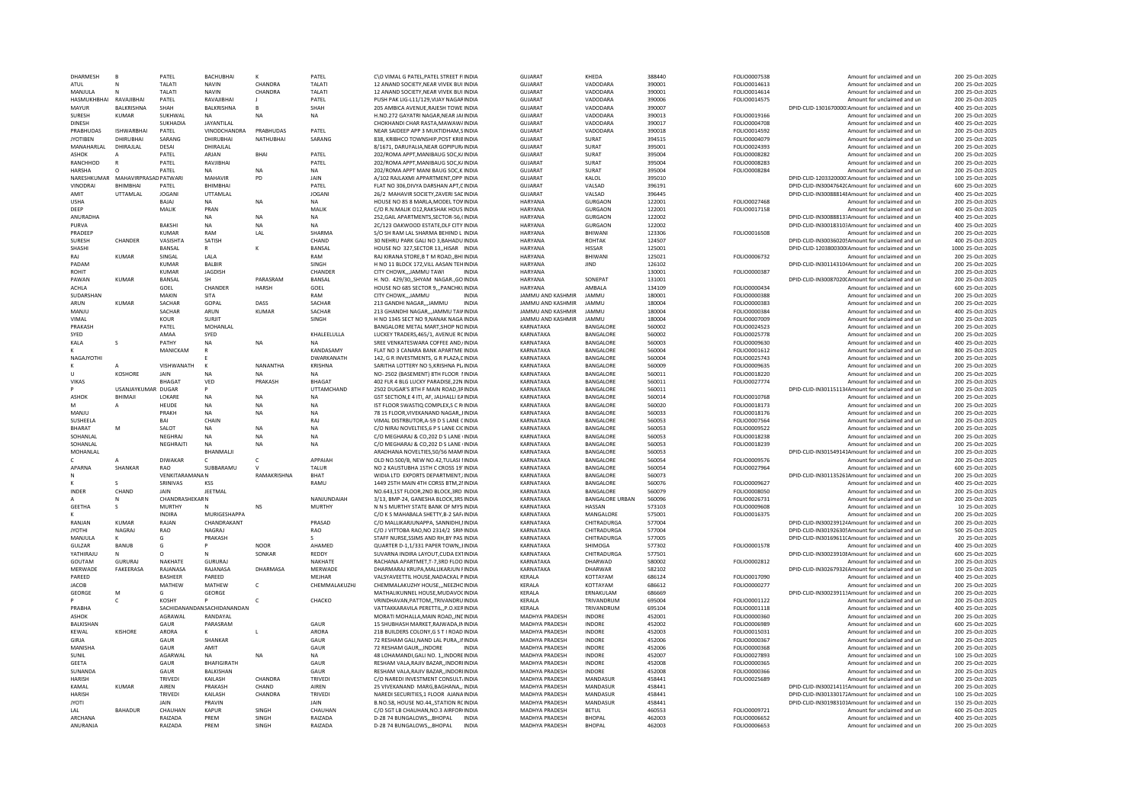| <b>DHARMESH</b>     |                       | PATEL                 | <b>BACHUBHAI</b>            |                | PATEL              | C\O VIMAL G PATEL.PATEL STREET FINDIA                                                 | GUIARAT                          | <b>KHEDA</b>                   | 388440           | FOLIO0007538                 | Amount for unclaimed and ur                                | 200 25-Oct-2025                    |
|---------------------|-----------------------|-----------------------|-----------------------------|----------------|--------------------|---------------------------------------------------------------------------------------|----------------------------------|--------------------------------|------------------|------------------------------|------------------------------------------------------------|------------------------------------|
| ATUL                |                       | ΤΔΙ ΔΤΙ               | <b>NAVIN</b>                | CHANDRA        | TALATI             | 12 ANAND SOCIETY.NEAR VIVEK BUI INDIA                                                 | GUIARAT                          | VADODARA                       | 390001           | FOLIO0014613                 | Amount for unclaimed and un                                | 200 25-Oct-2025                    |
| MANJULA             |                       | TALATI                | <b>NAVIN</b>                | CHANDRA        | TALATI             | 12 ANAND SOCIETY, NEAR VIVEK BUI INDIA                                                | GUJARAT                          | VADODARA                       | 390001           | FOLIO0014614                 | Amount for unclaimed and un                                | 200 25-Oct-2025                    |
| HASMUKHBHAI         | RAVAJIBHAI            | PATEL                 | RAVAJIBHAI                  |                | PATEL              | PUSH PAK LIG-L11/129, VIJAY NAGARINDIA                                                | GUJARAT                          | VADODARA                       | 390006           | FOLIO0014575                 | Amount for unclaimed and un                                | 200 25-Oct-2025                    |
| MAYUR               | BALKRISHNA            | SHAH                  | BALKRISHNA                  | B.             | SHAH               | 205 AMBICA AVENUE.RAJESH TOWE INDIA                                                   | <b>GUJARAT</b>                   | VADODARA                       | 390007           |                              | DPID-CLID-1301670000:Amount for unclaimed and un           | 400 25-Oct-2025                    |
| SURESH              | KUMAR                 | SUKHWAI               |                             | <b>NA</b>      | NA                 | H.NO.272 GAYATRI NAGAR, NEAR JAHNDIA                                                  | <b>GUJARAT</b>                   | VADODARA                       | 390013           | FOLIO0019166                 | Amount for unclaimed and un                                | 200 25-Oct-2025                    |
| <b>DINESH</b>       |                       | SUKHADIA              | <b>JAYANTILAI</b>           |                |                    | CHOKHANDI CHAR RASTA MAWAW/INDIA                                                      | GUIARAT                          | VADODARA                       | 390017           | <b>EOLIO0004708</b>          | Amount for unclaimed and un                                | 400 25-Oct-2025                    |
| PRABHUDAS           | <b>ISHWARBHAI</b>     | PATEL                 | VINODCHANDRA                | PRABHUDAS      | PATEL              | NEAR SAIDEEP APP 3 MUKTIDHAM.SINDIA                                                   | <b>GUJARAT</b>                   | VADODARA                       | 390018           | FOLIO0014592                 | Amount for unclaimed and un                                | 200 25-Oct-2025                    |
| <b>IYOTIREN</b>     | DHIRURHAL             | SARANG                | DHIRURHAI                   | NATHURHAI      | SARANG             | 838. KRIBHCO TOWNSHIP POST KRIBINDIA                                                  | GUIARAT                          | SURAT                          | 394515           | <b>EOLIO0004079</b>          | Amount for unclaimed and un                                | 200 25-Oct-2025                    |
| <b>MANAHARIAI</b>   | DHIRAILAL             | DESAI                 | DHIRAJLAL                   |                |                    | 8/1671, DARUFALIA, NEAR GOPIPUR/INDIA                                                 | GUIARAT                          | SURAT                          | 395001           | FOLIO0024393                 | Amount for unclaimed and un                                | 200 25-Oct-2025                    |
| <b>ASHOK</b>        |                       | PATEL                 | ARJAN                       | BHAI           | PATEL              | 202/ROMA APPT, MANIBAUG SOC, K/INDIA                                                  | <b>GUJARAT</b>                   | SURAT                          | 395004           | FOLIO0008282                 | Amount for unclaimed and un                                | 200 25-Oct-2025                    |
| RANCHHOD            |                       | PATEL                 | RAVJIBHAI                   |                | PATEL              | 202/ROMA APPT, MANIBAUG SOC, K/INDIA                                                  | <b>GUJARAT</b>                   | SURAT                          | 395004           | FOLIO0008283                 | Amount for unclaimed and un                                | 200 25-Oct-2025                    |
| HARSHA              |                       | PATEL                 | <b>NA</b>                   | <b>NA</b>      | <b>NA</b>          | 202/ROMA APPT MANI BAUG SOC, KINDIA                                                   | <b>GUJARAT</b>                   | SURAT                          | 395004           | FOLIO0008284                 | Amount for unclaimed and un                                | 200 25-Oct-2025                    |
| NARESHKUMAR         | MAHAVIRPRASAD PATWARI |                       | MAHAVIR                     | PD             | JAIN               | A/102 RAJLAXMI APPARTMENT.OPP INDIA                                                   | <b>GUJARAT</b>                   | KALOL                          | 395010           |                              | DPID-CLID-1203320000 Amount for unclaimed and un           | 100 25-Oct-2025                    |
| <b>VINODRA</b>      | <b>BHIMBHA</b>        | PATEL                 | <b>BHIMBHA</b>              |                | PATEL              | FLAT NO 306.DIVYA DARSHAN APT.CINDIA                                                  | <b>GUJARAT</b>                   | VALSAD                         | 396191           |                              | DPID-CLID-IN30047642(Amount for unclaimed and un           | 600 25-Oct-2025                    |
| AMIT                | UTTAMLAL              | <b>IOGANI</b>         | UTTAMLAL                    |                | <b>JOGANI</b>      | 26/2 MAHAVIR SOCIETY.ZAVERI SACINDIA                                                  | GUIARAT                          | <b>VALSAD</b>                  | 396445           |                              | DPID-CLID-IN30088814 Amount for unclaimed and un           | 400 25-Oct-2025                    |
| <b>USHA</b>         |                       | BAJAJ                 | <b>NA</b>                   | <b>NA</b>      | NA                 | HOUSE NO 85 8 MARLA MODEL TOVINDIA                                                    | <b>HARYANA</b>                   | GURGAON                        | 122001           | FOLIO0027468                 | Amount for unclaimed and un                                | 200 25-Oct-2025                    |
| DEEP                |                       | MALIK                 | PRAN                        |                | <b>MAI IK</b>      | C/O R.N.MALIK 012.RAKSHAK HOUS INDIA                                                  | HARYANA                          | GURGAON                        | 122001           | FOLIO0017158                 | Amount for unclaimed and un                                | 400 25-Oct-2025                    |
| ANURADHA            |                       |                       | <b>NA</b>                   | <b>NA</b>      | <b>NA</b>          | 252, GAIL APARTMENTS, SECTOR-56, CINDIA                                               | HARYANA                          | GURGAON                        | 122002           |                              | DPID-CLID-IN30088813;Amount for unclaimed and un           | 400 25-Oct-2025                    |
| PURVA               |                       | <b>BAKSHI</b>         | <b>NA</b>                   | <b>NA</b>      | <b>NA</b>          | 2C/123 OAKWOOD ESTATE, DLF CITY INDIA                                                 | <b>HARYANA</b>                   | GURGAON                        | 122002           |                              | DPID-CLID-IN30018310: Amount for unclaimed and un          | 400 25-Oct-2025                    |
| PRADEEP             |                       | <b>KUMAR</b>          | RAM                         | LAL            | SHARMA             | S/O SH RAM LAL SHARMA BEHIND L INDIA                                                  | HARYANA                          | BHIWANI                        | 123306           | FOLIO0016508                 | Amount for unclaimed and un                                | 200 25-Oct-2025                    |
| SURESH              | CHANDER               | VASISHTA              | SATISH                      |                | CHAND              | 30 NEHRU PARK GALI NO 3, BAHADU INDIA                                                 | HARYANA                          | ROHTAK                         | 124507           |                              | DPID-CLID-IN300360205Amount for unclaimed and un           | 400 25-Oct-2025                    |
| SHASHI              |                       | BANSAL                |                             |                | BANSAL             | HOUSE NO 327.SECTOR 13., HISAR INDIA                                                  | HARYANA                          | <b>HISSAR</b>                  | 125001           |                              | DPID-CLID-1203800300(Amount for unclaimed and un           | 1000 25-Oct-2025                   |
| RAI                 | <b>KUMAR</b>          | SINGAL                | LALA                        |                | RAM                | RAJ KIRANA STORE.B T M ROADBHI INDIA                                                  | HARYANA                          | BHIWAN                         | 125021           | FOLIO0006732                 | Amount for unclaimed and un                                | 200 25-Oct-2025                    |
| PADAM               |                       | KUMAR                 | <b>BALBIR</b>               |                | SINGH              | H NO 11 BLOCK 172. VILL AASAN TEH INDIA                                               | HARYANA                          | <b>IIND</b>                    | 126102           |                              | DPID-CLID-IN30114310(Amount for unclaimed and un           | 200 25-Oct-2025                    |
| ROHIT               |                       | KUMAR                 | JAGDISH                     |                | CHANDER            | CITY CHOWK,,,JAMMU TAWI<br><b>INDIA</b>                                               | HARYANA                          |                                | 130001           | FOLIO0000387                 | Amount for unclaimed and un                                | 200 25-Oct-2025                    |
| PAWAN               | KUMAR                 | BANSAL                | <b>SH</b>                   | PARASRAM       | BANSAL             | H. NO. 429/30, SHYAM NAGAR., GO INDIA                                                 | HARVANA                          | SONFPAT                        | 131001           |                              | DPID-CLID-IN30087020(Amount for unclaimed and un           | 200 25-Oct-2025                    |
| <b>ACHLA</b>        |                       | GOEL                  | CHANDER                     | <b>HARSH</b>   | GOEL               | HOUSE NO 685 SECTOR 9,,, PANCHKLINDIA                                                 | HARYANA                          | AMBALA                         | 134109           | FOLIO0000434                 | Amount for unclaimed and un                                | 600 25-Oct-2025                    |
| SUDARSHAN           |                       | MAKIN                 | SITA                        |                | RAM                | CITY CHOWKJAMMU<br><b>INDIA</b>                                                       | <b>JAMMU AND KASHMIF</b>         | <b>JAMMU</b>                   | 180001           | FOLIO0000388                 | Amount for unclaimed and un                                | 200 25-Oct-2025                    |
| ARUN                | <b>KUMAR</b>          | SACHAR                | GOPAL                       | DASS           | SACHAR             | 213 GANDHI NAGARJAMMU<br><b>INDIA</b>                                                 | JAMMU AND KASHMIR                | <b>JAMMU</b>                   | 180004           | FOLIO0000383                 | Amount for unclaimed and un                                | 200 25-Oct-2025                    |
| MANJU               |                       | SACHAR                | ARUN                        | KUMAR          | SACHAR             | 213 GHANDHI NAGAR,,,JAMMU TAVINDIA                                                    | JAMMU AND KASHMIR                | JAMMU                          | 180004           | FOLIO0000384                 | Amount for unclaimed and un                                | 400 25-Oct-2025                    |
| VIMAL               |                       | KOUR                  | SURIIT                      |                | SINGH              | H NO 1345 SECT NO 9 NANAK NAGA INDIA                                                  | JAMMU AND KASHMIR                | <b>JAMMU</b>                   | 180004           | FOLIO0007009                 | Amount for unclaimed and un                                | 200 25-Oct-2025                    |
| PRAKASH             |                       | PATEL                 | MOHANLAL                    |                |                    | BANGALORE METAL MART.SHOP NOINDIA                                                     | KARNATAKA                        | <b>BANGALORI</b>               | 560002           | FOLIO0024523                 | Amount for unclaimed and un                                | 200 25-Oct-2025                    |
| <b>SYED</b>         |                       | AMAA                  |                             |                | KHAI FFI UI LA     |                                                                                       | KARNATAKA                        | <b>BANGALORE</b>               | 560002           |                              |                                                            | 200 25-Oct-2025                    |
|                     |                       | PATHY                 | SYED                        | <b>NA</b>      |                    | LUCKEY TRADERS.465/1. AVENUE RCINDIA                                                  |                                  |                                | 560003           | FOLIO0025778                 | Amount for unclaimed and un                                |                                    |
| KALA                | -S                    |                       | <b>NA</b>                   |                |                    | SREE VENKATESWARA COFFEE AND, INDIA                                                   | KARNATAKA                        | BANGALORE                      |                  | FOLIO0009630                 | Amount for unclaimed and un                                | 400 25-Oct-2025                    |
|                     |                       | MANICKAM              |                             |                | KANDASAMY          | FLAT NO 3 CANARA BANK APARTME INDIA                                                   | KARNATAKA                        | BANGALORE                      | 560004           | FOLIO0001612                 | Amount for unclaimed and un                                | 800 25-Oct-2025                    |
| NAGAJYOTHI          |                       |                       |                             |                | DWARKANATH         | 142. G R INVESTMENTS, G R PLAZA, LINDIA                                               | KARNATAKA                        | BANGALORE                      | 560004           | FOLIO0025743                 | Amount for unclaimed and un                                | 200 25-Oct-2025                    |
|                     |                       | VISHWANATH            |                             | NANANTHA       | <b>KRISHNA</b>     | SARITHA LOTTERY NO 5, KRISHNA PL INDIA                                                | KARNATAKA                        | <b>BANGALORI</b>               | 560009           | FOLIO0009635                 | Amount for unclaimed and ur                                | 200 25-Oct-2025                    |
| $\mathbf{u}$        | KOSHORE               | JAIN                  | <b>NA</b>                   | <b>NA</b>      | <b>NA</b>          | NO- 2502 (BASEMENT) 8TH FLOOR 1INDIA                                                  | KARNATAKA                        | BANGALORE                      | 560011           | FOLIO0018220                 | Amount for unclaimed and un                                | 200 25-Oct-2025                    |
| <b>VIKAS</b>        |                       | <b>BHAGAT</b>         | VED                         | PRAKASH        | <b>BHAGAT</b>      | 402 FLR 4 BLG LUCKY PARADISE.22N INDIA                                                | KARNATAKA                        | BANGALORE                      | 560011           | FOLIO0027774                 | Amount for unclaimed and un                                | 200 25-Oct-2025                    |
|                     | USANJAYKUMAR DUGAR    |                       | <b>P</b>                    |                | <b>UTTAMCHAND</b>  | 2502 DUGAR'S 8TH F MAIN ROAD.3FINDIA                                                  | KARNATAKA                        | <b>BANGALORE</b>               | 560011           |                              | DPID-CLID-IN30115113/Amount for unclaimed and un           | 200 25-Oct-2025                    |
| <b>ASHOK</b>        | BHIMAJI               | LOKARI                | <b>NA</b>                   | <b>NA</b>      | NA                 | GST SECTION.E 4 ITI, AF, JALHALLI EAINDIA                                             | KARNATAKA                        | <b>BANGALORI</b>               | 560014           | FOLIO0010768                 | Amount for unclaimed and ur                                | 200 25-Oct-2025                    |
| M                   |                       | HEUDE                 | <b>NA</b>                   | NA             | <b>NA</b>          | IST FLOOR SWASTIQ COMPLEX S C RINDIA                                                  | KARNATAKA                        | <b>BANGALORE</b>               | 560020           | FOLIO0018173                 | Amount for unclaimed and un                                | 200 25-Oct-2025                    |
| MANIU               |                       | PRAKH                 | <b>NA</b>                   | <b>NA</b>      | NA                 | 78 1S FLOOR, VIVEKANAND NAGAR,, IINDIA                                                | KARNATAKA                        | BANGALORE                      | 560033           | FOLIO0018176                 | Amount for unclaimed and un                                | 200 25-Oct-2025                    |
| SUSHEELA            |                       | RAI                   | CHAIN                       |                | RAI                | VIMAL DISTRBUTOR, A-59 D S LANE CINDIA                                                | KARNATAKA                        | <b>BANGALORE</b>               | 560053           | FOLIO0007564                 | Amount for unclaimed and un                                | 200 25-Oct-2025                    |
| <b>BHARAT</b>       | M                     | SALOT                 | <b>NA</b>                   | <b>NA</b>      | <b>NA</b>          | C/O NIRAJ NOVELTIES.6 P S LANE CICINDIA                                               | KARNATAKA                        | BANGALORE                      | 560053           | FOLIO0009522                 | Amount for unclaimed and un                                | 200 25-Oct-2025                    |
| SOHANLAL            |                       | NEGHRAJ               | <b>NA</b>                   | <b>NA</b>      | NA                 | C/O MEGHARAJ & CO,202 D S LANE IINDIA                                                 | KARNATAKA                        | <b>BANGALORI</b>               | 560053           | FOLIO0018238                 | Amount for unclaimed and ur                                | 200 25-Oct-2025                    |
| SOHANI AI           |                       | NEGHRAJTI             | <b>NA</b>                   | <b>NA</b>      | <b>NA</b>          | C/O MEGHARAL & CO.202 D S LANE UNDIA                                                  | KARNATAKA                        | <b>BANGALORE</b>               | 560053           | FOLIO0018239                 | Amount for unclaimed and un                                | 200 25-Oct-2025                    |
| MOHANLAL            |                       |                       | BHANMALI                    |                |                    | ARADHANA NOVELTIES, 50/56 MAMIINDIA                                                   | KARNATAKA                        | <b>BANGALORI</b>               | 560053           |                              | DPID-CLID-IN301549141Amount for unclaimed and un           | 200 25-Oct-2025                    |
| c                   |                       | <b>DIWAKAR</b>        | c                           | $\epsilon$     | APPAIAH            | OLD NO.500/B, NEW NO.42, TULASI IINDIA                                                | KARNATAKA                        | <b>BANGALORE</b>               | 560054           | FOLIO0009576                 | Amount for unclaimed and un                                | 200 25-Oct-2025                    |
| APARNA              | <b>SHANKAR</b>        | RAO                   | SUBBARAMU                   |                | TALUR              | NO 2 KAUSTUBHA 15TH C CROSS 19' INDIA                                                 | KARNATAKA                        | <b>BANGALORE</b>               | 560054           | FOLIO0027964                 | Amount for unclaimed and un                                | 600 25-Oct-2025                    |
|                     |                       | <b>VENKITARAMANAN</b> |                             | RAMAKRISHNA    | <b>BHAT</b>        | WIDIA LTD EXPORTS DEPARTMENT. INDIA                                                   | KARNATAKA                        | <b>BANGALORE</b>               | 560073           |                              | DPID-CLID-IN301135261Amount for unclaimed and un           | 200 25-Oct-2025                    |
|                     | $\mathsf{s}$          | SRINIVAS              | KSS                         |                | RAMU               | 1449 25TH MAIN 4TH CORSS BTM, 21 INDIA                                                | KARNATAKA                        | BANGALORE                      | 560076           | FOLIO0009627                 | Amount for unclaimed and un                                | 400 25-Oct-2025                    |
| INDER               | CHAND                 | JAIN                  | JEETMAI                     |                |                    | NO.643,1ST FLOOR,2ND BLOCK,3RD INDIA                                                  | KARNATAKA                        | <b>BANGALORI</b>               | 560079           | FOLIO0008050                 | Amount for unclaimed and ur                                | 200 25-Oct-2025                    |
|                     | N                     | <b>CHANDRASHEKARN</b> |                             |                | NANJUNDAIAH        | 3/13, BMP-24, GANESHA BLOCK, 3RS INDIA                                                | KARNATAKA                        | <b>BANGALORE URBAN</b>         | 560096           | FOLIO0026731                 | Amount for unclaimed and un                                | 200 25-Oct-2025                    |
| <b>GEETHA</b>       |                       | <b>MURTHY</b>         |                             | <b>NS</b>      | <b>MURTHY</b>      | N N S MURTHY STATE BANK OF MYS INDIA                                                  | KARNATAKA                        | HASSAN                         | 573103           | FOLIO0009608                 | Amount for unclaimed and un                                | 10 25-Oct-2025                     |
|                     |                       | <b>INDIRA</b>         | MURIGESHAPPA                |                |                    | C/O K S MAHABALA SHETTY B-2 SAEJINDIA                                                 | KARNATAKA                        | MANGALORE                      | 575001           | FOLIO0016375                 | Amount for unclaimed and un                                | 200 25-Oct-2025                    |
| RANJAN              | <b>KUMAR</b>          | RAJAN                 | CHANDRAKANT                 |                | PRASAD             | C/O MALLIKARJUNAPPA, SANNIDHI, IINDIA                                                 | KARNATAKA                        | CHITRADURGA                    | 577004           |                              | DPID-CLID-IN300239124Amount for unclaimed and un           | 200 25-Oct-2025                    |
| <b>JYOTHI</b>       | NAGRAJ                | RAO                   | NAGRAJ                      |                | RAO                | C/O J VITTOBA RAO, NO 2314/2 SRININDIA                                                | KARNATAKA                        | CHITRADURGA                    | 577004           |                              | DPID-CLID-IN301926305Amount for unclaimed and un           | 500 25-Oct-2025                    |
| MANJULA             |                       | G                     | PRAKASH                     |                |                    | STAFF NURSE, SSIMS AND RH, BY PAS INDIA                                               | KARNATAKA                        | CHITRADURGA                    | 577005           |                              | DPID-CLID-IN30169611(Amount for unclaimed and un           | 20 25-Oct-2025                     |
| GUI ZAR             | BANUB                 | G                     |                             | <b>NOOR</b>    | AHAMED             | QUARTER D-1.1/331 PAPER TOWN INDIA                                                    | KARNATAKA                        | SHIMOGA                        | 577302           | FOLIO0001578                 | Amount for unclaimed and un                                | 400 25-Oct-2025                    |
| YATHIRAJU           | <b>N</b>              | $\Omega$              | <b>N</b>                    | SONKAR         | REDDY              | SUVARNA INDIRA LAYOUT.CUDA EXTINDIA                                                   | KARNATAKA                        | CHITRADURGA                    | 577501           |                              | DPID-CLID-IN30023910{Amount for unclaimed and un           | 600 25-Oct-2025                    |
| GOUTAM              | <b>GURURAJ</b>        | NAKHATE               | GURURAJ                     |                | NAKHATE            | RACHANA APARTMET, T-7,3RD FLOO INDIA                                                  | KARNATAKA                        | DHARWAD                        | 580002           | FOLIO0002812                 | Amount for unclaimed and un                                | 200 25-Oct-2025                    |
| MERWADE             | FAKEERASA             | RAJANASA              | RAJANASA                    | DHARMASA       | MERWADE            | DHARMARAJ KRUPA, MALLIKARJUN FINDIA                                                   | KARNATAKA                        | <b>DHARWAR</b>                 | 582102           |                              | DPID-CLID-IN30267932fAmount for unclaimed and un           | 100 25-Oct-2025                    |
| PAREED              |                       | <b>BASHEER</b>        | PAREED                      |                | MEJHAF             | VALSYAVEETTIL HOUSE, NADACKAL PINDIA                                                  | KERALA                           | KOTTAYAM                       | 686124           | FOLIO0017090                 | Amount for unclaimed and un                                | 400 25-Oct-2025                    |
| <b>JACOB</b>        |                       | MATHEW                | MATHEW                      | $\epsilon$     | CHEMMALAKUZHJ      | CHEMMALAKUZHY HOUSE,,,NEEZHCINDIA                                                     | <b>KFRAIA</b>                    | KOTTAYAM                       | 686612           | FOLIO0000277                 | Amount for unclaimed and un                                | 200 25-Oct-2025                    |
| GEORGE              | M                     | G                     | GEORGE                      |                |                    | MATHALIKUNNEL HOUSE, MUDAVOC INDIA                                                    | KERALA                           | ERNAKULAM                      | 686669           |                              | DPID-CLID-IN30023911;Amount for unclaimed and un           | 200 25-Oct-2025                    |
|                     | $\mathsf{C}$          | KOSHY                 |                             |                | CHACKO             | VRINDHAVAN, PATTOM, , TRIVANDRU INDIA                                                 | <b>KFRAIA</b>                    | TRIVANDRUM                     | 695004           | FOLIO0001122                 | Amount for unclaimed and un                                | 200 25-Oct-2025                    |
| PRARHA              |                       |                       | SACHIDANANDAN SACHIDANANDAN |                |                    | VATTAKKARAVILA PERETTILP.O.KERINDIA                                                   | <b>KFRAIA</b>                    | TRIVANDRUM                     | 695104           | FOLIO0001118                 | Amount for unclaimed and un                                | 400 25-Oct-2025                    |
| ASHOK               |                       | AGRAWAL               | RANDAYAL                    |                |                    | MORATI MOHALLA, MAIN ROAD,, INCINDIA                                                  | MADHYA PRADESH                   | INDORE                         | 452001           | FOLIO0000360                 | Amount for unclaimed and ur                                | 200 25-Oct-2025                    |
| <b>BALKISHAN</b>    |                       | GAUR                  | PARASRAM                    |                | GAUR               | 15 SHUBHASH MARKET.RAJWADA.IN INDIA                                                   | <b>MADHYA PRADESH</b>            | <b>INDORE</b>                  | 452002           | FOLIO0006989                 | Amount for unclaimed and un                                | 600 25-Oct-2025                    |
| KEWAL               | KISHORE               | ARORA                 |                             |                | ARORA              | 21B BUILDERS COLONY, G S T I ROAD INDIA                                               | MADHYA PRADESH                   | INDORE                         | 452003           | FOLIO0015031                 | Amount for unclaimed and un                                | 200 25-Oct-2025                    |
| GIRIA               |                       | GAUR                  | SHANKAR                     |                | GAUR               | 72 RESHAM GALI.NAND LAL PURA II INDIA                                                 | <b>MADHYA PRADESH</b>            | <b>INDORF</b>                  | 452006           | FOLIO0000367                 | Amount for unclaimed and un                                | 200 25-Oct-2025                    |
| MANISHA             |                       | GAUR                  | AMIT                        |                | GAUR               | 72 RESHAM GAURINDORE                                                                  | MADHYA PRADESH                   | INDORE                         | 452006           | FOLIO0000368                 | Amount for unclaimed and un                                | 200 25-Oct-2025                    |
| SUNIL               |                       | AGARWAI               | <b>NA</b>                   | <b>NA</b>      | <b>NA</b>          | 48 LOHAMANDI.GALI NO. 1. INDORE INDIA                                                 | <b>MADHYA PRADESH</b>            | <b>INDORF</b>                  | 452007           | FOLIO0027893                 | Amount for unclaimed and un                                | 100 25-Oct-2025                    |
| <b>GEETA</b>        |                       | GAUR                  | <b>BHAFIGIRATH</b>          |                | GAUR               | RESHAM VALA, RAJIV BAZAR, , INDORI INDIA                                              | MADHYA PRADESH                   | <b>INDORE</b>                  | 452008           | FOLIO0000365                 | Amount for unclaimed and un                                | 200 25-Oct-2025                    |
| SUNANDA             |                       | GAUR                  | BALKISHAN                   |                | GAUR               | RESHAM VALA, RAJIV BAZAR, , INDORI INDIA                                              | MADHYA PRADESH                   | <b>INDORE</b>                  | 452008           | FOLIO0000366                 | Amount for unclaimed and un                                | 200 25-Oct-2025                    |
| <b>HARISH</b>       |                       | TRIVED                | <b>KAILASH</b>              | CHANDRA        | <b>TRIVEDI</b>     | C/O NAREDI INVESTMENT CONSULT INDIA                                                   | <b>MADHYA PRADESH</b>            | MANDASUR                       | 458441           | FOLIO0025689                 | Amount for unclaimed and un                                | 200 25-Oct-2025                    |
| KAMAL               | <b>KUMAR</b>          | AIREN                 | PRAKASH                     | CHAND          | AIRFN              | 25 VIVEKANAND MARG, BAGHANA,, INDIA                                                   | MADHYA PRADESH                   | MANDASUF                       | 458441           |                              | DPID-CLID-IN300214115Amount for unclaimed and un           | 200 25-Oct-2025                    |
| HARISH              |                       | TRIVEDI               | KAILASH                     | CHANDRA        | <b>TRIVEDI</b>     | NAREDI SECURITIES.1 FLOOR AJANA INDIA                                                 | <b>MADHYA PRADESH</b>            | MANDASUR                       | 458441           |                              | DPID-CLID-IN30133017; Amount for unclaimed and un          | 100 25-Oct-2025                    |
|                     |                       |                       |                             |                |                    |                                                                                       |                                  |                                |                  |                              |                                                            |                                    |
|                     |                       |                       |                             |                |                    |                                                                                       |                                  |                                |                  |                              |                                                            |                                    |
| <b>JYOTI</b>        |                       | JAIN                  | PRAVIN                      |                | JAIN               | B.NO.58, HOUSE NO.44,, STATION RCINDIA                                                | MADHYA PRADESH                   | MANDASUR                       | 458441           |                              | DPID-CLID-IN301983101Amount for unclaimed and un           | 150 25-Oct-2025                    |
| IAI                 | <b>BAHADUR</b>        | CHAUHAN               | KAPUR                       | SINGH          | CHAUHAN            | C/O SGT LB CHAUHAN.NO.3 AIRFORUNDIA                                                   | <b>MADHYA PRADESH</b>            | <b>BFTUL</b>                   | 460553           | FOLIO0009721                 | Amount for unclaimed and un                                | 600 25-Oct-2025                    |
| ARCHANA<br>ANURANJA |                       | RAIZADA<br>RAIZADA    | PREM<br>PRFM                | SINGH<br>SINGH | RAIZADA<br>RAIZADA | D-28 74 BUNGALOWSBHOPAL<br><b>INDIA</b><br>D-28 74 BUNGALOWS,,,BHOPAL<br><b>INDIA</b> | MADHYA PRADESH<br>MADHYA PRADESH | <b>BHOPAL</b><br><b>BHOPAL</b> | 462003<br>462003 | FOLIO0006652<br>FOLIO0006653 | Amount for unclaimed and un<br>Amount for unclaimed and un | 400 25-Oct-2025<br>200 25-Oct-2025 |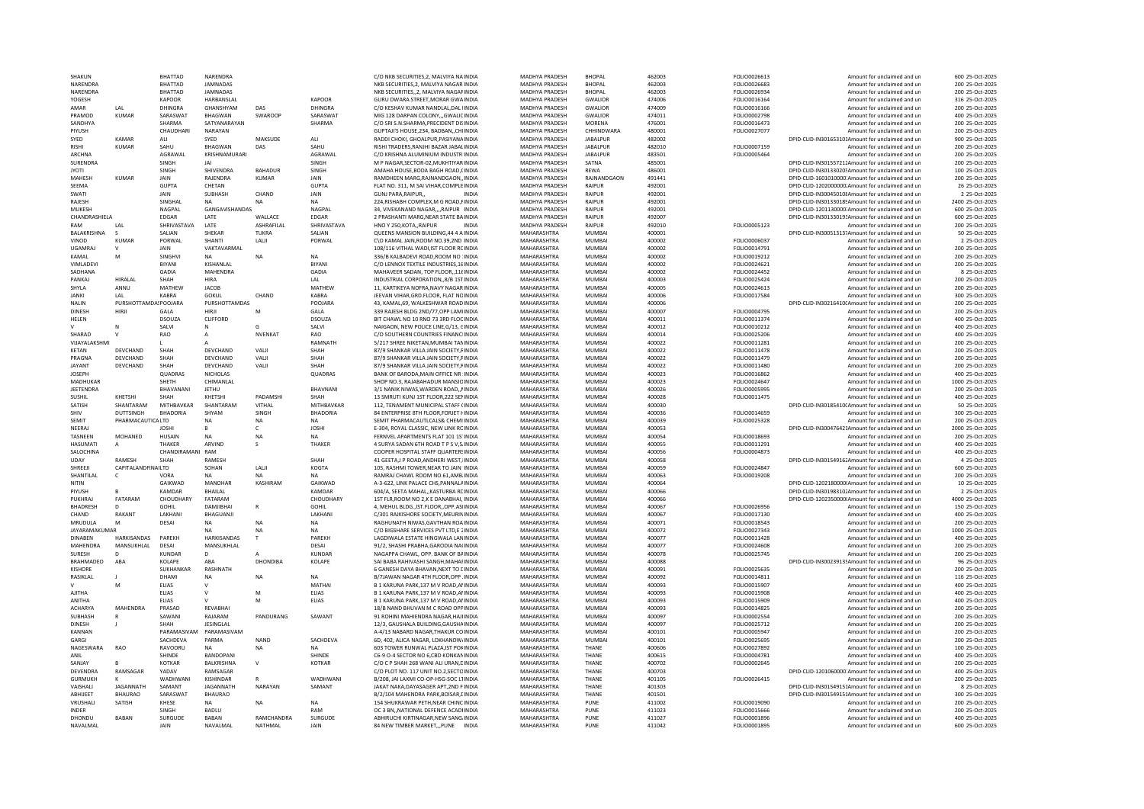| SHAKUN               |                       | <b>BHATTAD</b>          | <b>NARENDRA</b>           |                       |                        | C/O NKB SECURITIES.2. MALVIYA NA INDIA                                         | <b>MADHYA PRADESE</b>      | <b>BHOPAL</b>    | 462003           | FOLIO0026613                 | Amount for unclaimed and ur                                | 600 25-Oct-2025                    |
|----------------------|-----------------------|-------------------------|---------------------------|-----------------------|------------------------|--------------------------------------------------------------------------------|----------------------------|------------------|------------------|------------------------------|------------------------------------------------------------|------------------------------------|
| <b>NARENDRA</b>      |                       | RHATTAD                 | JAMNADAS                  |                       |                        | NKB SECURITIES.2. MALVIYA NAGAR INDIA                                          | <b>MADHYA PRADESH</b>      | <b>BHOPAL</b>    | 462003           | FOLIO0026683                 | Amount for unclaimed and un                                | 200 25-Oct-2025                    |
| NARENDRA             |                       | <b>BHATTAD</b>          | <b>JAMNADAS</b>           |                       |                        | NKB SECURITIES,,2, MALVIYA NAGAFINDIA                                          | MADHYA PRADESH             | <b>BHOPAL</b>    | 462003           | FOLIO0026934                 | Amount for unclaimed and un                                | 200 25-Oct-2025                    |
| YOGESH               |                       | <b>KAPOOR</b>           | HARBANSLAL                |                       | KAPOOR                 | GURU DWARA STREET, MORAR GWAINDIA                                              | MADHYA PRADESH             | GWALIOR          | 474006           | FOLIO0016164                 | Amount for unclaimed and un                                | 316 25-Oct-2025                    |
| AMAR                 | I AI                  | DHINGRA                 | GHANSHYAM                 | DAS                   | DHINGRA                | C/O KESHAV KUMAR NANDLAL, DAL IINDIA                                           | MADHYA PRADESH             | GWALIOR          | 474009           | FOLIO0016166                 | Amount for unclaimed and un                                | 200 25-Oct-2025                    |
| PRAMOD               | <b>KUMAR</b>          | SARASWAT                | <b>BHAGWAN</b>            | SWAROOP               | SARASWAT               | MIG 128 DARPAN COLONY,,,GWALIC INDIA                                           | MADHYA PRADESH             | <b>GWALIOR</b>   | 474011           | FOLIO0002798                 | Amount for unclaimed and un                                | 400 25-Oct-2025                    |
| SANDHYA              |                       | SHARMA                  | SATYANARAYAN              |                       | SHARMA                 | C/O SRLS.N.SHARMA.PRECIDENT DISINDIA                                           | <b>MADHYA PRADESH</b>      | MORFNA           | 476001           | FOLIO0016473                 | Amount for unclaimed and un                                | 200 25-Oct-2025                    |
| PIYUSH               |                       | CHAUDHARI               | NARAYAN                   |                       |                        | GUPTAJI'S HOUSE.234, BADBAN., CHIINDIA                                         | <b>MADHYA PRADESH</b>      | CHHINDWARA       | 480001           | FOLIO0027077                 | Amount for unclaimed and un                                | 200 25-Oct-2025                    |
| SYED                 | KAMAR                 | AII.                    | <b>SYED</b>               | MAKSUDE               | AII                    | RADDI CHOKL GHOAI PUR PASIYANA INDIA                                           | <b>MADHYA PRADESH</b>      | <b>JABAI PUR</b> | 482002           |                              | DPID-CUD-IN301653101Amount for unclaimed and un            | 900 25-Oct-2025                    |
| <b>RISHI</b>         | <b>KUMAR</b>          | SAHU                    | <b>BHAGWAN</b>            | DAS                   | SAHU                   | RISHI TRADERS, RANJHI BAZAR JABALINDIA                                         | <b>MADHYA PRADESH</b>      | <b>JABALPUR</b>  | 482010           | FOLIO0007159                 | Amount for unclaimed and un                                | 200 25-Oct-2025                    |
| <b>ARCHNA</b>        |                       | AGRAWAI                 | KRISHNAMURARI             |                       | AGRAWAI                | C/O KRISHNA ALUMINIUM INDUSTRINDIA                                             | <b>MADHYA PRADESH</b>      | <b>JARAI PUR</b> | 483501           | FOLIO0005464                 | Amount for unclaimed and un                                | 200 25-Oct-2025                    |
| <b>SURENDRA</b>      |                       | SINGH                   | JAI                       |                       | SINGH                  | M P NAGAR, SECTOR-02, MUKHTIYAR INDIA                                          | MADHYA PRADESH             | SATNA            | 485001           |                              | DPID-CLID-IN301557212Amount for unclaimed and un           | 200 25-Oct-2025                    |
| <b>JYOTI</b>         |                       | SINGH                   | SHIVENDRA                 | <b>BAHADUR</b>        | SINGH                  | AMAHA HOUSE, BODA BAGH ROAD, CINDIA                                            | MADHYA PRADESH             | <b>REWA</b>      | 486001           |                              | DPID-CLID-IN301330205Amount for unclaimed and un           | 100 25-Oct-2025                    |
| MAHESH               | KUMAR                 | <b>JAIN</b>             | RAJENDRA                  | <b>KUMAR</b>          | JAIN                   | RAMDHEEN MARG.RAJNANDGAONINDIA                                                 | MADHYA PRADESH             | RAJNANDGAON      | 491441           |                              | DPID-CLID-1601010000:Amount for unclaimed and un           | 200 25-Oct-2025                    |
| <b>SEEMA</b>         |                       | GUPTA                   | CHETAN                    |                       | GUPT/                  | FLAT NO. 311. M SAI VIHAR.COMPLE INDIA                                         | <b>MADHYA PRADESH</b>      | RAIPUR           | 492001           |                              | DPID-CLID-1202000000;Amount for unclaimed and ur           | 26 25-Oct-2025                     |
| SWATI                |                       | <b>JAIN</b>             | <b>SUBHASH</b>            | CHAND                 | <b>JAIN</b>            | GUNI PARA RAIPUR.<br><b>INDIA</b>                                              | <b>MADHYA PRADESH</b>      | RAIPUR           | 492001           |                              | DPID-CLID-IN30045010 Amount for unclaimed and un           | 2.25-0ct-2025                      |
| RAJESH               |                       | SINGHAL                 | <b>NA</b>                 | NA                    | <b>NA</b>              | 224, RISHABH COMPLEX, M G ROAD, FINDIA                                         | MADHYA PRADESH             | RAIPUR           | 492001           |                              | DPID-CLID-IN301330185Amount for unclaimed and un           | 2400 25-Oct-2025                   |
| <b>MUKESH</b>        |                       | NAGPAL                  | <b>GANGAVISHANDAS</b>     |                       | NAGPAL                 | 34. VIVEKANAND NAGARRAIPUR INDIA                                               | <b>MADHYA PRADESH</b>      | RAIPUR           | 492001           |                              | DPID-CLID-1201130000:Amount for unclaimed and un           | 600 25-Oct-2025                    |
| CHANDRASHIELA        |                       | EDGAR                   | LATE                      | WALLACE               | EDGAR                  | 2 PRASHANTI MARG.NEAR STATE BAINDIA                                            | MADHYA PRADESH             | RAIPUR           | 492007           |                              | DPID-CLID-IN30133019: Amount for unclaimed and un          | 600 25-Oct-2025                    |
| RAM                  | A                     | SHRIVASTAVA             | LATE                      | <b>ASHRAFILAI</b>     | SHRIVASTAVA            | HNO Y 250, KOTA., RAIPUR<br><b>INDIA</b>                                       | MADHYA PRADESH             | RAIPUR           | 492010           | FOLIO0005123                 | Amount for unclaimed and un                                | 200 25-Oct-2025                    |
| BALAKRISHNA          | $\mathbf{S}$          | SALIAN                  | SHEKAR                    | <b>TUKRA</b>          | SALIAN                 | QUEENS MANSION BUILDING, 44 A INDIA                                            | MAHARASHTRA                | <b>MUMBAI</b>    | 400001           |                              | DPID-CLID-IN300513137Amount for unclaimed and un           | 50 25-Oct-2025                     |
| VINOD                | <b>KUMAR</b>          | PORWAL                  | SHANTI                    | LALJI                 | PORWAL                 | C\O KAMAL JAIN, ROOM NO.39, 2ND INDIA                                          | MAHARASHTRA                | <b>MUMBAI</b>    | 400002           | FOLIO0006037                 | Amount for unclaimed and un                                | 2 25-Oct-2025                      |
| LIGAMRAI             | $\vee$                | <b>JAIN</b>             | VAKTAVARMAI               |                       |                        | 108/116 VITHAL WADI, IST FLOOR RCINDIA                                         | MAHARASHTRA                | MUMBAL           | 400002           | FOLIO0014791                 | Amount for unclaimed and un                                | 200 25-Oct-2025                    |
| KAMAL                | м                     | SINGHVI                 | <b>NA</b>                 | <b>NA</b>             | <b>NA</b>              | 336/B KALBADEVI ROAD.ROOM NO : INDIA                                           | MAHARASHTRA                | MUMBAI           | 400002           | FOLIO0019212                 | Amount for unclaimed and un                                | 200 25-Oct-2025                    |
| <b>VIMI ADFVI</b>    |                       | <b>BIYANI</b>           | <b>KISHANI AI</b>         |                       | <b>BIYANI</b>          | C/O LENNOX TEXTILE INDUSTRIES 16 INDIA                                         | MAHARASHTRA                | MUMBAI           | 400002           | FOLIO0024621                 | Amount for unclaimed and un                                | 200 25-Oct-2025                    |
|                      |                       |                         |                           |                       |                        |                                                                                |                            |                  |                  |                              |                                                            |                                    |
| SADHANA              |                       | GADIA                   | MAHENDRA                  |                       | GADIA                  | MAHAVEER SADAN, TOP FLOOR,,116 INDIA                                           | MAHARASHTRA                | <b>MUMBAI</b>    | 400002           | FOLIO0024452                 | Amount for unclaimed and un                                | 8 25-Oct-2025                      |
| PANKAI               | HIRAI AI              | SHAH                    | <b>HIRA</b>               |                       | A                      | INDUSTRIAL CORPORATION8/B 1ST INDIA                                            | MAHARASHTRA                | MUMBAI           | 400003           | FOLIO0025424                 | Amount for unclaimed and un                                | 200 25-Oct-2025                    |
| SHYLA                | ANNU                  | MATHEW                  | <b>JACOB</b>              |                       | MATHEW                 | 11. KARTIKEYA NOFRA.NAVY NAGAR INDIA                                           | MAHARASHTRA                | <b>MUMBAI</b>    | 400005           | FOLIO0024613                 | Amount for unclaimed and un                                | 200 25-Oct-2025                    |
| <b>JANKI</b>         | LAL                   | KARRA                   | GOKUL                     | CHAND                 | KABRA                  | JEEVAN VIHAR.GRD.FLOOR. FLAT NOINDIA                                           | MAHARASHTRA                | <b>MUMBAI</b>    | 400006           | FOLIO0017584                 | Amount for unclaimed and un                                | 300 25-Oct-2025                    |
| NALIN                | PURSHOTTAMDA! POOJARA |                         | PURSHOTTAMDAS             |                       | POOJARA                | 43. KAMAL.69. WALKESHWAR ROAD INDIA                                            | MAHARASHTRA                | MUMBAI           | 400006           |                              | DPID-CLID-IN30216410(Amount for unclaimed and un           | 200 25-Oct-2025                    |
| <b>DINESH</b>        | <b>HIRII</b>          | GALA                    | <b>HIRII</b>              | M                     | GALA                   | 339 RAJESH BLDG 2ND/77,OPP LAMIINDIA                                           | MAHARASHTRA                | <b>MUMBAI</b>    | 400007           | FOLIO0004795                 | Amount for unclaimed and un                                | 200 25-Oct-2025                    |
| <b>HFIFN</b>         |                       | <b>DSOUZA</b>           | CLIFFORD                  |                       | DSOUZA                 | BIT CHAWL NO 10 RNO 73 3RD FLOCINDIA                                           | MAHARASHTRA                | MUMBAI           | 400011           | FOLIO0011374                 | Amount for unclaimed and un                                | 400 25-Oct-2025                    |
|                      |                       | SALVI                   | Ν                         | G                     | SALVI                  | NAIGAON, NEW POLICE LINE, G/13, CINDIA                                         | MAHARASHTRA                | MUMBAI           | 400012           | FOLIO0010212                 | Amount for unclaimed and ur                                | 400 25-Oct-2025                    |
| SHARAD               |                       | RAO                     | A                         | NVENKAT               | RAO                    | C/O SOUTHERN COUNTRIES FINANCIINDIA                                            | MAHARASHTRA                | <b>MUMBAI</b>    | 400014           | FOLIO0025206                 | Amount for unclaimed and un                                | 400 25-Oct-2025                    |
| VIJAYALAKSHM         |                       |                         |                           |                       | RAMNATH                | 5/217 SHREE NIKETAN, MUMBAI TANINDIA                                           | MAHARASHTRA                | <b>MUMBAI</b>    | 400022           | FOLIO0011281                 | Amount for unclaimed and un                                | 200 25-Oct-2025                    |
| KFTAN                | <b>DEVCHAND</b>       | SHAH                    | <b>DEVCHAND</b>           | VAI II                | SHAH                   | 87/9 SHANKAR VILLA JAIN SOCIETY.FINDIA                                         | MAHARASHTRA                | MUMBAI           | 400022           | FOLIO0011478                 | Amount for unclaimed and un                                | 200 25-Oct-2025                    |
| PRAGNA               | <b>DEVCHAND</b>       | SHAH                    | DEVCHAND                  | VAI II                | SHAH                   | 87/9 SHANKAR VILLA JAIN SOCIETY.FINDIA                                         | MAHARASHTRA                | MUMBAI           | 400022           | FOLIO0011479                 | Amount for unclaimed and un                                | 200 25-Oct-2025                    |
| JAYANT               | DEVCHAND              | SHAH                    | DEVCHAND                  | VALI                  | SHAH                   | 87/9 SHANKAR VILLA JAIN SOCIETY, FINDIA                                        | MAHARASHTRA                | MUMBAI           | 400022           | FOLIO0011480                 | Amount for unclaimed and un                                | 200 25-Oct-2025                    |
| <b>JOSEPH</b>        |                       | <b>OUADRAS</b>          | NICHOLAS                  |                       | QUADRAS                | BANK OF BARODA, MAIN OFFICE NR : INDIA                                         | MAHARASHTRA                | MUMBAI           | 400023           | FOLIO0016862                 | Amount for unclaimed and un                                | 400 25-Oct-2025                    |
| MADHUKAF             |                       | SHETH                   | CHIMANLAL                 |                       |                        | SHOP NO.3, RAJABAHADUR MANSIOINDIA                                             | MAHARASHTRA                | <b>MUMBAI</b>    | 400023           | FOLIO0024647                 | Amount for unclaimed and un                                | 1000 25-Oct-2025                   |
|                      |                       | <b>BHAVANANI</b>        | <b>IFTHU</b>              |                       | <b>BHAVNANI</b>        | 3/1 NANIK NIWAS WARDEN ROAD. NINDIA                                            | MAHARASHTRA                | MUMBAI           | 400026           | <b>EOLIO0005995</b>          | Amount for unclaimed and un                                | 200 25-Oct-2025                    |
| <b>IFFTFNDRA</b>     |                       |                         |                           |                       |                        |                                                                                |                            |                  |                  |                              |                                                            |                                    |
|                      | KHETSH                | SHAH                    | KHETSHI                   | PADAMSHI              | SHAH                   |                                                                                |                            | <b>MUMBAI</b>    |                  |                              |                                                            |                                    |
| SUSHIL               | SHANTARAM             | MITHBAVKAR              |                           | VITHAI                | MITHRAVKAR             | 13 SMRUTI KUNJ 1ST FLOOR, 222 SENINDIA<br>112. TENAMENT MUNICIPAL STAFF (INDIA | MAHARASHTRA<br>MAHARASHTRA | MUMBAL           | 400028           | FOLIO0011475                 | Amount for unclaimed and ur                                | 400 25-Oct-2025                    |
| SATISH               |                       |                         | SHANTARAM                 |                       |                        |                                                                                |                            |                  | 400030           |                              | DPID-CLID-IN30185410(Amount for unclaimed and un           | 50 25-Oct-2025                     |
| SHIV                 | <b>DUTTSINGH</b>      | <b>BHADORIA</b>         | SHYAM                     | SINGH                 | <b>BHADORIA</b>        | 84 ENTERPRISE 8TH FLOOR, FORJET HINDIA                                         | MAHARASHTRA                | <b>MUMBAI</b>    | 400036           | FOLIO0014659                 | Amount for unclaimed and un                                | 300 25-Oct-2025                    |
| SEMIT                | PHARMACAUTICA LTD     |                         | <b>NA</b>                 | <b>NA</b>             | <b>NA</b>              | SEMIT PHARMACAUTLCALS& CHEMI INDIA                                             | MAHARASHTRA                | MUMBAI           | 400039           | FOLIO0025328                 | Amount for unclaimed and un                                | 200 25-Oct-2025                    |
| NFFRAI               |                       | <b>IOSHI</b>            | R                         | c.                    | <b>JOSHI</b>           | E-304, ROYAL CLASSIC, NEW LINK RCINDIA                                         | MAHARASHTRA                | MUMBAI           | 400053           |                              | DPID-CLID-IN300476421Amount for unclaimed and un           | 2000 25-Oct-2025                   |
| <b>TASNEEN</b>       | MOHANED               | <b>HUSAIN</b>           | <b>NA</b>                 | <b>NA</b>             | <b>NA</b>              | FERNVEL APARTMENTS FLAT 101 1S'INDIA                                           | MAHARASHTRA                | MUMBAI           | 400054           | FOLIO0018693                 | Amount for unclaimed and un                                | 200 25-Oct-2025                    |
| <b>HASUMATI</b>      |                       | THAKFR                  | ARVIND                    | ς                     | <b>THAKER</b>          | 4 SURYA SADAN 6TH ROAD T P S V.S. INDIA                                        | MAHARASHTRA                | MUMBAI           | 400055           | FOI IO0011291                | Amount for unclaimed and un                                | 400 25-Oct-2025                    |
| SALOCHINA            |                       | CHANDIRAMANI RAM        |                           |                       |                        | COOPER HOSPITAL STAFF QUARTERSINDIA                                            | MAHARASHTRA                | MUMBAI           | 400056           | FOLIO0004873                 | Amount for unclaimed and un                                | 400 25-Oct-2025                    |
| <b>UDAY</b>          | RAMESH                | SHAH                    | RAMESH                    |                       | SHAH                   | 41 GEETAJ P ROAD, ANDHERI WEST, IINDIA                                         | MAHARASHTRA                | <b>MUMBAI</b>    | 400058           |                              | DPID-CLID-IN301549162Amount for unclaimed and un           | 4 25-Oct-2025                      |
| SHREEJI              | CAPITALANDFINA LTD    |                         | SOHAN                     | LALII                 | KOGTA                  | 105, RASHMI TOWER, NEAR TO JAIN INDIA                                          | MAHARASHTRA                | <b>MUMBAI</b>    | 400059           | FOLIO0024847                 | Amount for unclaimed and un                                | 600 25-Oct-2025                    |
| SHANTILAL            | c                     | VORA                    | <b>NA</b>                 | <b>NA</b>             | <b>NA</b>              | RAMRAJ CHAWL ROOM NO.61.AMB INDIA                                              | MAHARASHTRA                | MUMBAI           | 400063           | FOLIO0019208                 | Amount for unclaimed and un                                | 200 25-Oct-2025                    |
| NITIN                |                       | <b>GAIKWAD</b>          | MANOHAR                   | KASHIRAM              | GAIKWAD                | A-3-622, LINK PALACE CHS, PANNALA INDIA                                        | MAHARASHTRA                | <b>MUMBAI</b>    | 400064           |                              | DPID-CLID-1202180000IAmount for unclaimed and un           | 10 25-Oct-2025                     |
| PIYUSH               |                       | KAMDAR                  | <b>BHAILAL</b>            |                       | KAMDAR                 | 604/A. SEETA MAHALKASTURBA RCINDIA                                             | MAHARASHTRA                | <b>MUMBAI</b>    | 400066           |                              | DPID-CLID-IN301983102Amount for unclaimed and un           | 2 25-Oct-2025                      |
| PUKHRAJ              | FATARAM               | CHOUDHARY               | FATARAM                   |                       | CHOUDHARY              | 1ST FLR, ROOM NO 2, K E DANABHAI, INDIA                                        | MAHARASHTRA                | MUMBAI           | 400066           |                              | DPID-CLID-1202350000IAmount for unclaimed and un           | 4000 25-Oct-2025                   |
| <b>BHADRESH</b>      | D.                    | GOHIL                   | DAMJIBHAI                 |                       | GOHII                  | 4, MEHUL BLDG., IST.FLOOR,, OPP.ASIINDIA                                       | MAHARASHTRA                | MUMBAI           | 400067           | FOLIO0026956                 | Amount for unclaimed and un                                | 150 25-Oct-2025                    |
| CHAND                | RAKANT                | LAKHANI                 | BHAGUANJI                 |                       | LAKHANI                | C/301 RAJKISHORE SOCIETY.MEURININDIA                                           | MAHARASHTRA                | <b>MUMBAI</b>    | 400067           | FOLIO0017130                 | Amount for unclaimed and un                                | 400 25-Oct-2025                    |
| MRUDULA              | M                     | DESAI                   | <b>NA</b>                 | <b>NA</b>             | NA                     | RAGHUNATH NIWAS, GAVTHAN ROA INDIA                                             | MAHARASHTRA                | MUMBAI           | 400071           | FOLIO0018543                 | Amount for unclaimed and un                                | 200 25-Oct-2025                    |
| <b>IAYARAMAKUMAR</b> |                       |                         | <b>NA</b>                 | <b>NA</b>             | <b>NA</b>              | C/O BIGSHARE SERVICES PVT LTD.E 2INDIA                                         | MAHARASHTRA                | MUMBAI           | 400072           | FOLIO0027343                 | Amount for unclaimed and un                                | 1000 25-Oct-2025                   |
| <b>DINABEN</b>       | <b>HARKISANDAS</b>    | PAREKH                  | <b>HARKISANDAS</b>        | T                     | PAREKH                 | LAGDIWALA ESTATE HINGWALA LANINDIA                                             | MAHARASHTRA                | <b>MUMBAI</b>    | 400077           | FOLIO0011428                 | Amount for unclaimed and un                                | 400 25-Oct-2025                    |
| MAHFNDRA             | MANSUKHI AI           | DESAL                   | MANSUKHI AI               |                       | DESAI                  | 91/2. SHASHI PRABHA GARODIA NACINDIA                                           | MAHARASHTRA                | MUMBAI           | 400077           | FOLIO0024608                 | Amount for unclaimed and un                                | 200 25-0ct-2025                    |
| SURESH               |                       | KUNDAR                  | D.                        |                       | KUNDAR                 | NAGAPPA CHAWL, OPP. BANK OF BAINDIA                                            | MAHARASHTRA                | MUMBAI           | 400078           | FOLIO0025745                 | Amount for unclaimed and un                                | 200 25-Oct-2025                    |
| BRAHMADEO            | ARA                   | KOLAPE                  | ARA                       | DHONDIRA              | KOLAPE                 | SAI BABA RAHIVASHI SANGH.MAHAFINDIA                                            | MAHARASHTRA                | MUMBAI           | 400088           |                              | DPID-CLID-IN30023913! Amount for unclaimed and un          | 96 25-Oct-2025                     |
| <b>KISHORE</b>       |                       | SUKHANKAR               | RASHNATH                  |                       |                        | 6 GANESH DAYA BHAVAN, NEXT TO LINDIA                                           | MAHARASHTRA                | MUMBAI           | 400091           | FOLIO0025635                 | Amount for unclaimed and un                                | 200 25-Oct-2025                    |
| RASIKLAL             |                       | DHAMI                   | <b>NA</b>                 | NΑ                    | <b>NA</b>              | B/7JAWAN NAGAR 4TH FLOOR, OPP. INDIA                                           | MAHARASHTRA                | <b>MUMBAI</b>    | 400092           | FOLIO0014811                 | Amount for unclaimed and un                                | 116 25-Oct-2025                    |
|                      | M                     | <b>ELIAS</b>            | v                         |                       | MATHAI                 | B 1 KARUNA PARK.137 M V ROAD.AN INDIA                                          | MAHARASHTRA                | <b>MUMBAI</b>    | 400093           | FOLIO0015907                 | Amount for unclaimed and un                                | 400 25-Oct-2025                    |
| <b>AJITHA</b>        |                       | ELIAS                   |                           | M                     | <b>ELIAS</b>           | B 1 KARUNA PARK.137 M V ROAD.AMINDIA                                           | MAHARASHTRA                | <b>MUMBAI</b>    | 400093           | FOLIO0015908                 | Amount for unclaimed and un                                | 400 25-Oct-2025                    |
| ANITHA               |                       | <b>FLIAS</b>            | $\mathbf{v}$              | M                     | <b>ELIAS</b>           | B 1 KARUNA PARK.137 M V ROAD.AN INDIA                                          | MAHARASHTRA                | MUMBAI           | 400093           | FOLIO0015909                 | Amount for unclaimed and un                                | 400 25-Oct-2025                    |
| <b>ACHARYA</b>       | MAHENDRA              | PRASAD                  | REVABHAI                  |                       |                        | 18/B NAND BHUVAN M C ROAD OPPINDIA                                             | MAHARASHTRA                | <b>MUMBAI</b>    | 400093           | FOLIO0014825                 | Amount for unclaimed and un                                | 200 25-Oct-2025                    |
| <b>SUBHASH</b>       |                       | SAWANI                  | RAIARAM                   | PANDURANG             | SAWANT                 | 91 ROHINI MAHIFNDRA NAGAR HAIIINDIA                                            | MAHARASHTRA                | MUMBAI           | 400097           | FOLIO0002554                 | Amount for unclaimed and un                                | 200 25-0ct-2025                    |
| DINESH               |                       | SHAH                    | JESINGLAL                 |                       |                        | 12/3, GAUSHALA BUILDING, GAUSHAINDIA                                           | MAHARASHTRA                | MUMBAI           | 400097           | FOLIO0025712                 | Amount for unclaimed and un                                | 200 25-Oct-2025                    |
| KANNAN               |                       | PARAMASIVAM             | PARAMASIVAM               |                       |                        | A-4/13 NABARD NAGAR THAKUR CO INDIA                                            | MAHARASHTRA                | MUMBAI           | 400101           | FOLIO0005947                 |                                                            | 200 25-Oct-2025                    |
| GARGI                |                       | SACHDEVA                | PARMA                     | <b>NAND</b>           | SACHDEVA               | 6D, 402, ALICA NAGAR, LOKHANDW/INDIA                                           | MAHARASHTRA                | <b>MUMBAI</b>    | 400101           | FOLIO0025695                 | Amount for unclaimed and un<br>Amount for unclaimed and un | 200 25-Oct-2025                    |
|                      | RAO                   |                         | <b>NA</b>                 | NA                    | <b>NA</b>              |                                                                                |                            | THANE            | 400606           | FOLIO0027892                 | Amount for unclaimed and un                                | 100 25-Oct-2025                    |
| NAGESWARA<br>ANIL    |                       | RAVOORU                 |                           |                       | SHINDE                 | 603 TOWER RUNWAL PLAZA, IST POKINDIA<br>C6-9 O-4 SECTOR NO 6.CBD KONKANINDIA   | MAHARASHTRA<br>MAHARASHTRA | THANE            | 400615           | FOLIO0004781                 | Amount for unclaimed and un                                | 400 25-Oct-2025                    |
| SANJAY               |                       | SHINDE<br><b>KOTKAF</b> | BANDOPANI<br>BALKRISHNA   | $\vee$                | <b>KOTKAR</b>          | C/O C P SHAH 268 WANI ALI URAN.CINDIA                                          | MAHARASHTRA                | THANE            | 400702           |                              | Amount for unclaimed and un                                | 200 25-Oct-2025                    |
| DEVENDRA             | RAMSAGAR              | YADAV                   | RAMSAGAR                  |                       |                        | C/O PLOT NO. 117 UNIT NO.2.SECTO INDIA                                         |                            | THANF            | 400703           | FOLIO0002645                 | DPID-CLID-1201060000:Amount for unclaimed and un           | 400 25-Oct-2025                    |
| <b>GURMUKH</b>       |                       |                         | <b>KISHINDAR</b>          |                       | <b>WADHWANI</b>        |                                                                                | MAHARASHTRA                | THANF            |                  |                              |                                                            | 200 25-Oct-2025                    |
|                      |                       | WADHWANI                |                           |                       |                        | B/208, JAI LAXMI CO-OP-HSG-SOC L'INDIA                                         | MAHARASHTRA                |                  | 401105           | FOLIO0026415                 | Amount for unclaimed and un                                |                                    |
| <b>VAISHALL</b>      | <b>IAGANNATH</b>      | SAMANT                  | <b>IAGANNATH</b>          | NARAYAN               | SAMANT                 | JAKAT NAKA.DAYASAGER APT.2ND F INDIA                                           | MAHARASHTRA                | THANF            | 401303           |                              | DPID-CLID-IN301549151Amount for unclaimed and un           | 8 25-Oct-2025                      |
| ABHIJEET             | <b>BHAURAO</b>        | SARASWAT                | <b>BHAURAO</b>            |                       |                        | B/2/104 MAHENDRA PARK, BOISAR, LINDIA                                          | MAHARASHTRA                | THANF            | 401501           |                              | DPID-CLID-IN301549151Amount for unclaimed and un           | 300 25-Oct-2025                    |
| VRUSHALI             | SATISH                | KHESE                   | <b>NA</b>                 | <b>NA</b>             | <b>NA</b>              | 154 SHUKRAWAR PETH, NEAR CHINC INDIA                                           | MAHARASHTRA                | PUNE             | 411002           | FOLIO0019090                 | Amount for unclaimed and un                                | 200 25-Oct-2025                    |
| <b>INDER</b>         |                       | SINGH                   | <b>BADLU</b>              |                       | RAM                    | OC 3 BN., NATIONAL DEFENCE ACADI INDIA                                         | MAHARASHTRA                | PUNE             | 411023           | FOLIO0015666                 | Amount for unclaimed and un                                | 200 25-Oct-2025                    |
| DHONDU<br>NAVALMAL   | <b>BABAN</b>          | SURGUDE<br><b>JAIN</b>  | <b>BABAN</b><br>NAVAI MAI | RAMCHANDRA<br>NATHMAI | SURGUDE<br><b>JAIN</b> | ABHIRUCHI KIRTINAGAR, NEW SANG. INDIA<br>84 NEW TIMBER MARKET PUNE INDIA       | MAHARASHTRA<br>MAHARASHTRA | PUNE<br>PUNF     | 411027<br>411042 | FOLIO0001896<br>FOLIO0001895 | Amount for unclaimed and un<br>Amount for unclaimed and un | 400 25-Oct-2025<br>600 25-Oct-2025 |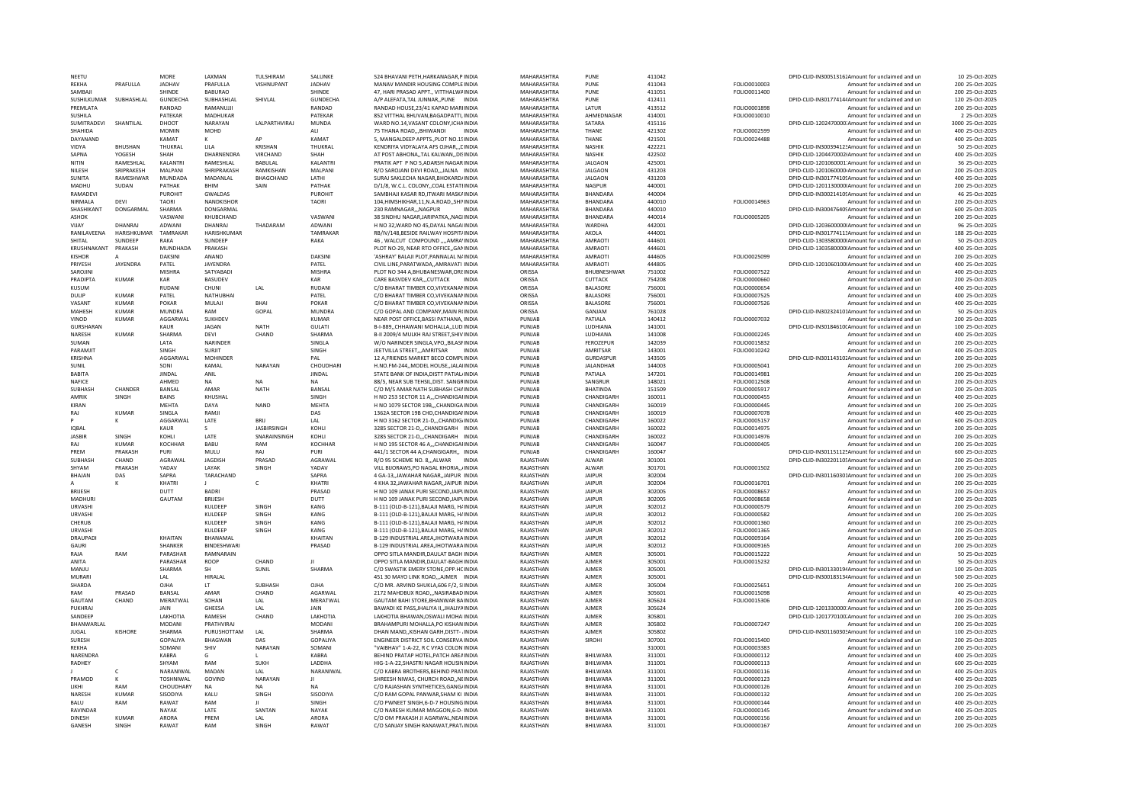| NEETU                   |                | MORF             | <b>I AXMAN</b>    | TULSHIRAM              | SALUNKI         | 524 BHAVANI PETH, HARKANAGAR, PINDIA                                         | <b>MAHARASHTRA</b>     | PUNE                         | 411042           |                                     | DPID-CLID-IN300513162Amount for unclaimed and ur           | 10 25-Oct-2025                     |
|-------------------------|----------------|------------------|-------------------|------------------------|-----------------|------------------------------------------------------------------------------|------------------------|------------------------------|------------------|-------------------------------------|------------------------------------------------------------|------------------------------------|
| RFKHA                   | PRAFULLA       | <b>IADHAV</b>    | PRAFULLA          | VISHNUPANT             | <b>IADHAV</b>   | MANAV MANDIR HOUSING COMPLE INDIA                                            | MAHARASHTRA            | PUNE                         | 411043           | FOLIO0010003                        | Amount for unclaimed and un                                | 200 25-Oct-2025                    |
| SAMBAJI                 |                | SHINDE           | <b>BABURAO</b>    |                        | SHINDE          | 47, HARI PRASAD APPT., VITTHALWAINDIA                                        | MAHARASHTRA            | PUNE                         | 411051           | FOLIO0011400                        | Amount for unclaimed and un                                | 200 25-Oct-2025                    |
| SUSHILKUMAR SUBHASHLAL  |                | GUNDECHA         | SUBHASHLAL        | SHIVLAL                | GUNDECHA        | A/P ALEFATA, TAL JUNNAR, , PUNE INDIA                                        | MAHARASHTRA            | PUNE                         | 412411           |                                     | DPID-CLID-IN30177414/Amount for unclaimed and un           | 120 25-Oct-2025                    |
| PREMIATA                |                | RANDAD           | RAMANUJJI         |                        | RANDAD          | RANDAD HOUSE, 23/41 KAPAD MARIINDIA                                          | MAHARASHTRA            | LATUR                        | 413512           | FOLIO0001898                        | Amount for unclaimed and un                                | 200 25-Oct-2025                    |
| SUSHILA                 |                | PATEKAR          | MADHUKAR          |                        | PATEKAR         | 852 VITTHAL BHUVAN, BAGADPATTI, INDIA                                        | MAHARASHTRA            | AHMEDNAGAR                   | 414001           | FOLIO0010010                        | Amount for unclaimed and un                                | 2 25-Oct-2025                      |
| <b>SUMITRADEVI</b>      | SHANTILAI      | DHOOT            | NARAYAN           | <b>I AI PARTHVIRAI</b> | MUNDA           | WARD NO.14 VASANT COLONY ICHAINDIA                                           | MAHARASHTRA            | SATARA                       | 415116           |                                     | DPID-CLID-1202470000 Amount for unclaimed and un           | 3000 25-Oct-2025                   |
| SHAHIDA                 |                | <b>MOMIN</b>     | MOHD              |                        | ALI             | <b>INDIA</b>                                                                 | MAHARASHTRA            | THANE                        | 421302           |                                     | Amount for unclaimed and un                                | 400 25-Oct-2025                    |
|                         |                |                  |                   |                        |                 | 75 THANA ROAD,,,BHIWANDI                                                     |                        |                              |                  | FOLIO0002599                        |                                                            |                                    |
| DAYANAND                |                | KAMAT            | ĸ                 | AP                     | KAMAT           | 5. MANGALDEEP APPTSPLOT NO.15 INDIA                                          | MAHARASHTRA            | THANE                        | 421501           | FOLIO0024488                        | Amount for unclaimed and un                                | 400 25-Oct-2025                    |
| VIDYA                   | <b>BHUSHAN</b> | THUKRAL          | LILA              | KRISHAN                | THUKRAL         | KENDRIYA VIDYALAYA AFS OJHAR LINDIA                                          | MAHARASHTRA            | <b>NASHIK</b>                | 422221           |                                     | DPID-CLID-IN30039412:Amount for unclaimed and un           | 50 25-Oct-2025                     |
| SAPNA                   | YOGESH         | SHAH             | DHARNENDRA        | <b>VIRCHAND</b>        | SHAH            | AT POST ABHONATAL KALWANDISINDIA                                             | MAHARASHTRA            | <b>NASHIK</b>                | 422502           |                                     | DPID-CLID-1204470002(Amount for unclaimed and un           | 400 25-Oct-2025                    |
| NITIN                   | RAMESHLAL      | KALANTRI         | RAMESHLAL         | BABULAL                | <b>KALANTR</b>  | PRATIK APT P NO 5,ADARSH NAGAR INDIA                                         | MAHARASHTRA            | <b>JALGAON</b>               | 425001           |                                     | DPID-CLID-1201060001'Amount for unclaimed and un           | 36 25-Oct-2025                     |
| NII ESH                 | SRIPRAKESH     | MAI PANI         | SHRIPRAKASH       | RAMKISHAN              | MALPANI         | R/O SAROJANI DEVI ROAD,,,JALNA INDIA                                         | MAHARASHTRA            | <b>JALGAON</b>               | 431203           |                                     | DPID-CLID-1201060000-Amount for unclaimed and un           | 200 25-Oct-2025                    |
| SUNITA                  | RAMESHWAR      | MUNDADA          | MADANLAL          | BHAGCHAND              | LATHI           | SURAJ SAKLECHA NAGAR.BHOKARD/INDIA                                           | MAHARASHTRA            | <b>JALGAON</b>               | 431203           |                                     | DPID-CLID-IN301774105Amount for unclaimed and un           | 400 25-Oct-2025                    |
| <b>MADHU</b>            | SUDAN          | PATHAK           | <b>BHIM</b>       | SAIN                   | PATHAK          | D/1/8, W.C.L. COLONY,, COAL ESTATI INDIA                                     | MAHARASHTRA            | <b>NAGPUR</b>                | 440001           |                                     | DPID-CLID-1201130000(Amount for unclaimed and ur           | 200 25-Oct-2025                    |
| RAMADEVI                |                | PUROHIT          | <b>GWALDAS</b>    |                        | PUROHIT         | SAMBHAJI KASAR RD.ITWARI MASKAINDIA                                          | MAHARASHTRA            | BHANDARA                     | 440004           |                                     | DPID-CLID-IN300214105Amount for unclaimed and un           | 46 25-Oct-2025                     |
| NIRMALA                 | DEVI           | TAORI            | NANDKISHOF        |                        | <b>TAORI</b>    | 104, HIMSHIKHAR, 11, N.A.ROAD, , SHI\INDIA                                   | MAHARASHTRA            | <b>BHANDARA</b>              | 440010           | FOLIO0014963                        | Amount for unclaimed and un                                | 200 25-Oct-2025                    |
|                         |                | SHARMA           |                   |                        |                 |                                                                              |                        |                              |                  |                                     |                                                            |                                    |
| SHASHIKANT              | DONGARMAL      |                  | <b>DONGARMAL</b>  |                        |                 | 230 RAMNAGARNAGPUR<br><b>INDIA</b>                                           | MAHARASHTRA            | <b>BHANDARA</b>              | 440010           |                                     | DPID-CLID-IN30047640SAmount for unclaimed and un           | 600 25-Oct-2025                    |
| <b>ASHOK</b>            |                | VASWAN           | KHUBCHAND         |                        | VASWANI         | 38 SINDHU NAGAR JARIPATKA., NAGI INDIA                                       | MAHARASHTRA            | <b>BHANDARA</b>              | 440014           | FOLIO0005205                        | Amount for unclaimed and un                                | 200 25-Oct-2025                    |
| VIIAY                   | DHANRAI        | ADWANI           | DHANRAI           | THADARAM               | ADWANI          | H NO 32. WARD NO 45. DAYAL NAGAIINDIA                                        | MAHARASHTRA            | WARDHA                       | 442001           |                                     | DPID-CLID-1203600000(Amount for unclaimed and un           | 96 25-Oct-2025                     |
| RANILAVEENA             | HARISHKUMAR    | TAMRAKAR         | HARISHKUMAR       |                        | TAMRAKAR        | RB/IV/148, BESIDE RAILWAY HOSPIT/INDIA                                       | MAHARASHTRA            | AKOLA                        | 444001           |                                     | DPID-CLID-IN30177411:Amount for unclaimed and un           | 188 25-Oct-2025                    |
| SHITAI                  | <b>SUNDEEP</b> | RAKA             | <b>SUNDEEP</b>    |                        | RAKA            | 46, WALCUT COMPOUND ,,,,AMRA'INDIA                                           | MAHARASHTRA            | AMRAOTI                      | 444601           |                                     | DPID-CLID-1303580000(Amount for unclaimed and un           | 50 25-Oct-2025                     |
| KRUSHNAKANT             | PRAKASH        | MUNDHADA         | PRAKASH           |                        |                 | PLOT NO-29, NEAR RTO OFFICE,, GANINDIA                                       | MAHARASHTRA            | AMRAOTI                      | 444601           |                                     | DPID-CLID-1303580000IAmount for unclaimed and un           | 400 25-Oct-2025                    |
| <b>KISHOR</b>           |                | DAKSINI          | ANAND             |                        | DAKSINI         | 'ASHRAY' BALAJI PLOT, PANNALAL N/INDIA                                       | MAHARASHTRA            | AMRAOTI                      | 444605           | FOLIO0025099                        | Amount for unclaimed and un                                | 200 25-Oct-2025                    |
| PRIYESH                 | JAYENDRA       | PATEL            | JAYENDRA          |                        | PATEL           | CIVIL LINE.PARATWADAAMRAVATI INDIA                                           | MAHARASHTRA            | AMRAOTI                      | 444805           |                                     | DPID-CLID-1201060100(Amount for unclaimed and un           | 400 25-Oct-2025                    |
| SAROJINI                |                | MISHRA           | SATYABAD          |                        | MISHRA          | PLOT NO 344 A.BHUBANESWAR.ORI: INDIA                                         | ORISSA                 | BHUBNESHWAR                  | 751002           | FOLIO0007522                        | Amount for unclaimed and un                                | 400 25-Oct-2025                    |
| PRADIPTA                | KUMAR          | KAR              | <b>BASUDEV</b>    |                        | KAR             | CARE BASVDEV KAR., CUTTACK INDIA                                             | ORISSA                 | <b>CUTTACK</b>               | 754208           | <b>EOLIO0000660</b>                 | Amount for unclaimed and un                                | 200 25-Oct-2025                    |
|                         |                |                  |                   |                        |                 |                                                                              |                        |                              |                  |                                     |                                                            |                                    |
| <b>KUSUM</b>            |                | <b>RUDAN</b>     | CHUNI             | LAL                    | <b>RUDAN</b>    | C/O BHARAT TIMBER CO.VIVEKANAMINDIA                                          | ORISSA                 | <b>BALASORE</b>              | 756001           | FOLIO0000654                        | Amount for unclaimed and un                                | 400 25-Oct-2025                    |
| <b>DUIP</b>             | KIIMAR         | PATEL            | NATHUBHAI         |                        | PATEL           | C/O BHARAT TIMBER CO VIVEKANAMINDIA                                          | ORISSA                 | <b>BALASORE</b>              | 756001           | FOLIO0007525                        | Amount for unclaimed and un                                | 400 25-Oct-2025                    |
| VASANT                  | KUMAR          | POKAR            | MULAJI            | <b>BHAI</b>            | POKAR           | C/O BHARAT TIMBER CO, VIVEKANAMINDIA                                         | ORISSA                 | <b>BALASORE</b>              | 756001           | FOLIO0007526                        | Amount for unclaimed and un                                | 400 25-Oct-2025                    |
| MAHESH                  | <b>KUMAR</b>   | <b>MUNDRA</b>    | RAM               | GOPAL                  | <b>MUNDRA</b>   | C/O GOPAL AND COMPANY, MAIN R(INDIA                                          | ORISSA                 | GANJAM                       | 761028           |                                     | DPID-CLID-IN302324101Amount for unclaimed and un           | 50 25-Oct-2025                     |
| VINOD                   | <b>KUMAR</b>   | AGGARWAL         | SUKHDEV           |                        | <b>KUMAR</b>    | NEAR POST OFFICE BASSI PATHANA, INDIA                                        | PUNJAB                 | PATIALA                      | 140412           | FOLIO0007032                        | Amount for unclaimed and un                                | 200 25-Oct-2025                    |
| GURSHARAN               |                | KAUR             | <b>JAGAN</b>      | NATH                   | GULATI          | B-I-889,, CHHAWANI MOHALLA,, LUD INDIA                                       | PUNJAB                 | LUDHIANA                     | 141001           |                                     | DPID-CLID-IN30184610(Amount for unclaimed and un           | 100 25-Oct-2025                    |
| NARESH                  | <b>KUMAR</b>   | SHARMA           | DEVI              | CHAND                  | SHARMA          | B-II 2009/4 MULKH RAJ STREET.SHIV INDIA                                      | PUNJAB                 | LUDHIANA                     | 141008           | FOLIO0002245                        | Amount for unclaimed and un                                | 400 25-Oct-2025                    |
| SUMAN                   |                | LATA             | NARINDER          |                        | SINGLA          | W/O NARINDER SINGLA, VPO., BILASFINDIA                                       | PUNJAB                 | <b>FEROZEPUR</b>             | 142039           | FOLIO0015832                        | Amount for unclaimed and un                                | 200 25-Oct-2025                    |
| PARAMIT                 |                | SINGH            | <b>SURIIT</b>     |                        | SINGH           | JEETVILLA STREETAMRITSAR<br><b>INDIA</b>                                     | PUNJAR                 | AMRITSAR                     | 143001           | FOLIO0010242                        | Amount for unclaimed and un                                | 400 25-Oct-2025                    |
| <b>KRISHNA</b>          |                |                  | <b>MOHINDER</b>   |                        | PAI             | 12 A FRIENDS MARKET BECO COMPLINDIA                                          |                        | GURDASPUF                    |                  |                                     |                                                            | 200 25-Oct-2025                    |
|                         |                | AGGARWAL         |                   |                        |                 |                                                                              | PUNJAB                 |                              | 143505           |                                     | DPID-CLID-IN301143102Amount for unclaimed and un           |                                    |
| <b>SUNIL</b>            |                | SONI             | KAMAL             | NARAYAN                | CHOUDHARI       | H.NO.FM-244MODEL HOUSEJALAIINDIA                                             | PUNJAB                 | JALANDHAR                    | 144003           | FOLIO0005041                        | Amount for unclaimed and un                                | 200 25-Oct-2025                    |
| BABITA                  |                | <b>JINDAL</b>    | ANIL              |                        | <b>JINDAL</b>   | STATE BANK OF INDIA, DISTT PATIAL/INDIA                                      | PUNJAB                 | PATIALA                      | 147201           | FOLIO0014981                        | Amount for unclaimed and un                                | 200 25-Oct-2025                    |
| NAFICE                  |                | AHMED            | NA                | <b>NA</b>              | <b>NA</b>       | 88/5, NEAR SUB TEHSIL, DIST. SANGRINDIA                                      | PUNJAB                 | SANGRUR                      | 148021           | FOLIO0012508                        | Amount for unclaimed and un                                | 200 25-Oct-2025                    |
|                         |                |                  |                   |                        |                 |                                                                              |                        |                              |                  | FOLIO0005917                        |                                                            |                                    |
| SUBHASH                 | CHANDER        | BANSAL           | AMAR              | <b>NATH</b>            | BANSAL          | C/O M/S AMAR NATH SUBHASH CHAINDIA                                           | PUNJAB                 | <b>BHATINDA</b>              | 151509           |                                     | Amount for unclaimed and un                                | 200 25-Oct-2025                    |
| AMRIK                   | SINGH          | <b>BAINS</b>     | KHUSHAL           |                        | SINGH           |                                                                              | PUNJAB                 | CHANDIGARH                   |                  |                                     | Amount for unclaimed and un                                | 400 25-Oct-2025                    |
| KIRAN                   |                | <b>MFHTA</b>     | DAYA              | <b>NAND</b>            | MFHTA           | H NO 253 SECTOR 11 A,,,CHANDIGAHNDIA<br>H NO 1079 SECTOR 19B. CHANDIGA INDIA | PUNJAB                 | CHANDIGARH                   | 160011<br>160019 | FOLIO0000455<br><b>FOLIO0000445</b> | Amount for unclaimed and un                                | 200 25-Oct-2025                    |
|                         |                |                  |                   |                        |                 |                                                                              |                        |                              |                  |                                     |                                                            |                                    |
| RAJ                     | KUMAR          | SINGLA           | RAMJI             |                        | DAS             | 1362A SECTOR 19B CHD.CHANDIGAI INDIA                                         | PUNJAB                 | CHANDIGARI                   | 160019           | FOLIO0007078                        | Amount for unclaimed and un                                | 400 25-Oct-2025                    |
|                         | ĸ              | AGGARWAI         | <b>IATF</b>       | <b>BRII</b>            | A               | H NO 3162 SECTOR 21-D. CHANDIG INDIA                                         | PUNJAR                 | CHANDIGARE                   | 160022           | <b>EOLIO0005157</b>                 | Amount for unclaimed and un                                | 600 25-Oct-2025                    |
| <b>IOBAL</b>            |                | KAUR             |                   | <b>JASBIRSING</b>      | KOHLI           | 3285 SECTOR 21-DCHANDIGARH INDIA                                             | PUNJAB                 | CHANDIGARH                   | 160022           | FOLIO0014975                        | Amount for unclaimed and un                                | 200 25-Oct-2025                    |
| <b>JASBIR</b>           | SINGH          | KOHLI            | LATE              | SNARAINSINGH           | KOHLI           | 3285 SECTOR 21-D,,,CHANDIGARH INDIA                                          | PUNJAB                 | CHANDIGARH                   | 160022           | FOLIO0014976                        | Amount for unclaimed and un                                | 200 25-Oct-2025                    |
| RAJ                     | <b>KUMAR</b>   | KOCHHAR          | BABU              | RAM                    | KOCHHAR         | H NO 195 SECTOR 46 A., CHANDIGAHNDIA                                         | PUNJAB                 | CHANDIGARH                   | 160047           | FOLIO0000405                        | Amount for unclaimed and un                                | 200 25-Oct-2025                    |
| PRFM                    | PRAKASH        | PURI             | MULU              | RAJ                    | PURI            | 441/1 SECTOR 44 A,CHANGIGARH,, INDIA                                         | PUNJAB                 | CHANDIGARH                   | 160047           |                                     | DPID-CLID-IN30115112! Amount for unclaimed and un          | 600 25-Oct-2025                    |
| <b>SURHASH</b>          | CHAND          | AGRAWAL          | JAGDISH           | PRASAD                 | AGRAWAL         | R/O 95 SCHEME NO. 8ALWAR<br><b>INDIA</b>                                     | RAJASTHAN              | ALWAR                        | 301001           |                                     | DPID-CLID-IN302201105Amount for unclaimed and un           | 200 25-Oct-2025                    |
| SHYAM                   | PRAKASH        | YADAV            | LAYAK             | SINGH                  | YADA\           | VILL BIJORAWS.PO NAGAL KHORIA/INDIA                                          | RAJASTHAN              | ALWAR                        |                  |                                     | Amount for unclaimed and un                                | 200 25-Oct-2025                    |
| <b>BHAIAN</b>           | DAS            | SAPRA            | TARACHAND         |                        | SAPRA           | 4 GA-13. JAWAHAR NAGAR. JAIPUR INDIA                                         | RAIASTHAN              | <b>JAIPUR</b>                | 301701<br>302004 | FOLIO0001502                        | DPID-CUD-IN301160301Amount for unclaimed and un            | 200 25-Oct-2025                    |
|                         |                |                  |                   |                        |                 |                                                                              |                        |                              |                  |                                     |                                                            |                                    |
|                         |                | KHATRI           |                   | c                      | KHATRI          | 4 KHA 32, JAWAHAR NAGAR, JAIPUR INDIA                                        | RAJASTHAN              | <b>JAIPUR</b>                | 302004           | FOLIO0016701                        | Amount for unclaimed and un                                | 200 25-Oct-2025                    |
| <b>BRIJFSH</b>          |                | <b>DUTT</b>      | <b>BADRI</b>      |                        | PRASAD          | H NO 109 JANAK PURI SECOND JAIPUNDIA                                         | RAJASTHAN              | <b>JAIPUR</b>                | 302005           | FOLIO0008657                        | Amount for unclaimed and un                                | 200 25-Oct-2025                    |
| MADHUR                  |                | GAUTAM           | <b>BRIJESH</b>    |                        | DUTT            | H NO 109 JANAK PURI SECOND JAIPUNDIA                                         | RAJASTHAN              | <b>JAIPUR</b>                | 302005           | FOLIO0008658                        | Amount for unclaimed and un                                | 200 25-Oct-2025                    |
| URVASHI                 |                |                  | KULDEEP           | SINGH                  | KANG            | B-111 (OLD-B-121), BALAJI MARG, HAINDIA                                      | RAJASTHAN              | <b>JAIPUR</b>                | 302012           | FOLIO0000579                        | Amount for unclaimed and un                                | 200 25-Oct-2025                    |
| URVASHI                 |                |                  | KULDEEP           | SINGH                  | KANG            | B-111 (OLD-B-121), BALAJI MARG, H/INDIA                                      | RAJASTHAN              | JAIPUR                       | 302012           | FOLIO0000582                        | Amount for unclaimed and un                                | 200 25-Oct-2025                    |
| CHERUB                  |                |                  | KULDEEP           | SINGH                  | KANG            | B-111 (OLD-B-121), BALAJI MARG, HAINDIA                                      | RAJASTHAN              | <b>JAIPUR</b>                | 302012           | FOLIO0001360                        | Amount for unclaimed and un                                | 200 25-Oct-2025                    |
| <b>URVASHI</b>          |                |                  | KUI DEEP          | SINGH                  | KANG            | B-111 (OLD-B-121) BALAILMARG, HAINDIA                                        | RAIASTHAN              | <b>JAIPUR</b>                | 302012           | FOLIO0001365                        | Amount for unclaimed and un                                | 200 25-Oct-2025                    |
| DRAUPADI                |                | KHAITAN          | BHANAMAL          |                        | KHAITAN         | B-129 INDUSTRIAL AREA, JHOTWARA INDIA                                        | RAJASTHAN              | <b>JAIPUR</b>                | 302012           | FOLIO0009164                        | Amount for unclaimed and ur                                | 200 25-Oct-2025                    |
| <b>GAURI</b>            |                | SHANKER          | <b>BINDESHWAR</b> |                        | PRASAD          | B-129 INDUSTRIAL AREA JHOTWARA INDIA                                         | RAJASTHAN              | JAIPUR                       | 302012           | FOLIO0009165                        | Amount for unclaimed and un                                | 200 25-Oct-2025                    |
|                         |                |                  |                   |                        |                 |                                                                              |                        |                              |                  |                                     |                                                            |                                    |
| RAJA                    | RAM            | PARASHAR         | RAMNARAIN         |                        | $\mathbf{H}$    | OPPO SITLA MANDIR, DAULAT BAGH INDIA                                         | RAJASTHAN              | <b>AJMER</b>                 | 305001           | FOLIO0015222                        | Amount for unclaimed and un                                | 50 25-Oct-2025                     |
| ANITA                   |                | PARASHAR         | ROOP              | CHAND                  |                 | OPPO SITI A MANDIR DAULAT-BAGH INDIA                                         | RAIASTHAN              | AIMFR                        | 305001           | FOLIO0015232                        | Amount for unclaimed and un                                | 50 25-Oct-2025                     |
| MANJU                   |                | SHARMA           | SH                | SUNIL                  | SHARMA          | C/O SWASTIK EMERY STONE.OPP.HCINDIA                                          | RAJASTHAN              | <b>AJMER</b>                 | 305001           |                                     | DPID-CLID-IN30133019/Amount for unclaimed and un           | 100 25-Oct-2025                    |
| MURARI                  |                | LAL              | <b>HIRALAL</b>    |                        |                 | 451 30 MAYO LINK ROADAJMER INDIA                                             | RAJASTHAN              | AIMFR                        | 305001           |                                     | DPID-CLID-IN30018313/Amount for unclaimed and un           | 500 25-Oct-2025                    |
| SHARDA                  |                | OIHA             | IT.               | SUBHASH                | OIHA            | C/O MR. ARVIND SHUKLA, 606 F/2, SIINDIA                                      | RAJASTHAN              | AIMFR                        | 305004           | FOLIO0025651                        | Amount for unclaimed and un                                | 200 25-Oct-2025                    |
| RAM                     | PRASAD         | BANSAL           | AMAR              | CHAND                  | AGARWAL         | 2172 MAHDBUX ROAD,,,NASIRABAD INDIA                                          | RAJASTHAN              | AJMER                        | 305601           | FOLIO0015098                        | Amount for unclaimed and un                                | 40 25-Oct-2025                     |
| <b>GAUTAM</b>           | CHAND          | MERATWAL         | SOHAN             | LAL                    | MERATWAL        | GAUTAM BAHI STORE.BHANWAR BAINDIA                                            | RAJASTHAN              | AJMER                        | 305624           | FOLIO0015306                        | Amount for unclaimed and un                                | 200 25-Oct-2025                    |
| PUKHRAJ                 |                | JAIN             | <b>GHEESA</b>     | LAL                    | JAIN            | BAWADI KE PASS, JHALIYA II, JHALIYA INDIA                                    | RAJASTHAN              | <b>AJMER</b>                 | 305624           |                                     | DPID-CLID-1201330000:Amount for unclaimed and un           | 200 25-Oct-2025                    |
| SANDEEP                 |                | LAKHOTIA         | RAMESH            | CHAND                  | <b>LAKHOTIA</b> | LAKHOTIA BHAWAN.OSWALI MOHA INDIA                                            | RAIASTHAN              | AIMFR                        | 305801           |                                     |                                                            | 200 25-0ct-2025                    |
|                         |                |                  |                   |                        |                 |                                                                              |                        |                              |                  |                                     | DPID-CLID-1201770100.Amount for unclaimed and un           |                                    |
| BHANWARLAL              |                | <b>MODANI</b>    | PRATHVIRAJ        |                        | <b>MODAN</b>    | BRAHAMPURI MOHALLA, PO KISHAN INDIA                                          | RAJASTHAN              | <b>AJMER</b>                 | 305802           | FOLIO0007247                        | Amount for unclaimed and un                                | 200 25-Oct-2025                    |
| <b>IUGAL</b>            | KISHORE        | SHARMA           | PURUSHOTTAM       | IAI                    | SHARMA          | DHAN MANDKISHAN GARH.DISTT- / INDIA                                          | RAIASTHAN              | AIMFR                        | 305802           |                                     | DPID-CLID-IN30116030: Amount for unclaimed and un          | 100 25-Oct-2025                    |
| <b>SURFSH</b>           |                | GOPALIYA         | <b>BHAGWAN</b>    | DAS                    | GOPALIYA        | ENGINEER DISTRICT SOIL CONSERVA INDIA                                        | RAIASTHAN              | <b>SIROHI</b>                | 307001           | FOLIO0015400                        | Amount for unclaimed and un                                | 200 25-Oct-2025                    |
| <b>REKHA</b>            |                | SOMANI           | SHIV              | NARAYAN                | SOMANI          | "VAIBHAV" 1-A-22, R C VYAS COLON INDIA                                       | RAJASTHAN              |                              | 310001           | FOLIO0003383                        | Amount for unclaimed and un                                | 200 25-Oct-2025                    |
| NARENDRA                |                | <b>KABRA</b>     | G                 |                        | KABRA           | BEHIND PRATAP HOTEL, PATCH AREAINDIA                                         | RAJASTHAN              | BHILWARA                     | 311001           | FOLIO0000112                        | Amount for unclaimed and un                                | 400 25-Oct-2025                    |
| RADHEY                  |                | SHYAM            | RAM               | <b>SUKH</b>            | LADDHA          | HIG-1-A-22, SHASTRI NAGAR HOUSININDIA                                        | RAJASTHAN              | BHILWARA                     | 311001           | FOLIO0000113                        | Amount for unclaimed and un                                | 600 25-Oct-2025                    |
|                         | c              | NARANIWAL        | MADAN             | LAL                    | NARANIWAL       | C/O KABRA BROTHERS.BEHIND PRATINDIA                                          | RAJASTHAN              | BHILWARA                     | 311001           | FOLIO0000116                        | Amount for unclaimed and un                                | 400 25-Oct-2025                    |
| PRAMOD                  |                | <b>TOSHNIWAL</b> | GOVIND            | NARAYAN                |                 | SHREESH NIWAS, CHURCH ROAD, NEINDIA                                          | RAJASTHAN              | BHILWARA                     | 311001           | FOLIO0000123                        | Amount for unclaimed and un                                | 400 25-Oct-2025                    |
| <b>IIKHI</b>            | RAM            | CHOUDHARY        | <b>NA</b>         | <b>NA</b>              | <b>NA</b>       | C/O RAJASHAN SYNTHETICES GANGLINDIA                                          | RAIASTHAN              | <b>BHII WARA</b>             | 311001           | <b>EOLIO0000126</b>                 | Amount for unclaimed and un                                | 200 25-Oct-2025                    |
|                         |                |                  |                   |                        |                 |                                                                              |                        |                              |                  |                                     |                                                            |                                    |
| NARESH                  | <b>KUMAR</b>   | SISODIYA         | KALU              | SINGH                  | <b>SISODIYA</b> | C/O RAM GOPAL PANWAR.SHAM KI INDIA                                           | RAJASTHAN              | BHILWARA                     | 311001           | FOLIO0000132                        | Amount for unclaimed and un                                | 200 25-Oct-2025                    |
| <b>BALU</b>             | RAM            | RAWAT            | RAM               | н.                     | SINGH           | C/O PWNEET SINGH, 6-D-7 HOUSING INDIA                                        | RAJASTHAN              | BHILWARA                     | 311001           | FOLIO0000144                        | Amount for unclaimed and un                                | 400 25-Oct-2025                    |
| RAVINDAF                |                | NAYAK            | LATE              | SANTAN                 | NAYAK           | C/O NARESH KUMAR MAGGON.6-D- INDIA                                           | RAJASTHAN              | BHILWARA                     | 311001           | FOLIO0000145                        | Amount for unclaimed and un                                | 400 25-Oct-2025                    |
| <b>DINESH</b><br>GANESH | KUMAR<br>SINGH | ARORA<br>RAWAT   | PRFM<br>RAM       | LAL<br><b>SINGH</b>    | ARORA<br>RAWAT  | C/O OM PRAKASH JI AGARWAL, NEAHNDIA<br>C/O SANJAY SINGH RANAWAT.PRAT/INDIA   | RAJASTHAN<br>RAJASTHAN | <b>BHII WARA</b><br>BHILWARA | 311001<br>311001 | FOLIO0000156<br>FOLIO0000167        | Amount for unclaimed and un<br>Amount for unclaimed and un | 200 25-Oct-2025<br>200 25-Oct-2025 |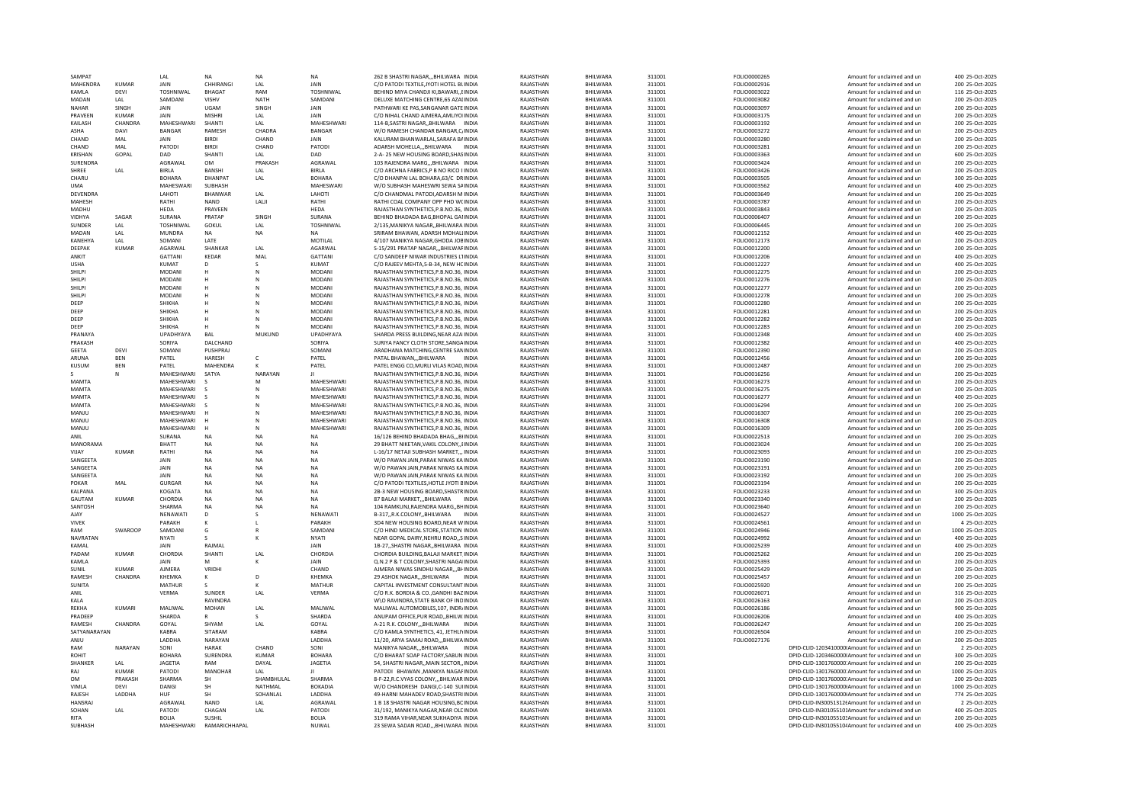| <b>SAMPAT</b>   |                | I AI             | <b>NA</b>       | <b>NA</b>     | NA               | 262 B SHASTRI NAGAR,,,BHILWARA INDIA        | RAIASTHAN | BHILWARA         | 311001 | FOLIO0000265        | Amount for unclaimed and un                       | 400 25-Oct-2025  |
|-----------------|----------------|------------------|-----------------|---------------|------------------|---------------------------------------------|-----------|------------------|--------|---------------------|---------------------------------------------------|------------------|
| MAHENDRA        | <b>KUMAR</b>   | JAIN             | CHHIRANGI       | LAL           | <b>JAIN</b>      | C/O PATODI TEXTILE JYOTI HOTEL BLINDIA      | RAJASTHAN | BHILWARA         | 311001 | FOLIO0002916        | Amount for unclaimed and un                       | 200 25-Oct-2025  |
| <b>KAMIA</b>    | DFVI           | <b>TOSHNIWAI</b> | <b>BHAGAT</b>   | RAM           | <b>TOSHNIWAI</b> | <b>REHIND MIYA CHANDII KLBAWARL FINDIA</b>  | RAIASTHAN | <b>BHII WARA</b> | 311001 | <b>EQLIQ0003022</b> | Amount for unclaimed and un                       | 116 25-Oct-2025  |
| MADAN           | LAL            | SAMDANI          | VISHV           | <b>NATH</b>   | SAMDANI          | DELUXE MATCHING CENTRE.65 AZALINDIA         | RAJASTHAN | BHILWARA         | 311001 | FOLIO0003082        | Amount for unclaimed and un                       | 200 25-Oct-2025  |
| <b>NAHAR</b>    | SINGH          | JAIN             | <b>UGAM</b>     | SINGH         | JAIN             | PATHWARI KE PAS.SANGANAR GATE INDIA         | RAJASTHAN | BHILWARA         | 311001 | FOLIO0003097        | Amount for unclaimed and un                       | 200 25-Oct-2025  |
| PRAVEEN         | <b>KUMAR</b>   | JAIN             | <b>MISHRI</b>   | LAL           | JAIN             | C/O NIHAL CHAND AJMERA, AMLIYOI INDIA       | RAJASTHAN | <b>BHILWARA</b>  | 311001 | FOLIO0003175        | Amount for unclaimed and un                       | 200 25-Oct-2025  |
| KAILASH         | CHANDRA        | MAHESHWARI       | SHANTI          | LAL           | MAHESHWARI       | 114-B, SASTRI NAGAR, , BHILWARA INDIA       | RAJASTHAN | BHILWARA         | 311001 | FOLIO0003192        | Amount for unclaimed and un                       | 200 25-Oct-2025  |
| ASHA            | DAVI           | <b>BANGAR</b>    | RAMESH          | <b>CHADRA</b> | <b>BANGAR</b>    | W/O RAMESH CHANDAR BANGAR.C/INDIA           | RAJASTHAN | <b>BHILWARA</b>  | 311001 | FOLIO0003272        | Amount for unclaimed and un                       | 200 25-Oct-2025  |
|                 |                |                  | <b>BIRDI</b>    |               |                  |                                             |           |                  |        |                     |                                                   |                  |
| CHAND           | MAL            | JAIN             |                 | CHAND         | JAIN             | KALURAM BHANWARLAL, SARAFA BAINDIA          | RAJASTHAN | <b>BHILWARA</b>  | 311001 | FOLIO0003280        | Amount for unclaimed and un                       | 200 25-Oct-2025  |
| CHAND           | MAI            | PATODI           | <b>BIRDI</b>    | CHAND         | PATODI           | ADARSH MOHELLA  BHII WARA INDIA             | RAIASTHAN | <b>BHII WARA</b> | 311001 | EQLIO0003281        | Amount for unclaimed and un                       | 200 25-Oct-2025  |
| <b>KRISHAN</b>  | GOPAL          | DAD              | SHANTI          | LAL           | DAD              | 2-A-25 NEW HOUSING BOARD SHAS INDIA         | RAJASTHAN | BHILWARA         | 311001 | FOLIO0003363        | Amount for unclaimed and un                       | 600 25-Oct-2025  |
| SURENDRA        |                | AGRAWAI          | <b>OM</b>       | PRAKASH       | AGRAWAI          | 103 RAJENDRA MARGBHILWARA INDIA             | RAIASTHAN | <b>BHII WARA</b> | 311001 | <b>EOLIO0003424</b> | Amount for unclaimed and un                       | 200 25-Oct-2025  |
| SHRFF           | LAL            | <b>BIRLA</b>     | <b>BANSHI</b>   | 1AI           | <b>BIRIA</b>     | C/O ARCHNA FABRICS, P B NO RICO I INDIA     | RAIASTHAN | <b>BHII WARA</b> | 311001 | FOLIO0003426        | Amount for unclaimed and un                       | 200 25-Oct-2025  |
| CHARU           |                | <b>BOHARA</b>    | ΠΗΔΝΡΔΤ         | LAL           | <b>BOHARA</b>    | C/O DHANPAI LAL BOHARA,63/C DRINDIA         | RAJASTHAN | BHILWARA         | 311001 | FOLIO0003505        | Amount for unclaimed and un                       | 300 25-Oct-2025  |
| <b>UMA</b>      |                | MAHESWARI        | SUBHASH         |               | MAHESWARI        | W/O SUBHASH MAHESWRI SEWA SAINDIA           | RAJASTHAN | BHILWARA         | 311001 | FOLIO0003562        | Amount for unclaimed and un                       | 400 25-Oct-2025  |
|                 |                |                  |                 |               |                  |                                             |           |                  |        |                     |                                                   |                  |
| DEVENDRA        |                | LAHOTI           | BHANWAR         | LAL           | LAHOTI           | C/O CHANDMAL PATODI, ADARSH M INDIA         | RAJASTHAN | <b>BHILWARA</b>  | 311001 | FOLIO0003649        | Amount for unclaimed and un                       | 200 25-Oct-2025  |
| MAHESH          |                | RATHI            | <b>NAND</b>     | LALI          | RATHI            | RATHI COAL COMPANY OPP PHD WCINDIA          | RAJASTHAN | BHILWARA         | 311001 | FOLIO0003787        | Amount for unclaimed and un                       | 200 25-Oct-2025  |
| MADHU           |                | <b>HEDA</b>      | PRAVEEN         |               | HEDA             | RAJASTHAN SYNTHETICS.P.B.NO.36, INDIA       | RAJASTHAN | <b>BHILWARA</b>  | 311001 | FOLIO0003843        | Amount for unclaimed and un                       | 200 25-Oct-2025  |
| <b>VIDHYA</b>   | SAGAR          | SURANA           | PRATAP          | SINGH         | SURANA           | <b>BEHIND BHADADA BAG BHOPAL GALINDIA</b>   | RAIASTHAN | <b>BHII WARA</b> | 311001 | FOLIO0006407        | Amount for unclaimed and un                       | 200 25-0ct-2025  |
| SUNDER          | LAL            | <b>TOSHNIWAL</b> | GOKUL           | LAL           | <b>TOSHNIWAL</b> | 2/135. MANIKYA NAGAR BHILWARA INDIA         | RAJASTHAN | BHILWARA         | 311001 | FOLIO0006445        | Amount for unclaimed and un                       | 200 25-Oct-2025  |
| MADAN           | LAL            | <b>MUNDRA</b>    | <b>NA</b>       | <b>NA</b>     | <b>NA</b>        | SRIRAM BHAWAN, ADARSH MOHALLINDIA           | RAJASTHAN | BHILWARA         | 311001 | FOLIO0012152        | Amount for unclaimed and un                       | 400 25-Oct-2025  |
| KANFHYA         | A              | SOMANI           | LATE            |               | MOTILAL          | 4/107 MANIKYA NAGAR, GHODA JOBINDIA         | RAIASTHAN | <b>BHII WARA</b> | 311001 | FOLIO0012173        | Amount for unclaimed and un                       | 200 25-Oct-2025  |
| DEEPAK          | KUMAR          | AGARWAL          | <b>SHANKAR</b>  | LAL           | <b>AGARWAI</b>   | S-15/291 PRATAP NAGAR,,,BHILWAFINDIA        | RAIASTHAN | <b>BHII WARA</b> | 311001 | FOLIO0012200        | Amount for unclaimed and un                       | 200 25-Oct-2025  |
|                 |                |                  |                 |               |                  |                                             |           |                  |        |                     |                                                   |                  |
| ANKIT           |                | <b>GATTANI</b>   | KEDAR           | MAL           | <b>GATTANI</b>   | C/O SANDEEP NIWAR INDUSTRIES LTINDIA        | RAJASTHAN | BHILWARA         | 311001 | FOLIO0012206        | Amount for unclaimed and un                       | 400 25-Oct-2025  |
| <b>USHA</b>     |                | KUMAT            | D               | s             | KUMAT            | C/O RAJEEV MEHTA, 5-B-34, NEW HCINDIA       | RAJASTHAN | <b>BHILWARA</b>  | 311001 | FOLIO0012227        | Amount for unclaimed and un                       | 400 25-Oct-2025  |
| SHII PI         |                | MODANI           | H               | $\mathsf{N}$  | <b>MODAN</b>     | RAJASTHAN SYNTHETICS.P.B.NO.36. INDIA       | RAIASTHAN | <b>BHII WARA</b> | 311001 | FOLIO0012275        | Amount for unclaimed and un                       | 200 25-Oct-2025  |
| SHILPI          |                | MODANI           |                 |               | <b>MODAN</b>     | RAJASTHAN SYNTHETICS.P.B.NO.36, INDIA       | RAJASTHAN | <b>BHILWARA</b>  | 311001 | FOLIO0012276        | Amount for unclaimed and un                       | 200 25-Oct-2025  |
| SHILPI          |                | <b>MODANI</b>    |                 |               | <b>MODAN</b>     | RAJASTHAN SYNTHETICS.P.B.NO.36. INDIA       | RAIASTHAN | <b>BHII WARA</b> | 311001 | FOLIO0012277        | Amount for unclaimed and un                       | 200 25-0ct-2025  |
| SHILPI          |                | MODANI           |                 |               | MODANI           | RAJASTHAN SYNTHETICS, P.B.NO.36, INDIA      | RAJASTHAN | BHILWARA         | 311001 | FOLIO0012278        | Amount for unclaimed and un                       | 200 25-Oct-2025  |
| DEEP            |                | SHIKHA           |                 |               | <b>MODAN</b>     | RAJASTHAN SYNTHETICS, P.B.NO.36, INDIA      | RAJASTHAN | BHILWARA         | 311001 | FOLIO0012280        | Amount for unclaimed and un                       | 200 25-Oct-2025  |
| DEEP            |                | SHIKHA           | H               |               | <b>MODAN</b>     | RAJASTHAN SYNTHETICS, P.B.NO.36, INDIA      | RAJASTHAN | BHILWARA         | 311001 | FOLIO0012281        | Amount for unclaimed and un                       | 200 25-Oct-2025  |
|                 |                |                  |                 |               |                  |                                             |           |                  |        |                     |                                                   |                  |
| DEEP            |                | SHIKHA           | н               |               | <b>MODAN</b>     | RAJASTHAN SYNTHETICS, P.B.NO.36, INDIA      | RAJASTHAN | BHILWARA         | 311001 | FOLIO0012282        | Amount for unclaimed and un                       | 200 25-Oct-2025  |
| DEEP            |                | <b>SHIKHA</b>    |                 |               | MODANI           | RAJASTHAN SYNTHETICS.P.B.NO.36. INDIA       | RAJASTHAN | BHILWARA         | 311001 | FOLIO0012283        | Amount for unclaimed and un                       | 200 25-Oct-2025  |
| PRANAYA         |                | UPADHYAYA        | BAL             | MUKUND        | UPADHYAYA        | SHARDA PRESS BUILDING, NEAR AZA INDIA       | RAJASTHAN | <b>BHILWARA</b>  | 311001 | FOLIO0012348        | Amount for unclaimed and un                       | 400 25-Oct-2025  |
| PRAKASH         |                | SORIYA           | DALCHAND        |               | SORIYA           | SURIYA FANCY CLOTH STORE.SANGAINDIA         | RAIASTHAN | <b>BHII WARA</b> | 311001 | FOLIO0012382        | Amount for unclaimed and un                       | 400 25-Oct-2025  |
| <b>GEETA</b>    | DEVI           | SOMANI           | PUSHPRAJ        |               | SOMANI           | ARADHANA MATCHING, CENTRE SANINDIA          | RAJASTHAN | <b>BHILWARA</b>  | 311001 | FOLIO0012390        | Amount for unclaimed and un                       | 200 25-Oct-2025  |
| ARUNA           | <b>BEN</b>     | PATEL            | HARESH          | c             | PATEL            | PATAL BHAWANBHILWARA<br><b>INDIA</b>        | RAJASTHAN | <b>BHILWARA</b>  | 311001 | FOLIO0012456        | Amount for unclaimed and un                       | 200 25-Oct-2025  |
| KUSUM           | <b>BEN</b>     | PATEL            | MAHENDRA        |               | PATEL            | PATEL ENGG CO, MURLI VILAS ROAD, INDIA      | RAJASTHAN | <b>BHILWARA</b>  | 311001 | FOLIO0012487        | Amount for unclaimed and un                       | 200 25-Oct-2025  |
|                 |                |                  |                 |               |                  |                                             |           |                  |        |                     |                                                   |                  |
|                 | N              | MAHESHWARI       | SATYA           | NARAYAN       |                  | RAJASTHAN SYNTHETICS, P.B.NO.36, INDIA      | RAJASTHAN | BHILWARA         | 311001 | FOLIO0016256        | Amount for unclaimed and un                       | 200 25-Oct-2025  |
| MAMTA           |                | MAHESHWARI       |                 | M             | MAHESHWARI       | RAIASTHAN SYNTHETICS P.B.NO.36. INDIA       | RAIASTHAN | <b>BHII WARA</b> | 311001 | FOLIO0016273        | Amount for unclaimed and un                       | 200 25-Oct-2025  |
| MAMTA           |                | MAHESHWARI       |                 |               | <b>MAHESHWAR</b> | RAJASTHAN SYNTHETICS.P.B.NO.36. INDIA       | RAJASTHAN | BHILWARA         | 311001 | FOLIO0016275        | Amount for unclaimed and un                       | 200 25-Oct-2025  |
| MAMTA           |                | MAHESHWARI       | -S              |               | MAHESHWARI       | RAIASTHAN SYNTHETICS P.B.NO.36. INDIA       | RAIASTHAN | <b>BHII WARA</b> | 311001 | <b>EOLIO0016277</b> | Amount for unclaimed and un                       | 400 25-Oct-2025  |
| MAMTA           |                | MAHESHWARI       |                 |               | <b>MAHESHWAR</b> | RAJASTHAN SYNTHETICS, P.B.NO.36, INDIA      | RAJASTHAN | <b>BHILWARA</b>  | 311001 | FOLIO0016294        | Amount for unclaimed and un                       | 200 25-Oct-2025  |
| MANIU           |                | MAHESHWARI       |                 |               | MAHESHWARI       | RAJASTHAN SYNTHETICS.P.B.NO.36. INDIA       | RAIASTHAN | <b>BHII WARA</b> | 311001 | FOLIO0016307        | Amount for unclaimed and un                       | 200 25-Oct-2025  |
| MANJU           |                | MAHESHWARI       |                 |               | <b>MAHESHWAR</b> | RAJASTHAN SYNTHETICS, P.B.NO.36, INDIA      | RAJASTHAN | <b>BHILWARA</b>  | 311001 | FOLIO0016308        | Amount for unclaimed and un                       | 200 25-Oct-2025  |
|                 |                | MAHESHWARI       | H               | $\mathsf{N}$  | MAHESHWARI       |                                             | RAJASTHAN | <b>BHILWARA</b>  |        | FOLIO0016309        |                                                   | 200 25-Oct-2025  |
| MANJU           |                |                  |                 |               |                  | RAJASTHAN SYNTHETICS, P.B.NO.36, INDIA      |           |                  | 311001 |                     | Amount for unclaimed and un                       |                  |
| ANII            |                | SURANA           | <b>NA</b>       | <b>NA</b>     | NA               | 16/126 BEHIND BHADADA BHAGBHNDIA            | RAJASTHAN | <b>BHILWARA</b>  | 311001 | FOLIO0022513        | Amount for unclaimed and un                       | 200 25-Oct-2025  |
| <b>MANORAMA</b> |                | <b>BHATT</b>     | <b>NA</b>       | <b>NA</b>     | NA               | 29 BHATT NIKETAN.VAKIL COLONY INDIA         | RAJASTHAN | BHILWARA         | 311001 | FOLIO0023024        | Amount for unclaimed and un                       | 200 25-Oct-2025  |
| VIIAY           | KUMAR          | RATHI            | <b>NA</b>       | <b>NA</b>     | NA               | L-16/17 NETAJI SUBHASH MARKET INDIA         | RAIASTHAN | <b>BHII WARA</b> | 311001 | <b>EQLIQ0023093</b> | Amount for unclaimed and un                       | 200 25-Oct-2025  |
| SANGEETA        |                | JAIN             | <b>NA</b>       | <b>NA</b>     | NA               | W/O PAWAN JAIN, PARAK NIWAS KA INDIA        | RAJASTHAN | BHILWARA         | 311001 | FOLIO0023190        | Amount for unclaimed and un                       | 200 25-Oct-2025  |
| SANGEETA        |                | JAIN             | NA              | <b>NA</b>     | NA               | W/O PAWAN JAIN PARAK NIWAS KA INDIA         | RAIASTHAN | <b>RHII WARA</b> | 311001 | FOLIO0023191        | Amount for unclaimed and un                       | 200 25-0ct-2025  |
| SANGEETA        |                | JAIN             | <b>NA</b>       | <b>NA</b>     | NA               | W/O PAWAN JAIN, PARAK NIWAS KA INDIA        | RAJASTHAN | BHILWARA         | 311001 | FOLIO0023192        | Amount for unclaimed and un                       | 200 25-Oct-2025  |
| POKAR           | MAL            | GURGAR           | <b>NA</b>       | <b>NA</b>     | NA               | C/O PATODI TEXTILES, HOTLE JYOTI BINDIA     | RAJASTHAN | BHILWARA         | 311001 | FOLIO0023194        | Amount for unclaimed and un                       | 200 25-Oct-2025  |
| KALPANA         |                | KOGATA           | <b>NA</b>       | <b>NA</b>     | NA               | 2B-3 NEW HOUSING BOARD SHASTRINDIA          | RAJASTHAN | <b>BHILWARA</b>  | 311001 | FOLIO0023233        | Amount for unclaimed and un                       | 300 25-Oct-2025  |
|                 |                |                  |                 |               |                  |                                             |           |                  |        |                     |                                                   |                  |
| GAUTAM          | KUMAR          | CHORDIA          | NA              | NA            | <b>NA</b>        | 87 BALAJI MARKET,,,BHILWARA<br><b>INDIA</b> | RAJASTHAN | <b>BHILWARA</b>  | 311001 | FOLIO0023340        | Amount for unclaimed and un                       | 200 25-Oct-2025  |
| SANTOSH         |                | SHARMA           | <b>NA</b>       | <b>NA</b>     | <b>NA</b>        | 104 RAMKUNLRAJENDRA MARG. BHINDIA           | RAIASTHAN | <b>BHII WARA</b> | 311001 | FOLIO0023640        | Amount for unclaimed and un                       | 200 25-0ct-2025  |
| AJAY            |                | NENAWATI         | D               | s             | NENAWAT          | B-317., R. K. COLONY., BHILWARA INDIA       | RAJASTHAN | <b>BHILWARA</b>  | 311001 | FOLIO0024527        | Amount for unclaimed and un                       | 1000 25-Oct-2025 |
| <b>VIVFK</b>    |                | PARAKH           | K               | л.            | PARAKH           | 3D4 NEW HOUSING BOARD.NEAR WINDIA           | RAIASTHAN | <b>BHII WARA</b> | 311001 | FOLIO0024561        | Amount for unclaimed and un                       | 4 25-Oct-2025    |
| RAM             | <b>SWAROOP</b> | SAMDANI          | G               |               | SAMDANI          | C/O HIND MEDICAL STORE, STATION INDIA       | RAIASTHAN | <b>BHII WARA</b> | 311001 | FOLIO0024946        | Amount for unclaimed and un                       | 1000 25-Oct-2025 |
| NAVRATAN        |                | <b>NYATI</b>     |                 | к             | <b>NYATI</b>     | NEAR GOPAL DAIRY.NEHRU ROADS INDIA          | RAIASTHAN | <b>BHII WARA</b> | 311001 | FOLIO0024992        | Amount for unclaimed and un                       | 400 25-Oct-2025  |
| KAMAI           |                | <b>JAIN</b>      | RAIMAI          |               | <b>JAIN</b>      | 1B-27,, SHASTRI NAGAR,, BHILWARA INDIA      | RAJASTHAN | BHILWARA         | 311001 | FOLIO0025239        | Amount for unclaimed and un                       | 400 25-Oct-2025  |
| PADAM           | <b>KUMAR</b>   | CHORDIA          | SHANTI          | LAL           | CHORDIA          | CHORDIA BUILDING, BALAJI MARKET, INDIA      | RAJASTHAN | BHILWARA         | 311001 | FOLIO0025262        | Amount for unclaimed and un                       | 200 25-Oct-2025  |
| KAMLA           |                | JAIN             | M               | к             | JAIN             | O.N.2 P & T COLONY. SHASTRI NAGAIINDIA      | RAJASTHAN | BHILWARA         | 311001 | FOLIO0025393        | Amount for unclaimed and un                       | 200 25-Oct-2025  |
|                 | KUMAR          |                  | VRIDHI          |               | CHAND            |                                             | RAJASTHAN | <b>BHILWARA</b>  |        |                     |                                                   |                  |
| SUNIL           |                | AJMERA           |                 |               |                  | AJMERA NIWAS SINDHU NAGAR, BH INDIA         |           |                  | 311001 | FOLIO0025429        | Amount for unclaimed and un                       | 200 25-Oct-2025  |
| RAMESH          | CHANDRA        | KHFMKA           | $\mathsf{K}$    | $\mathbf{D}$  | KHFMKA           | 29 ASHOK NAGAR BHILWARA INDIA               | RAIASTHAN | <b>BHII WARA</b> | 311001 | FOLIO0025457        | Amount for unclaimed and un                       | 200 25-Oct-2025  |
| SUNITA          |                |                  |                 |               |                  | CAPITAL INVESTMENT CONSULTANT INDIA         |           | <b>BHILWARA</b>  |        |                     | Amount for unclaimed and un                       | 200 25-Oct-2025  |
|                 |                | MATHUR           |                 |               | MATHUR           |                                             | RAJASTHAN |                  | 311001 | FOLIO0025920        |                                                   |                  |
| ANIL            |                | VERMA            | SUNDER          | LAL           | VERMA            | C/O R.K. BORDIA & CO., GANDHI BAZ INDIA     | RAJASTHAN | BHILWARA         | 311001 | FOLIO0026071        | Amount for unclaimed and un                       | 316 25-Oct-2025  |
| KAI A           |                |                  | <b>RAVINDRA</b> |               |                  | W\O RAVINDRA, STATE BANK OF IND INDIA       | RAJASTHAN | BHILWARA         | 311001 | FOLIO0026163        | Amount for unclaimed and un                       | 200 25-Oct-2025  |
| RFKHA           | KUMARI         | MALIWAL          | MOHAN           |               | MAI IWAI         | MALIWAL AUTOMOBILES.107. INDR/INDIA         | RAIASTHAN | <b>BHII WARA</b> |        |                     |                                                   | 900 25-Oct-2025  |
|                 |                |                  |                 | LAL           |                  |                                             |           |                  | 311001 | FOLIO0026186        | Amount for unclaimed and un                       |                  |
| PRADEEP         |                | SHARDA           |                 | -S.           | SHARDA           | ANUPAM OFFICE PUR ROAD. BHILW INDIA         | RAIASTHAN | <b>BHII WARA</b> | 311001 | <b>EQLIO0026206</b> | Amount for unclaimed and un                       | 400 25-Oct-2025  |
| RAMESH          | CHANDRA        | GOYAL            | SHYAM           | LAL           | GOYAL            | A-21 R.K. COLONY,,,BHILWARA<br><b>INDIA</b> | RAJASTHAN | BHILWARA         | 311001 | FOLIO0026247        | Amount for unclaimed and un                       | 200 25-Oct-2025  |
| SATYANARAYAN    |                | KABRA            | SITARAM         |               | <b>KABRA</b>     | C/O KAMLA SYNTHETICS, 41, JETHLININDIA      | RAJASTHAN | BHILWARA         | 311001 | FOLIO0026504        | Amount for unclaimed and un                       | 200 25-Oct-2025  |
| ANJU            |                | LADDHA           | NARAYAN         |               | <b>LADDHA</b>    | 11/20, ARYA SAMAJ ROAD BHILWA INDIA         | RAJASTHAN | <b>BHILWARA</b>  | 311001 | FOLIO0027176        | Amount for unclaimed and un                       | 200 25-Oct-2025  |
| RAM             | NARAYAN        | SONI             | <b>HARAK</b>    | CHAND         | SONI             | MANIKYA NAGARBHILWARA<br><b>INDIA</b>       | RAJASTHAN | <b>BHII WARA</b> | 311001 |                     | DPID-CLID-1203410000IAmount for unclaimed and un  | 2 25-Oct-2025    |
| <b>ROHIT</b>    |                | <b>BOHARA</b>    | SURENDRA        | <b>KUMAR</b>  | <b>BOHARA</b>    | C/O BHARAT SOAP FACTORY SABUN INDIA         | RAJASTHAN | <b>BHILWARA</b>  | 311001 |                     | DPID-CLID-1203460000IAmount for unclaimed and un  | 300 25-Oct-2025  |
| SHANKER         | 1 A I          | <b>JAGETIA</b>   | RAM             | DAYAL         |                  |                                             | RAJASTHAN | BHILWARA         |        |                     |                                                   | 200 25-Oct-2025  |
|                 | KUMAR          |                  |                 | I AI          | <b>JAGETIA</b>   | 54, SHASTRI NAGAR,, MAIN SECTOR,, INDIA     |           |                  | 311001 |                     | DPID-CLID-1301760000:Amount for unclaimed and un  |                  |
| RAJ             |                | PATODI           | MANOHAR         |               |                  | PATODI BHAWAN .MANKYA NAGAFINDIA            | RAJASTHAN | BHILWARA         | 311001 |                     | DPID-CLID-1301760000:Amount for unclaimed and un  | 1000 25-Oct-2025 |
| OM              | PRAKASH        | SHARMA           | <b>SH</b>       | SHAMBHULAI    | SHARMA           | 8-F-22.R.C.VYAS COLONYBHILWAR INDIA         | RAJASTHAN | BHILWARA         | 311001 |                     | DPID-CLID-1301760000:Amount for unclaimed and un  | 200 25-Oct-2025  |
| VIMI A          | DFVI           | DANGI            | <b>SH</b>       | NATHMAI       | <b>BOKADIA</b>   | W/O CHANDRESH DANGLC-140 SUIINDIA           | RAIASTHAN | <b>BHII WARA</b> | 311001 |                     | DPID-CLID-1301760000JAmount for unclaimed and un  | 1000 25-Oct-2025 |
| RAJESH          | LADDHA         | HUF              | <b>SH</b>       | SOHANLAI      | LADDHA           | 49-HARNI MAHADEV ROAD, SHASTRI INDIA        | RAJASTHAN | <b>BHILWARA</b>  | 311001 |                     | DPID-CLID-1301760000IAmount for unclaimed and un  | 774 25-Oct-2025  |
| <b>HANSRA</b>   |                | AGRAWA           | <b>NAND</b>     | LAL           | AGRAWAL          | 1 B 18 SHASTRI NAGAR HOUSING.BC INDIA       | RAJASTHAN | <b>BHII WARA</b> | 311001 |                     | DPID-CLID-IN30051312fAmount for unclaimed and un  | 2 25-Oct-2025    |
| SOHAN           | LAL            | PATODI           | CHAGAN          | LAL           | PATODI           | 31/192. MANIKYA NAGAR.NEAR OLC INDIA        | RAJASTHAN | <b>BHILWARA</b>  | 311001 |                     | DPID-CLID-IN301055101Amount for unclaimed and un  | 400 25-Oct-2025  |
| RITA            |                | <b>BOLIA</b>     | SUSHIL          |               | <b>BOLIA</b>     | 319 RAMA VIHAR, NEAR SUKHADIYA INDIA        | RAJASTHAN | <b>BHII WARA</b> | 311001 |                     | DPID-CLID-IN30105510: Amount for unclaimed and un | 200 25-Oct-2025  |
| SUBHASH         |                | MAHESHWARI       | RAMARICHHAPAL   |               | NUWAL            | 23 SEWA SADAN ROAD BHILWARA INDIA           | RAJASTHAN | <b>BHILWARA</b>  | 311001 |                     | DPID-CLID-IN30105510/Amount for unclaimed and un  | 400 25-Oct-2025  |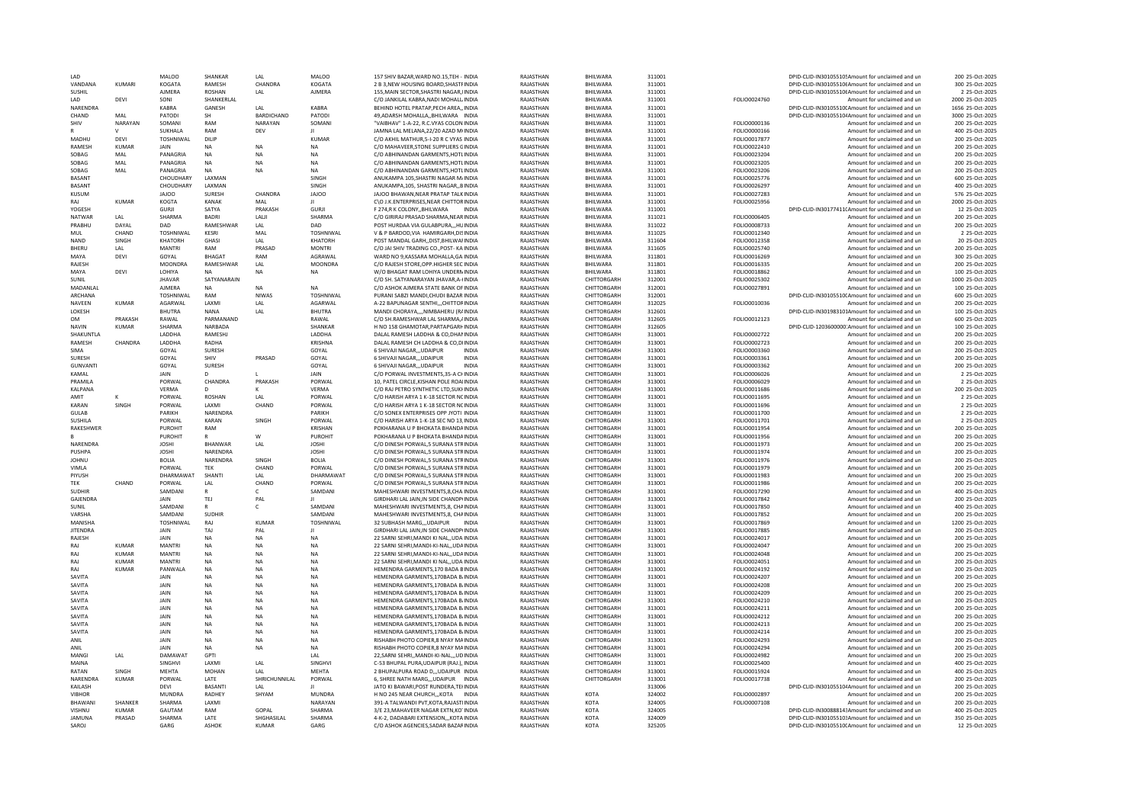| $1 \Delta D$    |              | MAI OO           | SHANKAR        | I AI              | MAI 00           | 157 SHIV BAZAR, WARD NO.15, TEH - INDIA       | RAJASTHAN | <b>BHII WARA</b> | 311001 |              | DPID-CLID-IN301055105Amount for unclaimed and ur              | 200 25-Oct-2025  |
|-----------------|--------------|------------------|----------------|-------------------|------------------|-----------------------------------------------|-----------|------------------|--------|--------------|---------------------------------------------------------------|------------------|
| VANDANA         | KUMARI       | KOGATA           | <b>RAMESH</b>  | CHANDRA           | KOGATA           | 2 B 3 NEW HOUSING BOARD SHASTEINDIA           | RAIASTHAN | <b>BHII WARA</b> | 311001 |              | DPID-CLID-IN301055106Amount for unclaimed and un              | 300 25-Oct-2025  |
| SUSHIL          |              | AJMERA           | ROSHAN         | LAL               | AJMERA           | 155, MAIN SECTOR, SHASTRI NAGAR, IINDIA       | RAJASTHAN | BHILWARA         | 311001 |              | DPID-CLID-IN30105510(Amount for unclaimed and un              | 2 25-Oct-2025    |
| <b>IAD</b>      | DEVI         | SONI             | SHANKERLAL     |                   |                  | C/O JANKILAL KABRA, NADI MOHALL INDIA         | RAJASTHAN | BHILWARA         | 311001 | FOLIO0024760 | Amount for unclaimed and un                                   | 2000 25-Oct-2025 |
| NARENDRA        |              | KABRA            | GANESH         | LAL               | <b>KABRA</b>     | BEHIND HOTEL PRATAP, PECH AREA,, INDIA        | RAJASTHAN | BHILWARA         | 311001 |              | DPID-CLID-IN30105510(Amount for unclaimed and un              | 1656 25-Oct-2025 |
| CHAND           | MAI          | PATODI           | <b>SH</b>      | <b>BARDICHAND</b> | PATODI           | 49.ADARSH MOHALLABHILWARA INDIA               | RAJASTHAN | BHILWARA         | 311001 |              | DPID-CLID-IN30105510/Amount for unclaimed and un              | 3000 25-Oct-2025 |
|                 |              |                  |                |                   |                  |                                               |           |                  |        |              |                                                               |                  |
| SHIV            | NARAYAN      | SOMANI           | RAM            | NARAYAN           | SOMANI           | "VAIBHAV" 1-A-22, R.C.VYAS COLON INDIA        | RAJASTHAN | BHILWARA         | 311001 | FOLIO0000136 | Amount for unclaimed and un                                   | 200 25-Oct-2025  |
|                 |              | SUKHALA          | RAM            | DEV               |                  | JAMNA LAL MELANA, 22/20 AZAD MIINDIA          | RAJASTHAN | BHILWARA         | 311001 | FOLIO0000166 | Amount for unclaimed and un                                   | 400 25-Oct-2025  |
| MADHU           | DEVI         | <b>TOSHNIWAL</b> | <b>DILIP</b>   |                   | <b>KUMAR</b>     | C/O AKHIL MATHUR.5-I-20 R C VYAS INDIA        | RAJASTHAN | BHILWARA         | 311001 | FOLIO0017877 | Amount for unclaimed and un                                   | 200 25-Oct-2025  |
| RAMESH          | <b>KUMAR</b> | JAIN             | <b>NA</b>      | <b>NA</b>         | <b>NA</b>        | C/O MAHAVEER.STONE SUPPLIERS GINDIA           | RAJASTHAN | BHILWARA         | 311001 | FOLIO0022410 | Amount for unclaimed and un                                   | 200 25-Oct-2025  |
| SOBAG           | MAI          | PANAGRIA         | <b>NA</b>      | <b>NA</b>         | <b>NA</b>        | C/O ABHINANDAN GARMENTS HOTI INDIA            | RAIASTHAN | <b>BHII WARA</b> | 311001 | FOLIO0023204 | Amount for unclaimed and un                                   | 200 25-Oct-2025  |
| SOBAG           | MAL          | PANAGRIA         | NA             | <b>NA</b>         | ΝA               | C/O ABHINANDAN GARMENTS, HOTLINDIA            | RAJASTHAN | BHILWARA         | 311001 | FOLIO0023205 | Amount for unclaimed and un                                   | 200 25-Oct-2025  |
| SOBAG           | MAL          | PANAGRIA         | <b>NA</b>      | <b>NA</b>         | <b>NA</b>        | C/O ABHINANDAN GARMENTS, HOTLINDIA            | RAJASTHAN | BHILWARA         | 311001 | FOLIO0023206 | Amount for unclaimed and un                                   | 200 25-Oct-2025  |
| BASANT          |              | CHOUDHARY        | LAXMAN         |                   | SINGH            |                                               | RAJASTHAN |                  |        |              |                                                               | 600 25-Oct-2025  |
|                 |              |                  |                |                   |                  | ANUKAMPA 105, SHASTRI NAGAR M/INDIA           |           | BHILWARA         | 311001 | FOLIO0025776 | Amount for unclaimed and un                                   |                  |
| BASANT          |              | CHOUDHARY        | LAXMAN         |                   | SINGH            | ANUKAMPA, 105, SHASTRI NAGAR,, BINDIA         | RAJASTHAN | BHILWARA         | 311001 | FOLIO0026297 | Amount for unclaimed and un                                   | 400 25-Oct-2025  |
| KUSUM           |              | <b>JAJOO</b>     | <b>SURESH</b>  | CHANDRA           | <b>JAJOO</b>     | JAJOO BHAWAN, NEAR PRATAP TALK INDIA          | RAJASTHAN | BHILWARA         | 311001 | FOLIO0027283 | Amount for unclaimed and un                                   | 576 25-Oct-2025  |
| RAJ             | <b>KUMAR</b> | KOGTA            | KANAK          | MAL               |                  | C\O J.K.ENTERPRISES, NEAR CHITTOR INDIA       | RAJASTHAN | BHILWARA         | 311001 | FOLIO0025956 | Amount for unclaimed and un                                   | 2000 25-Oct-2025 |
| YOGESH          |              | GURIL            | SATYA          | PRAKASH           | GURIL            | F 274 R K COLONY BHILWARA<br>INDIA            | RAIASTHAN | <b>BHII WARA</b> | 311001 |              | DPID-CLID-IN30177411(Amount for unclaimed and un              | 12 25-0ct-2025   |
| <b>NATWAF</b>   | LAL          | SHARMA           | <b>BADRI</b>   | LALI              | SHARMA           | C/O GIRIRAJ PRASAD SHARMA.NEAR INDIA          | RAJASTHAN | <b>BHILWARA</b>  | 311021 | FOLIO0006405 | Amount for unclaimed and un                                   | 200 25-Oct-2025  |
| PRABHU          | DAYAI        | DAD              | RAMESHWAR      | I AI              | DAD              | POST HURDAA VIA GULABPURAHUINDIA              | RAIASTHAN | <b>BHII WARA</b> | 311022 | FOLIO0008733 | Amount for unclaimed and un                                   | 200 25-Oct-2025  |
| MUL             | CHAND        | <b>TOSHNIWAI</b> | KESRI          | MAL               | TOSHNIWAL        | V & P BARDOD, VIA HAMIRGARH, DISINDIA         | RAJASTHAN | <b>BHII WARA</b> | 311025 | FOLIO0012340 | Amount for unclaimed and un                                   | 2 25-Oct-2025    |
| <b>NAND</b>     |              |                  |                |                   |                  |                                               |           |                  |        |              |                                                               |                  |
|                 | SINGH        | KHATORH          | GHASI          | LAL               | KHATORH          | POST MANDAL GARH, , DIST, BHILWAI INDIA       | RAJASTHAN | BHILWARA         | 311604 | FOLIO0012358 | Amount for unclaimed and un                                   | 20 25-Oct-2025   |
| BHERL           | LAL          | <b>MANTRI</b>    | RAM            | PRASAD            | <b>MONTRI</b>    | C/O JAI SHIV TRADING CO., POST- KA INDIA      | RAJASTHAN | BHILWARA         | 311605 | FOLIO0025740 | Amount for unclaimed and un                                   | 200 25-Oct-2025  |
| MAYA            | DEVI         | GOYAL            | <b>BHAGAT</b>  | RAM               | AGRAWAL          | WARD NO 9, KASSARA MOHALLA, GAINDIA           | RAJASTHAN | BHILWARA         | 311801 | FOLIO0016269 | Amount for unclaimed and un                                   | 300 25-Oct-2025  |
| RAJESH          |              | <b>MOONDRA</b>   | RAMESHWAR      | LAL               | MOONDRA          | C/O RAJESH STORE.OPP.HIGHER SEC INDIA         | RAJASTHAN | BHILWARA         | 311801 | FOLIO0016335 | Amount for unclaimed and un                                   | 200 25-Oct-2025  |
| MAYA            | DEVI         | LOHIYA           | <b>NA</b>      | <b>NA</b>         | <b>NA</b>        | W/O BHAGAT RAM LOHIYA UNDERNINDIA             | RAJASTHAN | BHILWARA         | 311801 | FOLIO0018862 | Amount for unclaimed and un                                   | 100 25-Oct-2025  |
| SUNIL           |              | <b>IHAVAR</b>    | SATYANARAIN    |                   |                  | C/O SH. SATYANARAYAN IHAVAR A-(INDIA          | RAIASTHAN | CHITTORGARH      | 312001 | FOLIO0025302 | Amount for unclaimed and un                                   | 1000 25-Oct-2025 |
| MADANLAI        |              | <b>AJMERA</b>    | <b>NA</b>      | <b>NA</b>         | <b>NA</b>        | C/O ASHOK AJMERA STATE BANK OF INDIA          | RAJASTHAN | CHITTORGARH      | 312001 | FOLIO0027891 | Amount for unclaimed and un                                   | 100 25-Oct-2025  |
| ARCHANA         |              | <b>TOSHNIWAL</b> | RAM            | <b>NIWAS</b>      | <b>TOSHNIWAL</b> | PURANI SABZI MANDI.CHUDI BAZAR INDIA          | RAJASTHAN | CHITTORGARH      | 312001 |              | DPID-CLID-IN30105510(Amount for unclaimed and un              | 600 25-Oct-2025  |
|                 |              |                  |                |                   |                  |                                               |           |                  |        |              |                                                               |                  |
| NAVEEN          | KUMAR        | AGARWAL          | LAXMI          | LAL               | AGARWAL          | A-22 BAPUNAGAR SENTHICHITTORINDIA             | RAJASTHAN | CHITTORGARH      | 312025 | FOLIO0010036 | Amount for unclaimed and un                                   | 200 25-Oct-2025  |
| LOKESH          |              | <b>BHUTRA</b>    | <b>NANA</b>    | LAL               | <b>BHUTRA</b>    | MANDI CHORAYA,,,,NIMBAHERU (RAINDIA           | RAJASTHAN | CHITTORGARH      | 312601 |              | DPID-CLID-IN301983101Amount for unclaimed and un              | 100 25-Oct-2025  |
| <b>OM</b>       | PRAKASH      | RAWAL            | PARMANAND      |                   | RAWAL            | C/O SH.RAMESHWAR LAL SHARMA./INDIA            | RAJASTHAN | CHITTORGARH      | 312605 | FOLIO0012123 | Amount for unclaimed and un                                   | 600 25-Oct-2025  |
| <b>NAVIN</b>    | <b>KUMAR</b> | SHARMA           | NARBADA        |                   | SHANKAR          | H NO 158 GHAMOTAR, PARTAPGARHINDIA            | RAJASTHAN | CHITTORGARH      | 312605 |              | DPID-CLID-1203600000:Amount for unclaimed and un              | 100 25-Oct-2025  |
| SHAKUNTLA       |              | LADDHA           | RAMESHJ        |                   | LADDHA           | DALAL RAMESH LADDHA & CO.DHANINDIA            | RAJASTHAN | CHITTORGARH      | 313001 | FOLIO0002722 | Amount for unclaimed and un                                   | 200 25-Oct-2025  |
| RAMESH          | CHANDRA      | <b>LADDHA</b>    | RADHA          |                   | <b>KRISHNA</b>   | DALAL RAMESH CH LADDHA & CO.DIINDIA           | RAJASTHAN | CHITTORGARH      | 313001 | FOLIO0002723 | Amount for unclaimed and un                                   | 200 25-Oct-2025  |
| SIMA            |              | GOYAL            | SURESH         |                   | GOYAL            | 6 SHIVAJI NAGARUDAIPUR<br><b>INDIA</b>        | RAJASTHAN | CHITTORGARH      | 313001 | FOLIO0003360 | Amount for unclaimed and un                                   | 200 25-Oct-2025  |
|                 |              |                  |                |                   |                  |                                               |           |                  |        |              |                                                               |                  |
| SURESH          |              | GOYAL            | <b>SHIV</b>    | PRASAD            | GOYAL            | 6 SHIVAJI NAGARUDAIPUR<br><b>INDIA</b>        | RAJASTHAN | CHITTORGARH      | 313001 | FOLIO0003361 | Amount for unclaimed and un                                   | 200 25-Oct-2025  |
| <b>GUNVANTI</b> |              | GOYAL            | SURESH         |                   | GOYAL            | 6 SHIVAJI NAGARUDAIPUR<br><b>INDIA</b>        | RAJASTHAN | CHITTORGARH      | 313001 | FOLIO0003362 | Amount for unclaimed and un                                   | 200 25-Oct-2025  |
| KAMAL           |              | <b>JAIN</b>      | D.             |                   | <b>JAIN</b>      | C/O PORWAL INVESTMENTS, 35-A CHINDIA          | RAJASTHAN | CHITTORGARH      | 313001 | FOLIO0006026 | Amount for unclaimed and un                                   | 2 25-Oct-2025    |
| PRAMILA         |              | PORWAL           | CHANDRA        | PRAKASH           | PORWAL           | 10, PATEL CIRCLE, KISHAN POLE ROAIINDIA       | RAJASTHAN | CHITTORGARH      | 313001 | FOLIO0006029 | Amount for unclaimed and un                                   | 2 25-Oct-2025    |
| KALPANA         |              | <b>VERMA</b>     | n.             | к                 | VERMA            | C/O RAJ PETRO SYNTHETIC LTD.SUKHNDIA          | RAJASTHAN | CHITTORGARH      | 313001 | FOLIO0011686 | Amount for unclaimed and un                                   | 200 25-Oct-2025  |
| AMIT            |              | PORWAL           | ROSHAN         | LAL               | PORWAL           | C/O HARISH ARYA 1 K-18 SECTOR NCINDIA         | RAJASTHAN | CHITTORGARH      | 313001 | FOLIO0011695 | Amount for unclaimed and ur                                   | 2 25-Oct-2025    |
| KARAN           | SINGH        | PORWAL           | <b>I AXMI</b>  | CHAND             | PORWAL           | C/O HARISH ARYA 1 K-18 SECTOR NCINDIA         | RAJASTHAN | CHITTORGARH      | 313001 | FOLIO0011696 | Amount for unclaimed and un                                   | 2 25-Oct-2025    |
| <b>GULAB</b>    |              | PARIKH           | NARENDRA       |                   | PARIKH           | C/O SONEX ENTERPRISES OPP JYOTI INDIA         | RAJASTHAN | CHITTORGARH      | 313001 | FOLIO0011700 | Amount for unclaimed and un                                   | 2 25-Oct-2025    |
| <b>SUSHILA</b>  |              |                  | KARAN          | SINGH             | PORWAL           |                                               |           |                  |        |              |                                                               |                  |
|                 |              | PORWAL           |                |                   |                  | C/O HARISH ARYA 1-K-18 SEC NO 13 INDIA        | RAJASTHAN | CHITTORGARH      | 313001 | FOLIO0011701 | Amount for unclaimed and un                                   | 2 25-Oct-2025    |
| RAKESHWER       |              | PUROHIT          | RAM            |                   | <b>KRISHAN</b>   | POKHARANA U P BHOKATA BHANDAINDIA             | RAJASTHAN | CHITTORGARH      | 313001 | FOLIO0011954 | Amount for unclaimed and un                                   | 200 25-Oct-2025  |
|                 |              | PUROHIT          |                | W                 | PUROHIT          | POKHARANA U P BHOKATA BHANDAINDIA             | RAJASTHAN | CHITTORGARH      | 313001 | FOLIO0011956 | Amount for unclaimed and un                                   | 200 25-Oct-2025  |
| NARFNDRA        |              | <b>IOSHI</b>     | <b>BHANWAR</b> | LAL               | <b>IOSHI</b>     | C/O DINESH PORWAL 5 SURANA STRINDIA           | RAIASTHAN | CHITTORGARH      | 313001 | FOLIO0011973 | Amount for unclaimed and un                                   | 200 25-Oct-2025  |
| PUSHPA          |              | <b>JOSHI</b>     | NARENDRA       |                   | <b>JOSHI</b>     | C/O DINESH PORWAL.5 SURANA STRINDIA           | RAJASTHAN | CHITTORGARH      | 313001 | FOLIO0011974 | Amount for unclaimed and un                                   | 200 25-Oct-2025  |
| <b>IOHNU</b>    |              | BOLIA            | NARENDRA       | <b>SINGH</b>      | BOLIA            | C/O DINESH PORWAL 5 SURANA STRINDIA           | RAIASTHAN | CHITTORGARH      | 313001 | FOLIO0011976 | Amount for unclaimed and un                                   | 200 25-Oct-2025  |
| VIMLA           |              | PORWAL           | TEK            | CHAND             | PORWAL           | C/O DINESH PORWAL.5 SURANA STRINDIA           | RAJASTHAN | CHITTORGARH      | 313001 | FOLIO0011979 | Amount for unclaimed and un                                   | 200 25-Oct-2025  |
| PIYUSH          |              | DHARMAWAT        | SHANTI         | 1 AI              | <b>DHARMAWAT</b> | C/O DINESH PORWAL.5 SURANA STRINDIA           | RAJASTHAN | CHITTORGARH      | 313001 | FOLIO0011983 | Amount for unclaimed and un                                   | 200 25-Oct-2025  |
|                 |              |                  |                |                   |                  |                                               |           |                  |        |              |                                                               |                  |
| <b>TEK</b>      | CHAND        | PORWAL           | LAL            | CHAND             | PORWAL           | C/O DINESH PORWAL,5 SURANA STRINDIA           | RAJASTHAN | CHITTORGARH      | 313001 | FOLIO0011986 | Amount for unclaimed and un                                   | 200 25-Oct-2025  |
| <b>SUDHIR</b>   |              | SAMDANI          | $\mathsf{R}$   | c                 | SAMDANI          | MAHESHWARI INVESTMENTS, 8, CHA INDIA          | RAJASTHAN | CHITTORGARH      | 313001 | FOLIO0017290 | Amount for unclaimed and un                                   | 400 25-Oct-2025  |
| GAJENDRA        |              | JAIN             | TEJ            | PAL               |                  | GIRDHARI LAL JAIN.IN SIDE CHANDPHNDIA         | RAJASTHAN | CHITTORGARH      | 313001 | FOLIO0017842 | Amount for unclaimed and un                                   | 200 25-Oct-2025  |
| SUNIL           |              | SAMDANI          | $\mathsf{R}$   | Ċ                 | SAMDAN           | MAHESHWARI INVESTMENTS.8. CHAINDIA            | RAJASTHAN | CHITTORGARH      | 313001 | FOLIO0017850 | Amount for unclaimed and un                                   | 400 25-Oct-2025  |
| VARSHA          |              | SAMDANI          | <b>SUDHIR</b>  |                   | SAMDANI          | MAHESHWARI INVESTMENTS.8. CHAINDIA            | RAIASTHAN | CHITTORGARH      | 313001 | FOLIO0017852 | Amount for unclaimed and un                                   | 200 25-Oct-2025  |
| MANISHA         |              | <b>TOSHNIWAL</b> | RAJ            | <b>KUMAR</b>      | <b>TOSHNIWAL</b> | 32 SUBHASH MARGUDAIPUR<br><b>INDIA</b>        | RAJASTHAN | CHITTORGARH      | 313001 | FOLIO0017869 | Amount for unclaimed and un                                   | 1200 25-Oct-2025 |
| <b>IITENDRA</b> |              | <b>JAIN</b>      | TAI            | PAI               |                  | GIRDHARI LAL JAIN, IN SIDE CHANDPHNDIA        | RAJASTHAN | CHITTORGARH      | 313001 | FOLIO0017885 | Amount for unclaimed and un                                   | 200 25-Oct-2025  |
| RAJESH          |              | <b>JAIN</b>      | NA             | NA                | <b>NA</b>        | 22 SARNI SEHRI, MANDI KI NAL,, UDA INDIA      | RAJASTHAN | CHITTORGARH      | 313001 | FOLIO0024017 | Amount for unclaimed and un                                   | 200 25-Oct-2025  |
| RAJ             | KUMAR        | <b>MANTRI</b>    |                | <b>NA</b>         | <b>NA</b>        | 22 SARNI SEHRI, MANDI-KI-NAL, , UDA INDIA     | RAJASTHAN | CHITTORGARH      | 313001 | FOLIO0024047 | Amount for unclaimed and un                                   | 200 25-Oct-2025  |
|                 |              |                  | NA             |                   |                  |                                               |           |                  |        |              |                                                               |                  |
| RAJ             | <b>KUMAR</b> | <b>MANTRI</b>    | <b>NA</b>      | <b>NA</b>         | <b>NA</b>        | 22 SARNI SEHRI, MANDI-KI-NAL., UDA INDIA      | RAJASTHAN | CHITTORGARH      | 313001 | FOLIO0024048 | Amount for unclaimed and un                                   | 200 25-Oct-2025  |
| RAJ             | <b>KUMAR</b> | <b>MANTRI</b>    | <b>NA</b>      | <b>NA</b>         | <b>NA</b>        | 22 SARNI SEHRI, MANDI KI NAL,, UDA INDIA      | RAJASTHAN | CHITTORGARH      | 313001 | FOLIO0024051 | Amount for unclaimed and un                                   | 200 25-Oct-2025  |
| RAJ             | <b>KUMAR</b> | PANWALA          | <b>NA</b>      | <b>NA</b>         | <b>NA</b>        | HEMENDRA GARMENTS.170 BADA BINDIA             | RAJASTHAN | CHITTORGARH      | 313001 | FOLIO0024192 | Amount for unclaimed and un                                   | 200 25-Oct-2025  |
| SAVITA          |              | <b>JAIN</b>      | <b>NA</b>      | <b>NA</b>         | <b>NA</b>        | HEMENDRA GARMENTS.170BADA B/INDIA             | RAJASTHAN | CHITTORGARH      | 313001 | FOLIO0024207 | Amount for unclaimed and un                                   | 200 25-Oct-2025  |
| SAVITA          |              | <b>JAIN</b>      | <b>NA</b>      | <b>NA</b>         | <b>NA</b>        | HEMENDRA GARMENTS.170BADA B/INDIA             | RAJASTHAN | CHITTORGARH      | 313001 | FOLIO0024208 | Amount for unclaimed and un                                   | 200 25-Oct-2025  |
| SAVITA          |              | <b>JAIN</b>      | <b>NA</b>      | <b>NA</b>         | NA               | HEMENDRA GARMENTS, 170BADA B/INDIA            | RAJASTHAN | CHITTORGARH      | 313001 | FOLIO0024209 | Amount for unclaimed and un                                   | 200 25-Oct-2025  |
| SAVITA          |              | <b>JAIN</b>      | <b>NA</b>      | <b>NA</b>         | <b>NA</b>        | HEMENDRA GARMENTS, 170BADA B/INDIA            | RAJASTHAN | CHITTORGARH      | 313001 | FOLIO0024210 | Amount for unclaimed and un                                   | 200 25-Oct-2025  |
| SAVITA          |              | <b>JAIN</b>      |                |                   |                  |                                               |           |                  |        |              |                                                               |                  |
|                 |              |                  | <b>NA</b>      | <b>NA</b>         | NA               | HEMENDRA GARMENTS, 170BADA BJ INDIA           | RAJASTHAN | CHITTORGARH      | 313001 | FOLIO0024211 | Amount for unclaimed and un                                   | 200 25-Oct-2025  |
| SAVITA          |              | JAIN             | <b>NA</b>      | <b>NA</b>         | NA               | HEMENDRA GARMENTS, 170BADA BJ INDIA           | RAJASTHAN | CHITTORGARH      | 313001 | FOLIO0024212 | Amount for unclaimed and un                                   | 200 25-Oct-2025  |
| SAVITA          |              | JAIN             | <b>NA</b>      | <b>NA</b>         | <b>NA</b>        | HEMENDRA GARMENTS.170BADA B/INDIA             | RAJASTHAN | CHITTORGARH      | 313001 | FOLIO0024213 | Amount for unclaimed and un                                   | 200 25-Oct-2025  |
| SAVITA          |              | JAIN             | <b>NA</b>      | <b>NA</b>         | NA               | HEMENDRA GARMENTS, 170BADA B/INDIA            | RAJASTHAN | CHITTORGARH      | 313001 | FOLIO0024214 | Amount for unclaimed and un                                   | 200 25-Oct-2025  |
| ANII            |              | <b>JAIN</b>      | <b>NA</b>      | <b>NA</b>         | <b>NA</b>        | RISHABH PHOTO COPIER.8 NYAY MAINDIA           | RAIASTHAN | CHITTORGARH      | 313001 | FOLIO0024293 | Amount for unclaimed and un                                   | 200 25-Oct-2025  |
| ANIL            |              | <b>JAIN</b>      | <b>NA</b>      | <b>NA</b>         | <b>NA</b>        | RISHABH PHOTO COPIER,8 NYAY MAINDIA           | RAJASTHAN | CHITTORGARH      | 313001 | FOLIO0024294 | Amount for unclaimed and un                                   | 200 25-Oct-2025  |
| MANGI           | LAL          | <b>DAMAWAT</b>   | GPTI           |                   | A                | 22, SARNI SEHRI, , MANDI-KI-NAL, , , UD INDIA | RAJASTHAN | CHITTORGARH      | 313001 | FOLIO0024982 | Amount for unclaimed and un                                   | 200 25-Oct-2025  |
| MAINA           |              | SINGHVI          | LAXMI          | LAL               | SINGHVI          | C-53 BHUPAL PURA, UDAIPUR (RAJ.), INDIA       | RAJASTHAN | CHITTORGARH      | 313001 | FOLIO0025400 | Amount for unclaimed and un                                   | 400 25-Oct-2025  |
| RATAN           | SINGH        | MEHTA            | <b>MOHAN</b>   |                   | <b>MEHTA</b>     |                                               | RAJASTHAN | CHITTORGARH      |        |              |                                                               | 400 25-Oct-2025  |
|                 |              |                  |                | LAL               |                  | 2 BHUPALPURA ROAD D,,,UDAIPUR INDIA           |           |                  | 313001 | FOLIO0015924 | Amount for unclaimed and un                                   |                  |
| NARFNDRA        | KUMAR        | PORWAL           | <b>I ATF</b>   | SHRICHUNNILAI     | PORWAL           | 6. SHREE NATH MARG UDAIPUR INDIA              | RAIASTHAN | CHITTORGARH      | 313001 | FOLIO0017738 | Amount for unclaimed and un                                   | 200 25-Oct-2025  |
| KAILASH         |              | DEVI             | BASANTI        | LAL               |                  | JATO KI BAWARI, POST RUNDERA, TEHNDIA         | RAJASTHAN |                  | 313006 |              | DPID-CLID-IN30105510 <sup>2</sup> Amount for unclaimed and un | 200 25-Oct-2025  |
| <b>VIBHOR</b>   |              | <b>MUNDRA</b>    | <b>RADHEY</b>  | SHYAM             | <b>MUNDRA</b>    | H NO 245 NEAR CHURCHKOTA INDIA                | RAJASTHAN | KOTA             | 324002 | FOLIO0002897 | Amount for unclaimed and un                                   | 200 25-Oct-2025  |
| BHAWANI         | SHANKER      | SHARMA           | LAXMI          |                   | NARAYAN          | 391-A TALWANDI PVT, KOTA, RAJASTIINDIA        | RAJASTHAN | KOTA             | 324005 | FOLIO0007108 | Amount for unclaimed and un                                   | 200 25-Oct-2025  |
| VISHNU          | KUMAR        | GAUTAM           | RAM            | GOPAL             | SHARMA           | 3/E 23.MAHAVEER NAGAR EXTN.KO'INDIA           | RAIASTHAN | KOTA             | 324005 |              | DPID-CLID-IN30088814:Amount for unclaimed and un              | 400 25-Oct-2025  |
| JAMUNA          | PRASAD       | SHARMA           | LATE           | SHGHASILAL        | SHARMA           | 4-K-2, DADABARI EXTENSIONKOTA INDIA           | RAJASTHAN | KOTA             | 324009 |              | DPID-CLID-IN30105510:Amount for unclaimed and un              | 350 25-Oct-2025  |
|                 |              | GARG             | ASHOK          | <b>KUMAR</b>      | GARG             | C/O ASHOK AGENCIES, SADAR BAZAFINDIA          | RAJASTHAN | KOTA             | 325205 |              | DPID-CLID-IN30105510(Amount for unclaimed and un              | 12 25-Oct-2025   |
| SAROJ           |              |                  |                |                   |                  |                                               |           |                  |        |              |                                                               |                  |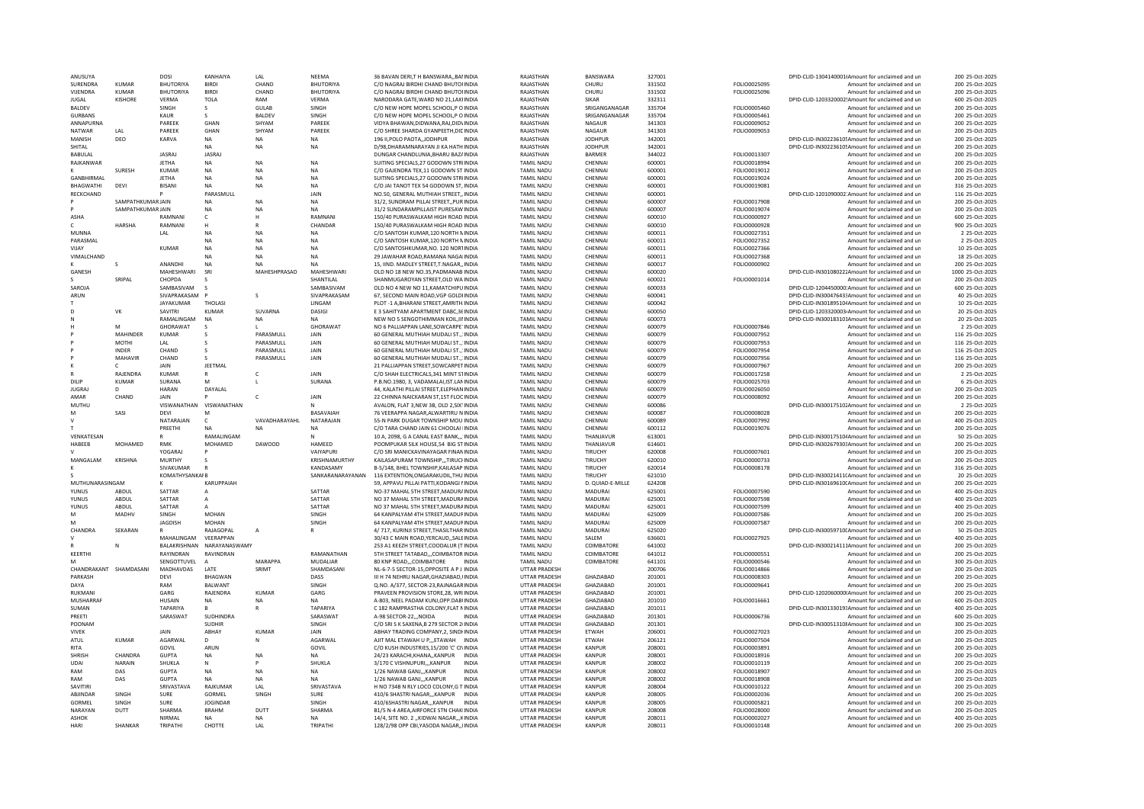| ANUSUYA                       |                                        | DOSI                        | KANHAIYA                      | LAL                  | NEEMA                         | 36 BAVAN DERI.T H BANSWARABAI INDIA                                               | RAJASTHAN                                 | BANSWARA                       | 327001           |                              | DPID-CLID-1304140001(Amount for unclaimed and un                                                     | 200 25-Oct-2025                    |
|-------------------------------|----------------------------------------|-----------------------------|-------------------------------|----------------------|-------------------------------|-----------------------------------------------------------------------------------|-------------------------------------------|--------------------------------|------------------|------------------------------|------------------------------------------------------------------------------------------------------|------------------------------------|
| SURENDRA                      | <b>KUMAR</b>                           | <b>BHUTORIYA</b>            |                               | CHAND                | BHUTORIYA                     | C/O NAGRAJ BIRDHI CHAND BHUTOHNDIA                                                | RAJASTHAN                                 | CHURU                          | 331502           | FOLIO0025095                 | Amount for unclaimed and un                                                                          | 200 25-Oct-2025                    |
| VIIENDRA                      | KUMAR                                  | <b>BHUTORIYA</b>            | <b>BIRDI</b>                  | CHAND                | <b>BHUTORIYA</b>              | C/O NAGRAJ BIRDHI CHAND BHUTOHNDIA                                                | RAIASTHAN                                 | CHURU                          | 331502           | FOLIO0025096                 | Amount for unclaimed and un                                                                          | 200 25-Oct-2025                    |
| <b>JUGAL</b><br><b>BALDEV</b> | KISHORE                                | VFRMA<br>SINGH              | <b>TOLA</b>                   | RAM<br><b>GULAB</b>  | VFRMA<br>SINGH                | NARODARA GATE, WARD NO 21, LAXIINDIA                                              | RAJASTHAN<br>RAJASTHAN                    | <b>SIKAR</b><br>SRIGANGANAGAR  | 332311<br>335704 | FOLIO0005460                 | DPID-CLID-1203320002!Amount for unclaimed and un                                                     | 600 25-Oct-2025<br>200 25-Oct-2025 |
| <b>GURBANS</b>                |                                        | KAUR                        | -S.<br>-S.                    | <b>BALDEV</b>        | SINGH                         | C/O NEW HOPE MOPEL SCHOOL,P O INDIA<br>C/O NEW HOPE MOPEL SCHOOL,P O INDIA        | RAJASTHAN                                 | SRIGANGANAGAR                  | 335704           | FOLIO0005461                 | Amount for unclaimed and un<br>Amount for unclaimed and un                                           | 200 25-Oct-2025                    |
| ANNAPURNA                     |                                        | PAREEK                      | GHAN                          | SHYAM                | PAREEK                        | VIDYA BHAWAN, DIDWANA, RAJ, DID\INDIA                                             | RAJASTHAN                                 | <b>NAGAUF</b>                  | 341303           | FOLIO0009052                 | Amount for unclaimed and un                                                                          | 200 25-Oct-2025                    |
| NATWAR                        | LAL                                    | PAREEK                      | GHAN                          | SHYAM                | PAREEK                        | C/O SHREE SHARDA GYANPEETH.DICINDIA                                               | RAJASTHAN                                 | <b>NAGAUR</b>                  | 341303           | FOLIO0009053                 | Amount for unclaimed and un                                                                          | 200 25-Oct-2025                    |
| MANISH                        | DEO                                    | KARVA                       | <b>NA</b>                     | <b>NA</b>            | NA                            | 196 II, POLO PAOTA, JODHPUR<br>INDIA                                              | RAJASTHAN                                 | <b>JODHPUR</b>                 | 342001           |                              | DPID-CLID-IN30223610! Amount for unclaimed and un                                                    | 200 25-Oct-2025                    |
| SHITAI                        |                                        |                             | <b>NA</b>                     | <b>NA</b>            | <b>NA</b>                     | D/98 DHARAMNARAYAN II KA HATH INDIA                                               | RAIASTHAN                                 | <b>IODHPUR</b>                 | 342001           |                              | DPID-CLID-IN302236105Amount for unclaimed and un                                                     | 200 25-Oct-2025                    |
| BABULAI                       |                                        | <b>JASRAJ</b>               | <b>JASRAJ</b>                 |                      |                               | DUNGAR CHANDLUNIA.BHARU BAZAINDIA                                                 | RAJASTHAN                                 | <b>BARMER</b>                  | 344022           | FOLIO0013307                 | Amount for unclaimed and un                                                                          | 200 25-Oct-2025                    |
| RAIKANWAR                     |                                        | <b>IFTHA</b>                | <b>NA</b>                     | <b>NA</b>            | <b>NA</b>                     | SUITING SPECIALS 27 GODOWN STRUNDIA                                               | <b>TAMIL NADU</b>                         | CHENNAL                        | 600001           | FOLIO0018994                 | Amount for unclaimed and un                                                                          | 200 25-Oct-2025                    |
|                               | <b>SURESH</b>                          | <b>KUMAF</b>                | <b>NA</b>                     | <b>NA</b>            | <b>NA</b>                     | C/O GAJENDRA TEX,11 GODOWN ST INDIA                                               | <b>TAMIL NADU</b>                         | CHENNAI                        | 600001           | FOLIO0019012                 | Amount for unclaimed and un                                                                          | 200 25-Oct-2025                    |
| <b>GANRHIRMAL</b>             |                                        | <b>JETHA</b>                | <b>NA</b>                     | <b>NA</b>            | <b>NA</b>                     | SUITING SPECIALS, 27 GODOWN STRIINDIA                                             | <b>TAMIL NADU</b>                         | CHENNAI                        | 600001           | FOLIO0019024                 | Amount for unclaimed and un                                                                          | 200 25-Oct-2025                    |
| BHAGWATHI                     | DFVI                                   | <b>BISANI</b>               | <b>NA</b>                     | <b>NA</b>            | NA                            | C/O JAI TANOT TEX 54 GODOWN ST. INDIA                                             | <b>TAMIL NADU</b>                         | CHENNAI                        | 600001           | FOLIO0019081                 | Amount for unclaimed and un                                                                          | 316 25-Oct-2025                    |
| RECKCHAND                     |                                        |                             | PARASMULL                     | <b>NA</b>            | JAIN<br><b>NA</b>             | NO.50, GENERAL MUTHIAH STREET., INDIA<br>31/2. SUNDRAM PILLAI STREETPUR INDIA     | <b>TAMIL NADU</b><br><b>TAMIL NADU</b>    | CHENNAI<br>CHENNAI             | 600001<br>600007 | FOLIO0017908                 | DPID-CLID-1201090002:Amount for unclaimed and un                                                     | 116 25-Oct-2025<br>200 25-Oct-2025 |
|                               | SAMPATHKUMAR JAIN<br>SAMPATHKUMAR JAIN |                             | NA<br><b>NA</b>               | <b>NA</b>            | <b>NA</b>                     | 31/2 SUNDARAMPILLAIST PURESAW INDIA                                               | <b>TAMIL NADU</b>                         | CHENNAI                        | 600007           | FOLIO0019074                 | Amount for unclaimed and un<br>Amount for unclaimed and un                                           | 200 25-Oct-2025                    |
| ASHA                          |                                        | RAMNAN                      | $\epsilon$                    | H                    | RAMNANI                       | 150/40 PURASWAI KAM HIGH ROAD INDIA                                               | <b>TAMIL NADU</b>                         | CHENNAL                        | 600010           | EQLIQ0000927                 | Amount for unclaimed and un                                                                          | 600 25-Oct-2025                    |
|                               | HARSHA                                 | RAMNANI                     | H                             | ${\sf R}$            | CHANDAR                       | 150/40 PURASWALKAM HIGH ROAD INDIA                                                | <b>TAMIL NADU</b>                         | CHENNAI                        | 600010           | FOLIO0000928                 | Amount for unclaimed and un                                                                          | 900 25-Oct-2025                    |
| MUNNA                         |                                        | LAL                         | <b>NA</b>                     | <b>NA</b>            | <b>NA</b>                     | C/O SANTOSH KUMAR 120 NORTH NINDIA                                                | <b>TAMIL NADU</b>                         | CHENNAL                        | 600011           | FOLIO0027351                 | Amount for unclaimed and un                                                                          | 2 25-Oct-2025                      |
| PARASMAL                      |                                        |                             | <b>NA</b>                     | N                    | NA                            | C/O SANTOSH KUMAR,120 NORTH NINDIA                                                | <b>TAMIL NADU</b>                         | CHENNAI                        | 600011           | FOLIO0027352                 | Amount for unclaimed and un                                                                          | 2 25-Oct-2025                      |
| VIIAY                         |                                        | KUMAR                       | <b>NA</b>                     | <b>NA</b>            | <b>NA</b>                     | C/O SANTOSHKUMAR, NO. 120 NORTINDIA                                               | <b>TAMIL NADU</b>                         | CHENNAL                        | 600011           | FOLIO0027366                 | Amount for unclaimed and un                                                                          | 10 25-Oct-2025                     |
| VIMALCHAND                    |                                        |                             | <b>NA</b>                     | <b>NA</b>            | <b>NA</b>                     | 29 JAWAHAR ROAD, RAMANA NAGAI INDIA                                               | <b>TAMIL NADU</b>                         | CHENNAL                        | 600011           | FOLIO0027368                 | Amount for unclaimed and un                                                                          | 18 25-Oct-2025                     |
|                               | $\mathsf{s}$                           | <b>ANANDHI</b>              | <b>NA</b>                     | NΔ                   | NΔ                            | 15. IIND. MADLEY STREET.T.NAGAR., INDIA                                           | <b>TAMIL NADU</b>                         | CHENNAL                        | 600017           | FOLIO0000902                 | Amount for unclaimed and un                                                                          | 200 25-Oct-2025                    |
| GANESH                        |                                        | MAHESHWARI                  | SRI                           | MAHESHPRASAD         | MAHESHWARI                    | OLD NO 18 NEW NO.35.PADMANABINDIA                                                 | <b>TAMIL NADU</b>                         | CHENNAI                        | 600020           |                              | DPID-CLID-IN30108022;Amount for unclaimed and un                                                     | 1000 25-Oct-2025                   |
|                               | SRIPAL                                 | CHOPDA                      |                               |                      | SHANTILAL                     | SHANMUGAROYAN STREET, OLD WA INDIA                                                | TAMIL NADU                                | CHENNAI                        | 600021           | FOLIO0001014                 | Amount for unclaimed and un                                                                          | 200 25-Oct-2025                    |
| SAROJA                        |                                        | SAMBASIVAM                  |                               |                      | SAMBASIVAM                    | OLD NO 4 NEW NO 11.KAMATCHIPU INDIA                                               | <b>TAMIL NADU</b>                         | CHENNAI                        | 600033           |                              | DPID-CLID-1204450000:Amount for unclaimed and un                                                     | 600 25-Oct-2025                    |
| ARUN                          |                                        | SIVAPRAKASAM                |                               | s                    | SIVAPRAKASAM                  | 67. SECOND MAIN ROAD.VGP GOLDHNDIA                                                | <b>TAMIL NADU</b>                         | CHENNA                         | 600041           |                              | DPID-CLID-IN30047643:Amount for unclaimed and un                                                     | 40 25-Oct-2025                     |
|                               | VK                                     | <b>JAYAKUMAR</b><br>SAVITRI | <b>THOLAS</b><br><b>KUMAR</b> |                      | <b>IINGAM</b><br>DASIGI       | PLOT -1 A BHARANI STREET AMRITH INDIA                                             | <b>TAMIL NADU</b><br><b>TAMIL NADU</b>    | CHENNAL<br>CHENNAI             | 600042<br>600050 |                              | DPID-CLID-IN30189510(Amount for unclaimed and un<br>DPID-CLID-1203320003-Amount for unclaimed and un | 10 25-Oct-2025<br>20 25-Oct-2025   |
|                               |                                        | RAMALINGAM                  | NΔ                            | SUVARNA<br><b>NA</b> | NΔ                            | E 3 SAHITYAM APARTMENT DABC, 36 INDIA<br>NEW NO 5 SENGOTHIMMAN KOIL.III INDIA     | <b>TAMIL NADU</b>                         | CHENNAI                        | 600073           |                              | DPID-CLID-IN300183101Amount for unclaimed and un                                                     | 20 25-Oct-2025                     |
|                               | M                                      | GHORAWAT                    | s                             |                      | <b>GHORAWAT</b>               | NO 6 PALLIAPPAN LANE, SOWCARPE INDIA                                              | <b>TAMIL NADU</b>                         | CHENNAI                        | 600079           | FOLIO0007846                 | Amount for unclaimed and un                                                                          | 2 25-Oct-2025                      |
|                               | <b>MAHINDER</b>                        | <b>KUMAR</b>                |                               | PARASMULL            | <b>JAIN</b>                   | 60 GENERAL MUTHIAH MUDALI ST INDIA                                                | <b>TAMIL NADU</b>                         | CHENNAL                        | 600079           | FOLIO0007952                 | Amount for unclaimed and un                                                                          | 116 25-Oct-2025                    |
|                               | <b>MOTHI</b>                           | LAL                         | -S                            | PARASMULL            | JAIN                          | 60 GENERAL MUTHIAH MUDALI ST.,: INDIA                                             | <b>TAMIL NADU</b>                         | CHENNAI                        | 600079           | FOLIO0007953                 | Amount for unclaimed and un                                                                          | 116 25-Oct-2025                    |
|                               | <b>INDER</b>                           | CHAND                       | s.                            | PARASMULL            | JAIN                          | 60 GENERAL MUTHIAH MUDALI ST: INDIA                                               | <b>TAMIL NADU</b>                         | CHENNAI                        | 600079           | FOLIO0007954                 | Amount for unclaimed and un                                                                          | 116 25-Oct-2025                    |
|                               | MAHAVIR                                | CHAND                       | -S.                           | PARASMULL            | <b>JAIN</b>                   | 60 GENERAL MUTHIAH MUDALLST INDIA                                                 | <b>TAMIL NADU</b>                         | CHENNAL                        | 600079           | <b>FOLIO0007956</b>          | Amount for unclaimed and un                                                                          | 116 25-Oct-2025                    |
|                               |                                        | JAIN                        | JEETMAL                       |                      |                               | 21 PALLIAPPAN STREET, SOWCARPET INDIA                                             | <b>TAMIL NADU</b>                         | CHENNAI                        | 600079           | FOLIO0007967                 | Amount for unclaimed and un                                                                          | 200 25-Oct-2025                    |
|                               | RAJENDRA                               | <b>KUMAR</b>                |                               | c                    | JAIN                          | C/O SHAH ELECTRICALS.341 MINT STINDIA                                             | <b>TAMIL NADU</b>                         | CHENNAI                        | 600079           | FOLIO0017258                 | Amount for unclaimed and un                                                                          | 2 25-Oct-2025                      |
| DILIP                         | <b>KUMAR</b>                           | SURANA                      |                               |                      | SURANA                        | P.B.NO.1980, 3, VADAMALAI, IST.LAN INDIA                                          | <b>TAMIL NADU</b>                         | CHENNAI                        | 600079           | FOLIO0025703                 | Amount for unclaimed and un                                                                          | 6 25-Oct-2025                      |
| <b>IUGRAI</b>                 |                                        | <b>HARAN</b>                | DAYAL AL                      |                      |                               | 44. KALATHI PILLAI STREET.ELEPHAN INDIA                                           | <b>TAMIL NADU</b>                         | CHENNAL                        | 600079           | FOLIO0026050                 | Amount for unclaimed and un                                                                          | 200 25-Oct-2025                    |
| AMAR                          | CHAND                                  | <b>JAIN</b>                 |                               |                      | JAIN                          | 22 CHINNA NAICKARAN ST.1ST FLOCINDIA                                              | <b>TAMIL NADU</b>                         | CHENNA                         | 600079           | FOLIO0008092                 | Amount for unclaimed and un                                                                          | 200 25-Oct-2025                    |
| MUTHU                         |                                        | VISWANATHAN                 | VISWANATHAN                   |                      |                               | AVALON, FLAT 3.NEW 3B, OLD 2.SIX1INDIA                                            | <b>TAMIL NADU</b>                         | CHENNAL                        | 600086           |                              | DPID-CLID-IN300175102Amount for unclaimed and un                                                     | 2 25-Oct-2025                      |
| M                             | SASI                                   | DFVI                        |                               |                      | RASAVAIAH                     | 76 VEERAPPA NAGAR, ALWARTIRU N INDIA                                              |                                           |                                |                  |                              |                                                                                                      |                                    |
|                               |                                        |                             |                               |                      |                               |                                                                                   | TAMIL NADU                                | CHENNAI                        | 600087           | FOLIO0008028                 | Amount for unclaimed and un                                                                          | 200 25-Oct-2025                    |
| $\mathcal{M}$                 |                                        | NATARAJAN                   | c                             | VAVADHARAYAHL        | NATARAJAN                     | 55-N PARK DUGAR TOWNSHIP MOU INDIA                                                | <b>TAMIL NADU</b>                         | CHENNAI                        | 600089           | FOLIO0007992                 | Amount for unclaimed and un                                                                          | 400 25-Oct-2025                    |
|                               |                                        | PREETHI                     | <b>NA</b>                     | <b>NA</b>            | <b>NA</b>                     | C/O TARA CHAND JAIN 61 CHOOLAI INDIA                                              | <b>TAMIL NADU</b>                         | CHENNAI                        | 600112           | FOLIO0019076                 | Amount for unclaimed and un                                                                          | 200 25-Oct-2025                    |
| VENKATESAN                    |                                        |                             | <b>RAMALINGAM</b>             |                      |                               | 10 A, 2098, G A CANAL EAST BANK,,, INDIA                                          | <b>TAMIL NADU</b>                         | THANJAVUI                      | 613001           |                              | DPID-CLID-IN30017510/Amount for unclaimed and un                                                     | 50 25-Oct-2025                     |
| HABEEB                        | <b>MOHAMED</b>                         | RMK                         | MOHAMED                       | <b>DAWOOD</b>        | <b>HAMFFD</b>                 | POOMPUKAR SILK HOUSE,54 BIG ST INDIA                                              | <b>TAMIL NADU</b>                         | THANIAVUR                      | 614601           |                              | DPID-CLID-IN30267930: Amount for unclaimed and un-                                                   | 200 25-Oct-2025                    |
| MANGAI AM                     | KRISHNA                                | YOGARAJ<br>MURTHY           |                               |                      | VAIYAPURI<br>KRISHNAMURTHY    | C/O SRI MANICKAVINAYAGAR FINANINDIA<br>KAILASAPURAM TOWNSHIP TIRUCHNDIA           | <b>TAMIL NADU</b><br><b>TAMIL NADU</b>    | TIRUCHY<br>TIRUCHY             | 620008<br>620010 | FOLIO0007601                 | Amount for unclaimed and un<br>Amount for unclaimed and un                                           | 200 25-Oct-2025<br>200 25-Oct-2025 |
|                               |                                        | SIVAKUMAR                   |                               |                      | KANDASAMY                     |                                                                                   | <b>TAMIL NADU</b>                         | TIRUCHY                        | 620014           | FOLIO0000733                 |                                                                                                      | 316 25-Oct-2025                    |
|                               |                                        | <b>KOMATHYSANKAFB</b>       |                               |                      | SANKARANARAYANAN              | B-5/148, BHEL TOWNSHIP, KAILASAP INDIA<br>116 EXTENTION.ONGARAKUDIL.THU INDIA     | <b>TAMIL NADU</b>                         | TIRUCHY                        | 621010           | FOLIO0008178                 | Amount for unclaimed and un<br>DPID-CLID-IN30021411(Amount for unclaimed and un                      | 20 25-Oct-2025                     |
| MUTHUNARASINGAM               |                                        |                             | KARUPPAIAH                    |                      |                               | 59. APPAVU PILLAI PATTI, KODANGI I INDIA                                          | <b>TAMIL NADU</b>                         | D. QUIAD-E-MILLE               | 624208           |                              | DPID-CLID-IN30169610(Amount for unclaimed and un                                                     | 200 25-Oct-2025                    |
| YUNUS                         | ABDUI                                  | SATTAR                      | $\overline{A}$                |                      | SATTAR                        | NO-37 MAHAL STH STREET, MADURA INDIA                                              | <b>TAMIL NADU</b>                         | <b>MADURAI</b>                 | 625001           | FOLIO0007590                 | Amount for unclaimed and un                                                                          | 400 25-Oct-2025                    |
| YUNUS                         | ABDUL                                  | SATTAR                      | $\overline{A}$                |                      | SATTAR                        | NO 37 MAHAL 5TH STREET.MADURA INDIA                                               | <b>TAMIL NADU</b>                         | MADURAL                        | 625001           | FOLIO0007598                 | Amount for unclaimed and un                                                                          | 400 25-Oct-2025                    |
| YUNUS                         | ABDUL                                  | SATTAR                      |                               |                      | SATTAR                        | NO 37 MAHAL 5TH STREET, MADURA INDIA                                              | <b>TAMIL NADU</b>                         | MADURAL                        | 625001           | FOLIO0007599                 | Amount for unclaimed and un                                                                          | 400 25-Oct-2025                    |
| M                             | MADHV                                  | SINGH                       | <b>MOHAN</b>                  |                      | SINGH                         | 64 KANPALYAM 4TH STREET.MADUFINDIA                                                | <b>TAMIL NADU</b>                         | <b>MADURAI</b>                 | 625009           | FOLIO0007586                 | Amount for unclaimed and un                                                                          | 200 25-Oct-2025                    |
| M                             |                                        | <b>JAGDISH</b>              | <b>MOHAN</b>                  |                      | SINGH                         | 64 KANPALYAM 4TH STREET, MADUFINDIA                                               | <b>TAMIL NADU</b>                         | MADURAI                        | 625009           | FOLIO0007587                 | Amount for unclaimed and un                                                                          | 200 25-Oct-2025                    |
| CHANDRA                       | SEKARAN                                |                             | RAIAGOPAL                     | А                    | R                             | 4/717. KURINJI STREET, THASILTHAR INDIA                                           | <b>TAMIL NADU</b>                         | MADURAL                        | 625020           |                              | DPID-CLID-IN30059710(Amount for unclaimed and un                                                     | 50 25-Oct-2025                     |
|                               |                                        | MAHALINGAM                  | VEERAPPAN                     |                      |                               | 30/43 C MAIN ROAD.YERCAUDSALEINDIA                                                | <b>TAMIL NADU</b>                         | SALEM                          | 636601           | FOLIO0027925                 | Amount for unclaimed and un                                                                          | 400 25-Oct-2025                    |
|                               |                                        | <b>BALAKRISHNAN</b>         | NARAYANASWAMY                 |                      |                               | 253 A1 KEEZH STREET.COODALUR (T INDIA                                             | <b>TAMIL NADU</b>                         | COIMBATORE                     | 641002           |                              | DPID-CLID-IN300214111Amount for unclaimed and un                                                     | 200 25-Oct-2025                    |
| KFFRTHI<br>M                  |                                        | RAYINDRAN                   | RAVINDRAN                     | MARAPPA              | RAMANATHAN                    | 5TH STREET TATABAD,,,COIMBATOR INDIA<br><b>INDIA</b>                              | TAMIL NADU                                | COIMBATORE                     | 641012           | FOLIO0000551                 | Amount for unclaimed and un                                                                          | 200 25-Oct-2025                    |
| CHANDRAKANT SHAMDASANI        |                                        | SENGOTTUVEL<br>MADHAVDAS    | LATE                          | SRIMT                | <b>MUDALIAR</b><br>SHAMDASANI | 80 KNP ROAD,,,COIMBATORE                                                          | <b>TAMIL NADU</b><br><b>UTTAR PRADESH</b> | COIMBATORE                     | 641101<br>200706 | FOLIO0000546<br>FOLIO0014866 | Amount for unclaimed and un                                                                          | 300 25-Oct-2025<br>200 25-Oct-2025 |
| PARKASH                       |                                        | DEVI                        | <b>BHAGWAN</b>                |                      | DASS                          | NL-6-7-5 SECTOR-15, OPPOSITE A P J INDIA                                          | <b>UTTAR PRADESH</b>                      | GHAZIABAD                      | 201001           |                              | Amount for unclaimed and un                                                                          | 200 25-Oct-2025                    |
| DAYA                          |                                        | RAM                         | <b>BALWANT</b>                |                      | SINGH                         | III H 74 NEHRU NAGAR, GHAZIABAD, IINDIA<br>Q.NO. A/377. SECTOR-23.RAJNAGAR INDIA  | <b>UTTAR PRADESH</b>                      | GHAZIABAD                      | 201001           | FOLIO0008303<br>FOLIO0009641 | Amount for unclaimed and un<br>Amount for unclaimed and un                                           | 200 25-Oct-2025                    |
| RUKMANI                       |                                        | GARG                        | <b>RAJENDRA</b>               | <b>KUMAF</b>         | GARG                          | PRAVEEN PROVISION STORE, 28, WRIINDIA                                             | <b>UTTAR PRADESH</b>                      | GHAZIABAD                      | 201001           |                              | DPID-CLID-1202060000IAmount for unclaimed and un                                                     | 200 25-Oct-2025                    |
| MUSHARRAF                     |                                        | <b>HUSAIN</b>               | <b>NA</b>                     | <b>NA</b>            | <b>NA</b>                     | A-803. NEEL PADAM KUNLOPP DABUNDIA                                                | <b>UTTAR PRADESH</b>                      | <b>GHAZIARAD</b>               | 201010           | FOI IO0016661                | Amount for unclaimed and un                                                                          | 600 25-Oct-2025                    |
| SUMAN                         |                                        | TAPARIYA                    | $\mathbf{B}$                  | R                    | TAPARIYA                      | C 182 RAMPRASTHA COLONY, FLAT NINDIA                                              | <b>UTTAR PRADESH</b>                      | GHAZIABAD                      | 201011           |                              | DPID-CLID-IN30133019:Amount for unclaimed and un                                                     | 400 25-Oct-2025                    |
| PREETI                        |                                        | SARASWAT                    | SUDHINDRA                     |                      | SARASWAT                      | A-98 SECTOR-22NOIDA<br><b>INDIA</b>                                               | <b>UTTAR PRADESH</b>                      | <b>GHAZIARAD</b>               | 201301           | FOLIO0006736                 | Amount for unclaimed and un                                                                          | 600 25-Oct-2025                    |
| POONAM                        |                                        |                             | SUDHIP                        |                      | SINGH                         | C/O SRI S K SAXENA.B 279 SECTOR 2 INDIA                                           | <b>UTTAR PRADESH</b>                      | GHAZIABAD                      | 201301           |                              | DPID-CLID-IN300513108Amount for unclaimed and un                                                     | 300 25-Oct-2025                    |
| <b>VIVFK</b>                  |                                        | <b>JAIN</b>                 | ARHAY                         | <b>KUMAF</b>         | <b>JAIN</b>                   | ABHAY TRADING COMPANY, 2, SINDHNDIA                                               | <b>UTTAR PRADESH</b>                      | <b>FTWAH</b>                   | 206001           | FOLIO0027023                 | Amount for unclaimed and un                                                                          | 200 25-Oct-2025                    |
| ATUL                          | KUMAR                                  | AGARWAL                     | D.                            | N                    | AGARWAL                       | AJIT MAL ETAWAH U P.,,ETAWAH INDIA                                                | <b>UTTAR PRADESH</b>                      | ETWAH                          | 206121           | FOLIO0007504                 | Amount for unclaimed and un                                                                          | 200 25-Oct-2025                    |
| RITA                          |                                        | GOVIL                       | ARUN                          |                      | GOVIL                         | C/O KUSH INDUSTRIES, 15/200 'C' CIVINDIA                                          | <b>UTTAR PRADESH</b>                      | KANPUR                         | 208001           | FOLIO0003891                 | Amount for unclaimed and un                                                                          | 200 25-Oct-2025                    |
| SHRISH                        | CHANDRA                                | GUPTA                       | <b>NA</b>                     | <b>NA</b>            | <b>NA</b>                     | 24/23 KARACHI, KHANA,, KANPUR<br><b>INDIA</b>                                     | UTTAR PRADESH                             | KANPUR                         | 208001           | FOLIO0018916                 | Amount for unclaimed and un                                                                          | 200 25-Oct-2025                    |
| <b>UDAI</b><br>RAM            | NARAIN<br>DAS                          | SHUKLA<br><b>GUPTA</b>      | $\mathsf{N}$<br><b>NA</b>     | <b>NA</b>            | SHUKLA<br><b>NA</b>           | 3/170 C VISHNUPURI,,,KANPUR<br>INDIA<br>1/26 NAWAB GANJKANPUR<br><b>INDIA</b>     | UTTAR PRADESH<br><b>UTTAR PRADESH</b>     | <b>KANPUR</b><br><b>KANPUR</b> | 208002<br>208002 | FOLIO0010119<br>FOLIO0018907 | Amount for unclaimed and un<br>Amount for unclaimed and un                                           | 200 25-Oct-2025<br>200 25-Oct-2025 |
| RAM                           | DAS                                    | <b>GUPTA</b>                | <b>NA</b>                     | <b>NA</b>            | NA                            | 1/26 NAWAB GANJKANPUR<br>INDIA                                                    | <b>UTTAR PRADESH</b>                      | <b>KANPUR</b>                  | 208002           | FOLIO0018908                 | Amount for unclaimed and un                                                                          | 200 25-Oct-2025                    |
| SAVITIRI                      |                                        | SRIVASTAVA                  | RAIKUMAR                      | <b>IAI</b>           | SRIVASTAVA                    | H NO 734B N RLY LOCO COLONY.G T INDIA                                             | <b>UTTAR PRADESH</b>                      | KANPUR                         | 208004           | FOLIO0010122                 | Amount for unclaimed and un                                                                          | 200 25-Oct-2025                    |
| ABJINDAR                      | SINGH                                  | SURE                        | GORMEL                        | SINGH                | SURE                          | 410/6 SHASTRI NAGAR,,,KANPUR<br>INDIA                                             | <b>UTTAR PRADESH</b>                      | <b>KANPUR</b>                  | 208005           | FOLIO0002036                 | Amount for unclaimed and un                                                                          | 200 25-Oct-2025                    |
| GORMEL                        | SINGH                                  | SURF                        | <b>JOGINDAR</b>               |                      | SINGH                         | 410/6SHASTRI NAGARKANPUR<br><b>INDIA</b>                                          | <b>UTTAR PRADESH</b>                      | KANPUR                         | 208005           | FOLIO0005821                 | Amount for unclaimed and un                                                                          | 200 25-Oct-2025                    |
| NARAYAN                       | DUTT                                   | SHARMA                      | <b>BRAHM</b>                  | DUTT                 | SHARMA                        | B1/5 N-4 AREA, AIRFORCE STN CHAKIINDIA                                            | <b>UTTAR PRADESH</b>                      | <b>KANPUF</b>                  | 208008           | FOLIO0028000                 | Amount for unclaimed and un                                                                          | 200 25-Oct-2025                    |
| <b>ASHOK</b><br>HARI          | SHANKAR                                | <b>NIRMAI</b><br>TRIPATHI   | <b>NA</b><br>CHOTTE           | <b>NA</b><br>1 AI    | <b>NA</b><br>TRIPATHI         | 14/4, SITE NO. 2 "KIDWAI NAGAR", KINDIA<br>128/2/98 OPP CBI, YASODA NAGAR, IINDIA | <b>UTTAR PRADESH</b><br>UTTAR PRADESH     | KANPUR<br><b>KANPUR</b>        | 208011<br>208011 | FOLIO0002027<br>FOLIO0010148 | Amount for unclaimed and un<br>Amount for unclaimed and un                                           | 400 25-Oct-2025<br>200 25-Oct-2025 |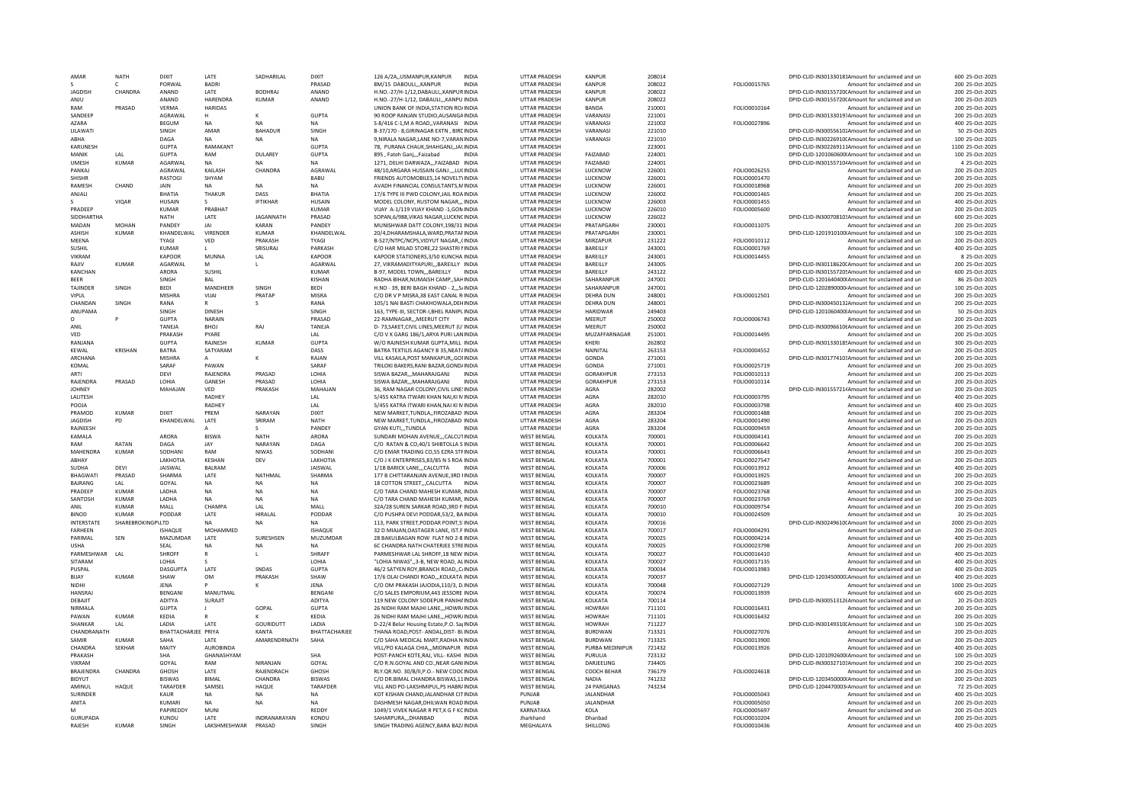| AMAR              | <b>NATH</b>       | DIXIT               | <b>I ATF</b>   | SADHARILAL       | DIXIT           | 126 A/2A., USMANPUR, KANPUR                 | <b>INDIA</b> | <b>UTTAR PRADESH</b> | KANPUR           | 208014 |                     | DPID-CLID-IN301330181Amount for unclaimed and un  | 600 25-Oct-2025  |
|-------------------|-------------------|---------------------|----------------|------------------|-----------------|---------------------------------------------|--------------|----------------------|------------------|--------|---------------------|---------------------------------------------------|------------------|
|                   | c                 | PORWAL              | <b>BADRI</b>   |                  | PRASAD          | <b>8M/15 DAROULL KANPUR</b>                 | <b>INDIA</b> | <b>UTTAR PRADESH</b> | KANPUR           | 208022 | FOLIO0015765        | Amount for unclaimed and un                       | 200 25-Oct-2025  |
| <b>JAGDISH</b>    | CHANDRA           | ANAND               | LATE           | <b>BODHRAJ</b>   | ANAND           | H.NO.-27/H-1/12, DABAULI,, KANPUR INDIA     |              | UTTAR PRADESH        | KANPUR           | 208022 |                     | DPID-CLID-IN30155720(Amount for unclaimed and un  | 200 25-Oct-2025  |
|                   |                   |                     |                |                  |                 |                                             |              |                      |                  |        |                     |                                                   |                  |
| ANIU              |                   | ANAND               | HARFNDRA       | <b>KUMAR</b>     | ANAND           | H.NO.-27/H-1/12, DABAULIKANPU INDIA         |              | <b>UTTAR PRADESH</b> | KANPUR           | 208022 |                     | DPID-CLID-IN30155720(Amount for unclaimed and un  | 200 25-Oct-2025  |
| RAM               | PRASAD            | <b>VERMA</b>        | <b>HARIDAS</b> |                  |                 | UNION BANK OF INDIA.STATION RO/INDIA        |              | <b>UTTAR PRADESH</b> | <b>BANDA</b>     | 210001 | FOLIO0010164        | Amount for unclaimed and un                       | 200 25-Oct-2025  |
| SANDFFP           |                   | AGRAWAL             | H              | ĸ                | <b>GUPTA</b>    | 90 ROOP RANJAN STUDIO.AUSANGA INDIA         |              | <b>UTTAR PRADESH</b> | VARANASI         | 221001 |                     | DPID-CLID-IN301330197Amount for unclaimed and un  | 200 25-Oct-2025  |
| <b>AZARA</b>      |                   | <b>BEGUM</b>        | NA.            | <b>NA</b>        | <b>NA</b>       | S-8/416 C-1, M A ROAD, VARANASI INDIA       |              | UTTAR PRADESH        | VARANASI         | 221002 | FOLIO0027896        | Amount for unclaimed and un                       | 400 25-Oct-2025  |
| LILAWATI          |                   | SINGH               | AMAR           | <b>BAHADUR</b>   | SINGH           |                                             |              | <b>UTTAR PRADESH</b> | VARANASI         | 221010 |                     | DPID-CLID-IN300556102Amount for unclaimed and un  |                  |
|                   |                   |                     |                |                  |                 | B-37/170 - 8, GIRINAGAR EXTN, BIRCINDIA     |              |                      |                  |        |                     |                                                   | 50 25-Oct-2025   |
| ABHA              |                   | DAGA                | <b>NA</b>      | <b>NA</b>        | <b>NA</b>       | 9.NIRALA NAGAR.LANE NO-7.VARANINDIA         |              | <b>UTTAR PRADESH</b> | VARANASI         | 221010 |                     | DPID-CLID-IN30226910(Amount for unclaimed and un  | 100 25-Oct-2025  |
| <b>KARUNESH</b>   |                   | <b>GUPTA</b>        | RAMAKANT       |                  | <b>GUPTA</b>    | 78. PURANA CHAUK.SHAHGANJ.JALINDIA          |              | <b>UTTAR PRADESH</b> |                  | 223001 |                     | DPID-CLID-IN302269111Amount for unclaimed and un  | 1100 25-Oct-2025 |
| MANIK             | I AI              | <b>GUPTA</b>        | RAM            | <b>DUI AREY</b>  | GUPTA           | 895 . Eateh Gani  Eaizabad                  | <b>INDIA</b> | <b>UTTAR PRADESH</b> | <b>FAIZABAD</b>  | 224001 |                     | DPID-CLID-1201060600(Amount for unclaimed and un  | 100 25-0ct-2025  |
| <b>UMESH</b>      | <b>KUMAR</b>      | AGARWAL             | <b>NA</b>      | NA               | NA              | 1271, DELHI DARWAZA,,,FAIZABAD INDIA        |              | UTTAR PRADESH        | FAIZABAD         | 224001 |                     | DPID-CLID-IN30155710/Amount for unclaimed and un  | 4 25-Oct-2025    |
|                   |                   |                     |                |                  |                 |                                             |              |                      |                  |        |                     |                                                   |                  |
| PANKAI            |                   | AGRAWAL             | KAILASH        | CHANDRA          | AGRAWAI         | 48/10, ARGARA HUSSAIN GANJ.,,,LU(INDIA      |              | <b>UTTAR PRADESH</b> | LUCKNOW          | 226001 | FOLIO0026255        | Amount for unclaimed and un                       | 200 25-Oct-2025  |
| SHISHR            |                   | RASTOGI             | SHYAM          |                  | BABU            | FRIENDS AUTOMOBILES.14 NOVELT\INDIA         |              | <b>UTTAR PRADESH</b> | LUCKNOW          | 226001 | FOLIO0001470        | Amount for unclaimed and un                       | 200 25-Oct-2025  |
| RAMESH            | CHAND             | JAIN                | <b>NA</b>      | <b>NA</b>        | <b>NA</b>       | AVADH FINANCIAL CONSULTANTS, MINDIA         |              | <b>UTTAR PRADESH</b> | LUCKNOW          | 226001 | FOLIO0018968        | Amount for unclaimed and un                       | 200 25-Oct-2025  |
| ANJALI            |                   | BHATIA              | THAKUR         | DASS             | BHATIA          | 17/6 TYPE III PWD COLONY JAIL ROA INDIA     |              | <b>UTTAR PRADESH</b> | LUCKNOW          | 226002 | FOLIO0001465        | Amount for unclaimed and un                       | 200 25-Oct-2025  |
|                   |                   |                     |                |                  |                 |                                             |              |                      |                  |        |                     |                                                   |                  |
|                   | VIOAR             | <b>HUSAIN</b>       |                | <b>IFTIKHAR</b>  | <b>HUSAIN</b>   | MODEL COLONY, RUSTOM NAGAR,,, INDIA         |              | UTTAR PRADESH        | LUCKNOW          | 226003 | FOLIO0001455        | Amount for unclaimed and un                       | 400 25-Oct-2025  |
| PRADEEP           |                   | KUMAR               | PRABHAT        |                  | KUMAR           | VIIAY A-1/119 VIIAY KHAND -1 GON INDIA      |              | <b>UTTAR PRADESH</b> | <b>IUCKNOW</b>   | 226010 | FOLIO0005600        | Amount for unclaimed and un                       | 200 25-Oct-2025  |
| <b>SIDDHARTHA</b> |                   | <b>NATH</b>         | LATE           | <b>JAGANNATH</b> | PRASAD          | SOPAN.6/988.VIKAS NAGAR.LUCKNCINDIA         |              | <b>UTTAR PRADESH</b> | LUCKNOW          | 226022 |                     | DPID-CLID-IN30070810: Amount for unclaimed and un | 600 25-Oct-2025  |
| MADAN             | MOHAN             | PANDEY              | <b>JAI</b>     | KARAN            | PANDEY          | MUNISHWAR DATT COLONY 198/31 INDIA          |              | <b>UTTAR PRADESH</b> | PRATAPGARH       | 230001 | FOLIO0011075        | Amount for unclaimed and un                       | 200 25-Oct-2025  |
| <b>ASHISH</b>     |                   |                     | VIRENDER       | KUMAR            |                 |                                             |              | <b>UTTAR PRADESH</b> | PRATAPGARH       |        |                     |                                                   |                  |
|                   | KUMAR             | KHANDELWAL          |                |                  | KHANDELWAL      | 20/4, DHARAMSHALA, WARD, PRATAFINDIA        |              |                      |                  | 230001 |                     | DPID-CLID-1201910100/Amount for unclaimed and un  | 100 25-Oct-2025  |
| MEENA             |                   | <b>TYAGI</b>        | VED            | PRAKASH          | <b>TYAGI</b>    | B-527/NTPC/NCPS, VIDYUT NAGAR, , (INDIA     |              | <b>UTTAR PRADESH</b> | MIRZAPUR         | 231222 | FOLIO0010112        | Amount for unclaimed and un                       | 200 25-Oct-2025  |
| SUSHIL            |                   | <b>KUMAR</b>        |                | SRISURAJ         | PARKASH         | C/O HAR MILAD STORE, 22 SHASTRI I INDIA     |              | UTTAR PRADESH        | BAREILLY         | 243001 | FOLIO0001769        | Amount for unclaimed and un                       | 400 25-Oct-2025  |
| VIKRAM            |                   | KAPOOR              | MUNNA          | LAL              | KAPOOR          | KAPOOR STATIONERS, 3/50 KUNCHA INDIA        |              | UTTAR PRADESH        | BAREILLY         | 243001 | FOLIO0014455        | Amount for unclaimed and un                       | 8 25-Oct-2025    |
| RAJIV             | <b>KUMAR</b>      | AGARWAL             | M              | г                | AGARWAI         | 27. VIKRAMADITYAPURI BAREILLY INDIA         |              | <b>UTTAR PRADESH</b> | BAREILLY         | 243005 |                     | DPID-CLID-IN30118620(Amount for unclaimed and un  | 200 25-Oct-2025  |
|                   |                   |                     |                |                  |                 |                                             |              |                      |                  |        |                     |                                                   |                  |
| KANCHAN           |                   | <b>ARORA</b>        | SUSHIL         |                  | <b>KUMAR</b>    | B-97, MODEL TOWNBAREILLY                    | INDIA        | <b>UTTAR PRADESH</b> | BAREILLY         | 243122 |                     | DPID-CLID-IN301557205Amount for unclaimed and un  | 600 25-Oct-2025  |
| <b>BFFR</b>       |                   | SINGH               | <b>BAI</b>     |                  | KISHAN          | RADHA BIHAR NUMAISH CAMP. SAHINDIA          |              | <b>UTTAR PRADESH</b> | SAHARANPUR       | 247001 |                     | DPID-CLID-1201640400(Amount for unclaimed and un  | 86 25-Oct-2025   |
| <b>TAJINDER</b>   | SINGH             | <b>BEDI</b>         | MANDHEER       | SINGH            | <b>BEDI</b>     | H.NO - 39. BERI BAGH KHAND - 2 S/INDIA      |              | <b>UTTAR PRADESH</b> | SAHARANPUR       | 247001 |                     | DPID-CLID-1202890000-Amount for unclaimed and un  | 100 25-Oct-2025  |
| VIPUL             |                   | <b>MISHRA</b>       | VIIAI          | PRATAP           | MISRA           |                                             |              |                      |                  |        |                     |                                                   | 200 25-0ct-2025  |
|                   |                   |                     |                |                  |                 | C/O DR V P MISRA.38 EAST CANAL RINDIA       |              | <b>UTTAR PRADESH</b> | <b>DEHRA DUN</b> | 248001 | FOLIO0012501        | Amount for unclaimed and un                       |                  |
| CHANDAN           | SINGH             | RANA                | R              | \$               | RANA            | 105/1 NAI BASTI CHAKHOWALA, DEHINDIA        |              | UTTAR PRADESH        | <b>DEHRA DUN</b> | 248001 |                     | DPID-CLID-IN300450131Amount for unclaimed and un  | 200 25-Oct-2025  |
| ANUPAMA           |                   | SINGH               | <b>DINESH</b>  |                  | SINGH           | 163, TYPE-III, SECTOR-I, BHEL RANIPLINDIA   |              | UTTAR PRADESH        | <b>HARIDWAR</b>  | 249403 |                     | DPID-CLID-1201060400IAmount for unclaimed and un  | 50 25-Oct-2025   |
| 0                 |                   | <b>GUPTA</b>        | NARAIN         |                  | PRASAD          | 22-RAMNAGARMEERUT CITY                      | <b>INDIA</b> | <b>UTTAR PRADESH</b> | MEERUT           | 250002 | FOLIO0006743        | Amount for unclaimed and un                       | 200 25-Oct-2025  |
|                   |                   | TANEJA              | <b>BHOJ</b>    |                  |                 |                                             |              |                      | MEERUT           |        |                     |                                                   |                  |
| ANIL              |                   |                     |                | RAJ              | TANEJA          | D-73, SAKET, CIVIL LINES, MEERUT (U'INDIA   |              | UTTAR PRADESH        |                  | 250002 |                     | DPID-CLID-IN30096610tAmount for unclaimed and un  | 200 25-Oct-2025  |
| VED               |                   | PRAKASH             | PYARE          |                  | LAL             | C/O V K GARG 186/1.ARYA PURI LANINDIA       |              | <b>UTTAR PRADESH</b> | MUZAFFARNAGAR    | 251001 | FOLIO0014495        | Amount for unclaimed and un                       | 200 25-Oct-2025  |
| RANJANA           |                   | <b>GUPTA</b>        | RAJNESH        | <b>KUMAR</b>     | <b>GUPTA</b>    | W/O RAINESH KUMAR GUPTA, MILL INDIA         |              | <b>UTTAR PRADESH</b> | KHERI            | 262802 |                     | DPID-CLID-IN30133018! Amount for unclaimed and un | 300 25-Oct-2025  |
| KFWAI             | <b>KRISHAN</b>    | <b>BATRA</b>        | SATYARAM       |                  | DASS            | BATRA TEXTILIS AGANCY B 35. NEAT/INDIA      |              | <b>UTTAR PRADESH</b> | NAINITAL         | 263153 | FOLIO0004552        | Amount for unclaimed and un                       | 200 25-Oct-2025  |
| ARCHANA           |                   | <b>MISHRA</b>       | A              | ĸ                | RAIAN           | VILL KASAILA, POST MANKAPUR, GOI INDIA      |              | <b>UTTAR PRADESH</b> | GONDA            | 271001 |                     | DPID-CLID-IN30177410: Amount for unclaimed and un | 200 25-Oct-2025  |
|                   |                   |                     |                |                  |                 |                                             |              |                      |                  |        |                     |                                                   |                  |
| KOMAL             |                   | SARAF               | PAWAN          |                  | SARAF           | TRILOKI BAKERS, RANI BAZAR, GOND/INDIA      |              | <b>UTTAR PRADESH</b> | GONDA            | 271001 | FOLIO0025719        | Amount for unclaimed and un                       | 200 25-Oct-2025  |
| ARTI              |                   | DEVI                | RAJENDRA       | PRASAD           | LOHIA           | SISWA BAZAR,,,MAHARAJGANJ                   | <b>INDIA</b> | UTTAR PRADESH        | GORAKHPUR        | 273153 | FOLIO0010113        | Amount for unclaimed and un                       | 200 25-Oct-2025  |
| RAJENDRA          | PRASAD            | LOHIA               | GANESH         | PRASAD           | LOHIA           | SISWA BAZAR,,,MAHARAJGANJ                   | INDIA        | UTTAR PRADESH        | GORAKHPUR        | 273153 | FOLIO0010114        | Amount for unclaimed and un                       | 200 25-Oct-2025  |
| <b>JOHNEY</b>     |                   | MAHAJAN             | VED            | PRAKASH          | MAHAJAN         | 36. RAM NAGAR COLONY.CIVIL LINE: INDIA      |              | <b>UTTAR PRADESH</b> | AGRA             | 282002 |                     | DPID-CLID-IN30155721/Amount for unclaimed and un  | 200 25-Oct-2025  |
|                   |                   |                     |                |                  |                 |                                             |              |                      |                  |        |                     |                                                   |                  |
| LALITESH          |                   |                     | RADHEY         |                  | LAL             | 5/455 KATRA ITWARI KHAN NAI, KI MINDIA      |              | UTTAR PRADESH        | AGRA             | 282010 | FOLIO0003795        | Amount for unclaimed and ur                       | 400 25-Oct-2025  |
| POOIA             |                   |                     | RADHEY         |                  | LAL             | 5/455 KATRA ITWARI KHAN.NAI KI MINDIA       |              | <b>UTTAR PRADESH</b> | AGRA             | 282010 | FOLIO0003798        | Amount for unclaimed and un                       | 400 25-Oct-2025  |
| PRAMOD            | <b>KUMAR</b>      | <b>DIXIT</b>        | PREM           | NARAYAN          | <b>DIXIT</b>    | NEW MARKET, TUNDLA,, FIROZABAD INDIA        |              | <b>UTTAR PRADESH</b> | AGRA             | 283204 | FOLIO0001488        | Amount for unclaimed and un                       | 200 25-Oct-2025  |
| <b>IAGDISH</b>    | PD.               | KHANDELWAL          | LATE           | SRIRAM           | <b>NATH</b>     | NEW MARKET.TUNDLAFIROZABAD INDIA            |              | <b>UTTAR PRADESH</b> | AGRA             | 283204 | FOLIO0001490        | Amount for unclaimed and un                       | 200 25-Oct-2025  |
|                   |                   |                     |                |                  |                 |                                             |              |                      |                  |        |                     |                                                   |                  |
| RAJNEESH          |                   |                     |                | $\mathbf{s}$     | PANDEY          | <b>GYAN KUTITUNDLA</b>                      | <b>INDIA</b> | <b>UTTAR PRADESH</b> | AGRA             | 283204 | FOLIO0009459        | Amount for unclaimed and un                       | 200 25-Oct-2025  |
| KAMALA            |                   | ARORA               | <b>BISWA</b>   | <b>NATH</b>      | ARORA           | SUNDARI MOHAN AVENUECALCUTINDIA             |              | <b>WEST BENGAL</b>   | KOLKATA          | 700001 | FOLIO0004141        | Amount for unclaimed and un                       | 200 25-Oct-2025  |
|                   | RATAN             | DAGA                | <b>JAY</b>     | NARAYAN          | DAGA            | C/O RATAN & CO.40/1 SHIRTOLLA SINDIA        |              | <b>WEST BENGAL</b>   | <b>KOI KATA</b>  | 700001 | <b>FOLIO0006642</b> | Amount for unclaimed and un                       | 200 25-0ct-2025  |
| RAM               |                   |                     |                |                  |                 |                                             |              |                      |                  |        |                     |                                                   |                  |
|                   |                   |                     |                |                  |                 |                                             |              |                      |                  |        |                     |                                                   |                  |
| MAHENDRA          | <b>KUMAR</b>      | SODHANI             | RAM            | <b>NIWAS</b>     | SODHAN          | C/O EMAR TRADING CO,55 EZRA STFINDIA        |              | <b>WEST BENGAL</b>   | KOLKATA          | 700001 | FOLIO0006643        | Amount for unclaimed and un                       | 200 25-Oct-2025  |
| ARHAY             |                   | <b>I AKHOTIA</b>    | <b>KFSHAN</b>  | DEV              | <b>LAKHOTIA</b> | C/O J K ENTERPRISES, 83/85 N S ROA INDIA    |              | <b>WEST BENGAL</b>   | KOI KATA         | 700001 | FOLIO0027547        | Amount for unclaimed and un                       | 200 25-Oct-2025  |
| <b>SUDHA</b>      | DEVI              | JAISWAL             | <b>BALRAM</b>  |                  | JAISWAL         | 1/1B BARICK LANE,,,CALCUTTA                 | INDIA        | <b>WEST BENGAL</b>   | KOLKATA          | 700006 | FOLIO0013912        | Amount for unclaimed and un                       | 400 25-Oct-2025  |
| <b>BHAGWATI</b>   | PRASAD            | SHARMA              | LATE           | NATHMAI          | SHARMA          | 177 B CHITTARANJAN AVENUE.3RD HNDIA         |              | <b>WEST BENGAL</b>   | KOLKATA          | 700007 | FOLIO0013925        | Amount for unclaimed and un                       | 200 25-Oct-2025  |
|                   |                   |                     |                |                  |                 |                                             |              |                      |                  |        |                     |                                                   |                  |
| BAJRANG           | LAL               | GOYAL               | NA             | <b>NA</b>        | <b>NA</b>       | 18 COTTON STREET,,,CALCUTTA INDIA           |              | <b>WEST BENGAL</b>   | KOLKATA          | 700007 | FOLIO0023689        | Amount for unclaimed and un                       | 200 25-Oct-2025  |
| PRADEEP           | <b>KUMAR</b>      | LADHA               | NA             | <b>NA</b>        | <b>NA</b>       | C/O TARA CHAND MAHESH KUMAR, INDIA          |              | <b>WEST BENGAL</b>   | KOLKATA          | 700007 | FOLIO0023768        | Amount for unclaimed and un                       | 200 25-Oct-2025  |
| SANTOSH           | <b>KUMAR</b>      | LADHA               | <b>NA</b>      | <b>NA</b>        | <b>NA</b>       | C/O TARA CHAND MAHESH KUMAR, INDIA          |              | <b>WEST BENGAL</b>   | KOLKATA          | 700007 | FOLIO0023769        | Amount for unclaimed and un                       | 200 25-Oct-2025  |
| ANIL              | <b>KUMAR</b>      | MALL                | CHAMPA         | LAL              | MALL            | 32A/28 SUREN SARKAR ROAD.3RD FINDIA         |              | <b>WEST BENGAL</b>   | KOLKATA          | 700010 | FOLIO0009754        | Amount for unclaimed and un                       | 200 25-Oct-2025  |
| <b>BINOD</b>      | KUMAR             | PODDAE              | <b>I ATF</b>   | <b>HIRAI AI</b>  | PODDAR          | C/O PUSHPA DEVI PODDAR 53/2. BA INDIA       |              | <b>WEST BENGAL</b>   | KOI KATA         | 700010 |                     | Amount for unclaimed and un                       | 20 25-0ct-2025   |
|                   |                   |                     |                |                  |                 |                                             |              |                      |                  |        | FOLIO0024509        |                                                   |                  |
| INTERSTATE        | SHAREBROKINGP\LTD |                     | <b>NA</b>      | <b>NA</b>        | <b>NA</b>       | 113. PARK STREET, PODDAR POINT, 5' INDIA    |              | <b>WEST BENGAL</b>   | KOLKATA          | 700016 |                     | DPID-CLID-IN30249610(Amount for unclaimed and un  | 2000 25-Oct-2025 |
| <b>FARHFFN</b>    |                   | ISHAQUE             | MOHAMMED       |                  | <b>ISHAOUR</b>  | 32 D MIAJAN, OASTAGER LANE, IST.F INDIA     |              | <b>WEST BENGAL</b>   | KOLKATA          | 700017 | FOLIO0004291        | Amount for unclaimed and un                       | 200 25-Oct-2025  |
| PARIMAL           | SEN               | MAZUMDAR            | LATE           | SURESHSEN        | MUZUMDAR        | 28 BAKULBAGAN ROW FLAT NO 2-8 INDIA         |              | <b>WEST BENGAL</b>   | KOLKATA          | 700025 | FOLIO0004214        | Amount for unclaimed and un                       | 400 25-Oct-2025  |
| <b>USHA</b>       |                   | SEAL                | NA             | NA               | <b>NA</b>       | 6C CHANDRA NATH CHATERJEE STREINDIA         |              | <b>WEST BENGAL</b>   | KOLKATA          | 700025 | FOLIO0023798        | Amount for unclaimed and un                       | 200 25-Oct-2025  |
| PARMESHWAR        | LAL               | SHROFF              | R              | L.               | SHRAFF          | PARMESHWAR LAL SHROFF.18 NEW INDIA          |              | <b>WEST BENGAL</b>   | KOLKATA          | 700027 | FOLIO0016410        | Amount for unclaimed and un                       | 400 25-Oct-2025  |
|                   |                   |                     |                |                  |                 |                                             |              |                      |                  |        |                     |                                                   |                  |
| SITARAM           |                   | LOHIA               |                |                  | LOHIA           | "LOHIA NIWAS", 3-B, NEW ROAD, ALINDIA       |              | <b>WEST BENGAL</b>   | KOLKATA          | 700027 | FOLIO0017135        | Amount for unclaimed and un                       | 400 25-Oct-2025  |
| PUSPAL            |                   | <b>DASGUPTA</b>     | LATE           | SNDAS            | <b>GUPTA</b>    | 46/2 SATYEN ROY, BRANCH ROAD., C/INDIA      |              | <b>WEST BENGAL</b>   | KOLKATA          | 700034 | FOLIO0013983        | Amount for unclaimed and un                       | 400 25-Oct-2025  |
| BIJAY             | <b>KUMAR</b>      | SHAW                | <b>OM</b>      | PRAKASH          | SHAW            | 17/6 OLAI CHANDI ROAD KOLKATA INDIA         |              | <b>WEST BENGAL</b>   | KOLKATA          | 700037 |                     | DPID-CLID-1203450000.Amount for unclaimed and un  | 400 25-Oct-2025  |
| <b>NIDHI</b>      |                   | <b>IFNA</b>         |                | ĸ                | <b>IFNA</b>     | C/O OM PRAKASH JAJODIA 110/3. DJNDJA        |              | <b>WEST BENGAL</b>   | KOI KATA         | 700048 | FOLIO0027129        | Amount for unclaimed and un                       | 1000 25-Oct-2025 |
|                   |                   | <b>BENGANI</b>      |                |                  | <b>BENGAN</b>   |                                             |              |                      |                  |        |                     |                                                   |                  |
| HANSRAJ           |                   |                     | MANUTMAL       |                  |                 | C/O SALES EMPORIUM, 443 JESSORE INDIA       |              | <b>WEST BENGAL</b>   | KOLKATA          | 700074 | FOLIO0013939        | Amount for unclaimed and un                       | 600 25-Oct-2025  |
| DEBAILT           |                   | <b>ADITYA</b>       | SURAIIT        |                  | ADITYA          | 119 NEW COLONY SODEPUR PANIHAINDIA          |              | <b>WEST BENGAL</b>   | KOLKATA          | 700114 |                     | DPID-CLID-IN300513126Amount for unclaimed and un  | 20 25-Oct-2025   |
| NIRMAI A          |                   | GUPTA               |                | GOPAL            | <b>GUPTA</b>    | 26 NIDHI RAM MAJHI LANE,,,HOWR/INDIA        |              | <b>WEST BENGAL</b>   | <b>HOWRAH</b>    | 711101 | FOLIO0016431        | Amount for unclaimed and un                       | 200 25-Oct-2025  |
| PAWAN             | KUMAR             | KEDIA               | R              |                  | KEDIA           | 26 NIDHI RAM MAJHI LANE,,,HOWR/INDIA        |              | <b>WEST BENGAL</b>   | <b>HOWRAH</b>    | 711101 | FOLIO0016432        | Amount for unclaimed and un                       | 200 25-Oct-2025  |
| SHANKAR           | LAL               | LADIA               | LATE           | GOURIDUTT        | LADIA           | D-22/4 Belur Housing Estate, P.O. Sar INDIA |              | <b>WEST BENGAL</b>   | <b>HOWRAH</b>    | 711227 |                     | DPID-CLID-IN30149310(Amount for unclaimed and un  | 100 25-Oct-2025  |
|                   |                   |                     |                |                  |                 |                                             |              |                      |                  |        |                     |                                                   |                  |
| CHANDRANATH       |                   | BHATTACHARJEE PRIYA |                | KANTA            | BHATTACHARJEE   | THANA ROAD, POST- ANDAL, DIST- BLINDIA      |              | <b>WEST BENGAL</b>   | <b>BURDWAN</b>   | 713321 | FOLIO0027076        | Amount for unclaimed and un                       | 200 25-Oct-2025  |
| SAMIR             | KUMAR             | SAHA                | <b>IATF</b>    | AMARENDRNATH     | SAHA            | C/O SAHA MEDICAL MART RADHA N INDIA         |              | <b>WEST BENGAL</b>   | <b>BURDWAN</b>   | 713325 | FOLIO0013900        | Amount for unclaimed and un                       | 200 25-Oct-2025  |
| <b>CHANDRA</b>    | <b>SEKHAR</b>     | MAITY               | AUROBINDA      |                  |                 | VILL/PO KALAGA CHIAMIDNAPUR INDIA           |              | <b>WEST BENGAL</b>   | PURBA MEDINIPUR  | 721432 | FOLIO0013926        | Amount for unclaimed and un                       | 400 25-Oct-2025  |
| PRAKASH           |                   | <b>SHA</b>          | GHANASHYAM     |                  | <b>SHA</b>      | POST-PANCH KOTE.RAJ. VILL- KASHI INDIA      |              | <b>WEST BENGAL</b>   | PURULIA          | 723132 |                     | DPID-CLID-1201092600IAmount for unclaimed and un  | 100 25-Oct-2025  |
|                   |                   |                     |                |                  |                 |                                             |              |                      |                  |        |                     |                                                   |                  |
| VIKRAM            |                   | GOYAL               | RAM            | NIRANJAN         | GOYAL           | C/O R.N.GOYAL AND CO., NEAR GANIINDIA       |              | <b>WEST BENGAL</b>   | DARJEELING       | 734405 |                     | DPID-CLID-IN30032710: Amount for unclaimed and un | 200 25-Oct-2025  |
| BRAJENDRA         | CHANDRA           | <b>GHOSH</b>        | LATE           | RAJENDRACH       | <b>GHOSH</b>    | RLY.QR.NO. 30/B/II,P.O.- NEW COOCINDIA      |              | <b>WEST BENGAL</b>   | COOCH BEHAR      | 736179 | FOLIO0024618        | Amount for unclaimed and un                       | 200 25-Oct-2025  |
| <b>BIDYUT</b>     |                   | <b>BISWAS</b>       | <b>BIMAI</b>   | CHANDRA          | <b>BISWAS</b>   | C/O DR RIMAL CHANDRA RISWAS 11INDIA         |              | <b>WEST BENGAL</b>   | <b>NADIA</b>     | 741232 |                     | DPID-CLID-1203450000(Amount for unclaimed and un  | 200 25-Oct-2025  |
| AMINUI            | HAQUE             | TARAFDER            | SAMSEL         | HAQUE            | TARAFDER        | VILL AND PO-LAKSHMIPUL, PS HABR/INDIA       |              | <b>WEST BENGAL</b>   | 24 PARGANAS      | 743234 |                     | DPID-CLID-1204470003-Amount for unclaimed and un  | 72 25-Oct-2025   |
| SURINDER          |                   | KAUR                | <b>NA</b>      | <b>NA</b>        | <b>NA</b>       | KOT KISHAN CHAND.JALANDHAR CITINDIA         |              | PUNJAB               | JALANDHAR        |        |                     | Amount for unclaimed and un                       | 400 25-Oct-2025  |
|                   |                   |                     |                |                  |                 |                                             |              |                      |                  |        | FOLIO0005043        |                                                   |                  |
| ANITA             |                   | KUMARI              | <b>NA</b>      | <b>NA</b>        | <b>NA</b>       | DASHMESH NAGAR, DHILWAN ROAD INDIA          |              | PUNJAB               | <b>JALANDHAR</b> |        | FOLIO0005050        | Amount for unclaimed and un                       | 200 25-Oct-2025  |
| M                 |                   | PAPIREDDY           | MUNI           |                  | <b>REDDY</b>    | 1049/1 VIVEK NAGAR R PET.K G F KCINDIA      |              | KARNATAKA            | KOLA             |        | FOLIO0005697        | Amount for unclaimed and un                       | 200 25-Oct-2025  |
| GURUPADA          |                   | KUNDU               | LATE           | INDRANARAYAN     | KONDL           | SAHARPURADHANBAD                            | INDIA        | Jharkhand            | Dhanbac          |        | FOLIO0010204        | Amount for unclaimed and un                       | 200 25-Oct-2025  |
| RAJESH            | KUMAR             | SINGH               | LAKSHMESHWAR   | PRASAD           | SINGH           | SINGH TRADING AGENCY, BARA BAZ/INDIA        |              | MEGHALAYA            | SHILLONG         |        | FOLIO0010436        | Amount for unclaimed and un                       | 400 25-Oct-2025  |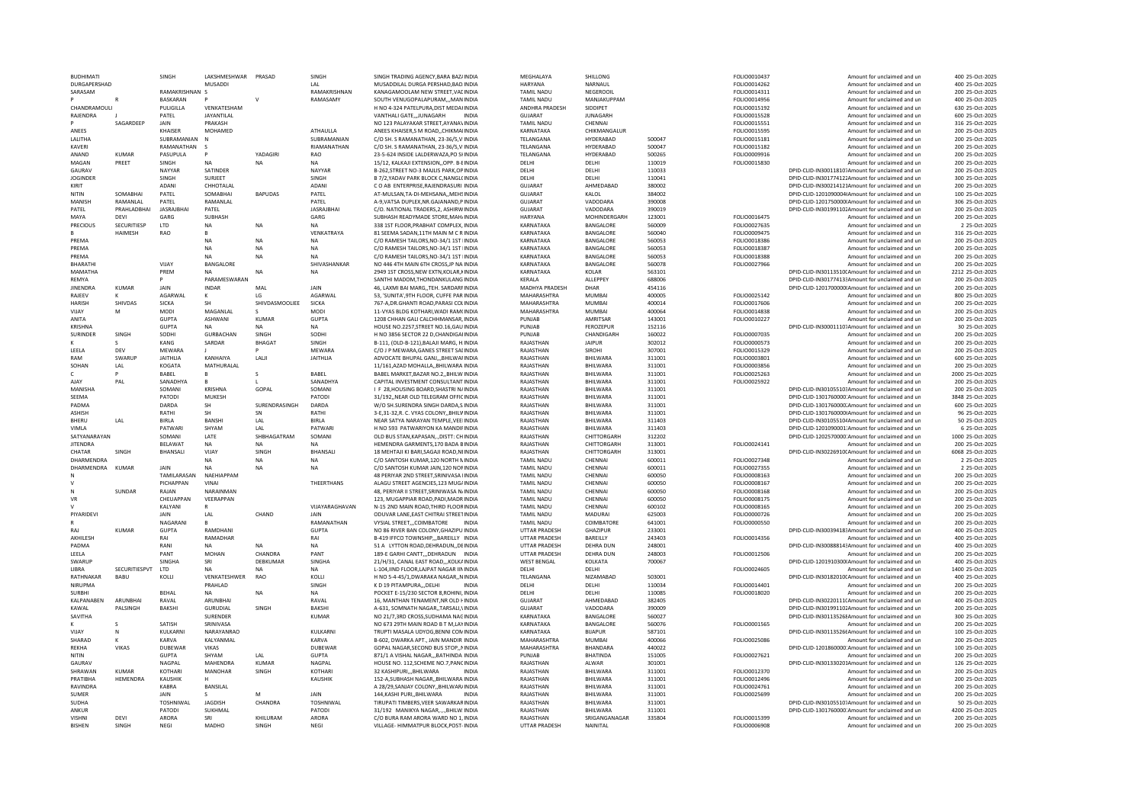| <b>BUDHIMATI</b>               |                      | SINGH              | LAKSHMESHWAR PRASAD |                   | SINGH                                | SINGH TRADING AGENCY.BARA BAZ/INDIA                                         | MEGHALAYA                         | SHILLONG                    |                  | FOLIO0010437                 | Amount for unclaimed and ur                                                                          | 400 25-Oct-2025                    |
|--------------------------------|----------------------|--------------------|---------------------|-------------------|--------------------------------------|-----------------------------------------------------------------------------|-----------------------------------|-----------------------------|------------------|------------------------------|------------------------------------------------------------------------------------------------------|------------------------------------|
| DURGAPERSHAD                   |                      |                    | <b>MUSADDI</b>      |                   | $\overline{1}$ $\Delta$ <sub>1</sub> | MUSADDILAL DURGA PERSHAD.BAD.INDIA                                          | HARVANA                           | NARNAUL                     |                  | FOLIO0014262                 | Amount for unclaimed and un                                                                          | 400 25-Oct-2025                    |
| SARASAM                        |                      | RAMAKRISHNAN S     |                     |                   | RAMAKRISHNAN                         | KANAGAMOOLAM NEW STREET, VACINDIA                                           | <b>TAMIL NADU</b>                 | NEGEROOIL                   |                  | FOLIO0014311                 | Amount for unclaimed and un                                                                          | 200 25-Oct-2025                    |
|                                |                      | <b>BASKARAN</b>    |                     |                   | RAMASAMY                             | SOUTH VENUGOPALAPURAM,,,MAN INDIA                                           | TAMIL NADU                        | MANJAKUPPAM                 |                  | FOLIO0014956                 | Amount for unclaimed and un                                                                          | 400 25-Oct-2025                    |
| CHANDRAMOULI                   |                      | <b>PULIGILLA</b>   | VENKATESHAM         |                   |                                      | H NO 4-324 PATELPURA.DIST MEDAHNDIA                                         | ANDHRA PRADESH                    | SIDDIPET                    |                  | FOLIO0015192                 | Amount for unclaimed and un                                                                          | 630 25-Oct-2025                    |
| RAJENDRA                       |                      | PATEL              | JAYANTILAL          |                   |                                      | VANTHALI GATEJUNAGARH<br><b>INDIA</b>                                       | GUIARAT                           | <b>JUNAGARH</b>             |                  | FOLIO0015528                 | Amount for unclaimed and un                                                                          | 600 25-Oct-2025                    |
|                                | SAGARDEEP            | <b>JAIN</b>        | PRAKASH             |                   |                                      | NO 123 PAI AYAKAR STREET AYANAVINDIA                                        | <b>TAMIL NADU</b>                 | CHENNAL                     |                  | FOI 100015551                | Amount for unclaimed and un                                                                          | 316 25-0ct-2025                    |
| ANEES                          |                      | <b>KHAISER</b>     | MOHAMED             |                   | ATHAULLA                             | ANEES KHAISER, S M ROAD, , CHIKMAIINDIA                                     | KARNATAKA                         | CHIKMANGALUF                |                  | FOLIO0015595                 | Amount for unclaimed and un                                                                          | 200 25-Oct-2025                    |
| <b>I AI ITHA</b>               |                      | SUBRAMANIAN        | N                   |                   | SUBRAMANIAN                          | C/O SH. S RAMANATHAN, 23-36/5 V INDIA                                       | <b>TFI ANGANA</b>                 | HYDERABAD                   | 500047           | FOLIO0015181                 | Amount for unclaimed and un                                                                          | 200 25-Oct-2025                    |
| KAVERI                         |                      | RAMANATHAN         | -S                  |                   | RIAMANATHAN                          | C/O SH. S RAMANATHAN, 23-36/5,V INDIA                                       | TELANGANA                         | <b>HYDERABAD</b>            | 500047           | FOLIO0015182                 | Amount for unclaimed and un                                                                          | 200 25-Oct-2025                    |
| ANAND                          | KUMAR                | PASUPULA           | $\mathsf{P}$        | YADAGIRI          | RAO                                  | 23-5-624 INSIDE LALDERWAZA, PO SHINDIA                                      | TELANGANA                         | HYDERABAD                   | 500265           | FOLIO0009916                 | Amount for unclaimed and un                                                                          | 200 25-Oct-2025                    |
| MAGAN                          | PREET                | SINGH              |                     | <b>NA</b>         | <b>NA</b>                            | 15/12, KALKAJI EXTENSION,, OPP. B-EINDIA                                    | DELHI                             | DELHI                       | 110019           | FOLIO0015830                 | Amount for unclaimed and un                                                                          | 200 25-Oct-2025                    |
| GAURAV                         |                      | NAYYAR             | SATINDER            |                   | NAYYAR                               | B-262, STREET NO-3 MAJLIS PARK, OP INDIA                                    | DELHI                             | DELHI                       | 110033           |                              | DPID-CLID-IN300118107Amount for unclaimed and un                                                     | 200 25-Oct-2025                    |
| <b>JOGINDER</b>                |                      | SINGH              | SURJEET             |                   | SINGH                                | B 7/2.YADAV PARK BLOCK C.NANGL(INDIA                                        | DELHI                             | DELHI                       | 110041           |                              | DPID-CLID-IN30177412;Amount for unclaimed and un                                                     | 300 25-Oct-2025                    |
| KIRIT                          |                      | ADANI              | CHHOTALAL           |                   | <b>ADAN</b>                          | C O AB ENTERPRISE.RAJENDRASURI INDIA                                        | GUJARAT                           | AHMEDABAD                   | 380002           |                              | DPID-CLID-IN300214121Amount for unclaimed and un                                                     | 200 25-Oct-2025                    |
| NITIN                          | SOMARHAI             | PATFI              | SOMARHAI            | <b>BAPUDAS</b>    | PATFI                                | AT-MULSAN TA-DI-MEHSANA. MEHSINDIA                                          | GUIARAT                           | KAI OI                      | 384002           |                              | DPID-CLID-1201090004(Amount for unclaimed and un                                                     | 100 25-Oct-2025                    |
| MANISH                         | RAMANI AI            | PATEL              | RAMANLAL            |                   | PATEL                                | A-9, VATSA DUPLEX, NR. GAJANAND, P INDIA                                    | GUJARAT                           | VADODARA                    | 390008           |                              | DPID-CLID-1201750000IAmount for unclaimed and un                                                     | 306 25-Oct-2025                    |
| PATEL                          | PRAHLADBHAI          | <b>JASRAJBHAI</b>  | PATEL               |                   | <b>JASRAJBHA</b>                     | C/O. NATIONAL TRADERS, 2, ASHIRWINDIA                                       | <b>GUJARAT</b>                    | VADODARA                    | 390019           |                              | DPID-CLID-IN301991102Amount for unclaimed and un                                                     | 200 25-Oct-2025                    |
| MAYA                           | DEVI                 | GARG               | SUBHASH             |                   | GARG                                 | SUBHASH READYMADE STORE.MAH/INDIA                                           | <b>HARYANA</b>                    | MOHINDERGARH                | 123001           | FOLIO0016475                 | Amount for unclaimed and un                                                                          | 200 25-Oct-2025                    |
| PRECIOUS                       | SECURITIESP          | LTD                | <b>NA</b>           | <b>NA</b>         | <b>NA</b>                            | 338 1ST FLOOR, PRABHAT COMPLEX, INDIA                                       | KARNATAKA                         | <b>BANGALORE</b>            | 560009           | FOLIO0027635                 | Amount for unclaimed and un                                                                          | 2 25-Oct-2025                      |
|                                | HAIMESH              | RAO                | R.                  |                   | VENKATRAYA                           | 81 SEEMA SADAN, 11TH MAIN M C R INDIA                                       | KARNATAKA                         | BANGALORE                   | 560040           | FOLIO0009475                 | Amount for unclaimed and un                                                                          | 316 25-Oct-2025                    |
| PREMA                          |                      |                    | <b>NA</b>           | <b>NA</b>         | <b>NA</b>                            | C/O RAMESH TAILORS, NO-34/1 1ST INDIA                                       | KARNATAKA                         | BANGALORE                   | 560053           | FOLIO0018386                 | Amount for unclaimed and un                                                                          | 200 25-Oct-2025                    |
| PREMA                          |                      |                    | NA                  | NA                | <b>NA</b>                            | C/O RAMESH TAILORS.NO-34/1 1ST INDIA                                        | KARNATAKA                         | BANGALORE                   | 560053           | FOLIO0018387                 | Amount for unclaimed and un                                                                          | 200 25-Oct-2025                    |
| PREMA                          |                      |                    | <b>NA</b>           | <b>NA</b>         | <b>NA</b>                            | C/O RAMESH TAILORS.NO-34/1 1ST INDIA                                        | KARNATAKA                         | <b>BANGALORE</b>            | 560053           | FOLIO0018388                 | Amount for unclaimed and ur                                                                          | 200 25-Oct-2025                    |
| <b>BHARATHI</b>                |                      | VIIAY              | <b>BANGALORE</b>    |                   | SHIVASHANKAR                         | NO 446 4TH MAIN 6TH CROSS. IP NA INDIA                                      | KARNATAKA                         | <b>BANGALORE</b>            | 560078           | FOLIO0027966                 | Amount for unclaimed and un                                                                          | 200 25-Oct-2025                    |
| MAMATHA                        |                      | PREM               | <b>NA</b>           | <b>NA</b>         | <b>NA</b>                            | 2949 1ST CROSS, NEW EXTN, KOLAR, KINDIA                                     | KARNATAKA                         | KOLAR                       | 563101           |                              | DPID-CLID-IN30113510(Amount for unclaimed and un                                                     | 2212 25-Oct-2025                   |
| RFMYA                          |                      |                    | PARAMESWARAN        |                   |                                      | SANTHI MADOM.THONDANKULANG INDIA                                            | <b>KFRAIA</b>                     | ALLEPPEY                    | 688006           |                              | DPID-CLID-IN30177413:Amount for unclaimed and un                                                     | 200 25-Oct-2025                    |
| <b>JINENDRA</b>                | <b>KUMAR</b>         | JAIN               | <b>INDAR</b>        | MAL               | JAIN                                 | 46. LAXMI BAI MARGTEH. SARDARFINDIA                                         | MADHYA PRADESH                    | DHAR                        | 454116           |                              | DPID-CLID-1201700000IAmount for unclaimed and un                                                     | 200 25-Oct-2025                    |
| RAJEEV                         |                      | AGARWAL            | к                   | LG                | <b>AGARWAI</b>                       | 53. 'SUNITA'.9TH FLOOR, CUFFE PAR INDIA                                     | MAHARASHTRA                       | MUMBAI                      | 400005           | FOLIO0025142                 | Amount for unclaimed and un                                                                          | 800 25-Oct-2025                    |
| <b>HARISH</b>                  | SHIVDAS              | <b>SICKA</b>       |                     | SHIVDASMOOLIEE    | <b>SICKA</b>                         | 767-A.DR.GHANTI ROAD.PARASI COLINDIA                                        | MAHARASHTRA                       | MUMBAI                      | 400014           | FOLIO0017606                 |                                                                                                      | 200 25-Oct-2025                    |
|                                |                      |                    | <b>SH</b>           |                   |                                      |                                                                             |                                   |                             |                  |                              | Amount for unclaimed and un                                                                          |                                    |
| VIIAY                          | M                    | MODI               | MAGANLAL            |                   | <b>MODI</b>                          | 11-VYAS BLDG KOTHARI, WADI RAM(INDIA                                        | MAHARASHTRA                       | MUMBAI                      | 400064           | FOLIO0014838                 | Amount for unclaimed and un                                                                          | 200 25-Oct-2025                    |
| ANITA                          |                      | GUPTA              | ASHWANI             | KUMAR             | <b>GUPTA</b>                         | 1208 CHHAN GALLCALCHHMANSAR, INDIA                                          | PUNIAR                            | AMRITSAR                    | 143001           | FOLIO0010227                 | Amount for unclaimed and un                                                                          | 200 25-Oct-2025                    |
| <b>KRISHNA</b>                 |                      | GUPTA              | <b>NA</b>           | NA                | <b>NA</b>                            | HOUSE NO.2257, STREET NO.16, GAU INDIA                                      | PUNJAB                            | FEROZEPUR                   | 152116           |                              | DPID-CLID-IN300011107Amount for unclaimed and un                                                     | 30 25-Oct-2025                     |
| SURINDER                       | SINGH                | SODHI              | <b>GURBACHAN</b>    | SINGH             | SODHI                                | H NO 3856 SECTOR 22 D.CHANDIGAI INDIA                                       | PUNJAB                            | CHANDIGARH                  | 160022           | FOLIO0007035                 | Amount for unclaimed and un                                                                          | 200 25-Oct-2025                    |
|                                |                      | KANG               | SARDAR              | <b>BHAGAT</b>     | SINGH                                | B-111, (OLD-B-121), BALAJI MARG, H. INDIA                                   | RAJASTHAN                         | <b>JAIPUR</b>               | 302012           | FOLIO0000573                 | Amount for unclaimed and un                                                                          | 200 25-Oct-2025                    |
| LEELA                          | DFV                  | MEWARA             |                     |                   | <b>MEWARA</b>                        | C/O J P MEWARA, GANES STREET SALINDIA                                       | RAJASTHAN                         | <b>SIROHI</b>               | 307001           | FOLIO0015329                 | Amount for unclaimed and un                                                                          | 200 25-Oct-2025                    |
| RAM                            | SWARUF               | <b>JAITHLIA</b>    | KANHAIYA            | LALII             | <b>JAITHLIA</b>                      | ADVOCATE BHUPAL GANJBHILWAFINDIA                                            | RAJASTHAN                         | BHILWARA                    | 311001           | FOLIO0003801                 | Amount for unclaimed and un                                                                          | 600 25-Oct-2025                    |
| SOHAN                          | LAL                  | KOGATA             | MATHURALAL          |                   |                                      | 11/161, AZAD MOHALLA,, BHILWARA INDIA                                       | RAJASTHAN                         | BHILWARA                    | 311001           | FOLIO0003856                 | Amount for unclaimed and un                                                                          | 200 25-Oct-2025                    |
|                                |                      | BABEL              |                     |                   | <b>BABFI</b>                         | BABEL MARKET, BAZAR NO.2, BHILW INDIA                                       | RAJASTHAN                         | BHILWARA                    | 311001           | FOLIO0025263                 | Amount for unclaimed and un                                                                          | 2000 25-Oct-2025                   |
| AJAY                           | PAL                  | SANADHYA           | $\mathbf{B}$        |                   | SANADHYA                             | CAPITAL INVESTMENT CONSULTANT INDIA                                         | RAJASTHAN                         | BHILWARA                    | 311001           | FOLIO0025922                 | Amount for unclaimed and un                                                                          | 200 25-Oct-2025                    |
| MANISHA                        |                      | SOMANI             | <b>KRISHNA</b>      | GOPAL             | SOMANI                               | <b>IF 28 HOUSING BOARD SHASTRI NAINDIA</b>                                  | RAIASTHAN                         | <b>BHII WARA</b>            | 311001           |                              | DPID-CLID-IN30105510-Amount for unclaimed and un                                                     | 200 25-Oct-2025                    |
| SEEMA                          |                      | PATODI             | MUKESH              |                   | PATOD                                | 31/192, NEAR OLD TELEGRAM OFFICINDIA                                        | RAJASTHAN                         | BHILWARA                    | 311001           |                              | DPID-CLID-1301760000:Amount for unclaimed and ur                                                     | 3848 25-Oct-2025                   |
| PADMA                          |                      | DARDA              | <b>SH</b>           | SURENDRASINGH     | DARDA                                | W/O SH.SURENDRA SINGH DARDA.S INDIA                                         | RAIASTHAN                         | <b>BHII WARA</b>            | 311001           |                              | DPID-CLID-1301760000;Amount for unclaimed and un                                                     | 600 25-Oct-2025                    |
| ASHISH                         |                      | RATHI              | SН                  | SN                | RATHI                                | 3-E,31-32,R. C. VYAS COLONY,, BHILVINDIA                                    | RAJASTHAN                         | BHILWARA                    | 311001           |                              | DPID-CLID-1301760000IAmount for unclaimed and un                                                     | 96 25-Oct-2025                     |
| <b>BHFRU</b>                   | LAL                  | <b>BIRIA</b>       | <b>BANSHI</b>       | IAI               | <b>BIRLA</b>                         | NEAR SATYA NARAYAN TEMPLE VEELINDIA                                         | RAIASTHAN                         | <b>BHII WARA</b>            | 311403           |                              | DPID-CLID-IN30105510/Amount for unclaimed and un                                                     | 50 25-Oct-2025                     |
| VIMI A                         |                      | PATWARI            | SHYAM               | I AI              | PATWAR                               | H NO 593 PATWARIYON KA MANDIFINDIA                                          | RAIASTHAN                         | <b>BHII WARA</b>            | 311403           |                              | DPID-CLID-1201090001:Amount for unclaimed and un                                                     | 6 25-Oct-2025                      |
| SATYANARAYAN                   |                      | SOMANI             | LATE                | SHRHAGATRAM       | SOMANI                               | OLD BUS STAN, KAPASAN DISTT: CH INDIA                                       | RAJASTHAN                         | <b>CHITTORGARH</b>          | 312202           |                              | DPID-CLID-1202570000:Amount for unclaimed and un                                                     | 1000 25-Oct-2025                   |
| <b>IITENDRA</b>                |                      | <b>BFI AWAT</b>    | <b>NA</b>           | <b>NA</b>         | <b>NA</b>                            | HEMENDRA GARMENTS 170 BADA BINDIA                                           | RAIASTHAN                         | CHITTORGARH                 | 313001           | FOLIO0024141                 | Amount for unclaimed and un                                                                          | 200 25-Oct-2025                    |
| CHATAR                         | SINGH                | BHANSALI           | VIJAY               | SINGH             | BHANSALI                             | 18 MEHTAJI KI BARI, SAGAJI ROAD, NI INDIA                                   | RAJASTHAN                         | CHITTORGARH                 | 313001           |                              | DPID-CLID-IN30226910(Amount for unclaimed and un                                                     | 6068 25-Oct-2025                   |
| <b>DHARMENDRA</b>              |                      |                    | <b>NA</b>           | <b>NA</b>         | <b>NA</b>                            | C/O SANTOSH KUMAR.120 NORTH NINDIA                                          | <b>TAMIL NADU</b>                 | CHENNAI                     | 600011           | FOLIO0027348                 | Amount for unclaimed and un                                                                          | 2 25-Oct-2025                      |
| DHARMENDRA                     | KUMAF                | JAIN               | <b>NA</b>           | <b>NA</b>         | <b>NA</b>                            | C/O SANTOSH KUMAR JAIN.120 NOFINDIA                                         | <b>TAMIL NADU</b>                 | CHENNA                      | 600011           | FOLIO0027355                 |                                                                                                      | 2 25-Oct-2025                      |
|                                |                      | <b>TAMILARASAN</b> | NAFHIAPPAN          |                   |                                      | 48 PERIYAR 2ND STREET SRINIVASA IINDIA                                      | <b>TAMIL NADU</b>                 | CHENNAL                     | 600050           |                              | Amount for unclaimed and un<br>Amount for unclaimed and un                                           | 200 25-Oct-2025                    |
|                                |                      | PICHAPPAN          |                     |                   |                                      |                                                                             |                                   |                             |                  |                              |                                                                                                      |                                    |
|                                |                      |                    |                     |                   |                                      |                                                                             |                                   |                             |                  | FOLIO0008163                 |                                                                                                      |                                    |
| N                              | SUNDAR               |                    | VINA                |                   | THEERTHANS                           | ALAGU STREET AGENCIES.123 MUGAINDIA                                         | <b>TAMIL NADU</b>                 | CHENNA                      | 600050           | FOLIO0008167                 | Amount for unclaimed and un                                                                          | 200 25-Oct-2025                    |
| VR                             |                      | RAJAN              | NARAINMAN           |                   |                                      | 48. PERIYAR II STREET.SRINIWASA N/INDIA                                     | <b>TAMIL NADU</b>                 | CHENNAL                     | 600050           | FOLIO0008168                 | Amount for unclaimed and un                                                                          | 200 25-Oct-2025                    |
|                                |                      | CHEUAPPAN          | VEERAPPAN           |                   |                                      | 123, MUGAPPIAR ROAD, PADI, MADR INDIA                                       | <b>TAMIL NADU</b>                 | CHENNAI                     | 600050           | FOLIO0008175                 | Amount for unclaimed and un                                                                          | 200 25-Oct-2025                    |
| PIYARIDEVI                     |                      | KALYANI            |                     |                   | VIJAYARAGHAVAN                       | N-15 2ND MAIN ROAD, THIRD FLOORINDIA                                        | <b>TAMIL NADU</b>                 | CHENNAL                     | 600102           | FOLIO0008165                 | Amount for unclaimed and ur                                                                          | 200 25-Oct-2025                    |
|                                |                      | JAIN               | LAL                 | CHAND             | JAIN                                 | ODUVAR LANE, EAST CHITRAI STREET INDIA                                      | <b>TAMIL NADU</b>                 | <b>MADURAI</b>              | 625003           | FOLIO0000726                 | Amount for unclaimed and un                                                                          | 200 25-Oct-2025                    |
|                                |                      | NAGARANI           |                     |                   | RAMANATHAN                           | VYSIAL STREET,,,COIMBATORE<br>INDIA                                         | TAMIL NADU                        | COIMBATORE                  | 641001           | FOLIO0000550                 | Amount for unclaimed and un                                                                          | 200 25-Oct-2025                    |
| RAI                            | KUMAR                | GUPTA              | RAMDHANI            |                   | <b>GUPTA</b>                         | NO 86 RIVER BAN COLONY, GHAZIPU INDIA                                       | <b>UTTAR PRADESH</b>              | GHAZIPUR                    | 233001           |                              | DPID-CLID-IN30039418:Amount for unclaimed and un                                                     | 400 25-Oct-2025                    |
| AKHILESH                       |                      | RAI                | RAMADHAR            |                   | RAI                                  | B-419 IFFCO TOWNSHIPBAREILLY INDIA                                          | <b>UTTAR PRADESH</b>              | BAREILLY                    | 243403           | FOLIO0014356                 | Amount for unclaimed and un                                                                          | 400 25-Oct-2025                    |
| PADMA                          |                      | RANI               | <b>NA</b>           | <b>NA</b>         | <b>NA</b>                            | 51 A LYTTON ROAD.DEHRADUNDEINDIA                                            | <b>UTTAR PRADESH</b>              | <b>DEHRA DUN</b>            | 248001           |                              | DPID-CLID-IN30088814:Amount for unclaimed and un                                                     | 400 25-Oct-2025                    |
| LEELA                          |                      | PANT               | MOHAN               | CHANDRA           | PANT                                 | 189-E GARHI CANTT,,,DEHRADUN INDIA                                          | UTTAR PRADESH                     | <b>DEHRA DUN</b>            | 248003           | FOLIO0012506                 | Amount for unclaimed and un                                                                          | 200 25-Oct-2025                    |
| SWARUP                         |                      | SINGHA             | SRI                 | DEBKUMAR          | SINGHA                               | 21/H/31, CANAL EAST ROAD KOLKAINDIA                                         | <b>WEST BENGAL</b>                | KOLKATA                     | 700067           |                              | DPID-CLID-1201910300IAmount for unclaimed and un                                                     | 400 25-Oct-2025                    |
| <b>I IBRA</b>                  | <b>SECURITIESPVT</b> | <b>ITD</b>         | <b>NA</b>           | <b>NA</b>         | <b>NA</b>                            | L-104, IIND FLOOR, LAJPAT NAGAR IIN INDIA                                   | <b>DELHI</b>                      | <b>DELHI</b>                |                  | FOLIO0024605                 | Amount for unclaimed and un                                                                          | 1400 25-Oct-2025                   |
| RATHNAKAF                      | BABU                 | KOLLI              | VENKATESHWER        | RAO               | KOLLI                                | H NO 5-4-45/1, DWARAKA NAGAR,, NINDIA                                       | TELANGANA                         | NIZAMABAD                   | 503001           |                              | DPID-CLID-IN30182010(Amount for unclaimed and un                                                     | 400 25-Oct-2025                    |
| NIRUPMA                        |                      |                    | PRAHLAD             |                   | SINGH                                | K D 19 PITAMPURA DELHI<br><b>INDIA</b>                                      | DELHI                             | DELHI                       | 110034           | FOLIO0014401                 | Amount for unclaimed and un                                                                          | 200 25-Oct-2025                    |
| <b>SURBHI</b>                  |                      | BEHAL              | NA                  | <b>NA</b>         | <b>NA</b>                            | POCKET E-15/230 SECTOR 8.ROHINI. INDIA                                      | DELHI                             | DELHI                       | 110085           |                              | Amount for unclaimed and un                                                                          | 200 25-Oct-2025                    |
| KALPANABEN                     | ARUNBHAI             | RAVAI              | ARUNBHAI            |                   | RAVAI                                | 16. MANTHAN TENAMENT.NR OLD FINDIA                                          | GUIARAT                           | AHMFDARAD                   | 382405           | FOLIO0018020                 |                                                                                                      | 400 25-Oct-2025                    |
| KAWAL                          | PALSINGH             | <b>BAKSHI</b>      | <b>GURUDIAL</b>     | SINGH             | <b>BAKSHI</b>                        | A-631, SOMNATH NAGAR, TARSALI, VINDIA                                       | <b>GUJARAT</b>                    | VADODARA                    | 390009           |                              | DPID-CLID-IN30220111(Amount for unclaimed and un<br>DPID-CLID-IN301991102Amount for unclaimed and un | 200 25-Oct-2025                    |
|                                |                      |                    | <b>SURENDER</b>     |                   |                                      |                                                                             | KARNATAKA                         |                             |                  |                              |                                                                                                      | 300 25-Oct-2025                    |
| <b>SAVITHA</b>                 |                      | <b>SATISH</b>      |                     |                   | <b>KUMAR</b>                         | NO 21/7.3RD CROSS.SUDHAMA NACINDIA                                          | KARNATAKA                         | BANGALORE                   | 560027           |                              | DPID-CLID-IN301135268Amount for unclaimed and un                                                     |                                    |
| VIIAV                          |                      |                    | SRINIVASA           |                   | <b>KULKARN</b>                       | NO 673 29TH MAIN ROAD B T M,LAYINDIA                                        |                                   | BANGALORE<br><b>BIJAPUR</b> | 560076<br>587101 | FOLIO0001565                 | Amount for unclaimed and un                                                                          | 200 25-Oct-2025                    |
|                                | N                    | <b>KULKARN</b>     | NARAYANRAO          |                   |                                      | TRUPTI MASALA UDYOG, BENNI CON INDIA                                        | KARNATAKA                         |                             |                  |                              | DPID-CLID-IN301135266Amount for unclaimed and un                                                     | 100 25-Oct-2025                    |
| SHARAD                         |                      | KARVA              | KALYANMAL           |                   | KARVA                                | B-602, DWARKA APT., JAIN MANDIR INDIA                                       | MAHARASHTRA                       | <b>MUMBAI</b>               | 400066           | FOLIO0025086                 | Amount for unclaimed and un                                                                          | 200 25-Oct-2025                    |
| <b>REKHA</b>                   | VIKAS                | DUBEWAR            | VIKAS               |                   | DUBEWAR                              | GOPAL NAGAR, SECOND BUS STOP,, NINDIA                                       | MAHARASHTRA                       | <b>BHANDARA</b>             | 440022           |                              | DPID-CLID-1201860000:Amount for unclaimed and un                                                     | 100 25-Oct-2025                    |
| NITIN                          |                      | <b>GUPTA</b>       | SHYAM               | LAL               | <b>GUPTA</b>                         | 871/1 A VISHAL NAGARBATHINDA INDIA                                          | PUNJAB                            | <b>BHATINDA</b>             | 151005           | FOLIO0027621                 | Amount for unclaimed and un                                                                          | 200 25-Oct-2025                    |
| <b>GAURAV</b>                  |                      | NAGPAL             | MAHENDRA            | <b>KUMAR</b>      | NAGPAL                               | HOUSE NO. 112.SCHEME NO.7.PANCINDIA                                         | RAJASTHAN                         | ALWAR                       | 301001           |                              | DPID-CLID-IN301330201Amount for unclaimed and un                                                     | 126 25-Oct-2025                    |
| SHRAWAN                        | KUMAR                | KOTHARI            | MANOHAR             | SINGH             | KOTHARI                              | 32 KASHIPURIBHILWARA<br><b>INDIA</b>                                        | RAIASTHAN                         | <b>BHII WARA</b>            | 311001           | FOLIO0012370                 | Amount for unclaimed and un                                                                          | 200 25-Oct-2025                    |
| PRATIBHA                       | HEMENDRA             | KAUSHIK            |                     |                   | <b>KAUSHIK</b>                       | 152-A, SUBHASH NAGAR, , BHILWARA INDIA                                      | RAJASTHAN                         | <b>BHII WARA</b>            | 311001           | FOLIO0012496                 | Amount for unclaimed and un                                                                          | 200 25-Oct-2025                    |
| RAVINDRA                       |                      | KARRA              | <b>BANSILAL</b>     |                   |                                      | A 28/29.SANJAY COLONYBHILWAR/INDIA                                          | RAIASTHAN                         | <b>BHII WARA</b>            | 311001           | FOLIO0024761                 | Amount for unclaimed and un                                                                          | 200 25-Oct-2025                    |
| <b>SUMFR</b>                   |                      | <b>JAIN</b>        |                     | M                 | <b>JAIN</b>                          | 144, KASHI PURI, , BHILWARA<br><b>INDIA</b>                                 | RAJASTHAN                         | BHILWARA                    | 311001           | FOLIO0025699                 | Amount for unclaimed and un                                                                          | 200 25-Oct-2025                    |
| <b>SUDHA</b>                   |                      | TOSHNIWAL          | JAGDISH             | CHANDRA           | TOSHNIWAL                            | TIRUPATI TIMBERS, VEER SAWARKARINDIA                                        | RAJASTHAN                         | BHILWARA                    | 311001           |                              | DPID-CLID-IN30105510;Amount for unclaimed and un                                                     | 50 25-Oct-2025                     |
| ANKUR                          |                      | PATODI             | SUKHMAL             |                   | PATODI                               | 31/192 MANIKYA NAGAR  BHILW. INDIA                                          | RAJASTHAN                         | <b>BHILWARA</b>             | 311001           |                              | DPID-CLID-1301760000:Amount for unclaimed and un                                                     | 4200 25-Oct-2025                   |
| <b>VISHNI</b><br><b>BISHEN</b> | DEVI<br>SINGH        | ARORA<br>NEGI      | SRI<br>MADHO        | KHILURAM<br>SINGH | ARORA<br>NEGI                        | C/O BURA RAM ARORA WARD NO 1, INDIA<br>VILLAGE- HIMMATPUR BLOCK, POST-INDIA | RAJASTHAN<br><b>UTTAR PRADESH</b> | SRIGANGANAGAR<br>NAINITAL   | 335804           | FOLIO0015399<br>FOLIO0006908 | Amount for unclaimed and un<br>Amount for unclaimed and un                                           | 200 25-Oct-2025<br>200 25-Oct-2025 |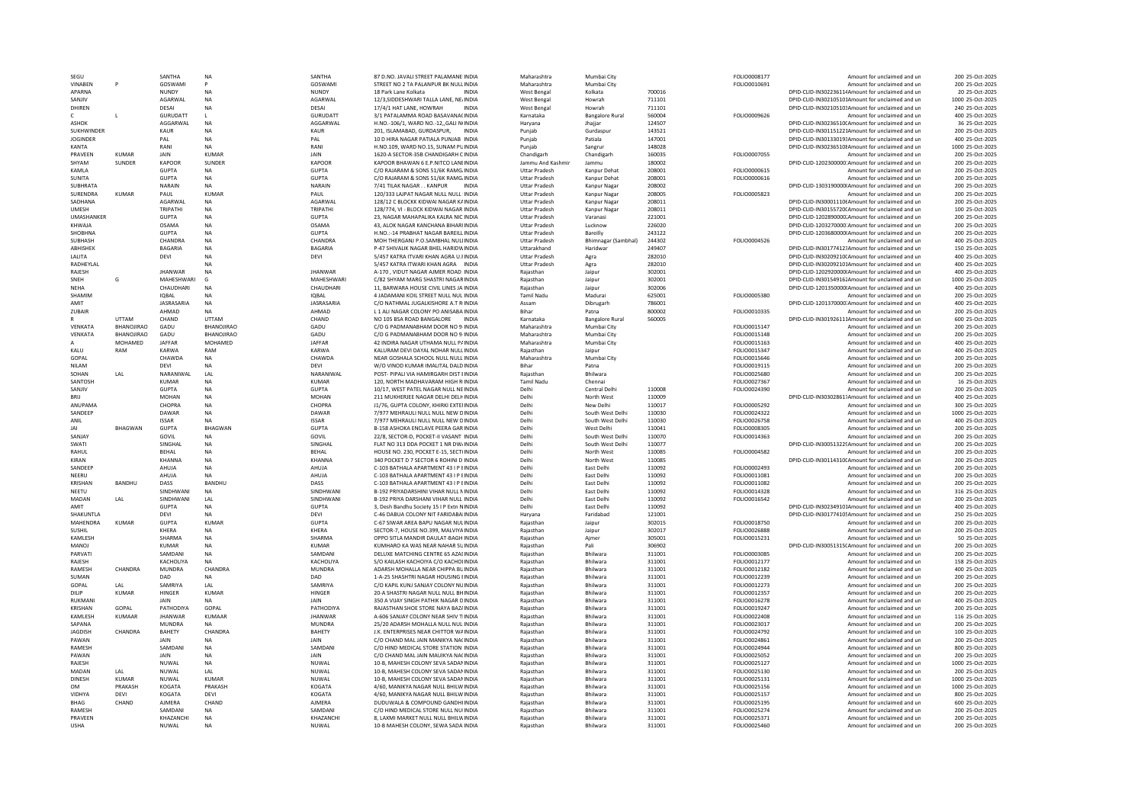| SEGU                         |                   | SANTHA             | NA                     | SANTHA            | 87 D.NO. JAVALI STREET PALAMANE INDIA                                       | Maharashtra                           | Mumbai City              |                  | FOLIO0008177                 | Amount for unclaimed and un                                                                          | 200 25-Oct-2025                    |
|------------------------------|-------------------|--------------------|------------------------|-------------------|-----------------------------------------------------------------------------|---------------------------------------|--------------------------|------------------|------------------------------|------------------------------------------------------------------------------------------------------|------------------------------------|
| VINABEN                      |                   | GOSWAMI            | p                      | GOSWAMI           | STREET NO 2 TA PALANPUR BK NULL INDIA                                       | Maharashtra                           | Mumbai City              |                  | FOLIO0010691                 | Amount for unclaimed and un                                                                          | 200 25-Oct-2025                    |
| <b>APARNA</b>                |                   | NUNDY              | NA                     | NUNDY             | 18 Park Lane Kolkata<br><b>INDIA</b>                                        | West Benga                            | Kolkata                  | 700016           |                              | DPID-CLID-IN30223611/Amount for unclaimed and un                                                     | 20 25-Oct-2025                     |
| SANIIV                       |                   | AGARWAI            | <b>NA</b>              | AGARWAI           | 12/3, SIDDESHWARI TALLA LANE, NE/INDIA                                      | West Bengal                           | Howrah                   | 711101           |                              | DPID-CLID-IN302105101Amount for unclaimed and un                                                     | 1000 25-Oct-2025                   |
| DHIREN                       |                   | DESAI              | <b>NA</b>              | DESAI             | 17/4/1 HAT LANE, HOWRAH<br><b>INDIA</b>                                     | <b>West Bengal</b>                    | Howrah                   | 711101           |                              | DPID-CLID-IN30210510: Amount for unclaimed and un                                                    | 240 25-Oct-2025                    |
| c                            | L                 | <b>GURUDATT</b>    | $\mathsf{L}$           | <b>GURUDATT</b>   | 3/1 PATALAMMA ROAD BASAVANACINDIA                                           | Karnataka                             | <b>Bangalore Rural</b>   | 560004           | FOLIO0009626                 | Amount for unclaimed and un                                                                          | 400 25-Oct-2025                    |
| <b>ASHOK</b>                 |                   | AGGARWAL           | NA                     | AGGARWAL          | H.NO.-106/1, WARD NO.-12., GALI NUNDIA                                      | Haryana                               | Jhajjar                  | 124507           |                              | DPID-CLID-IN30236510(Amount for unclaimed and un                                                     | 36 25-Oct-2025                     |
| <b>SUKHWINDER</b>            |                   | KAUR               | <b>NA</b>              | KAUR              | 201. ISLAMABAD, GURDASPUR,<br><b>INDIA</b>                                  | Puniab                                | Gurdaspur                | 143521           |                              | DPID-CLID-IN301151221Amount for unclaimed and un                                                     | 200 25-Oct-2025                    |
| <b>JOGINDER</b>              |                   | PAL                | <b>NA</b>              | PAL               | 10 D HIRA NAGAR PATIALA PUNJAB INDIA                                        | Punjab                                | Patiala                  | 147001           |                              | DPID-CLID-IN30133019: Amount for unclaimed and un                                                    | 400 25-Oct-2025                    |
| KANTA                        |                   | RANI               | <b>NA</b>              | RANI              | H.NO.109, WARD NO.15, SUNAM PUINDIA                                         | Punjab                                | Sangrur                  | 148028           |                              | DPID-CLID-IN302365108Amount for unclaimed and un                                                     | 1000 25-Oct-2025                   |
| PRAVEEN                      | KUMAR             | <b>JAIN</b>        | KUMAR                  | <b>JAIN</b>       | 1620-A SECTOR-35B CHANDIGARH C INDIA                                        | Chandigarh                            | Chandigarh               | 160035           | FOLIO0007055                 | Amount for unclaimed and un                                                                          | 200 25-Oct-2025                    |
| SHYAM                        | SUNDER            | <b>KAPOOF</b>      | SUNDER                 | <b>KAPOOR</b>     | KAPOOR BHAWAN 6 E.P.NITCO LANEINDIA                                         | Jammu And Kashmir                     | Jammu                    | 180002           |                              | DPID-CLID-1202300000:Amount for unclaimed and un                                                     | 200 25-Oct-2025                    |
| KAMLA                        |                   | <b>GUPTA</b>       | <b>NA</b>              | <b>GUPTA</b>      | C/O RAJARAM & SONS 51/6K RAMG INDIA                                         | <b>Uttar Pradesh</b>                  | Kanpur Dehat             | 208001           | FOLIO0000615                 | Amount for unclaimed and un                                                                          | 200 25-Oct-2025                    |
| SUNITA                       |                   | <b>GUPTA</b>       | <b>NA</b>              | <b>GUPTA</b>      | C/O RAJARAM & SONS 51/6K RAMG INDIA                                         | <b>Uttar Pradesh</b>                  | Kanpur Dehat             | 208001           | FOLIO0000616                 | Amount for unclaimed and un                                                                          | 200 25-Oct-2025                    |
| <b>SUBHRATA</b>              |                   | NARAIN             | <b>NA</b>              | NARAIN            | 7/41 TILAK NAGAR. KANPUR<br><b>INDIA</b>                                    | <b>Uttar Pradesh</b>                  | Kanpur Nagar             | 208002           |                              | DPID-CLID-1303190000(Amount for unclaimed and un                                                     | 200 25-Oct-2025                    |
| <b>SURENDRA</b>              | KUMAR             | PAUL               | <b>KUMAR</b>           | PAUL              | 120/333 LAJPAT NAGAR NULL NULL INDIA                                        | <b>Uttar Pradesh</b>                  | Kanpur Nagar             | 208005           | FOLIO0005823                 | Amount for unclaimed and un                                                                          | 200 25-Oct-2025                    |
| SADHANA                      |                   | AGARWAI            | <b>NA</b>              | AGARWAI           | 128/12 C BLOCKK KIDWAI NAGAR KAINDIA                                        | <b>Uttar Pradesh</b>                  | Kanpur Nagar             | 208011           |                              | DPID-CLID-IN300011106Amount for unclaimed and un                                                     | 200 25-Oct-2025                    |
| <b>UMESH</b>                 |                   | TRIPATHI           |                        | TRIPATHI          | 128/774, VI - BLOCK KIDWAI NAGAR INDIA                                      |                                       |                          | 208011           |                              |                                                                                                      | 100 25-Oct-2025                    |
| <b>UMASHANKER</b>            |                   | <b>GUPTA</b>       | <b>NA</b><br><b>NA</b> | GUPTA             | 23. NAGAR MAHAPALIKA KALRA NIC INDIA                                        | Uttar Pradesh<br><b>Uttar Pradesh</b> | Kanpur Nagar<br>Varanasi | 221001           |                              | DPID-CLID-IN30155720(Amount for unclaimed and un<br>DPID-CLID-1202890000;Amount for unclaimed and un | 200 25-Oct-2025                    |
| KHWAJA                       |                   | <b>OSAMA</b>       |                        | OSAMA             | 43. ALOK NAGAR KANCHANA BIHARI INDIA                                        | <b>Uttar Pradesh</b>                  | Lucknow                  | 226020           |                              |                                                                                                      | 200 25-Oct-2025                    |
|                              |                   |                    | NA                     |                   |                                                                             |                                       |                          |                  |                              | DPID-CLID-1203270000:Amount for unclaimed and un                                                     |                                    |
| SHOBHNA                      |                   | <b>GUPTA</b>       | NA                     | <b>GUPTA</b>      | H.NO.:-14 PRABHAT NAGAR BAREILL INDIA                                       | <b>Uttar Pradesh</b>                  | Bareilly                 | 243122           |                              | DPID-CLID-1203680000(Amount for unclaimed and un                                                     | 200 25-Oct-2025                    |
| SUBHASH                      |                   | CHANDRA            | <b>NA</b>              | CHANDRA           | MOH THERGANJ P.O.SAMBHAL NULIINDIA                                          | <b>Uttar Pradesh</b>                  | Bhimnagar (Sambhal)      | 244302           | FOLIO0004526                 | Amount for unclaimed and un                                                                          | 400 25-Oct-2025                    |
| ABHISHEK                     |                   | <b>BAGARIA</b>     | <b>NA</b>              | <b>BAGARIA</b>    | P-47 SHIVALIK NAGAR BHEL HARIDWINDIA                                        | Uttarakhand                           | Haridwar                 | 249407           |                              | DPID-CLID-IN30177412:Amount for unclaimed and un                                                     | 150 25-Oct-2025                    |
| LALITA                       |                   | DEVI               | <b>NA</b>              | <b>DEVI</b>       | 5/457 KATRA ITVARI KHAN AGRA U.HNDIA                                        | <b>Uttar Pradesh</b>                  | Agra                     | 282010           |                              | DPID-CLID-IN30209210(Amount for unclaimed and un                                                     | 400 25-Oct-2025                    |
| RADHEYLAL                    |                   |                    | NA                     |                   | 5/457 KATRA ITWARI KHAN AGRA INDIA                                          | <b>Uttar Pradesh</b>                  | Agra                     | 282010           |                              | DPID-CLID-IN302092101Amount for unclaimed and un                                                     | 400 25-Oct-2025                    |
| RAIFSH                       |                   | <b>IHANWAR</b>     | <b>NA</b>              | <b>IHANWAR</b>    | A-170 VIDUT NAGAR AIMER ROAD INDIA                                          | Raiasthan                             | Jaipur                   | 302001           |                              | DPID-CLID-1202920000(Amount for unclaimed and un                                                     | 400 25-Oct-2025                    |
| SNEH                         | Ġ                 | MAHESHWARI         | G                      | <b>MAHESHWAR</b>  | C/82 SHYAM MARG SHASTRI NAGAR INDIA                                         | Raiasthan                             | Jaipur                   | 302001           |                              | DPID-CLID-IN301549162Amount for unclaimed and un                                                     | 1000 25-Oct-2025                   |
| <b>NFHA</b>                  |                   | CHAUDHARI          | <b>NA</b>              | CHAUDHARI         | 11. BARWARA HOUSE CIVIL LINES JA INDIA                                      | Raiasthan                             | lainur                   | 302006           |                              | DPID-CLID-1201350000(Amount for unclaimed and un                                                     | 400 25-Oct-2025                    |
| SHAMIM                       |                   | <b>IOBAL</b>       | <b>NA</b>              | <b>IOBAI</b>      | 4 JADAMANI KOIL STREET NULL NUL INDIA                                       | <b>Tamil Nadu</b>                     | Madurai                  | 625001           | FOLIO0005380                 | Amount for unclaimed and un                                                                          | 200 25-Oct-2025                    |
| AMIT                         |                   | <b>JASRASARIA</b>  | <b>NA</b>              | JASRASARIA        | C/O NATHMAL JUGALKISHORE A.T RINDIA                                         | Assam                                 | Dibrugarh                | 786001           |                              | DPID-CLID-1201370000:Amount for unclaimed and un                                                     | 400 25-Oct-2025                    |
| ZUBAIR                       |                   | AHMAD              | <b>NA</b>              | AHMAD             | L 1 ALI NAGAR COLONY PO ANISABA INDIA                                       | Bihar                                 | Patna                    | 800002           | FOLIO0010335                 | Amount for unclaimed and un                                                                          | 200 25-Oct-2025                    |
|                              | <b>UTTAM</b>      | CHAND              | UTTAM                  | CHAND             | NO 105 BSA ROAD BANGALORE INDIA                                             | Karnataka                             | <b>Bangalore Rural</b>   | 560005           |                              | DPID-CLID-IN301926111Amount for unclaimed and un                                                     | 600 25-Oct-2025                    |
| VENKATA                      | BHANOJIRAO        | GADU               | <b>BHANOJIRAO</b>      | GADU              | C/O G PADMANABHAM DOOR NO 9-INDIA                                           | Maharashtra                           | Mumbai City              |                  | FOLIO0015147                 | Amount for unclaimed and un                                                                          | 200 25-Oct-2025                    |
| VENKATA                      | <b>BHANOIIRAO</b> | GADU               | <b>BHANOIIRAC</b>      | GADU              | C/O G PADMANABHAM DOOR NO 9-INDIA                                           | Maharashtra                           | Mumbai City              |                  | FOLIO0015148                 | Amount for unclaimed and un                                                                          | 200 25-Oct-2025                    |
|                              | MOHAMED           | <b>JAFFAR</b>      | MOHAMED                | <b>JAFFAR</b>     | 42 INDIRA NAGAR UTHAMA NULL PAINDIA                                         | Maharashtra                           | Mumbai City              |                  | FOLIO0015163                 | Amount for unclaimed and un                                                                          | 400 25-Oct-2025                    |
| KALU                         | RAM               | KARWA              | RAM                    | KARWA             | KALURAM DEVI DAYAL NOHAR NULLINDIA                                          | Rajasthan                             | Jaipur                   |                  | FOLIO0015347                 | Amount for unclaimed and un                                                                          | 400 25-Oct-2025                    |
| GOPAL                        |                   |                    |                        |                   |                                                                             |                                       |                          |                  |                              |                                                                                                      |                                    |
|                              |                   | CHAWDA             | <b>NA</b>              | CHAWDA            | NEAR GOSHALA SCHOOL NULL NULL INDIA                                         | Maharashtra                           | Mumbai City              |                  | FOLIO0015646                 | Amount for unclaimed and un                                                                          | 200 25-Oct-2025                    |
| NILAM                        |                   | DEVI               | <b>NA</b>              | DEVI              | W/O VINOD KUMAR IMALITAL DALD INDIA                                         |                                       | Patna                    |                  | FOLIO0019115                 | Amount for unclaimed and un                                                                          | 200 25-Oct-2025                    |
| SOHAN                        | 1 A I             | NARANIWAI          | LAL                    | NARANIWAI         | POST- PIPALL VIA HAMIRGARH DIST LINDIA                                      | Rajasthan                             | <b>Bhilwara</b>          |                  | FOLIO0025680                 | Amount for unclaimed and un                                                                          | 200 25-Oct-2025                    |
| SANTOSH                      |                   | KUMAR              | <b>NA</b>              | KUMAR             | 120, NORTH MADHAVARAM HIGH RINDIA                                           | Tamil Nadu                            | Chennai                  |                  | FOLIO0027367                 | Amount for unclaimed and un                                                                          | 16 25-Oct-2025                     |
| SANJIV                       |                   | <b>GUPTA</b>       | <b>NA</b>              | <b>GUPTA</b>      | 10/17, WEST PATEL NAGAR NULL NEINDIA                                        | Delhi                                 | Central Delhi            | 110008           | FOLIO0024390                 | Amount for unclaimed and un                                                                          | 200 25-Oct-2025                    |
| BRIJ                         |                   | MOHAN              | NA                     | <b>MOHAN</b>      | 211 MUKHERJEE NAGAR DELHI DELHINDIA                                         | Delhi                                 | North West               | 110009           |                              | DPID-CLID-IN303028617Amount for unclaimed and un                                                     | 400 25-Oct-2025                    |
| ANUPAMA                      |                   | CHOPRA             | NA                     | CHOPRA            | J1/76, GUPTA COLONY, KHIRKI EXTEIINDIA                                      | Delhi                                 | New Delhi                | 110017           | FOLIO0005292                 | Amount for unclaimed and un                                                                          | 300 25-Oct-2025                    |
| SANDEEP                      |                   | DAWAR              | <b>NA</b>              | DAWAR             | 7/977 MEHRAULI NULL NULL NEW DINDIA                                         | Delhi                                 | South West Delhi         | 110030           | FOLIO0024322                 | Amount for unclaimed and un                                                                          | 1000 25-Oct-2025                   |
| ANIL                         |                   | <b>ISSAR</b>       | <b>NA</b>              | <b>ISSAR</b>      | 7/977 MEHRAULI NULL NULL NEW DINDIA                                         | Delhi                                 | South West Delhi         | 110030           | FOLIO0026758                 | Amount for unclaimed and un                                                                          | 400 25-Oct-2025                    |
| $\mathsf{I}\Delta\mathsf{I}$ | <b>BHAGWAN</b>    | GUPTA              | BHAGWAN                | GUPTA             | <b>B-158 ASHOKA ENCLAVE PEERA GAR INDIA</b>                                 | Delhi                                 | West Delhi               | 110041           | <b>EOLIO0008305</b>          | Amount for unclaimed and un                                                                          | 200 25-Oct-2025                    |
| SANJAY                       |                   | GOVIL              | <b>NA</b>              | GOVIL             | 22/8, SECTOR-D, POCKET-II VASANT INDIA                                      | Delhi                                 | South West Delhi         | 110070           | FOLIO0014363                 | Amount for unclaimed and un                                                                          | 200 25-Oct-2025                    |
| SWATI                        |                   | SINGHAL            | <b>NA</b>              | SINGHAL           | FLAT NO 313 DDA POCKET 1 NR DW INDIA                                        | Delhi                                 | South West Delhi         | 110077           |                              | DPID-CLID-IN300513225Amount for unclaimed and un                                                     | 200 25-Oct-2025                    |
| RAHUL                        |                   | <b>BEHAL</b>       | <b>NA</b>              | <b>BEHAL</b>      | HOUSE NO. 230, POCKET E-15, SECT(INDIA                                      | Delh                                  | North West               | 110085           | FOLIO0004582                 | Amount for unclaimed and un                                                                          | 200 25-Oct-2025                    |
| KIRAN                        |                   | KHANNA             | <b>NA</b>              | KHANNA            | 340 POCKET D 7 SECTOR 6 ROHINI D INDIA                                      | Delhi                                 | North West               | 110085           |                              | DPID-CLID-IN30114310(Amount for unclaimed and un                                                     | 200 25-Oct-2025                    |
| SANDEER                      |                   | AHUJA              | <b>NA</b>              | AHUJA             | C-103 BATHALA APARTMENT 43 I P EINDIA                                       | Delhi                                 | East Delhi               | 110092           | FOLIO0002493                 | Amount for unclaimed and un                                                                          | 200 25-Oct-2025                    |
| NEERU                        |                   | AHUJA              | <b>NA</b>              | AHUJA             | C-103 BATHALA APARTMENT 43 I P EINDIA                                       | Delhi                                 | East Delhi               | 110092           | FOLIO0011081                 | Amount for unclaimed and un                                                                          | 200 25-Oct-2025                    |
| <b>KRISHAN</b>               | BANDHU            | DASS               | BANDHU                 | DASS              | C-103 BATHALA APARTMENT 43 I P EINDIA                                       | Delhi                                 | East Delhi               | 110092           | FOLIO0011082                 | Amount for unclaimed and un                                                                          |                                    |
| NEETU                        |                   | SINDHWANI          | <b>NA</b>              | SINDHWANI         |                                                                             |                                       |                          |                  |                              |                                                                                                      |                                    |
| MADAN                        | LAL               | SINDHWANI          | LAL                    |                   |                                                                             |                                       |                          |                  |                              |                                                                                                      | 200 25-Oct-2025                    |
| AMIT                         |                   | <b>GUPTA</b>       |                        |                   | B-192 PRIYADARSHINI VIHAR NULL NINDIA                                       | Delhi                                 | East Delhi               | 110092           | FOLIO0014328                 | Amount for unclaimed and un                                                                          | 316 25-Oct-2025                    |
| <b>SHAKUNTI A</b>            |                   |                    |                        | SINDHWANI         | B-192 PRIYA DARSHANI VIHAR NULL INDIA                                       | Delhi                                 | East Delhi               | 110092           | FOLIO0016542                 | Amount for unclaimed and un                                                                          | 200 25-Oct-2025                    |
|                              |                   |                    | <b>NA</b>              | <b>GUPTA</b>      | 3. Desh Bandhu Society 15   P Extn NINDIA                                   | Delhi                                 | East Delhi               | 110092           |                              | DPID-CLID-IN302349101Amount for unclaimed and un                                                     | 400 25-Oct-2025                    |
| MAHENDRA                     |                   | <b>DFVI</b>        | NA.                    | DFVI              | C-46 DABUA COLONY NIT FARIDARA INDIA                                        | Harvana                               | Faridahad                | 121001           |                              | DPID-CLID-IN301774105Amount for unclaimed and un                                                     | 250 25-Oct-2025                    |
|                              | KUMAR             | <b>GUPTA</b>       | <b>KUMAR</b>           | <b>GUPTA</b>      | C-67 SIWAR AREA BAPU NAGAR NULINDIA                                         | Raiasthan                             | Jaipur                   | 302015           | FOLIO0018750                 | Amount for unclaimed and un                                                                          | 200 25-Oct-2025                    |
| <b>SUSHIL</b>                |                   | KHFRA              | <b>NA</b>              | KHFRA             | SECTOR-7, HOUSE NO.399, MALVIYA INDIA                                       | Rajasthan                             | Jaipur                   | 302017           | FOLIO0026888                 | Amount for unclaimed and un                                                                          | 200 25-Oct-2025                    |
| KAMLESH                      |                   | SHARMA             | NA                     | SHARMA            | OPPO SITLA MANDIR DAULAT-BAGH INDIA                                         | Rajasthan                             | Ajmer                    | 305001           | FOLIO0015231                 | Amount for unclaimed and un                                                                          | 50 25-Oct-2025                     |
| MANOI                        |                   | KUMAR              | <b>NA</b>              | KUMAR             | KUMHARO KA WAS NEAR NAHAR SUINDIA                                           | Raiasthan                             | Pali                     | 306902           |                              | DPID-CLID-IN30051315(Amount for unclaimed and un                                                     | 200 25-Oct-2025                    |
| PARVATI                      |                   | SAMDANI            | <b>NA</b>              | SAMDANI           | DELUXE MATCHING CENTRE 65 AZALINDIA                                         | Raiasthan                             | Bhilwara                 | 311001           | FOLIO0003085                 | Amount for unclaimed and un                                                                          | 200 25-Oct-2025                    |
| RAIFSH                       |                   | KACHOLIYA          | <b>NA</b>              | KACHOLIYA         | S/O KAILASH KACHOIYA C/O KACHOI INDIA                                       | Rajasthan                             | Bhilwara                 | 311001           | FOLIO0012177                 | Amount for unclaimed and un                                                                          | 158 25-Oct-2025                    |
| RAMESH                       | CHANDRA           | <b>MUNDRA</b>      | CHANDRA                | <b>MUNDRA</b>     | ADARSH MOHALLA NEAR CHIPPA BUINDIA                                          | Raiasthan                             | Bhilwara                 | 311001           | FOLIO0012182                 | Amount for unclaimed and un                                                                          | 400 25-Oct-2025                    |
| SUMAN                        |                   | DAD                | <b>NA</b>              | DAD               | 1-A-25 SHASHTRI NAGAR HOUSING IINDIA                                        | Rajasthan                             | Bhilwara                 | 311001           | FOLIO0012239                 | Amount for unclaimed and un                                                                          | 200 25-Oct-2025                    |
| GOPAL                        | I AI              | SAMRIYA            | LAL                    | SAMRIYA           | C/O KAPIL KUNJ SANJAY COLONY NUINDIA                                        | Raiasthan                             | Bhilwara                 | 311001           | FOLIO0012273                 | Amount for unclaimed and un                                                                          | 200 25-Oct-2025                    |
| DILIP                        | <b>KUMAR</b>      | HINGER             | <b>KUMAR</b>           | HINGER            | 20-A SHASTRI NAGAR NULL NULL BHINDIA                                        | Rajasthan                             | Bhilwara                 | 311001           | FOLIO0012357                 | Amount for unclaimed and un                                                                          | 200 25-Oct-2025                    |
| RUKMAN                       |                   | <b>JAIN</b>        | NA.                    | <b>JAIN</b>       | 350 A VIIAY SINGH PATHIK NAGAR DINDIA                                       | Raiasthan                             | <b>Rhilwara</b>          | 311001           | FOLIO0016278                 | Amount for unclaimed and un                                                                          | 400 25-Oct-2025                    |
| <b>KRISHAN</b>               | GOPAL             | PATHODIYA          | GOPAL                  | PATHODIYA         | RAJASTHAN SHOE STORE NAYA BAZ/INDIA                                         | Raiasthan                             | Bhilwara                 | 311001           | FOLIO0019247                 | Amount for unclaimed and un                                                                          | 200 25-Oct-2025                    |
| KAMLESH                      | <b>KUMAAR</b>     | <b>JHANWAR</b>     | <b>KUMAAR</b>          | <b>JHANWAR</b>    | A-606 SANJAY COLONY NEAR SHIV TINDIA                                        | Rajasthan                             | Bhilwara                 | 311001           | FOLIO0022408                 | Amount for unclaimed and un                                                                          | 116 25-Oct-2025                    |
| SAPANA                       |                   | <b>MUNDRA</b>      | <b>NA</b>              | MUNDRA            | 25/20 ADARSH MOHALLA NULL NUL INDIA                                         | Rajasthan                             | Bhilwara                 | 311001           | FOLIO0023017                 | Amount for unclaimed and un                                                                          | 200 25-Oct-2025                    |
| <b>JAGDISH</b>               | CHANDRA           | BAHETY             | CHANDRA                | BAHETY            | J.K. ENTERPRISES NEAR CHITTOR WAINDIA                                       | Rajasthan                             | Bhilwara                 | 311001           | FOLIO0024792                 | Amount for unclaimed and un                                                                          | 100 25-Oct-2025                    |
| PAWAN                        |                   | <b>JAIN</b>        | <b>NA</b>              | <b>JAIN</b>       | C/O CHAND MAL JAIN MANIKYA NACINDIA                                         | Raiasthan                             | Bhilwara                 | 311001           | FOLIO0024861                 | Amount for unclaimed and un                                                                          | 200 25-Oct-2025                    |
| RAMESH                       |                   | SAMDANI            |                        | SAMDAN            | C/O HIND MEDICAL STORE STATION INDIA                                        |                                       | Bhilwara                 |                  |                              |                                                                                                      | 800 25-Oct-2025                    |
| PAWAN                        |                   | <b>JAIN</b>        | NA<br><b>NA</b>        | <b>JAIN</b>       | C/O CHAND MAL JAIN MAUIKYA NACINDIA                                         | Rajasthan<br>Raiasthan                | Bhilwara                 | 311001           | FOLIO0024944                 | Amount for unclaimed and un<br>Amount for unclaimed and un                                           | 200 25-Oct-2025                    |
|                              |                   |                    |                        |                   |                                                                             |                                       |                          | 311001           | FOLIO0025052                 |                                                                                                      |                                    |
| RAJESH                       |                   | NUWAL              | <b>NA</b>              | NUWAL             | 10-B, MAHESH COLONY SEVA SADANINDIA                                         | Rajasthan                             | Bhilwara                 | 311001           | FOLIO0025127                 | Amount for unclaimed and un                                                                          | 1000 25-Oct-2025                   |
| MADAN                        | LAL               | NUWAL              | LAL                    | NUWAL             | 10-B. MAHESH COLONY SEVA SADANINDIA                                         | Raiasthan                             | Bhilwara                 | 311001           | FOLIO0025130                 | Amount for unclaimed and un                                                                          | 200 25-Oct-2025                    |
| <b>DINESH</b>                | <b>KUMAR</b>      | NUWAL              | <b>KUMAR</b>           | NUWAI             | 10-B. MAHESH COLONY SEVA SADANINDIA                                         | Raiasthan                             | <b>Bhilwara</b>          | 311001           | FOLIO0025131                 | Amount for unclaimed and un                                                                          | 1000 25-Oct-2025                   |
| <b>OM</b>                    | PRAKASH           | KOGATA             | PRAKASH                | KOGATA            | 4/60, MANIKYA NAGAR NULL BHILW INDIA                                        | Raiasthan                             | <b>Bhilwara</b>          | 311001           | FOLIO0025156                 | Amount for unclaimed and un                                                                          | 1000 25-Oct-2025                   |
| VIDHYA                       | DEVI              | KOGATA             | DEVI                   | KOGATA            | 4/60. MANIKYA NAGAR NULL BHILW INDIA                                        | Raiasthan                             | Bhilwara                 | 311001           | FOLIO0025157                 | Amount for unclaimed and un                                                                          | 800 25-Oct-2025                    |
| <b>BHAG</b>                  | CHAND             | AIMFRA             | CHAND                  | AIMFRA            | DUDUWALA & COMPOUND GANDHI INDIA                                            | Raiasthan                             | Bhilwara                 | 311001           | FOLIO0025195                 | Amount for unclaimed and un                                                                          | 600 25-Oct-2025                    |
| RAMESH                       |                   | SAMDAN             | <b>NA</b>              | SAMDANI           | C/O HIND MEDICAL STORE NULL NUIINDIA                                        | Rajasthan                             | Bhilwara                 | 311001           | FOLIO0025274                 | Amount for unclaimed and un                                                                          | 200 25-Oct-2025                    |
| PRAVEEN<br><b>USHA</b>       |                   | KHAZANCHI<br>NUWAL | <b>NA</b><br><b>NA</b> | KHAZANCH<br>NUWAL | 8. LAXMI MARKET NULL NULL BHILWINDIA<br>10-B MAHESH COLONY, SEWA SADA INDIA | Rajasthan<br>Raiasthan                | Bhilwara<br>Bhilwara     | 311001<br>311001 | FOLIO0025371<br>FOLIO0025460 | Amount for unclaimed and un<br>Amount for unclaimed and un                                           | 200 25-Oct-2025<br>200 25-Oct-2025 |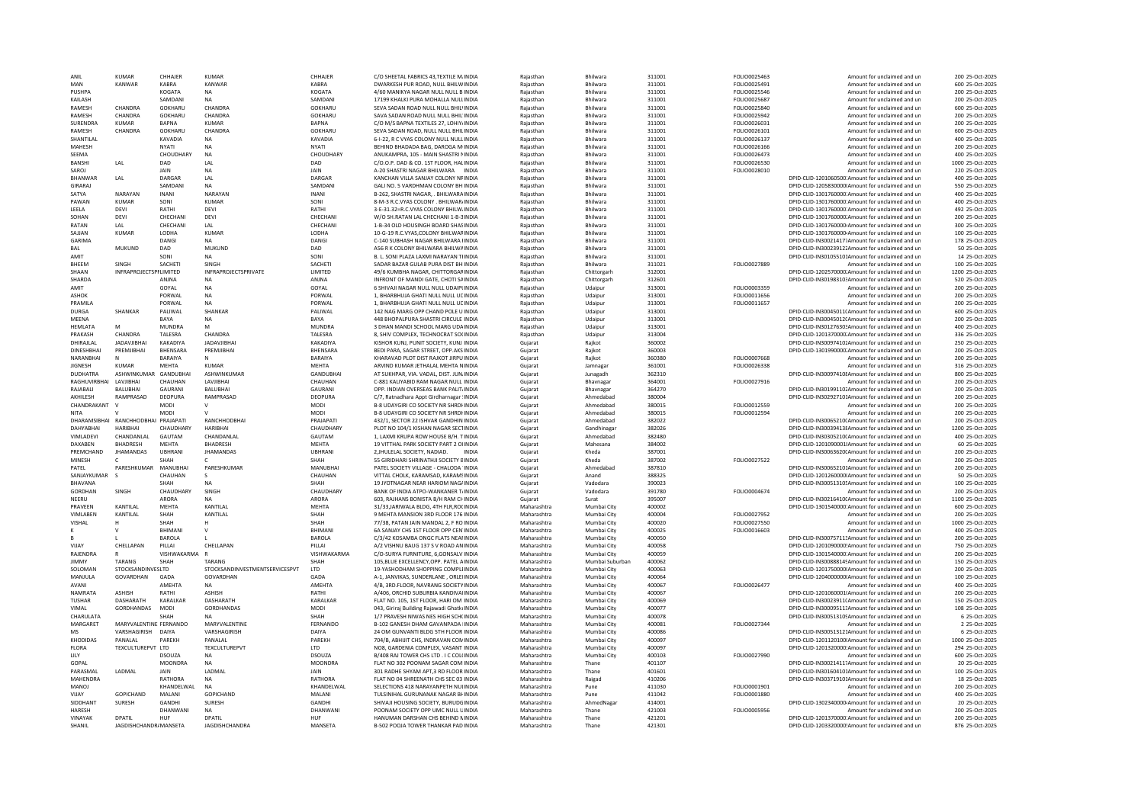| ANII                           | KUMAR                               | CHHAIFR                           | KUMAF                                    | CHHAIFI                        | C/O SHEETAL FABRICS 43, TEXTILE M. INDIA                                         | Raiasthan                  | <b>Bhilwara</b>                | 311001           | EQLIO0025463                        | Amount for unclaimed and un                                                                          | 200 25-Oct-2025                    |
|--------------------------------|-------------------------------------|-----------------------------------|------------------------------------------|--------------------------------|----------------------------------------------------------------------------------|----------------------------|--------------------------------|------------------|-------------------------------------|------------------------------------------------------------------------------------------------------|------------------------------------|
| MAN                            | KANWAR                              | KABRA                             | KANWAR                                   | KABRA                          | DWARKESH PUR ROAD, NULL BHILW INDIA                                              | Rajasthan                  | Bhilwara                       | 311001           | FOLIO0025491                        | Amount for unclaimed and un                                                                          | 600 25-Oct-2025                    |
| PUSHPA                         |                                     | KOGATA                            | <b>NA</b>                                | KOGATA                         | 4/60 MANIKYA NAGAR NULL NULL B INDIA                                             | Raiasthan                  | Bhilwara                       | 311001           | FOLIO0025546                        | Amount for unclaimed and un                                                                          | 200 25-Oct-2025                    |
| KAILASH                        |                                     | SAMDANI                           | <b>NA</b>                                | SAMDAN                         | 17199 KHALKI PURA MOHALLA NULLINDIA                                              | Rajasthan                  | Bhilwara                       | 311001           | FOLIO0025687                        | Amount for unclaimed and un                                                                          | 200 25-Oct-2025                    |
| <b>RAMESH</b><br>RAMESH        | CHANDRA<br>CHANDRA                  | GOKHARU<br>GOKHARU                | CHANDRA<br><b>CHANDRA</b>                | <b>GOKHARL</b><br>GOKHARU      | SEVA SADAN ROAD NULL NULL BHILLINDIA<br>SAVA SADAN ROAD NULL NULL BHIL'INDIA     | Raiasthan<br>Raiasthan     | <b>Bhilwara</b><br>Bhilwara    | 311001<br>311001 | <b>EOLIO0025840</b><br>FOLIO0025942 | Amount for unclaimed and un<br>Amount for unclaimed and un                                           | 600 25-Oct-2025<br>200 25-Oct-2025 |
| SURENDRA                       | KUMAR                               | <b>BAPNA</b>                      | KUMAR                                    | <b>BAPNA</b>                   | C/O M/S BAPNA TEXTILES 27. LOHIYJINDIA                                           | Rajasthan                  | <b>Bhilwara</b>                | 311001           | FOLIO0026031                        | Amount for unclaimed and un                                                                          | 200 25-0ct-2025                    |
| RAMESH                         | CHANDRA                             | GOKHARU                           | CHANDRA                                  | GOKHARU                        | SEVA SADAN ROAD, NULL NULL BHILINDIA                                             | Rajasthan                  | Bhilwara                       | 311001           | FOLIO0026101                        | Amount for unclaimed and un                                                                          | 600 25-Oct-2025                    |
| SHANTILAL                      |                                     | KAVADIA                           | <b>NA</b>                                | KAVADIA                        | 6-I-22. R C VYAS COLONY NULL NULL INDIA                                          | Rajasthan                  | Bhilwara                       | 311001           | FOLIO0026137                        | Amount for unclaimed and un                                                                          | 400 25-Oct-2025                    |
| MAHESH                         |                                     | <b>NYATI</b>                      | <b>NA</b>                                | NYATI                          | BEHIND BHADADA BAG, DAROGA M/INDIA                                               | Raiasthan                  | Bhilwara                       | 311001           | FOLIO0026166                        | Amount for unclaimed and un                                                                          | 200 25-Oct-2025                    |
| SEEMA                          |                                     | CHOUDHAR)                         | <b>NA</b>                                | CHOUDHARY                      | ANUKAMPRA, 105 - MAIN SHASTRI NINDIA                                             | Rajasthan                  | Bhilwara                       | 311001           | FOLIO0026473                        | Amount for unclaimed and un                                                                          | 400 25-Oct-2025                    |
| BANSHI                         | LAL                                 | DAD                               | LAL                                      | DAD                            | C/O.O.P. DAD & CO. 1ST FLOOR, HALINDIA                                           | Raiasthan                  | Bhilwara                       | 311001           | FOLIO0026530                        | Amount for unclaimed and un                                                                          | 1000 25-Oct-2025                   |
| SAROJ                          |                                     | JAIN                              | <b>NA</b>                                | JAIN                           | A-20 SHASTRI NAGAR BHILWARA INDIA                                                | Raiasthan                  | Bhilwara                       | 311001           | FOLIO0028010                        | Amount for unclaimed and un                                                                          | 220 25-Oct-2025                    |
| <b>BHANWAF</b>                 | A                                   | DARGAR                            | <b>IAI</b>                               | DARGAR                         | KANCHAN VILLA SANJAY COLONY NEINDIA                                              | Rajasthan                  | <b>Bhilwara</b>                | 311001           |                                     | DPID-CLID-1201060500:Amount for unclaimed and un                                                     | 400 25-Oct-2025                    |
| GIRARAJ                        |                                     | SAMDANI                           | <b>NA</b>                                | SAMDAN                         | GALI NO. 5 VARDHMAN COLONY BHINDIA                                               | Rajasthan                  | <b>Bhilwara</b>                | 311001           |                                     | DPID-CLID-1205830000IAmount for unclaimed and un                                                     | 550 25-Oct-2025                    |
| SATYA                          | NARAYAN                             | <b>INANI</b>                      | NARAYAN                                  | <b>INANI</b>                   | B-262, SHASTRI NAGAR, , BHILWARA INDIA                                           | Raiasthan                  | <b>Bhilwara</b>                | 311001           |                                     | DPID-CLID-1301760000:Amount for unclaimed and un                                                     | 400 25-Oct-2025                    |
| PAWAN                          | <b>KUMAR</b>                        | SONI                              | <b>KUMAR</b>                             | SONI                           | 8-M-3 R.C.VYAS COLONY . BHILWAR/INDIA                                            | Rajasthan                  | Bhilwara                       | 311001           |                                     | DPID-CLID-1301760000:Amount for unclaimed and un                                                     | 400 25-Oct-2025                    |
| LEELA                          | <b>DEVI</b>                         | RATHI                             | DEVI                                     | RATHI                          | 3-E-31.32=R.C.VYAS COLONY BHILW/INDIA                                            | Rajasthan                  | Bhilwara                       | 311001           |                                     | DPID-CLID-1301760000:Amount for unclaimed and un                                                     | 492 25-Oct-2025                    |
| SOHAN<br>RATAN                 | <b>DEVI</b><br>I AI                 | CHECHANI<br>CHECHANI              | DEVI<br><b>IAI</b>                       | CHECHANI<br>CHECHANI           | W/O SH.RATAN LAL CHECHANI 1-B-3 INDIA<br>1-B-34 OLD HOUSINGH BOARD SHASINDIA     | Raiasthan                  | Bhilwara                       | 311001<br>311001 |                                     | DPID-CLID-1301760000.Amount for unclaimed and un<br>DPID-CLID-1301760000-Amount for unclaimed and un | 200 25-Oct-2025<br>300 25-Oct-2025 |
| SAJJAN                         | <b>KUMAR</b>                        | LODHA                             | <b>KUMAR</b>                             | LODHA                          | 10-G-19 R.C.VYAS.COLONY BHILWARINDIA                                             | Raiasthan<br>Raiasthan     | Bhilwara<br>Bhilwara           | 311001           |                                     | DPID-CLID-1301760000-Amount for unclaimed and un                                                     | 100 25-Oct-2025                    |
| GARIMA                         |                                     | DANGI                             | NA                                       | DANGI                          | C-140 SUBHASH NAGAR BHILWARA IINDIA                                              | Rajasthan                  | Bhilwara                       | 311001           |                                     | DPID-CLID-IN30021417:Amount for unclaimed and un                                                     | 178 25-Oct-2025                    |
| <b>BAL</b>                     | <b>MUKUND</b>                       | DAD                               | MUKUND                                   | DAD                            | A56 R K COLONY BHILWARA BHILWAINDIA                                              | Raiasthan                  | Bhilwara                       | 311001           |                                     | DPID-CLID-IN30023912;Amount for unclaimed and un                                                     | 50 25-Oct-2025                     |
| AMIT                           |                                     | SONI                              |                                          | SONI                           | B. L. SONI PLAZA LAXMI NARAYAN TIINDIA                                           | Raiasthan                  | <b>Bhilwara</b>                | 311001           |                                     | DPID-CLID-IN301055101Amount for unclaimed and un                                                     | 14 25-Oct-2025                     |
| <b>BHFFM</b>                   | SINGH                               | SACHETI                           | SINGH                                    | SACHETI                        | SADAR BAZAR GUI AR PURA DIST BH INDIA                                            | Raiasthan                  | <b>Bhilwara</b>                | 311021           | FOLIO0027889                        | Amount for unclaimed and un                                                                          | 100 25-Oct-2025                    |
| SHAAN                          | INFRAPROJECTSPI LIMITED             |                                   | INFRAPROJECTSPRIVATE                     | LIMITED                        | 49/6 KUMBHA NAGAR, CHITTORGARINDIA                                               | Raiasthan                  | Chittorearh                    | 312001           |                                     | DPID-CLID-1202570000.Amount for unclaimed and un                                                     | 1200 25-Oct-2025                   |
| SHARDA                         |                                     | ANINA                             | <b>NA</b>                                | ANINA                          | INFRONT OF MANDI GATE, CHOTI SAINDIA                                             | Raiasthan                  | Chittorgarh                    | 312601           |                                     | DPID-CLID-IN30198310: Amount for unclaimed and un                                                    | 520 25-Oct-2025                    |
| AMIT                           |                                     | GOYAL                             | <b>NA</b>                                | GOYAL                          | 6 SHIVAJI NAGAR NULL NULL UDAIPUNDIA                                             | Rajasthan                  | Udaipur                        | 313001           | FOLIO0003359                        | Amount for unclaimed and un                                                                          | 200 25-Oct-2025                    |
| <b>ASHOK</b>                   |                                     | PORWAL                            | NA                                       | PORWAL                         | 1, BHARBHUJA GHATI NULL NULL UCINDIA                                             | Rajasthan                  | Udaipur                        | 313001           | FOLIO0011656                        | Amount for unclaimed and un                                                                          | 200 25-Oct-2025                    |
| PRAMILA                        |                                     | PORWAL                            | <b>NA</b>                                | PORWAL                         | 1. BHARBHUJA GHATI NULL NULL UCINDIA                                             | Raiasthan                  | Udaipur                        | 313001           | FOLIO0011657                        | Amount for unclaimed and un                                                                          | 200 25-Oct-2025                    |
| <b>DURGA</b>                   | SHANKAR                             | PALIWAL                           | SHANKAR                                  | PALIWAL                        | 142 NAG MARG OPP CHAND POLE U INDIA                                              | Rajasthan                  | Udaipur                        | 313001           |                                     | DPID-CLID-IN30045011(Amount for unclaimed and un                                                     | 600 25-Oct-2025                    |
| MFFNA                          |                                     | <b>BAYA</b>                       | <b>NA</b>                                | <b>BAYA</b>                    | 448 BHOPALPURA SHASTRI CIRCULE INDIA                                             | Raiasthan                  | Udaipur                        | 313001           |                                     | DPID-CLID-IN30045012(Amount for unclaimed and un                                                     | 200 25-Oct-2025                    |
| HEMLATA                        | M<br>CHANDRA                        | <b>MUNDRA</b>                     | M                                        | MUNDRA                         | 3 DHAN MANDI SCHOOL MARG UDAINDIA                                                | Raiasthan                  | Udaipur                        | 313001           |                                     | DPID-CLID-IN30127630: Amount for unclaimed and un                                                    | 400 25-Oct-2025                    |
| PRAKASH                        | <b>JADAVJIBHAI</b>                  | <b>TALESRA</b><br><b>KAKADIYA</b> | CHANDRA<br>JADAVJIBHA                    | <b>TAI FSRA</b>                | 8. SHIV COMPLEX. TECHNOCRAT SOCINDIA                                             | Raiasthan                  | Udainur                        | 313004           |                                     | DPID-CLID-1201370000:Amount for unclaimed and un                                                     | 336 25-0ct-2025<br>250 25-Oct-2025 |
| DHIRAJLAL<br><b>DINESHBHAI</b> | PREMJIBHAI                          | BHENSARA                          | PREMJIBHAI                               | KAKADIYA<br>BHENSARA           | KISHOR KUNJ, PUNIT SOCIETY, KUNJ INDIA<br>BEDI PARA, SAGAR STREET, OPP.AKS INDIA | Gujarat                    | Rajkot<br>Raikot               | 360002<br>360003 |                                     | DPID-CLID-IN300974102Amount for unclaimed and un<br>DPID-CLID-1301990000.Amount for unclaimed and un | 200 25-Oct-2025                    |
| NARANBHAI                      |                                     | BARAIYA                           | N                                        | BARAIYA                        | KHARAVAD PLOT DIST RAJKOT JIRPU INDIA                                            | Gujarat<br>Guiarat         | Raikot                         | 360380           | FOLIO0007668                        | Amount for unclaimed and un                                                                          | 200 25-Oct-2025                    |
| <b>JIGNESH</b>                 | <b>KUMAR</b>                        | MEHTA                             | <b>KUMAR</b>                             | <b>MEHTA</b>                   | ARVIND KUMAR JETHALAL MEHTA NINDIA                                               | Gujarat                    | Jamnaga                        | 361001           | FOLIO0026338                        | Amount for unclaimed and un                                                                          | 316 25-Oct-2025                    |
| <b>DUDHATRA</b>                | ASHWINKUMAR                         | GANDUBHAI                         | ASHWINKUMAR                              | GANDUBHAI                      | AT SUKHPAR, VIA, VADAL, DIST, JUN, INDIA                                         | Guiarat                    | Junagadh                       | 362310           |                                     | DPID-CLID-IN30097410{Amount for unclaimed and un                                                     | 800 25-Oct-2025                    |
| RAGHUVIRBHAI                   | LAVJIBHAI                           | CHAUHAN                           | LAVJIBHAI                                | CHAUHAN                        | C-881 KALIYABID RAM NAGAR NULL INDIA                                             | Gujarat                    | Bhavnagar                      | 364001           | FOLIO0027916                        | Amount for unclaimed and un                                                                          | 200 25-Oct-2025                    |
| RAIABALL                       | <b>BALUBHAL</b>                     | GAURANI                           | <b>BALURHAL</b>                          | GAURANI                        | OPP. INDIAN OVERSEAS BANK PALIT INDIA                                            | Gujarat                    | Bhavnagar                      | 364270           |                                     | DPID-CLID-IN30199110;Amount for unclaimed and un                                                     | 200 25-Oct-2025                    |
| AKHILESH                       | RAMPRASAD                           | DEOPURA                           | RAMPRASAD                                | <b>DEOPURA</b>                 | C/7, Ratnadhara Appt Girdharnagar 'INDIA                                         | Gujarat                    | Ahmedabad                      | 380004           |                                     | DPID-CLID-IN302927101Amount for unclaimed and un                                                     | 200 25-Oct-2025                    |
| CHANDRAKANT                    | $\vee$                              | <b>MODI</b>                       | $\vee$                                   | MODI                           | B-8 UDAYGIRI CO SOCIETY NR SHRDHNDIA                                             | Gujarat                    | Ahmedahad                      | 380015           | FOLIO0012559                        | Amount for unclaimed and un                                                                          | 200 25-Oct-2025                    |
| <b>NITA</b>                    |                                     | MODI                              |                                          | MODI                           | B-8 UDAYGIRI CO SOCIETY NR SHRDHNDIA                                             | Gujarat                    | Ahmedabad                      | 380015           | FOLIO0012594                        | Amount for unclaimed and un                                                                          | 200 25-Oct-2025                    |
|                                | DHARAMSIBHAI RANCHHODBHAI PRAJAPATI |                                   | RANCHHODBHAI                             | PRAJAPATI                      | 432/1. SECTOR 22 ISHVAR GANDHIN INDIA                                            | Gujarat                    | Ahmedabad                      | 382022           |                                     | DPID-CLID-IN30065210(Amount for unclaimed and un                                                     | 200 25-Oct-2025                    |
| DAHYARHAI                      | <b>HARIBHAI</b>                     | CHAUDHARY                         | HARIBHA                                  | <b>CHAUDHARY</b>               | PLOT NO 104/1 KISHAN NAGAR SECTINDIA                                             | Guiarat                    | Gandhinaga                     | 382026           |                                     | DPID-CLID-IN30039413{Amount for unclaimed and un                                                     | 1200 25-Oct-2025                   |
| VIMLADEVI                      | CHANDANLAL                          | GAUTAM                            | <b>CHANDANIAI</b>                        | GAUTAM                         | 1. LAXMI KRUPA ROW HOUSE B/H. TINDIA                                             | Gujarat                    | Ahmedabad                      | 382480           |                                     | DPID-CLID-IN30305210(Amount for unclaimed and un                                                     | 400 25-Oct-2025                    |
| DAXABEN                        | BHADRESH<br><b>JHAMANDAS</b>        | <b>MEHTA</b><br><b>UBHRANI</b>    | BHADRESH                                 | <b>MEHTA</b><br><b>UBHRANI</b> | 19 VITTHAL PARK SOCIETY PART 2 OIINDIA<br>INDIA                                  | Guiarat                    | Mahesana                       | 384002           |                                     | DPID-CLID-1201090001 Amount for unclaimed and un                                                     | 60 25-Oct-2025                     |
| PREMCHAND<br>MINESH            |                                     | SHAH                              | <b>JHAMANDAS</b>                         | SHAH                           | 2, JHULELAL SOCIETY, NADIAD.<br>55 GIRIDHARI SHRINATHJI SOCIETY BINDIA           | Gujarat<br>Gujarat         | Kheda<br>Kheda                 | 387001<br>387002 | FOLIO0027522                        | DPID-CLID-IN30063620(Amount for unclaimed and un<br>Amount for unclaimed and un                      | 200 25-Oct-2025<br>200 25-Oct-2025 |
| PATEL                          | PARESHKUMAR                         | MANUBHAI                          | PARESHKUMAR                              | MANUBHA                        | PATEL SOCIETY VILLAGE - CHALODA 'INDIA                                           | Gujarat                    | Ahmedabad                      | 387810           |                                     | DPID-CLID-IN300652101Amount for unclaimed and un                                                     | 200 25-Oct-2025                    |
| SANJAYKUMAR                    |                                     | CHAUHAN                           | -S                                       | CHAUHAN                        | VITTAL CHOLK, KARAMSAD, KARAMSINDIA                                              | Guiarat                    | Anand                          | 388325           |                                     | DPID-CLID-1201260000(Amount for unclaimed and un                                                     | 50 25-Oct-2025                     |
| BHAVANA                        |                                     | SHAH                              | <b>NA</b>                                | SHAH                           | 19 JYOTNAGAR NEAR HARIOM NAG/INDIA                                               | Gujarat                    | Vadodara                       | 390023           |                                     | DPID-CLID-IN300513105Amount for unclaimed and un                                                     | 100 25-Oct-2025                    |
| GORDHAN                        | SINGH                               | CHAUDHARY                         | SINGH                                    | CHAUDHARY                      | BANK OF INDIA ATPO-WANKANER T/INDIA                                              | Gujarat                    | Vadodara                       | 391780           | FOLIO0004674                        | Amount for unclaimed and un                                                                          | 200 25-Oct-2025                    |
| NEERU                          |                                     | ARORA                             | <b>NA</b>                                | ARORA                          | 603, RAJHANS BONISTA B/H RAM CHINDIA                                             | Gujarat                    | Surat                          | 395007           |                                     | DPID-CLID-IN30216410(Amount for unclaimed and un                                                     | 1100 25-Oct-2025                   |
| PRAVEEN                        | KANTILAL                            | MEHTA                             | KANTILAL                                 | <b>MEHTA</b>                   | 31/33 JARIWALA BLDG, 4TH FLR, ROCINDIA                                           | Maharashtra                | Mumbai City                    | 400002           |                                     | DPID-CLID-1301540000:Amount for unclaimed and un                                                     | 600 25-Oct-2025                    |
| VIMLABEN                       | KANTILAL                            | SHAH                              | KANTILAL                                 | SHAH                           | 9 MEHTA MANSION 3RD FLOOR 176 INDIA                                              | Maharashtra                | Mumbai City                    | 400004           | FOLIO0027952                        | Amount for unclaimed and un                                                                          | 200 25-Oct-2025                    |
| VISHAL                         |                                     | SHAH                              |                                          | SHAH                           | 77/38, PATAN JAIN MANDAL 2, F RO INDIA                                           | Maharashtra                | Mumbai City                    | 400020           | FOLIO0027550                        | Amount for unclaimed and un                                                                          | 1000 25-Oct-2025                   |
| ĸ                              | $\mathbf{v}$                        | <b>BHIMANI</b>                    | $\vee$                                   | <b>BHIMAN</b>                  | 6A SANJAY CHS 1ST ELOOR OPP CEN INDIA                                            | Maharashtra                | Mumbai City                    | 400025           | FOLIO0016603                        | Amount for unclaimed and un                                                                          | 400 25-Oct-2025                    |
|                                |                                     | BAROLA                            |                                          | BAROLA                         | C/3/42 KOSAMBA ONGC FLATS NEAHNDIA                                               | Maharashtra                | Mumbai City                    | 400050           |                                     | DPID-CLID-IN30075711: Amount for unclaimed and un                                                    | 200 25-Oct-2025                    |
| VIIAY                          | <b>CHELLAPAN</b>                    | PILLAL                            | <b>CHELLAPAN</b>                         | PILLAL                         | A/2 VISHNU BAUG 137 S V ROAD AN INDIA                                            | Maharashtra                | Mumbai City                    | 400058           |                                     | DPID-CLID-1201090000'Amount for unclaimed and un                                                     | 750 25-Oct-2025                    |
| RAJENDRA                       | $\mathsf R$                         | VISHWAKARMA                       |                                          | VISHWAKARMA                    | C/O-SURYA FURNITURE, 6, GONSALV INDIA                                            | Maharashtra                | Mumbai City                    | 400059           |                                     | DPID-CLID-1301540000:Amount for unclaimed and un                                                     | 200 25-Oct-2025                    |
| <b>IIMMY</b><br>SOLOMAN        | TARANG<br><b>STOCKSANDINVESLTD</b>  | SHAH                              | TARANG<br>STOCKSANDINVESTMENTSERVICESPVT | SHAH<br>LTD                    | 105.BLUE EXCELLENCY.OPP. PATEL AINDIA<br>19-YASHODHAM SHOPPING COMPLIJNDIA       | Maharashtra<br>Maharashtra | Mumbai Suburban<br>Mumbai City | 400062<br>400063 |                                     | DPID-CLID-IN300888145Amount for unclaimed and un<br>DPID-CLID-1201750000(Amount for unclaimed and un | 150 25-Oct-2025<br>200 25-Oct-2025 |
| MANJULA                        | GOVARDHAN                           | GADA                              | GOVARDHAN                                | GADA                           | A-1, JANVIKAS, SUNDERLANE, ORLEIINDIA                                            | Maharashtra                | Mumbai City                    | 400064           |                                     | DPID-CLID-1204000000IAmount for unclaimed and un                                                     | 100 25-Oct-2025                    |
| AVANI                          |                                     | AMFHTA                            | <b>NA</b>                                | AMEHTA                         | 4/B. 3RD.FLOOR, NAVRANG SOCIETY INDIA                                            | Maharashtra                | Mumbai City                    | 400067           | FOLIO0026477                        | Amount for unclaimed and un                                                                          | 400 25-Oct-2025                    |
| NAMRATA                        | ASHISH                              | RATHI                             | ASHISH                                   | RATHI                          | A/406, ORCHID SUBURBIA KANDIVAIINDIA                                             | Maharashtra                | Mumbai City                    | 400067           |                                     | DPID-CLID-1201060001(Amount for unclaimed and un                                                     | 200 25-Oct-2025                    |
| <b>TUSHAR</b>                  | DASHARATH                           | KARALKAR                          | DASHARATH                                | KARALKAR                       | FLAT NO. 105, 1ST FLOOR, HARI OM INDIA                                           | Maharashtra                | Mumbai City                    | 400069           |                                     | DPID-CLID-IN30023911(Amount for unclaimed and un                                                     | 150 25-Oct-2025                    |
| VIMAL                          | GORDHANDAS                          | MODI                              | GORDHANDAS                               | MODI                           | 043, Giriraj Building Rajawadi Ghatk(INDIA                                       | Maharashtra                | Mumbai City                    | 400077           |                                     | DPID-CLID-IN30009511;Amount for unclaimed and ur                                                     | 108 25-Oct-2025                    |
| CHARULATA                      |                                     | SHAH                              |                                          | SHAH                           | 1/7 PRAVESH NIWAS NES HIGH SCH(INDIA                                             | Maharashtra                | Mumbai City                    | 400078           |                                     | DPID-CLID-IN300513105Amount for unclaimed and un                                                     | 6 25-Oct-2025                      |
| MARGARET                       |                                     |                                   |                                          |                                |                                                                                  |                            | Mumbai City                    | 400081           | FOLIO0027344                        |                                                                                                      |                                    |
| <b>MS</b>                      | MARYVALENTINE FERNANDO              |                                   | MARYVALENTINE                            | FERNANDO                       | <b>B-102 GANESH DHAM GAVANPADA INDIA</b>                                         | Maharashtra                |                                |                  |                                     | Amount for unclaimed and un                                                                          | 2 25-Oct-2025                      |
|                                | VARSHAGIRISH                        | DAIYA                             | VARSHAGIRISH                             | DAIYA                          | 24 OM GUNVANTI BLDG 5TH FLOOR INDIA                                              | Maharashtra                | Mumbai City                    | 400086           |                                     | DPID-CLID-IN300513121Amount for unclaimed and un                                                     | 6 25-Oct-2025                      |
| KHODIDAS                       | PANALAI                             | PAREKH                            | PANALAI                                  | PAREKH                         | 704/B. ABHIJIT CHS. INDRAVAN CON INDIA                                           | Maharashtra                | Mumbai City                    | 400097           |                                     | DPID-CLID-1201120100IAmount for unclaimed and un                                                     | 1000 25-Oct-2025                   |
| <b>FLORA</b>                   | TEXCULTUREPVT LTD                   |                                   | TEXCULTUREPVT                            | <b>LTD</b>                     | NO8, GARDENIA COMPLEX, VASANT INDIA                                              | Maharashtra                | Mumbai City                    | 400097           |                                     | DPID-CLID-1201320000:Amount for unclaimed and un                                                     | 294 25-Oct-2025                    |
| LILY                           |                                     | <b>DSOUZA</b>                     | <b>NA</b>                                | DSOUZA                         | B/408 RAJ TOWER CHS LTD. I C COL(INDIA                                           | Maharashtra                | Mumbai City                    | 400103           | FOLIO0027990                        | Amount for unclaimed and un                                                                          | 600 25-Oct-2025                    |
| GOPAL                          |                                     | MOONDRA                           | <b>NA</b>                                | MOONDRA                        | FLAT NO 302 POONAM SAGAR COM INDIA                                               | Maharashtra                | Thane                          | 401107           |                                     | DPID-CLID-IN300214117Amount for unclaimed and un                                                     | 20 25-Oct-2025                     |
| PARASMAL                       | LADMAL                              | <b>JAIN</b>                       | LADMAL                                   | JAIN                           | 301 RADHE SHYAM APT.3 RD FLOOR INDIA                                             | Maharashtra                | Thane                          | 401601           |                                     | DPID-CLID-IN301604101Amount for unclaimed and un                                                     | 100 25-Oct-2025                    |
| MAHENDRA                       |                                     | RATHORA                           | <b>NA</b>                                | RATHORA                        | FLAT NO 04 SHREENATH CHS SEC 03 INDIA                                            | Maharashtra                | Raigad                         | 410206           |                                     | DPID-CLID-IN303719101Amount for unclaimed and un                                                     | 18 25-Oct-2025                     |
| MANOI                          |                                     | KHANDFI WAI                       | <b>NA</b>                                | KHANDELWAL                     | SELECTIONS 418 NARAYANPETH NULINDIA                                              | Maharashtra                | Pune                           | 411030           | EQLIQ0001901                        | Amount for unclaimed and un                                                                          | 200 25-Oct-2025                    |
| VIJAY                          | GOPICHAND                           | MALANI                            | GOPICHAND                                | MALANI                         | TULSINIHAL GURUNANAK NAGAR BI INDIA                                              | Maharashtra                | Pune                           | 411042           | FOLIO0001880                        | Amount for unclaimed and un                                                                          | 400 25-Oct-2025                    |
| SIDDHANT                       | SURESH                              | <b>GANDHI</b>                     | <b>SURFSH</b>                            | GANDHI                         | SHIVAILHOUSING SOCIETY, BURUDGINDIA                                              | Maharashtra                | AhmedNagar                     | 414001           |                                     | DPID-CLID-1302340000-Amount for unclaimed and un                                                     | 20 25-Oct-2025                     |
| HARESH<br>VINAYAK              | DPATIL                              | DHANWANI<br>HUF                   | <b>NA</b><br>DPATIL                      | DHANWANI<br>HUF                | POONAM SOCIETY OPP UMC NULL UINDIA<br>HANUMAN DARSHAN CHS BEHIND NINDIA          | Maharashtra<br>Maharashtra | Thane<br>Thane                 | 421003<br>421201 | FOLIO0005956                        | Amount for unclaimed and un                                                                          | 200 25-Oct-2025<br>200 25-Oct-2025 |
| SHANIL                         | JAGDISHCHANDR/ MANSETA              |                                   | <b>JAGDISHCHANDRA</b>                    | MANSETA                        | B-502 POOJA TOWER THANKAR PAD INDIA                                              | Maharashtra                | Thane                          | 421301           |                                     | DPID-CLID-1201370000:Amount for unclaimed and un<br>DPID-CLID-1203320000!Amount for unclaimed and un | 876 25-Oct-2025                    |